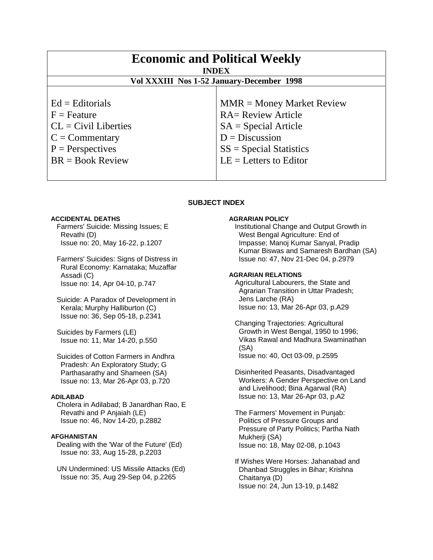| <b>Economic and Political Weekly</b><br><b>INDEX</b><br>Vol XXXIII Nos 1-52 January-December 1998 |                             |
|---------------------------------------------------------------------------------------------------|-----------------------------|
| $Ed = Editorials$                                                                                 | $MMR = Money Market Review$ |
| $F =$ Feature                                                                                     | <b>RA= Review Article</b>   |
| $CL = Civil\:$ Liberties                                                                          | $SA = Special Article$      |
| $C = \text{Commentary}$                                                                           | $D = Discussion$            |
| $P =$ Perspectives                                                                                | $SS = Special Statistics$   |
| $BR = Book Review$                                                                                | $LE = Letters to Editor$    |

# **SUBJECT INDEX**

# **ACCIDENTAL DEATHS**

 Farmers' Suicide: Missing Issues; E Revathi (D) Issue no: 20, May 16-22, p.1207

 Farmers' Suicides: Signs of Distress in Rural Economy: Karnataka; Muzaffar Assadi (C) Issue no: 14, Apr 04-10, p.747

 Suicide: A Paradox of Development in Kerala; Murphy Halliburton (C) Issue no: 36, Sep 05-18, p.2341

 Suicides by Farmers (LE) Issue no: 11, Mar 14-20, p.550

 Suicides of Cotton Farmers in Andhra Pradesh: An Exploratory Study; G Parthasarathy and Shameen (SA) Issue no: 13, Mar 26-Apr 03, p.720

## **ADILABAD**

 Cholera in Adilabad; B Janardhan Rao, E Revathi and P Anjaiah (LE) Issue no: 46, Nov 14-20, p.2882

#### **AFGHANISTAN**

 Dealing with the 'War of the Future' (Ed) Issue no: 33, Aug 15-28, p.2203

 UN Undermined: US Missile Attacks (Ed) Issue no: 35, Aug 29-Sep 04, p.2265

#### **AGRARIAN POLICY**

 Institutional Change and Output Growth in West Bengal Agriculture: End of Impasse; Manoj Kumar Sanyal, Pradip Kumar Biswas and Samaresh Bardhan (SA) Issue no: 47, Nov 21-Dec 04, p.2979

## **AGRARIAN RELATIONS**

 Agricultural Labourers, the State and Agrarian Transition in Uttar Pradesh; Jens Larche (RA) Issue no: 13, Mar 26-Apr 03, p.A29

 Changing Trajectories: Agricultural Growth in West Bengal, 1950 to 1996; Vikas Rawal and Madhura Swaminathan (SA)

Issue no: 40, Oct 03-09, p.2595

 Disinherited Peasants, Disadvantaged Workers: A Gender Perspective on Land and Livelihood; Bina Agarwal (RA) Issue no: 13, Mar 26-Apr 03, p.A2

 The Farmers' Movement in Punjab: Politics of Pressure Groups and Pressure of Party Politics; Partha Nath Mukherji (SA) Issue no: 18, May 02-08, p.1043

 If Wishes Were Horses: Jahanabad and Dhanbad Struggles in Bihar; Krishna Chaitanya (D) Issue no: 24, Jun 13-19, p.1482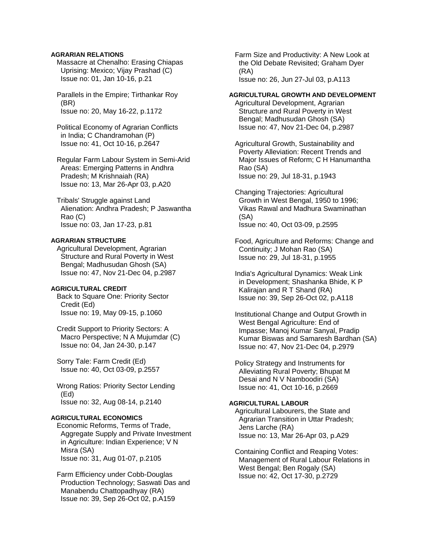## **AGRARIAN RELATIONS**

 Massacre at Chenalho: Erasing Chiapas Uprising: Mexico; Vijay Prashad (C) Issue no: 01, Jan 10-16, p.21

 Parallels in the Empire; Tirthankar Roy (BR) Issue no: 20, May 16-22, p.1172

 Political Economy of Agrarian Conflicts in India; C Chandramohan (P) Issue no: 41, Oct 10-16, p.2647

 Regular Farm Labour System in Semi-Arid Areas: Emerging Patterns in Andhra Pradesh; M Krishnaiah (RA) Issue no: 13, Mar 26-Apr 03, p.A20

 Tribals' Struggle against Land Alienation: Andhra Pradesh; P Jaswantha Rao (C) Issue no: 03, Jan 17-23, p.81

## **AGRARIAN STRUCTURE**

 Agricultural Development, Agrarian Structure and Rural Poverty in West Bengal; Madhusudan Ghosh (SA) Issue no: 47, Nov 21-Dec 04, p.2987

# **AGRICULTURAL CREDIT**

 Back to Square One: Priority Sector Credit (Ed) Issue no: 19, May 09-15, p.1060

 Credit Support to Priority Sectors: A Macro Perspective; N A Mujumdar (C) Issue no: 04, Jan 24-30, p.147

 Sorry Tale: Farm Credit (Ed) Issue no: 40, Oct 03-09, p.2557

 Wrong Ratios: Priority Sector Lending (Ed) Issue no: 32, Aug 08-14, p.2140

## **AGRICULTURAL ECONOMICS**

 Economic Reforms, Terms of Trade, Aggregate Supply and Private Investment in Agriculture: Indian Experience; V N Misra (SA) Issue no: 31, Aug 01-07, p.2105

 Farm Efficiency under Cobb-Douglas Production Technology; Saswati Das and Manabendu Chattopadhyay (RA) Issue no: 39, Sep 26-Oct 02, p.A159

 Farm Size and Productivity: A New Look at the Old Debate Revisited; Graham Dyer (RA) Issue no: 26, Jun 27-Jul 03, p.A113

## **AGRICULTURAL GROWTH AND DEVELOPMENT**

 Agricultural Development, Agrarian Structure and Rural Poverty in West Bengal; Madhusudan Ghosh (SA) Issue no: 47, Nov 21-Dec 04, p.2987

 Agricultural Growth, Sustainability and Poverty Alleviation: Recent Trends and Major Issues of Reform; C H Hanumantha Rao (SA) Issue no: 29, Jul 18-31, p.1943

 Changing Trajectories: Agricultural Growth in West Bengal, 1950 to 1996; Vikas Rawal and Madhura Swaminathan (SA) Issue no: 40, Oct 03-09, p.2595

 Food, Agriculture and Reforms: Change and Continuity; J Mohan Rao (SA) Issue no: 29, Jul 18-31, p.1955

 India's Agricultural Dynamics: Weak Link in Development; Shashanka Bhide, K P Kalirajan and R T Shand (RA) Issue no: 39, Sep 26-Oct 02, p.A118

 Institutional Change and Output Growth in West Bengal Agriculture: End of Impasse; Manoj Kumar Sanyal, Pradip Kumar Biswas and Samaresh Bardhan (SA) Issue no: 47, Nov 21-Dec 04, p.2979

 Policy Strategy and Instruments for Alleviating Rural Poverty; Bhupat M Desai and N V Namboodiri (SA) Issue no: 41, Oct 10-16, p.2669

#### **AGRICULTURAL LABOUR**

 Agricultural Labourers, the State and Agrarian Transition in Uttar Pradesh; Jens Larche (RA) Issue no: 13, Mar 26-Apr 03, p.A29

 Containing Conflict and Reaping Votes: Management of Rural Labour Relations in West Bengal; Ben Rogaly (SA) Issue no: 42, Oct 17-30, p.2729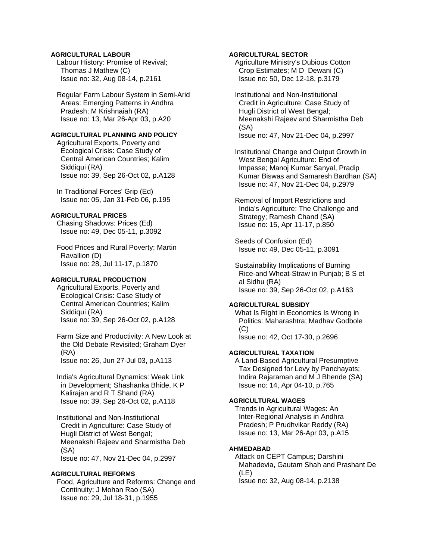# **AGRICULTURAL LABOUR**

 Labour History: Promise of Revival; Thomas J Mathew (C) Issue no: 32, Aug 08-14, p.2161

 Regular Farm Labour System in Semi-Arid Areas: Emerging Patterns in Andhra Pradesh; M Krishnaiah (RA) Issue no: 13, Mar 26-Apr 03, p.A20

# **AGRICULTURAL PLANNING AND POLICY**

 Agricultural Exports, Poverty and Ecological Crisis: Case Study of Central American Countries; Kalim Siddiqui (RA) Issue no: 39, Sep 26-Oct 02, p.A128

 In Traditional Forces' Grip (Ed) Issue no: 05, Jan 31-Feb 06, p.195

# **AGRICULTURAL PRICES**

 Chasing Shadows: Prices (Ed) Issue no: 49, Dec 05-11, p.3092

 Food Prices and Rural Poverty; Martin Ravallion (D) Issue no: 28, Jul 11-17, p.1870

#### **AGRICULTURAL PRODUCTION**

 Agricultural Exports, Poverty and Ecological Crisis: Case Study of Central American Countries; Kalim Siddiqui (RA) Issue no: 39, Sep 26-Oct 02, p.A128

 Farm Size and Productivity: A New Look at the Old Debate Revisited; Graham Dyer (RA) Issue no: 26, Jun 27-Jul 03, p.A113

 India's Agricultural Dynamics: Weak Link in Development; Shashanka Bhide, K P Kalirajan and R T Shand (RA) Issue no: 39, Sep 26-Oct 02, p.A118

 Institutional and Non-Institutional Credit in Agriculture: Case Study of Hugli District of West Bengal; Meenakshi Rajeev and Sharmistha Deb (SA) Issue no: 47, Nov 21-Dec 04, p.2997

# **AGRICULTURAL REFORMS**

 Food, Agriculture and Reforms: Change and Continuity; J Mohan Rao (SA) Issue no: 29, Jul 18-31, p.1955

## **AGRICULTURAL SECTOR**

 Agriculture Ministry's Dubious Cotton Crop Estimates; M D Dewani (C) Issue no: 50, Dec 12-18, p.3179

 Institutional and Non-Institutional Credit in Agriculture: Case Study of Hugli District of West Bengal; Meenakshi Rajeev and Sharmistha Deb (SA) Issue no: 47, Nov 21-Dec 04, p.2997

 Institutional Change and Output Growth in West Bengal Agriculture: End of Impasse; Manoj Kumar Sanyal, Pradip Kumar Biswas and Samaresh Bardhan (SA) Issue no: 47, Nov 21-Dec 04, p.2979

 Removal of Import Restrictions and India's Agriculture: The Challenge and Strategy; Ramesh Chand (SA) Issue no: 15, Apr 11-17, p.850

 Seeds of Confusion (Ed) Issue no: 49, Dec 05-11, p.3091

 Sustainability Implications of Burning Rice-and Wheat-Straw in Punjab; B S et al Sidhu (RA) Issue no: 39, Sep 26-Oct 02, p.A163

#### **AGRICULTURAL SUBSIDY**

 What Is Right in Economics Is Wrong in Politics: Maharashtra; Madhav Godbole (C) Issue no: 42, Oct 17-30, p.2696

#### **AGRICULTURAL TAXATION**

 A Land-Based Agricultural Presumptive Tax Designed for Levy by Panchayats; Indira Rajaraman and M J Bhende (SA) Issue no: 14, Apr 04-10, p.765

## **AGRICULTURAL WAGES**

 Trends in Agricultural Wages: An Inter-Regional Analysis in Andhra Pradesh; P Prudhvikar Reddy (RA) Issue no: 13, Mar 26-Apr 03, p.A15

#### **AHMEDABAD**

 Attack on CEPT Campus; Darshini Mahadevia, Gautam Shah and Prashant De (LE) Issue no: 32, Aug 08-14, p.2138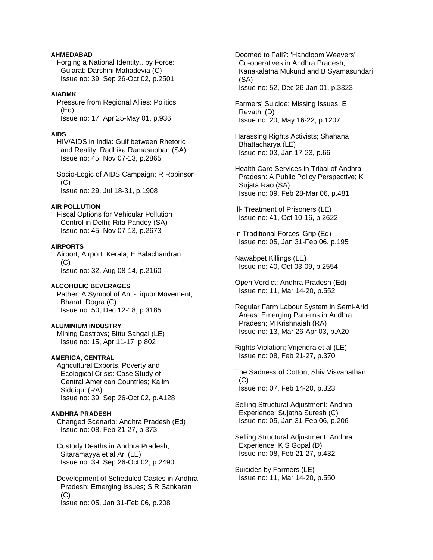# **AHMEDABAD**

 Forging a National Identity...by Force: Gujarat; Darshini Mahadevia (C) Issue no: 39, Sep 26-Oct 02, p.2501

# **AIADMK**

 Pressure from Regional Allies: Politics (Ed) Issue no: 17, Apr 25-May 01, p.936

# **AIDS**

 HIV/AIDS in India: Gulf between Rhetoric and Reality; Radhika Ramasubban (SA) Issue no: 45, Nov 07-13, p.2865

 Socio-Logic of AIDS Campaign; R Robinson  $(C)$ Issue no: 29, Jul 18-31, p.1908

## **AIR POLLUTION**

 Fiscal Options for Vehicular Pollution Control in Delhi; Rita Pandey (SA) Issue no: 45, Nov 07-13, p.2673

**AIRPORTS**  Airport, Airport: Kerala; E Balachandran  $(C)$ Issue no: 32, Aug 08-14, p.2160

# **ALCOHOLIC BEVERAGES**

 Pather: A Symbol of Anti-Liquor Movement; Bharat Dogra (C) Issue no: 50, Dec 12-18, p.3185

**ALUMINIUM INDUSTRY**  Mining Destroys; Bittu Sahgal (LE) Issue no: 15, Apr 11-17, p.802

# **AMERICA, CENTRAL**

 Agricultural Exports, Poverty and Ecological Crisis: Case Study of Central American Countries; Kalim Siddiqui (RA) Issue no: 39, Sep 26-Oct 02, p.A128

## **ANDHRA PRADESH**

 Changed Scenario: Andhra Pradesh (Ed) Issue no: 08, Feb 21-27, p.373

 Custody Deaths in Andhra Pradesh; Sitaramayya et al Ari (LE) Issue no: 39, Sep 26-Oct 02, p.2490

 Development of Scheduled Castes in Andhra Pradesh: Emerging Issues; S R Sankaran  $(C)$ Issue no: 05, Jan 31-Feb 06, p.208

 Doomed to Fail?: 'Handloom Weavers' Co-operatives in Andhra Pradesh; Kanakalatha Mukund and B Syamasundari (SA) Issue no: 52, Dec 26-Jan 01, p.3323

 Farmers' Suicide: Missing Issues; E Revathi (D) Issue no: 20, May 16-22, p.1207

 Harassing Rights Activists; Shahana Bhattacharya (LE) Issue no: 03, Jan 17-23, p.66

 Health Care Services in Tribal of Andhra Pradesh: A Public Policy Perspective; K Sujata Rao (SA) Issue no: 09, Feb 28-Mar 06, p.481

 Ill- Treatment of Prisoners (LE) Issue no: 41, Oct 10-16, p.2622

 In Traditional Forces' Grip (Ed) Issue no: 05, Jan 31-Feb 06, p.195

 Nawabpet Killings (LE) Issue no: 40, Oct 03-09, p.2554

 Open Verdict: Andhra Pradesh (Ed) Issue no: 11, Mar 14-20, p.552

 Regular Farm Labour System in Semi-Arid Areas: Emerging Patterns in Andhra Pradesh; M Krishnaiah (RA) Issue no: 13, Mar 26-Apr 03, p.A20

 Rights Violation; Vrijendra et al (LE) Issue no: 08, Feb 21-27, p.370

 The Sadness of Cotton; Shiv Visvanathan  $(C)$ Issue no: 07, Feb 14-20, p.323

 Selling Structural Adjustment: Andhra Experience; Sujatha Suresh (C) Issue no: 05, Jan 31-Feb 06, p.206

 Selling Structural Adjustment: Andhra Experience; K S Gopal (D) Issue no: 08, Feb 21-27, p.432

 Suicides by Farmers (LE) Issue no: 11, Mar 14-20, p.550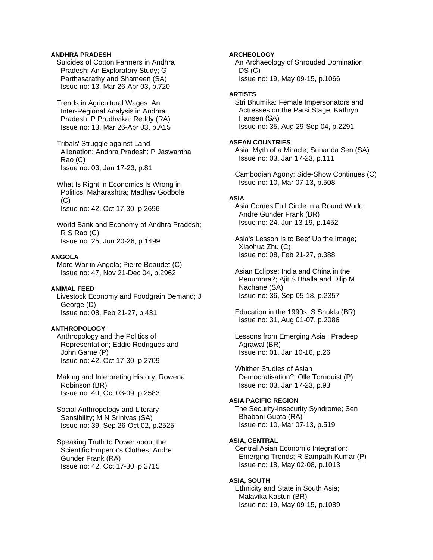## **ANDHRA PRADESH**

 Suicides of Cotton Farmers in Andhra Pradesh: An Exploratory Study; G Parthasarathy and Shameen (SA) Issue no: 13, Mar 26-Apr 03, p.720

 Trends in Agricultural Wages: An Inter-Regional Analysis in Andhra Pradesh; P Prudhvikar Reddy (RA) Issue no: 13, Mar 26-Apr 03, p.A15

 Tribals' Struggle against Land Alienation: Andhra Pradesh; P Jaswantha Rao (C) Issue no: 03, Jan 17-23, p.81

 What Is Right in Economics Is Wrong in Politics: Maharashtra; Madhav Godbole  $(C)$ Issue no: 42, Oct 17-30, p.2696

 World Bank and Economy of Andhra Pradesh; R S Rao (C) Issue no: 25, Jun 20-26, p.1499

# **ANGOLA**

 More War in Angola; Pierre Beaudet (C) Issue no: 47, Nov 21-Dec 04, p.2962

#### **ANIMAL FEED**

 Livestock Economy and Foodgrain Demand; J George (D) Issue no: 08, Feb 21-27, p.431

#### **ANTHROPOLOGY**

 Anthropology and the Politics of Representation; Eddie Rodrigues and John Game (P) Issue no: 42, Oct 17-30, p.2709

 Making and Interpreting History; Rowena Robinson (BR) Issue no: 40, Oct 03-09, p.2583

 Social Anthropology and Literary Sensibility; M N Srinivas (SA) Issue no: 39, Sep 26-Oct 02, p.2525

 Speaking Truth to Power about the Scientific Emperor's Clothes; Andre Gunder Frank (RA) Issue no: 42, Oct 17-30, p.2715

# **ARCHEOLOGY**

 An Archaeology of Shrouded Domination; DS (C) Issue no: 19, May 09-15, p.1066

## **ARTISTS**

 Stri Bhumika: Female Impersonators and Actresses on the Parsi Stage; Kathryn Hansen (SA) Issue no: 35, Aug 29-Sep 04, p.2291

## **ASEAN COUNTRIES**

 Asia: Myth of a Miracle; Sunanda Sen (SA) Issue no: 03, Jan 17-23, p.111

 Cambodian Agony: Side-Show Continues (C) Issue no: 10, Mar 07-13, p.508

# **ASIA**

 Asia Comes Full Circle in a Round World; Andre Gunder Frank (BR) Issue no: 24, Jun 13-19, p.1452

 Asia's Lesson Is to Beef Up the Image; Xiaohua Zhu (C) Issue no: 08, Feb 21-27, p.388

 Asian Eclipse: India and China in the Penumbra?; Ajit S Bhalla and Dilip M Nachane (SA) Issue no: 36, Sep 05-18, p.2357

 Education in the 1990s; S Shukla (BR) Issue no: 31, Aug 01-07, p.2086

 Lessons from Emerging Asia ; Pradeep Agrawal (BR) Issue no: 01, Jan 10-16, p.26

 Whither Studies of Asian Democratisation?; Olle Tornquist (P) Issue no: 03, Jan 17-23, p.93

## **ASIA PACIFIC REGION**

 The Security-Insecurity Syndrome; Sen Bhabani Gupta (RA) Issue no: 10, Mar 07-13, p.519

#### **ASIA, CENTRAL**

 Central Asian Economic Integration: Emerging Trends; R Sampath Kumar (P) Issue no: 18, May 02-08, p.1013

#### **ASIA, SOUTH**

 Ethnicity and State in South Asia; Malavika Kasturi (BR) Issue no: 19, May 09-15, p.1089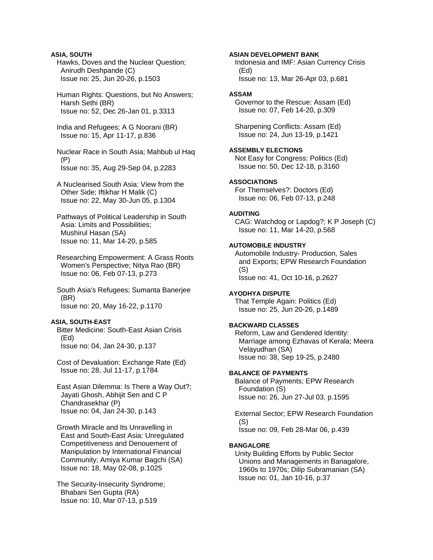**ASIA, SOUTH**  Hawks, Doves and the Nuclear Question; Anirudh Deshpande (C) Issue no: 25, Jun 20-26, p.1503

 Human Rights: Questions, but No Answers; Harsh Sethi (BR) Issue no: 52, Dec 26-Jan 01, p.3313

 India and Refugees; A G Noorani (BR) Issue no: 15, Apr 11-17, p.836

 Nuclear Race in South Asia; Mahbub ul Haq (P) Issue no: 35, Aug 29-Sep 04, p.2283

 A Nuclearised South Asia: View from the Other Side; Iftikhar H Malik (C) Issue no: 22, May 30-Jun 05, p.1304

 Pathways of Political Leadership in South Asia: Limits and Possibilities; Mushirul Hasan (SA) Issue no: 11, Mar 14-20, p.585

 Researching Empowerment: A Grass Roots Women's Perspective; Nitya Rao (BR) Issue no: 06, Feb 07-13, p.273

 South Asia's Refugees; Sumanta Banerjee (BR) Issue no: 20, May 16-22, p.1170

#### **ASIA, SOUTH-EAST**

 Bitter Medicine: South-East Asian Crisis (Ed) Issue no: 04, Jan 24-30, p.137

 Cost of Devaluation: Exchange Rate (Ed) Issue no: 28, Jul 11-17, p.1784

 East Asian Dilemma: Is There a Way Out?; Jayati Ghosh, Abhijit Sen and C P Chandrasekhar (P) Issue no: 04, Jan 24-30, p.143

 Growth Miracle and Its Unravelling in East and South-East Asia: Unregulated Competitiveness and Denouement of Manipulation by International Financial Community; Amiya Kumar Bagchi (SA) Issue no: 18, May 02-08, p.1025

 The Security-Insecurity Syndrome; Bhabani Sen Gupta (RA) Issue no: 10, Mar 07-13, p.519

#### **ASIAN DEVELOPMENT BANK**

 Indonesia and IMF: Asian Currency Crisis (Ed) Issue no: 13, Mar 26-Apr 03, p.681

## **ASSAM**

 Governor to the Rescue: Assam (Ed) Issue no: 07, Feb 14-20, p.309

 Sharpening Conflicts: Assam (Ed) Issue no: 24, Jun 13-19, p.1421

#### **ASSEMBLY ELECTIONS**

 Not Easy for Congress: Politics (Ed) Issue no: 50, Dec 12-18, p.3160

## **ASSOCIATIONS**

 For Themselves?: Doctors (Ed) Issue no: 06, Feb 07-13, p.248

# **AUDITING**

 CAG: Watchdog or Lapdog?; K P Joseph (C) Issue no: 11, Mar 14-20, p.568

## **AUTOMOBILE INDUSTRY**

 Automobile Industry- Production, Sales and Exports; EPW Research Foundation (S) Issue no: 41, Oct 10-16, p.2627

# **AYODHYA DISPUTE**

 That Temple Again: Politics (Ed) Issue no: 25, Jun 20-26, p.1489

#### **BACKWARD CLASSES**

 Reform, Law and Gendered Identity: Marriage among Ezhavas of Kerala; Meera Velayudhan (SA) Issue no: 38, Sep 19-25, p.2480

#### **BALANCE OF PAYMENTS**

 Balance of Payments; EPW Research Foundation (S) Issue no: 26, Jun 27-Jul 03, p.1595

 External Sector; EPW Research Foundation  $(S)$ Issue no: 09, Feb 28-Mar 06, p.439

#### **BANGALORE**

 Unity Building Efforts by Public Sector Unions and Managements in Banagalore, 1960s to 1970s; Dilip Subramanian (SA) Issue no: 01, Jan 10-16, p.37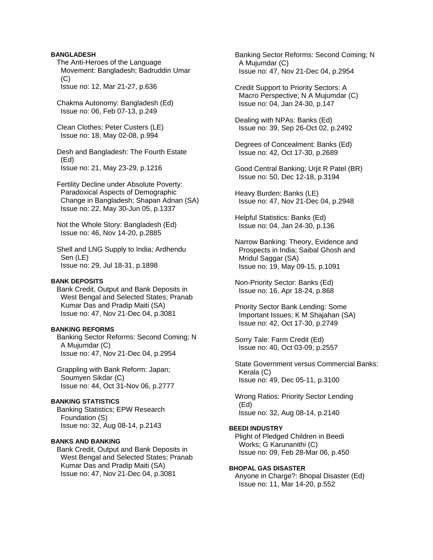#### **BANGLADESH**

 The Anti-Heroes of the Language Movement: Bangladesh; Badruddin Umar  $(C)$ 

Issue no: 12, Mar 21-27, p.636

 Chakma Autonomy: Bangladesh (Ed) Issue no: 06, Feb 07-13, p.249

 Clean Clothes; Peter Custers (LE) Issue no: 18, May 02-08, p.994

 Desh and Bangladesh: The Fourth Estate (Ed) Issue no: 21, May 23-29, p.1216

 Fertility Decline under Absolute Poverty: Paradoxical Aspects of Demographic Change in Bangladesh; Shapan Adnan (SA) Issue no: 22, May 30-Jun 05, p.1337

 Not the Whole Story: Bangladesh (Ed) Issue no: 46, Nov 14-20, p.2885

 Shell and LNG Supply to India; Ardhendu Sen (LE) Issue no: 29, Jul 18-31, p.1898

#### **BANK DEPOSITS**

 Bank Credit, Output and Bank Deposits in West Bengal and Selected States; Pranab Kumar Das and Pradip Maiti (SA) Issue no: 47, Nov 21-Dec 04, p.3081

#### **BANKING REFORMS**

 Banking Sector Reforms: Second Coming; N A Mujumdar (C) Issue no: 47, Nov 21-Dec 04, p.2954

 Grappling with Bank Reform: Japan; Soumyen Sikdar (C) Issue no: 44, Oct 31-Nov 06, p.2777

# **BANKING STATISTICS**

 Banking Statistics; EPW Research Foundation (S) Issue no: 32, Aug 08-14, p.2143

#### **BANKS AND BANKING**

 Bank Credit, Output and Bank Deposits in West Bengal and Selected States; Pranab Kumar Das and Pradip Maiti (SA) Issue no: 47, Nov 21-Dec 04, p.3081

 Banking Sector Reforms: Second Coming; N A Mujumdar (C) Issue no: 47, Nov 21-Dec 04, p.2954

 Credit Support to Priority Sectors: A Macro Perspective; N A Mujumdar (C) Issue no: 04, Jan 24-30, p.147

 Dealing with NPAs: Banks (Ed) Issue no: 39, Sep 26-Oct 02, p.2492

 Degrees of Concealment: Banks (Ed) Issue no: 42, Oct 17-30, p.2689

 Good Central Banking; Urjit R Patel (BR) Issue no: 50, Dec 12-18, p.3194

 Heavy Burden: Banks (LE) Issue no: 47, Nov 21-Dec 04, p.2948

 Helpful Statistics: Banks (Ed) Issue no: 04, Jan 24-30, p.136

 Narrow Banking: Theory, Evidence and Prospects in India; Saibal Ghosh and Mridul Saggar (SA) Issue no: 19, May 09-15, p.1091

 Non-Priority Sector: Banks (Ed) Issue no: 16, Apr 18-24, p.868

 Priority Sector Bank Lending: Some Important Issues; K M Shajahan (SA) Issue no: 42, Oct 17-30, p.2749

 Sorry Tale: Farm Credit (Ed) Issue no: 40, Oct 03-09, p.2557

 State Government versus Commercial Banks: Kerala (C) Issue no: 49, Dec 05-11, p.3100

 Wrong Ratios: Priority Sector Lending (Ed) Issue no: 32, Aug 08-14, p.2140

# **BEEDI INDUSTRY**

 Plight of Pledged Children in Beedi Works; G Karunanithi (C) Issue no: 09, Feb 28-Mar 06, p.450

#### **BHOPAL GAS DISASTER**

 Anyone in Charge?: Bhopal Disaster (Ed) Issue no: 11, Mar 14-20, p.552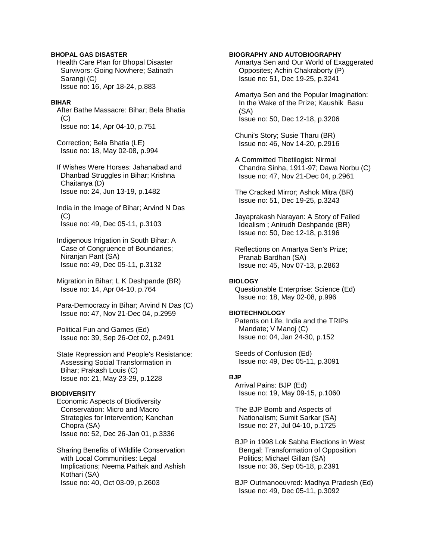## **BHOPAL GAS DISASTER**

 Health Care Plan for Bhopal Disaster Survivors: Going Nowhere; Satinath Sarangi (C) Issue no: 16, Apr 18-24, p.883

#### **BIHAR**

 After Bathe Massacre: Bihar; Bela Bhatia (C) Issue no: 14, Apr 04-10, p.751

 Correction; Bela Bhatia (LE) Issue no: 18, May 02-08, p.994

 If Wishes Were Horses: Jahanabad and Dhanbad Struggles in Bihar; Krishna Chaitanya (D) Issue no: 24, Jun 13-19, p.1482

 India in the Image of Bihar; Arvind N Das (C) Issue no: 49, Dec 05-11, p.3103

 Indigenous Irrigation in South Bihar: A Case of Congruence of Boundaries; Niranjan Pant (SA) Issue no: 49, Dec 05-11, p.3132

 Migration in Bihar; L K Deshpande (BR) Issue no: 14, Apr 04-10, p.764

 Para-Democracy in Bihar; Arvind N Das (C) Issue no: 47, Nov 21-Dec 04, p.2959

 Political Fun and Games (Ed) Issue no: 39, Sep 26-Oct 02, p.2491

 State Repression and People's Resistance: Assessing Social Transformation in Bihar; Prakash Louis (C) Issue no: 21, May 23-29, p.1228

# **BIODIVERSITY**

 Economic Aspects of Biodiversity Conservation: Micro and Macro Strategies for Intervention; Kanchan Chopra (SA) Issue no: 52, Dec 26-Jan 01, p.3336

 Sharing Benefits of Wildlife Conservation with Local Communities: Legal Implications; Neema Pathak and Ashish Kothari (SA) Issue no: 40, Oct 03-09, p.2603

#### **BIOGRAPHY AND AUTOBIOGRAPHY**

 Amartya Sen and Our World of Exaggerated Opposites; Achin Chakraborty (P) Issue no: 51, Dec 19-25, p.3241

 Amartya Sen and the Popular Imagination: In the Wake of the Prize; Kaushik Basu (SA) Issue no: 50, Dec 12-18, p.3206

 Chuni's Story; Susie Tharu (BR) Issue no: 46, Nov 14-20, p.2916

 A Committed Tibetilogist: Nirmal Chandra Sinha, 1911-97; Dawa Norbu (C) Issue no: 47, Nov 21-Dec 04, p.2961

 The Cracked Mirror; Ashok Mitra (BR) Issue no: 51, Dec 19-25, p.3243

 Jayaprakash Narayan: A Story of Failed Idealism ; Anirudh Deshpande (BR) Issue no: 50, Dec 12-18, p.3196

 Reflections on Amartya Sen's Prize; Pranab Bardhan (SA) Issue no: 45, Nov 07-13, p.2863

## **BIOLOGY**

 Questionable Enterprise: Science (Ed) Issue no: 18, May 02-08, p.996

#### **BIOTECHNOLOGY**

 Patents on Life, India and the TRIPs Mandate; V Manoj (C) Issue no: 04, Jan 24-30, p.152

 Seeds of Confusion (Ed) Issue no: 49, Dec 05-11, p.3091

# **BJP**

 Arrival Pains: BJP (Ed) Issue no: 19, May 09-15, p.1060

 The BJP Bomb and Aspects of Nationalism; Sumit Sarkar (SA) Issue no: 27, Jul 04-10, p.1725

 BJP in 1998 Lok Sabha Elections in West Bengal: Transformation of Opposition Politics; Michael Gillan (SA) Issue no: 36, Sep 05-18, p.2391

 BJP Outmanoeuvred: Madhya Pradesh (Ed) Issue no: 49, Dec 05-11, p.3092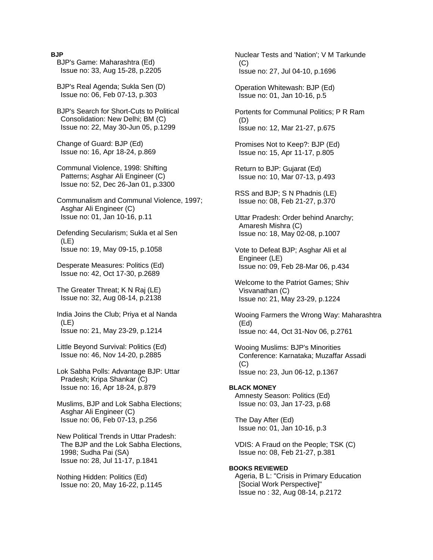**BJP** 

 BJP's Game: Maharashtra (Ed) Issue no: 33, Aug 15-28, p.2205

 BJP's Real Agenda; Sukla Sen (D) Issue no: 06, Feb 07-13, p.303

 BJP's Search for Short-Cuts to Political Consolidation: New Delhi; BM (C) Issue no: 22, May 30-Jun 05, p.1299

 Change of Guard: BJP (Ed) Issue no: 16, Apr 18-24, p.869

 Communal Violence, 1998: Shifting Patterns; Asghar Ali Engineer (C) Issue no: 52, Dec 26-Jan 01, p.3300

 Communalism and Communal Violence, 1997; Asghar Ali Engineer (C) Issue no: 01, Jan 10-16, p.11

 Defending Secularism; Sukla et al Sen (LE) Issue no: 19, May 09-15, p.1058

 Desperate Measures: Politics (Ed) Issue no: 42, Oct 17-30, p.2689

 The Greater Threat; K N Raj (LE) Issue no: 32, Aug 08-14, p.2138

 India Joins the Club; Priya et al Nanda (LE) Issue no: 21, May 23-29, p.1214

 Little Beyond Survival: Politics (Ed) Issue no: 46, Nov 14-20, p.2885

 Lok Sabha Polls: Advantage BJP: Uttar Pradesh; Kripa Shankar (C) Issue no: 16, Apr 18-24, p.879

 Muslims, BJP and Lok Sabha Elections; Asghar Ali Engineer (C) Issue no: 06, Feb 07-13, p.256

 New Political Trends in Uttar Pradesh: The BJP and the Lok Sabha Elections, 1998; Sudha Pai (SA) Issue no: 28, Jul 11-17, p.1841

 Nothing Hidden: Politics (Ed) Issue no: 20, May 16-22, p.1145  Nuclear Tests and 'Nation'; V M Tarkunde  $(C)$ Issue no: 27, Jul 04-10, p.1696

 Operation Whitewash: BJP (Ed) Issue no: 01, Jan 10-16, p.5

 Portents for Communal Politics; P R Ram (D) Issue no: 12, Mar 21-27, p.675

 Promises Not to Keep?: BJP (Ed) Issue no: 15, Apr 11-17, p.805

 Return to BJP: Gujarat (Ed) Issue no: 10, Mar 07-13, p.493

 RSS and BJP; S N Phadnis (LE) Issue no: 08, Feb 21-27, p.370

 Uttar Pradesh: Order behind Anarchy; Amaresh Mishra (C) Issue no: 18, May 02-08, p.1007

 Vote to Defeat BJP; Asghar Ali et al Engineer (LE) Issue no: 09, Feb 28-Mar 06, p.434

 Welcome to the Patriot Games; Shiv Visvanathan (C) Issue no: 21, May 23-29, p.1224

 Wooing Farmers the Wrong Way: Maharashtra (Ed) Issue no: 44, Oct 31-Nov 06, p.2761

 Wooing Muslims: BJP's Minorities Conference: Karnataka; Muzaffar Assadi (C) Issue no: 23, Jun 06-12, p.1367

# **BLACK MONEY**

 Amnesty Season: Politics (Ed) Issue no: 03, Jan 17-23, p.68

 The Day After (Ed) Issue no: 01, Jan 10-16, p.3

 VDIS: A Fraud on the People; TSK (C) Issue no: 08, Feb 21-27, p.381

# **BOOKS REVIEWED**

 Ageria, B L: "Crisis in Primary Education [Social Work Perspective]" Issue no : 32, Aug 08-14, p.2172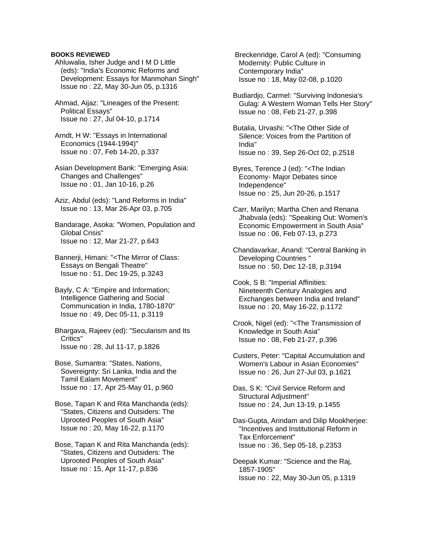Ahluwalia, Isher Judge and I M D Little (eds): "India's Economic Reforms and Development: Essays for Manmohan Singh" Issue no : 22, May 30-Jun 05, p.1316

 Ahmad, Aijaz: "Lineages of the Present: Political Essays" Issue no : 27, Jul 04-10, p.1714

 Arndt, H W: "Essays in International Economics (1944-1994)" Issue no : 07, Feb 14-20, p.337

 Asian Development Bank: "Emerging Asia: Changes and Challenges" Issue no : 01, Jan 10-16, p.26

 Aziz, Abdul (eds): "Land Reforms in India" Issue no : 13, Mar 26-Apr 03, p.705

 Bandarage, Asoka: "Women, Population and Global Crisis" Issue no : 12, Mar 21-27, p.643

 Bannerji, Himani: "<The Mirror of Class: Essays on Bengali Theatre" Issue no : 51, Dec 19-25, p.3243

 Bayly, C A: "Empire and Information; Intelligence Gathering and Social Communication in India, 1780-1870" Issue no : 49, Dec 05-11, p.3119

 Bhargava, Rajeev (ed): "Secularism and Its Critics" Issue no : 28, Jul 11-17, p.1826

 Bose, Sumantra: "States, Nations, Sovereignty: Sri Lanka, India and the Tamil Ealam Movement" Issue no : 17, Apr 25-May 01, p.960

 Bose, Tapan K and Rita Manchanda (eds): "States, Citizens and Outsiders: The Uprooted Peoples of South Asia" Issue no : 20, May 16-22, p.1170

 Bose, Tapan K and Rita Manchanda (eds): "States, Citizens and Outsiders: The Uprooted Peoples of South Asia" Issue no : 15, Apr 11-17, p.836

 Breckenridge, Carol A (ed): "Consuming Modernity: Public Culture in Contemporary India" Issue no : 18, May 02-08, p.1020

 Budiardjo, Carmel: "Surviving Indonesia's Gulag: A Western Woman Tells Her Story" Issue no : 08, Feb 21-27, p.398

 Butalia, Urvashi: "<The Other Side of Silence: Voices from the Partition of India" Issue no : 39, Sep 26-Oct 02, p.2518

 Byres, Terence J (ed): "<The Indian Economy- Major Debates since Independence" Issue no : 25, Jun 20-26, p.1517

 Carr, Marilyn; Martha Chen and Renana Jhabvala (eds): "Speaking Out: Women's Economic Empowerment in South Asia" Issue no : 06, Feb 07-13, p.273

 Chandavarkar, Anand: "Central Banking in Developing Countries " Issue no : 50, Dec 12-18, p.3194

 Cook, S B: "Imperial Affinities: Nineteenth Century Analogies and Exchanges between India and Ireland" Issue no : 20, May 16-22, p.1172

 Crook, Nigel (ed): "<The Transmission of Knowledge in South Asia" Issue no : 08, Feb 21-27, p.396

 Custers, Peter: "Capital Accumulation and Women's Labour in Asian Economies" Issue no : 26, Jun 27-Jul 03, p.1621

 Das, S K: "Civil Service Reform and Structural Adjustment" Issue no : 24, Jun 13-19, p.1455

 Das-Gupta, Arindam and Dilip Mookherjee: "Incentives and Institutional Reform in Tax Enforcement" Issue no : 36, Sep 05-18, p.2353

 Deepak Kumar: "Science and the Raj, 1857-1905" Issue no : 22, May 30-Jun 05, p.1319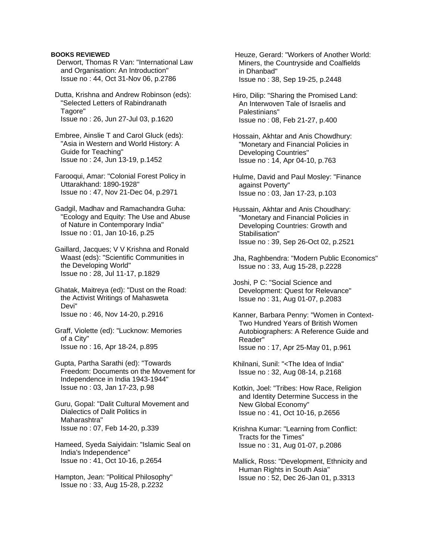Derwort, Thomas R Van: "International Law and Organisation: An Introduction" Issue no : 44, Oct 31-Nov 06, p.2786

 Dutta, Krishna and Andrew Robinson (eds): "Selected Letters of Rabindranath Tagore" Issue no : 26, Jun 27-Jul 03, p.1620

 Embree, Ainslie T and Carol Gluck (eds): "Asia in Western and World History: A Guide for Teaching" Issue no : 24, Jun 13-19, p.1452

 Farooqui, Amar: "Colonial Forest Policy in Uttarakhand: 1890-1928" Issue no : 47, Nov 21-Dec 04, p.2971

 Gadgil, Madhav and Ramachandra Guha: "Ecology and Equity: The Use and Abuse of Nature in Contemporary India" Issue no : 01, Jan 10-16, p.25

 Gaillard, Jacques; V V Krishna and Ronald Waast (eds): "Scientific Communities in the Developing World" Issue no : 28, Jul 11-17, p.1829

 Ghatak, Maitreya (ed): "Dust on the Road: the Activist Writings of Mahasweta Devi" Issue no : 46, Nov 14-20, p.2916

 Graff, Violette (ed): "Lucknow: Memories of a City" Issue no : 16, Apr 18-24, p.895

 Gupta, Partha Sarathi (ed): "Towards Freedom: Documents on the Movement for Independence in India 1943-1944" Issue no : 03, Jan 17-23, p.98

 Guru, Gopal: "Dalit Cultural Movement and Dialectics of Dalit Politics in Maharashtra" Issue no : 07, Feb 14-20, p.339

 Hameed, Syeda Saiyidain: "Islamic Seal on India's Independence" Issue no : 41, Oct 10-16, p.2654

 Hampton, Jean: "Political Philosophy" Issue no : 33, Aug 15-28, p.2232

 Heuze, Gerard: "Workers of Another World: Miners, the Countryside and Coalfields in Dhanbad" Issue no : 38, Sep 19-25, p.2448

 Hiro, Dilip: "Sharing the Promised Land: An Interwoven Tale of Israelis and Palestinians" Issue no : 08, Feb 21-27, p.400

 Hossain, Akhtar and Anis Chowdhury: "Monetary and Financial Policies in Developing Countries" Issue no : 14, Apr 04-10, p.763

 Hulme, David and Paul Mosley: "Finance against Poverty" Issue no : 03, Jan 17-23, p.103

 Hussain, Akhtar and Anis Choudhary: "Monetary and Financial Policies in Developing Countries: Growth and Stabilisation" Issue no : 39, Sep 26-Oct 02, p.2521

 Jha, Raghbendra: "Modern Public Economics" Issue no : 33, Aug 15-28, p.2228

 Joshi, P C: "Social Science and Development: Quest for Relevance" Issue no : 31, Aug 01-07, p.2083

 Kanner, Barbara Penny: "Women in Context- Two Hundred Years of British Women Autobiographers: A Reference Guide and Reader" Issue no : 17, Apr 25-May 01, p.961

 Khilnani, Sunil: "<The Idea of India" Issue no : 32, Aug 08-14, p.2168

 Kotkin, Joel: "Tribes: How Race, Religion and Identity Determine Success in the New Global Economy" Issue no : 41, Oct 10-16, p.2656

 Krishna Kumar: "Learning from Conflict: Tracts for the Times" Issue no : 31, Aug 01-07, p.2086

 Mallick, Ross: "Development, Ethnicity and Human Rights in South Asia" Issue no : 52, Dec 26-Jan 01, p.3313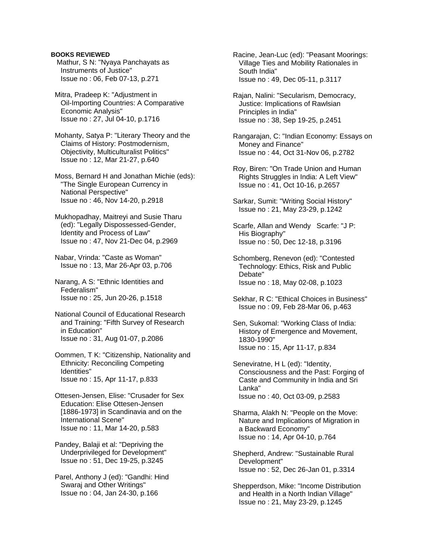Mathur, S N: "Nyaya Panchayats as Instruments of Justice" Issue no : 06, Feb 07-13, p.271

 Mitra, Pradeep K: "Adjustment in Oil-Importing Countries: A Comparative Economic Analysis" Issue no : 27, Jul 04-10, p.1716

 Mohanty, Satya P: "Literary Theory and the Claims of History: Postmodernism, Objectivity, Multiculturalist Politics" Issue no : 12, Mar 21-27, p.640

 Moss, Bernard H and Jonathan Michie (eds): "The Single European Currency in National Perspective" Issue no : 46, Nov 14-20, p.2918

 Mukhopadhay, Maitreyi and Susie Tharu (ed): "Legally Dispossessed-Gender, Identity and Process of Law" Issue no : 47, Nov 21-Dec 04, p.2969

 Nabar, Vrinda: "Caste as Woman" Issue no : 13, Mar 26-Apr 03, p.706

 Narang, A S: "Ethnic Identities and Federalism" Issue no : 25, Jun 20-26, p.1518

 National Council of Educational Research and Training: "Fifth Survey of Research in Education" Issue no : 31, Aug 01-07, p.2086

 Oommen, T K: "Citizenship, Nationality and Ethnicity: Reconciling Competing Identities" Issue no : 15, Apr 11-17, p.833

 Ottesen-Jensen, Elise: "Crusader for Sex Education: Elise Ottesen-Jensen [1886-1973] in Scandinavia and on the International Scene" Issue no : 11, Mar 14-20, p.583

 Pandey, Balaji et al: "Depriving the Underprivileged for Development" Issue no : 51, Dec 19-25, p.3245

 Parel, Anthony J (ed): "Gandhi: Hind Swaraj and Other Writings" Issue no : 04, Jan 24-30, p.166

 Racine, Jean-Luc (ed): "Peasant Moorings: Village Ties and Mobility Rationales in South India" Issue no : 49, Dec 05-11, p.3117

 Rajan, Nalini: "Secularism, Democracy, Justice: Implications of Rawlsian Principles in India" Issue no : 38, Sep 19-25, p.2451

 Rangarajan, C: "Indian Economy: Essays on Money and Finance" Issue no : 44, Oct 31-Nov 06, p.2782

 Roy, Biren: "On Trade Union and Human Rights Struggles in India: A Left View" Issue no : 41, Oct 10-16, p.2657

 Sarkar, Sumit: "Writing Social History" Issue no : 21, May 23-29, p.1242

 Scarfe, Allan and Wendy Scarfe: "J P: His Biography" Issue no : 50, Dec 12-18, p.3196

 Schomberg, Renevon (ed): "Contested Technology: Ethics, Risk and Public Debate" Issue no : 18, May 02-08, p.1023

 Sekhar, R C: "Ethical Choices in Business" Issue no : 09, Feb 28-Mar 06, p.463

 Sen, Sukomal: "Working Class of India: History of Emergence and Movement, 1830-1990" Issue no : 15, Apr 11-17, p.834

 Seneviratne, H L (ed): "Identity, Consciousness and the Past: Forging of Caste and Community in India and Sri Lanka" Issue no : 40, Oct 03-09, p.2583

 Sharma, Alakh N: "People on the Move: Nature and Implications of Migration in a Backward Economy" Issue no : 14, Apr 04-10, p.764

 Shepherd, Andrew: "Sustainable Rural Development" Issue no : 52, Dec 26-Jan 01, p.3314

 Shepperdson, Mike: "Income Distribution and Health in a North Indian Village" Issue no : 21, May 23-29, p.1245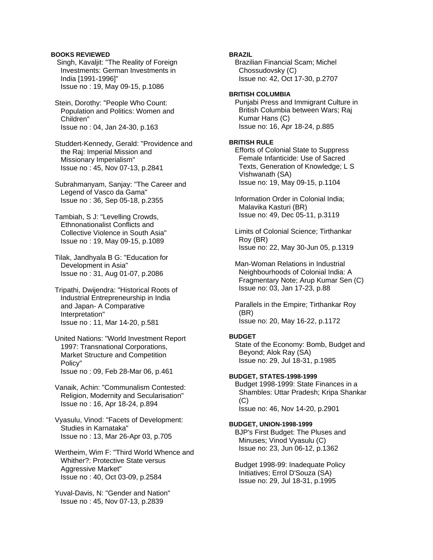Singh, Kavaljit: "The Reality of Foreign Investments: German Investments in India [1991-1996]" Issue no : 19, May 09-15, p.1086

 Stein, Dorothy: "People Who Count: Population and Politics: Women and Children" Issue no : 04, Jan 24-30, p.163

 Studdert-Kennedy, Gerald: "Providence and the Raj: Imperial Mission and Missionary Imperialism" Issue no : 45, Nov 07-13, p.2841

 Subrahmanyam, Sanjay: "The Career and Legend of Vasco da Gama" Issue no : 36, Sep 05-18, p.2355

 Tambiah, S J: "Levelling Crowds, Ethnonationalist Conflicts and Collective Violence in South Asia" Issue no : 19, May 09-15, p.1089

 Tilak, Jandhyala B G: "Education for Development in Asia" Issue no : 31, Aug 01-07, p.2086

 Tripathi, Dwijendra: "Historical Roots of Industrial Entrepreneurship in India and Japan- A Comparative Interpretation" Issue no : 11, Mar 14-20, p.581

 United Nations: "World Investment Report 1997: Transnational Corporations, Market Structure and Competition Policy" Issue no : 09, Feb 28-Mar 06, p.461

 Vanaik, Achin: "Communalism Contested: Religion, Modernity and Secularisation" Issue no : 16, Apr 18-24, p.894

- Vyasulu, Vinod: "Facets of Development: Studies in Karnataka" Issue no : 13, Mar 26-Apr 03, p.705
- Wertheim, Wim F: "Third World Whence and Whither?: Protective State versus Aggressive Market" Issue no : 40, Oct 03-09, p.2584

 Yuval-Davis, N: "Gender and Nation" Issue no : 45, Nov 07-13, p.2839

**BRAZIL**  Brazilian Financial Scam; Michel Chossudovsky (C) Issue no: 42, Oct 17-30, p.2707 **BRITISH COLUMBIA**  Punjabi Press and Immigrant Culture in British Columbia between Wars; Raj Kumar Hans (C) Issue no: 16, Apr 18-24, p.885 **BRITISH RULE**  Efforts of Colonial State to Suppress Female Infanticide: Use of Sacred Texts, Generation of Knowledge; L S Vishwanath (SA) Issue no: 19, May 09-15, p.1104 Information Order in Colonial India; Malavika Kasturi (BR) Issue no: 49, Dec 05-11, p.3119 Limits of Colonial Science; Tirthankar Roy (BR) Issue no: 22, May 30-Jun 05, p.1319 Man-Woman Relations in Industrial Neighbourhoods of Colonial India: A Fragmentary Note; Arup Kumar Sen (C) Issue no: 03, Jan 17-23, p.88 Parallels in the Empire; Tirthankar Roy (BR) Issue no: 20, May 16-22, p.1172 **BUDGET**  State of the Economy: Bomb, Budget and Beyond; Alok Ray (SA) Issue no: 29, Jul 18-31, p.1985 **BUDGET, STATES-1998-1999**  Budget 1998-1999: State Finances in a Shambles: Uttar Pradesh; Kripa Shankar (C) Issue no: 46, Nov 14-20, p.2901 **BUDGET, UNION-1998-1999**  BJP's First Budget: The Pluses and Minuses; Vinod Vyasulu (C) Issue no: 23, Jun 06-12, p.1362

 Budget 1998-99: Inadequate Policy Initiatives; Errol D'Souza (SA) Issue no: 29, Jul 18-31, p.1995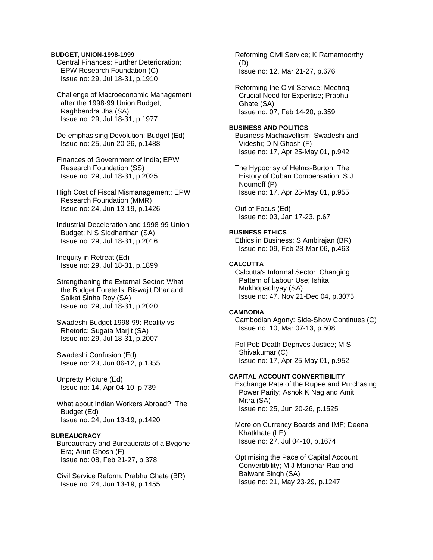#### **BUDGET, UNION-1998-1999**

 Central Finances: Further Deterioration; EPW Research Foundation (C) Issue no: 29, Jul 18-31, p.1910

 Challenge of Macroeconomic Management after the 1998-99 Union Budget; Raghbendra Jha (SA) Issue no: 29, Jul 18-31, p.1977

 De-emphasising Devolution: Budget (Ed) Issue no: 25, Jun 20-26, p.1488

 Finances of Government of India; EPW Research Foundation (SS) Issue no: 29, Jul 18-31, p.2025

 High Cost of Fiscal Mismanagement; EPW Research Foundation (MMR) Issue no: 24, Jun 13-19, p.1426

 Industrial Deceleration and 1998-99 Union Budget; N S Siddharthan (SA) Issue no: 29, Jul 18-31, p.2016

 Inequity in Retreat (Ed) Issue no: 29, Jul 18-31, p.1899

 Strengthening the External Sector: What the Budget Foretells; Biswajit Dhar and Saikat Sinha Roy (SA) Issue no: 29, Jul 18-31, p.2020

 Swadeshi Budget 1998-99: Reality vs Rhetoric; Sugata Marjit (SA) Issue no: 29, Jul 18-31, p.2007

 Swadeshi Confusion (Ed) Issue no: 23, Jun 06-12, p.1355

 Unpretty Picture (Ed) Issue no: 14, Apr 04-10, p.739

 What about Indian Workers Abroad?: The Budget (Ed) Issue no: 24, Jun 13-19, p.1420

#### **BUREAUCRACY**

 Bureaucracy and Bureaucrats of a Bygone Era; Arun Ghosh (F) Issue no: 08, Feb 21-27, p.378

 Civil Service Reform; Prabhu Ghate (BR) Issue no: 24, Jun 13-19, p.1455

 Reforming Civil Service; K Ramamoorthy (D) Issue no: 12, Mar 21-27, p.676

 Reforming the Civil Service: Meeting Crucial Need for Expertise; Prabhu Ghate (SA) Issue no: 07, Feb 14-20, p.359

# **BUSINESS AND POLITICS**

 Business Machiavellism: Swadeshi and Videshi; D N Ghosh (F) Issue no: 17, Apr 25-May 01, p.942

 The Hypocrisy of Helms-Burton: The History of Cuban Compensation; S J Noumoff (P) Issue no: 17, Apr 25-May 01, p.955

 Out of Focus (Ed) Issue no: 03, Jan 17-23, p.67

#### **BUSINESS ETHICS**

 Ethics in Business; S Ambirajan (BR) Issue no: 09, Feb 28-Mar 06, p.463

## **CALCUTTA**

 Calcutta's Informal Sector: Changing Pattern of Labour Use; Ishita Mukhopadhyay (SA) Issue no: 47, Nov 21-Dec 04, p.3075

#### **CAMBODIA**

 Cambodian Agony: Side-Show Continues (C) Issue no: 10, Mar 07-13, p.508

 Pol Pot: Death Deprives Justice; M S Shivakumar (C) Issue no: 17, Apr 25-May 01, p.952

#### **CAPITAL ACCOUNT CONVERTIBILITY**

 Exchange Rate of the Rupee and Purchasing Power Parity; Ashok K Nag and Amit Mitra (SA) Issue no: 25, Jun 20-26, p.1525

 More on Currency Boards and IMF; Deena Khatkhate (LE) Issue no: 27, Jul 04-10, p.1674

 Optimising the Pace of Capital Account Convertibility; M J Manohar Rao and Balwant Singh (SA) Issue no: 21, May 23-29, p.1247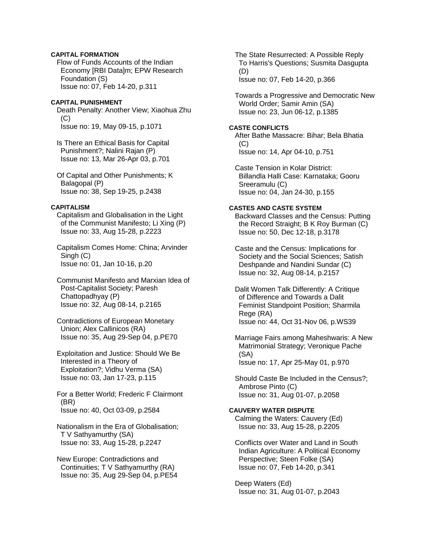# **CAPITAL FORMATION**

 Flow of Funds Accounts of the Indian Economy [RBI Data]m; EPW Research Foundation (S) Issue no: 07, Feb 14-20, p.311

#### **CAPITAL PUNISHMENT**

 Death Penalty: Another View; Xiaohua Zhu (C) Issue no: 19, May 09-15, p.1071

 Is There an Ethical Basis for Capital Punishment?; Nalini Rajan (P) Issue no: 13, Mar 26-Apr 03, p.701

 Of Capital and Other Punishments; K Balagopal (P) Issue no: 38, Sep 19-25, p.2438

#### **CAPITALISM**

 Capitalism and Globalisation in the Light of the Communist Manifesto; Li Xing (P) Issue no: 33, Aug 15-28, p.2223

 Capitalism Comes Home: China; Arvinder Singh (C) Issue no: 01, Jan 10-16, p.20

 Communist Manifesto and Marxian Idea of Post-Capitalist Society; Paresh Chattopadhyay (P) Issue no: 32, Aug 08-14, p.2165

 Contradictions of European Monetary Union; Alex Callinicos (RA) Issue no: 35, Aug 29-Sep 04, p.PE70

 Exploitation and Justice: Should We Be Interested in a Theory of Exploitation?; Vidhu Verma (SA) Issue no: 03, Jan 17-23, p.115

 For a Better World; Frederic F Clairmont (BR) Issue no: 40, Oct 03-09, p.2584

 Nationalism in the Era of Globalisation; T V Sathyamurthy (SA) Issue no: 33, Aug 15-28, p.2247

 New Europe: Contradictions and Continuities; T V Sathyamurthy (RA) Issue no: 35, Aug 29-Sep 04, p.PE54  The State Resurrected: A Possible Reply To Harris's Questions; Susmita Dasgupta (D) Issue no: 07, Feb 14-20, p.366

 Towards a Progressive and Democratic New World Order; Samir Amin (SA) Issue no: 23, Jun 06-12, p.1385

#### **CASTE CONFLICTS**

 After Bathe Massacre: Bihar; Bela Bhatia  $(C)$ Issue no: 14, Apr 04-10, p.751

 Caste Tension in Kolar District: Billandla Halli Case: Karnataka; Gooru Sreeramulu (C) Issue no: 04, Jan 24-30, p.155

# **CASTES AND CASTE SYSTEM**

 Backward Classes and the Census: Putting the Record Straight; B K Roy Burman (C) Issue no: 50, Dec 12-18, p.3178

 Caste and the Census: Implications for Society and the Social Sciences; Satish Deshpande and Nandini Sundar (C) Issue no: 32, Aug 08-14, p.2157

 Dalit Women Talk Differently: A Critique of Difference and Towards a Dalit Feminist Standpoint Position; Sharmila Rege (RA) Issue no: 44, Oct 31-Nov 06, p.WS39

 Marriage Fairs among Maheshwaris: A New Matrimonial Strategy; Veronique Pache (SA) Issue no: 17, Apr 25-May 01, p.970

 Should Caste Be Included in the Census?; Ambrose Pinto (C) Issue no: 31, Aug 01-07, p.2058

#### **CAUVERY WATER DISPUTE**  Calming the Waters: Cauvery (Ed)

Issue no: 33, Aug 15-28, p.2205

 Conflicts over Water and Land in South Indian Agriculture: A Political Economy Perspective; Steen Folke (SA) Issue no: 07, Feb 14-20, p.341

 Deep Waters (Ed) Issue no: 31, Aug 01-07, p.2043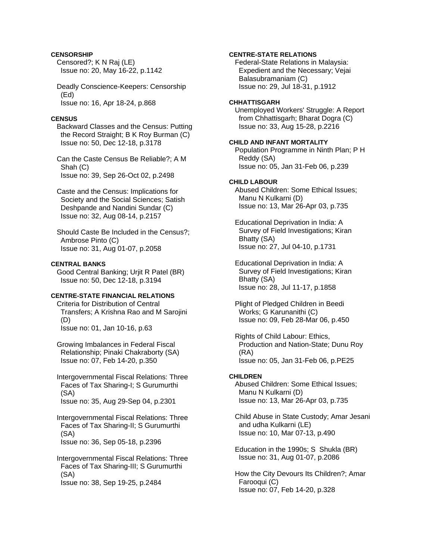## **CENSORSHIP**

 Censored?; K N Raj (LE) Issue no: 20, May 16-22, p.1142

 Deadly Conscience-Keepers: Censorship (Ed) Issue no: 16, Apr 18-24, p.868

#### **CENSUS**

 Backward Classes and the Census: Putting the Record Straight; B K Roy Burman (C) Issue no: 50, Dec 12-18, p.3178

 Can the Caste Census Be Reliable?; A M Shah (C) Issue no: 39, Sep 26-Oct 02, p.2498

 Caste and the Census: Implications for Society and the Social Sciences; Satish Deshpande and Nandini Sundar (C) Issue no: 32, Aug 08-14, p.2157

 Should Caste Be Included in the Census?; Ambrose Pinto (C) Issue no: 31, Aug 01-07, p.2058

#### **CENTRAL BANKS**

 Good Central Banking; Urjit R Patel (BR) Issue no: 50, Dec 12-18, p.3194

## **CENTRE-STATE FINANCIAL RELATIONS**

 Criteria for Distribution of Central Transfers; A Krishna Rao and M Sarojini (D) Issue no: 01, Jan 10-16, p.63

 Growing Imbalances in Federal Fiscal Relationship; Pinaki Chakraborty (SA) Issue no: 07, Feb 14-20, p.350

 Intergovernmental Fiscal Relations: Three Faces of Tax Sharing-I; S Gurumurthi (SA) Issue no: 35, Aug 29-Sep 04, p.2301

 Intergovernmental Fiscal Relations: Three Faces of Tax Sharing-II; S Gurumurthi (SA) Issue no: 36, Sep 05-18, p.2396

 Intergovernmental Fiscal Relations: Three Faces of Tax Sharing-III; S Gurumurthi (SA) Issue no: 38, Sep 19-25, p.2484

#### **CENTRE-STATE RELATIONS**

 Federal-State Relations in Malaysia: Expedient and the Necessary; Vejai Balasubramaniam (C) Issue no: 29, Jul 18-31, p.1912

#### **CHHATTISGARH**

 Unemployed Workers' Struggle: A Report from Chhattisgarh; Bharat Dogra (C) Issue no: 33, Aug 15-28, p.2216

#### **CHILD AND INFANT MORTALITY**

 Population Programme in Ninth Plan; P H Reddy (SA) Issue no: 05, Jan 31-Feb 06, p.239

## **CHILD LABOUR**

 Abused Children: Some Ethical Issues; Manu N Kulkarni (D) Issue no: 13, Mar 26-Apr 03, p.735

 Educational Deprivation in India: A Survey of Field Investigations; Kiran Bhatty (SA) Issue no: 27, Jul 04-10, p.1731

 Educational Deprivation in India: A Survey of Field Investigations; Kiran Bhatty (SA) Issue no: 28, Jul 11-17, p.1858

 Plight of Pledged Children in Beedi Works; G Karunanithi (C) Issue no: 09, Feb 28-Mar 06, p.450

 Rights of Child Labour: Ethics, Production and Nation-State; Dunu Roy (RA) Issue no: 05, Jan 31-Feb 06, p.PE25

#### **CHILDREN**

 Abused Children: Some Ethical Issues; Manu N Kulkarni (D) Issue no: 13, Mar 26-Apr 03, p.735

 Child Abuse in State Custody; Amar Jesani and udha Kulkarni (LE) Issue no: 10, Mar 07-13, p.490

 Education in the 1990s; S Shukla (BR) Issue no: 31, Aug 01-07, p.2086

 How the City Devours Its Children?; Amar Farooqui (C) Issue no: 07, Feb 14-20, p.328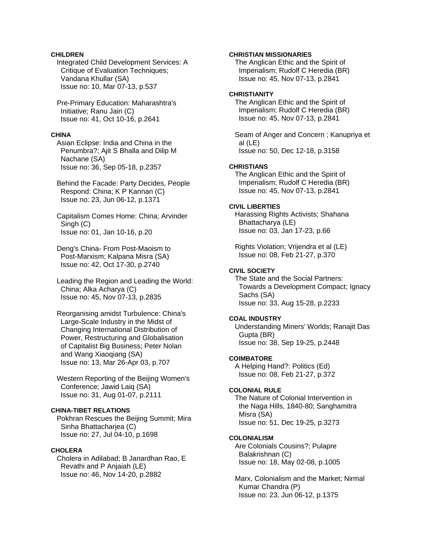# **CHILDREN**

 Integrated Child Development Services: A Critique of Evaluation Techniques; Vandana Khullar (SA) Issue no: 10, Mar 07-13, p.537

 Pre-Primary Education: Maharashtra's Initiative; Ranu Jain (C) Issue no: 41, Oct 10-16, p.2641

## **CHINA**

 Asian Eclipse: India and China in the Penumbra?; Ajit S Bhalla and Dilip M Nachane (SA) Issue no: 36, Sep 05-18, p.2357

 Behind the Facade: Party Decides, People Respond: China; K P Kannan (C) Issue no: 23, Jun 06-12, p.1371

 Capitalism Comes Home: China; Arvinder Singh (C) Issue no: 01, Jan 10-16, p.20

 Deng's China- From Post-Maoism to Post-Marxism; Kalpana Misra (SA) Issue no: 42, Oct 17-30, p.2740

 Leading the Region and Leading the World: China; Alka Acharya (C) Issue no: 45, Nov 07-13, p.2835

 Reorganising amidst Turbulence: China's Large-Scale Industry in the Midst of Changing International Distribution of Power, Restructuring and Globalisation of Capitalist Big Business; Peter Nolan and Wang Xiaoqiang (SA) Issue no: 13, Mar 26-Apr 03, p.707

 Western Reporting of the Beijing Women's Conference; Jawid Laiq (SA) Issue no: 31, Aug 01-07, p.2111

#### **CHINA-TIBET RELATIONS**

 Pokhran Rescues the Beijing Summit; Mira Sinha Bhattacharjea (C) Issue no: 27, Jul 04-10, p.1698

# **CHOLERA**

 Cholera in Adilabad; B Janardhan Rao, E Revathi and P Anjaiah (LE) Issue no: 46, Nov 14-20, p.2882

## **CHRISTIAN MISSIONARIES**

 The Anglican Ethic and the Spirit of Imperialism; Rudolf C Heredia (BR) Issue no: 45, Nov 07-13, p.2841

# **CHRISTIANITY**

 The Anglican Ethic and the Spirit of Imperialism; Rudolf C Heredia (BR) Issue no: 45, Nov 07-13, p.2841

 Seam of Anger and Concern ; Kanupriya et al (LE) Issue no: 50, Dec 12-18, p.3158

## **CHRISTIANS**

 The Anglican Ethic and the Spirit of Imperialism; Rudolf C Heredia (BR) Issue no: 45, Nov 07-13, p.2841

#### **CIVIL LIBERTIES**

 Harassing Rights Activists; Shahana Bhattacharya (LE) Issue no: 03, Jan 17-23, p.66

 Rights Violation; Vrijendra et al (LE) Issue no: 08, Feb 21-27, p.370

#### **CIVIL SOCIETY**

 The State and the Social Partners: Towards a Development Compact; Ignacy Sachs (SA) Issue no: 33, Aug 15-28, p.2233

## **COAL INDUSTRY**

 Understanding Miners' Worlds; Ranajit Das Gupta (BR) Issue no: 38, Sep 19-25, p.2448

#### **COIMBATORE**

 A Helping Hand?: Politics (Ed) Issue no: 08, Feb 21-27, p.372

#### **COLONIAL RULE**

 The Nature of Colonial Intervention in the Naga Hills, 1840-80; Sanghamitra Misra (SA) Issue no: 51, Dec 19-25, p.3273

#### **COLONIALISM**

 Are Colonials Cousins?; Pulapre Balakrishnan (C) Issue no: 18, May 02-08, p.1005

 Marx, Colonialism and the Market; Nirmal Kumar Chandra (P) Issue no: 23, Jun 06-12, p.1375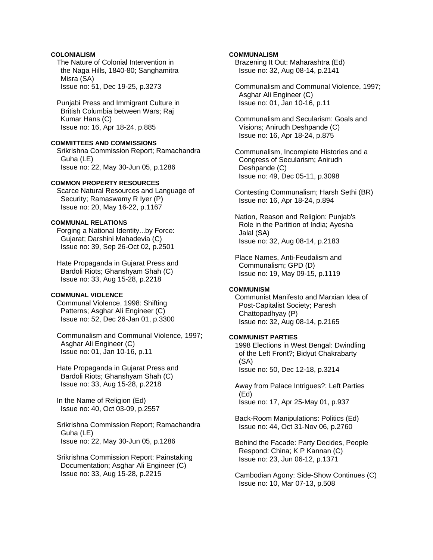## **COLONIALISM**

 The Nature of Colonial Intervention in the Naga Hills, 1840-80; Sanghamitra Misra (SA) Issue no: 51, Dec 19-25, p.3273

 Punjabi Press and Immigrant Culture in British Columbia between Wars; Raj Kumar Hans (C) Issue no: 16, Apr 18-24, p.885

#### **COMMITTEES AND COMMISSIONS**

 Srikrishna Commission Report; Ramachandra Guha (LE) Issue no: 22, May 30-Jun 05, p.1286

## **COMMON PROPERTY RESOURCES**

 Scarce Natural Resources and Language of Security; Ramaswamy R Iyer (P) Issue no: 20, May 16-22, p.1167

# **COMMUNAL RELATIONS**

 Forging a National Identity...by Force: Gujarat; Darshini Mahadevia (C) Issue no: 39, Sep 26-Oct 02, p.2501

 Hate Propaganda in Gujarat Press and Bardoli Riots; Ghanshyam Shah (C) Issue no: 33, Aug 15-28, p.2218

# **COMMUNAL VIOLENCE**

 Communal Violence, 1998: Shifting Patterns; Asghar Ali Engineer (C) Issue no: 52, Dec 26-Jan 01, p.3300

 Communalism and Communal Violence, 1997; Asghar Ali Engineer (C) Issue no: 01, Jan 10-16, p.11

 Hate Propaganda in Gujarat Press and Bardoli Riots; Ghanshyam Shah (C) Issue no: 33, Aug 15-28, p.2218

 In the Name of Religion (Ed) Issue no: 40, Oct 03-09, p.2557

 Srikrishna Commission Report; Ramachandra Guha (LE) Issue no: 22, May 30-Jun 05, p.1286

 Srikrishna Commission Report: Painstaking Documentation; Asghar Ali Engineer (C) Issue no: 33, Aug 15-28, p.2215

## **COMMUNALISM**

 Brazening It Out: Maharashtra (Ed) Issue no: 32, Aug 08-14, p.2141

 Communalism and Communal Violence, 1997; Asghar Ali Engineer (C) Issue no: 01, Jan 10-16, p.11

 Communalism and Secularism: Goals and Visions; Anirudh Deshpande (C) Issue no: 16, Apr 18-24, p.875

 Communalism, Incomplete Histories and a Congress of Secularism; Anirudh Deshpande (C) Issue no: 49, Dec 05-11, p.3098

 Contesting Communalism; Harsh Sethi (BR) Issue no: 16, Apr 18-24, p.894

 Nation, Reason and Religion: Punjab's Role in the Partition of India; Ayesha Jalal (SA) Issue no: 32, Aug 08-14, p.2183

 Place Names, Anti-Feudalism and Communalism; GPD (D) Issue no: 19, May 09-15, p.1119

# **COMMUNISM**

 Communist Manifesto and Marxian Idea of Post-Capitalist Society; Paresh Chattopadhyay (P) Issue no: 32, Aug 08-14, p.2165

# **COMMUNIST PARTIES**

 1998 Elections in West Bengal: Dwindling of the Left Front?; Bidyut Chakrabarty (SA) Issue no: 50, Dec 12-18, p.3214

 Away from Palace Intrigues?: Left Parties (Ed) Issue no: 17, Apr 25-May 01, p.937

 Back-Room Manipulations: Politics (Ed) Issue no: 44, Oct 31-Nov 06, p.2760

 Behind the Facade: Party Decides, People Respond: China; K P Kannan (C) Issue no: 23, Jun 06-12, p.1371

 Cambodian Agony: Side-Show Continues (C) Issue no: 10, Mar 07-13, p.508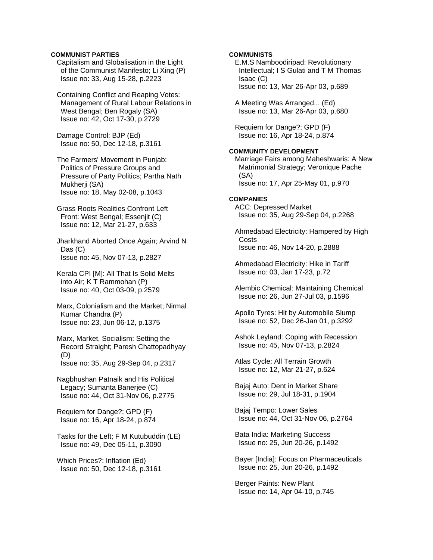#### **COMMUNIST PARTIES**

 Capitalism and Globalisation in the Light of the Communist Manifesto; Li Xing (P) Issue no: 33, Aug 15-28, p.2223

 Containing Conflict and Reaping Votes: Management of Rural Labour Relations in West Bengal; Ben Rogaly (SA) Issue no: 42, Oct 17-30, p.2729

 Damage Control: BJP (Ed) Issue no: 50, Dec 12-18, p.3161

 The Farmers' Movement in Punjab: Politics of Pressure Groups and Pressure of Party Politics; Partha Nath Mukherji (SA) Issue no: 18, May 02-08, p.1043

 Grass Roots Realities Confront Left Front: West Bengal; Essenjit (C) Issue no: 12, Mar 21-27, p.633

 Jharkhand Aborted Once Again; Arvind N Das (C) Issue no: 45, Nov 07-13, p.2827

 Kerala CPI [M]: All That Is Solid Melts into Air; K T Rammohan (P) Issue no: 40, Oct 03-09, p.2579

 Marx, Colonialism and the Market; Nirmal Kumar Chandra (P) Issue no: 23, Jun 06-12, p.1375

 Marx, Market, Socialism: Setting the Record Straight; Paresh Chattopadhyay (D) Issue no: 35, Aug 29-Sep 04, p.2317

 Nagbhushan Patnaik and His Political Legacy; Sumanta Banerjee (C) Issue no: 44, Oct 31-Nov 06, p.2775

 Requiem for Dange?; GPD (F) Issue no: 16, Apr 18-24, p.874

 Tasks for the Left; F M Kutubuddin (LE) Issue no: 49, Dec 05-11, p.3090

 Which Prices?: Inflation (Ed) Issue no: 50, Dec 12-18, p.3161

# **COMMUNISTS**

 E.M.S Namboodiripad: Revolutionary Intellectual; I S Gulati and T M Thomas Isaac (C) Issue no: 13, Mar 26-Apr 03, p.689

 A Meeting Was Arranged... (Ed) Issue no: 13, Mar 26-Apr 03, p.680

 Requiem for Dange?; GPD (F) Issue no: 16, Apr 18-24, p.874

#### **COMMUNITY DEVELOPMENT**

 Marriage Fairs among Maheshwaris: A New Matrimonial Strategy; Veronique Pache (SA) Issue no: 17, Apr 25-May 01, p.970

# **COMPANIES**

 ACC: Depressed Market Issue no: 35, Aug 29-Sep 04, p.2268

 Ahmedabad Electricity: Hampered by High **Costs** Issue no: 46, Nov 14-20, p.2888

 Ahmedabad Electricity: Hike in Tariff Issue no: 03, Jan 17-23, p.72

 Alembic Chemical: Maintaining Chemical Issue no: 26, Jun 27-Jul 03, p.1596

 Apollo Tyres: Hit by Automobile Slump Issue no: 52, Dec 26-Jan 01, p.3292

 Ashok Leyland: Coping with Recession Issue no: 45, Nov 07-13, p.2824

 Atlas Cycle: All Terrain Growth Issue no: 12, Mar 21-27, p.624

 Bajaj Auto: Dent in Market Share Issue no: 29, Jul 18-31, p.1904

 Bajaj Tempo: Lower Sales Issue no: 44, Oct 31-Nov 06, p.2764

 Bata India: Marketing Success Issue no: 25, Jun 20-26, p.1492

 Bayer [India]: Focus on Pharmaceuticals Issue no: 25, Jun 20-26, p.1492

 Berger Paints: New Plant Issue no: 14, Apr 04-10, p.745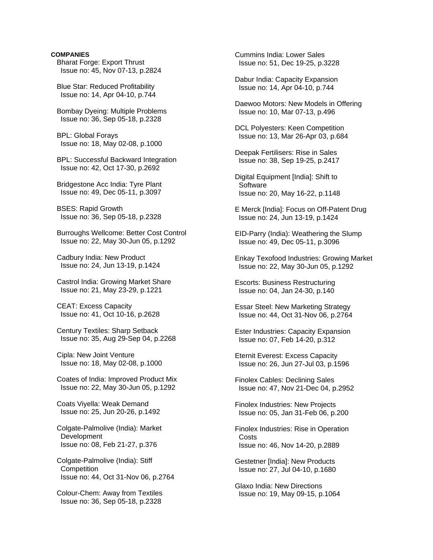Bharat Forge: Export Thrust Issue no: 45, Nov 07-13, p.2824

 Blue Star: Reduced Profitability Issue no: 14, Apr 04-10, p.744

 Bombay Dyeing: Multiple Problems Issue no: 36, Sep 05-18, p.2328

 BPL: Global Forays Issue no: 18, May 02-08, p.1000

 BPL: Successful Backward Integration Issue no: 42, Oct 17-30, p.2692

 Bridgestone Acc India: Tyre Plant Issue no: 49, Dec 05-11, p.3097

 BSES: Rapid Growth Issue no: 36, Sep 05-18, p.2328

 Burroughs Wellcome: Better Cost Control Issue no: 22, May 30-Jun 05, p.1292

 Cadbury India: New Product Issue no: 24, Jun 13-19, p.1424

 Castrol India: Growing Market Share Issue no: 21, May 23-29, p.1221

 CEAT: Excess Capacity Issue no: 41, Oct 10-16, p.2628

 Century Textiles: Sharp Setback Issue no: 35, Aug 29-Sep 04, p.2268

 Cipla: New Joint Venture Issue no: 18, May 02-08, p.1000

 Coates of India: Improved Product Mix Issue no: 22, May 30-Jun 05, p.1292

 Coats Viyella: Weak Demand Issue no: 25, Jun 20-26, p.1492

 Colgate-Palmolive (India): Market Development Issue no: 08, Feb 21-27, p.376

 Colgate-Palmolive (India): Stiff **Competition** Issue no: 44, Oct 31-Nov 06, p.2764

 Colour-Chem: Away from Textiles Issue no: 36, Sep 05-18, p.2328

 Cummins India: Lower Sales Issue no: 51, Dec 19-25, p.3228

 Dabur India: Capacity Expansion Issue no: 14, Apr 04-10, p.744

 Daewoo Motors: New Models in Offering Issue no: 10, Mar 07-13, p.496

 DCL Polyesters: Keen Competition Issue no: 13, Mar 26-Apr 03, p.684

 Deepak Fertilisers: Rise in Sales Issue no: 38, Sep 19-25, p.2417

 Digital Equipment [India]: Shift to Software Issue no: 20, May 16-22, p.1148

 E Merck [India]: Focus on Off-Patent Drug Issue no: 24, Jun 13-19, p.1424

 EID-Parry (India): Weathering the Slump Issue no: 49, Dec 05-11, p.3096

 Enkay Texofood Industries: Growing Market Issue no: 22, May 30-Jun 05, p.1292

 Escorts: Business Restructuring Issue no: 04, Jan 24-30, p.140

 Essar Steel: New Marketing Strategy Issue no: 44, Oct 31-Nov 06, p.2764

 Ester Industries: Capacity Expansion Issue no: 07, Feb 14-20, p.312

 Eternit Everest: Excess Capacity Issue no: 26, Jun 27-Jul 03, p.1596

 Finolex Cables: Declining Sales Issue no: 47, Nov 21-Dec 04, p.2952

 Finolex Industries: New Projects Issue no: 05, Jan 31-Feb 06, p.200

 Finolex Industries: Rise in Operation Costs Issue no: 46, Nov 14-20, p.2889

 Gestetner [India]: New Products Issue no: 27, Jul 04-10, p.1680

 Glaxo India: New Directions Issue no: 19, May 09-15, p.1064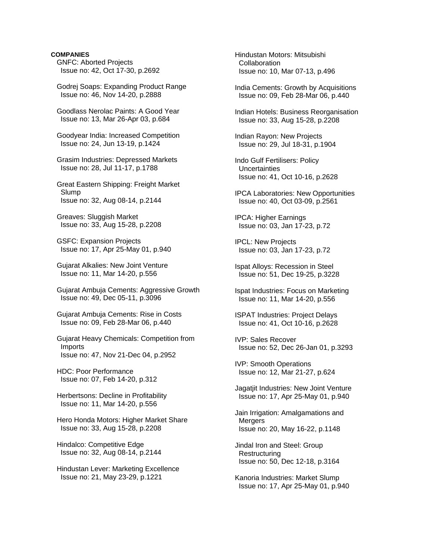GNFC: Aborted Projects Issue no: 42, Oct 17-30, p.2692

 Godrej Soaps: Expanding Product Range Issue no: 46, Nov 14-20, p.2888

 Goodlass Nerolac Paints: A Good Year Issue no: 13, Mar 26-Apr 03, p.684

 Goodyear India: Increased Competition Issue no: 24, Jun 13-19, p.1424

 Grasim Industries: Depressed Markets Issue no: 28, Jul 11-17, p.1788

 Great Eastern Shipping: Freight Market Slump Issue no: 32, Aug 08-14, p.2144

 Greaves: Sluggish Market Issue no: 33, Aug 15-28, p.2208

 GSFC: Expansion Projects Issue no: 17, Apr 25-May 01, p.940

 Gujarat Alkalies: New Joint Venture Issue no: 11, Mar 14-20, p.556

 Gujarat Ambuja Cements: Aggressive Growth Issue no: 49, Dec 05-11, p.3096

 Gujarat Ambuja Cements: Rise in Costs Issue no: 09, Feb 28-Mar 06, p.440

 Gujarat Heavy Chemicals: Competition from Imports Issue no: 47, Nov 21-Dec 04, p.2952

 HDC: Poor Performance Issue no: 07, Feb 14-20, p.312

 Herbertsons: Decline in Profitability Issue no: 11, Mar 14-20, p.556

 Hero Honda Motors: Higher Market Share Issue no: 33, Aug 15-28, p.2208

 Hindalco: Competitive Edge Issue no: 32, Aug 08-14, p.2144

 Hindustan Lever: Marketing Excellence Issue no: 21, May 23-29, p.1221

 Hindustan Motors: Mitsubishi Collaboration Issue no: 10, Mar 07-13, p.496

 India Cements: Growth by Acquisitions Issue no: 09, Feb 28-Mar 06, p.440

 Indian Hotels: Business Reorganisation Issue no: 33, Aug 15-28, p.2208

 Indian Rayon: New Projects Issue no: 29, Jul 18-31, p.1904

 Indo Gulf Fertilisers: Policy **Uncertainties** Issue no: 41, Oct 10-16, p.2628

 IPCA Laboratories: New Opportunities Issue no: 40, Oct 03-09, p.2561

 IPCA: Higher Earnings Issue no: 03, Jan 17-23, p.72

 IPCL: New Projects Issue no: 03, Jan 17-23, p.72

 Ispat Alloys: Recession in Steel Issue no: 51, Dec 19-25, p.3228

 Ispat Industries: Focus on Marketing Issue no: 11, Mar 14-20, p.556

 ISPAT Industries: Project Delays Issue no: 41, Oct 10-16, p.2628

 IVP: Sales Recover Issue no: 52, Dec 26-Jan 01, p.3293

 IVP: Smooth Operations Issue no: 12, Mar 21-27, p.624

 Jagatjit Industries: New Joint Venture Issue no: 17, Apr 25-May 01, p.940

 Jain Irrigation: Amalgamations and Mergers Issue no: 20, May 16-22, p.1148

 Jindal Iron and Steel: Group Restructuring Issue no: 50, Dec 12-18, p.3164

 Kanoria Industries: Market Slump Issue no: 17, Apr 25-May 01, p.940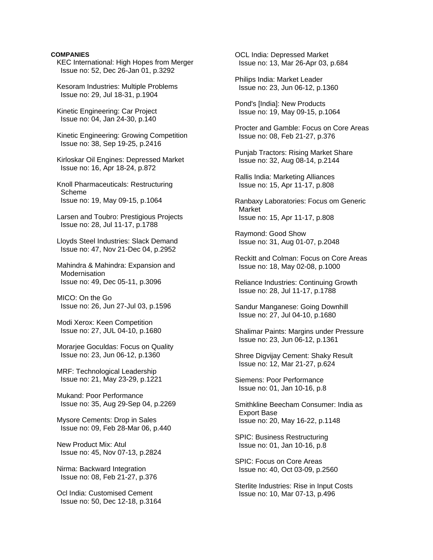KEC International: High Hopes from Merger Issue no: 52, Dec 26-Jan 01, p.3292

 Kesoram Industries: Multiple Problems Issue no: 29, Jul 18-31, p.1904

 Kinetic Engineering: Car Project Issue no: 04, Jan 24-30, p.140

 Kinetic Engineering: Growing Competition Issue no: 38, Sep 19-25, p.2416

 Kirloskar Oil Engines: Depressed Market Issue no: 16, Apr 18-24, p.872

 Knoll Pharmaceuticals: Restructuring Scheme Issue no: 19, May 09-15, p.1064

 Larsen and Toubro: Prestigious Projects Issue no: 28, Jul 11-17, p.1788

 Lloyds Steel Industries: Slack Demand Issue no: 47, Nov 21-Dec 04, p.2952

 Mahindra & Mahindra: Expansion and Modernisation Issue no: 49, Dec 05-11, p.3096

 MICO: On the Go Issue no: 26, Jun 27-Jul 03, p.1596

 Modi Xerox: Keen Competition Issue no: 27, JUL 04-10, p.1680

 Morarjee Goculdas: Focus on Quality Issue no: 23, Jun 06-12, p.1360

 MRF: Technological Leadership Issue no: 21, May 23-29, p.1221

 Mukand: Poor Performance Issue no: 35, Aug 29-Sep 04, p.2269

 Mysore Cements: Drop in Sales Issue no: 09, Feb 28-Mar 06, p.440

 New Product Mix: Atul Issue no: 45, Nov 07-13, p.2824

 Nirma: Backward Integration Issue no: 08, Feb 21-27, p.376

 Ocl India: Customised Cement Issue no: 50, Dec 12-18, p.3164  OCL India: Depressed Market Issue no: 13, Mar 26-Apr 03, p.684

 Philips India: Market Leader Issue no: 23, Jun 06-12, p.1360

 Pond's [India]: New Products Issue no: 19, May 09-15, p.1064

 Procter and Gamble: Focus on Core Areas Issue no: 08, Feb 21-27, p.376

 Punjab Tractors: Rising Market Share Issue no: 32, Aug 08-14, p.2144

 Rallis India: Marketing Alliances Issue no: 15, Apr 11-17, p.808

 Ranbaxy Laboratories: Focus om Generic Market Issue no: 15, Apr 11-17, p.808

 Raymond: Good Show Issue no: 31, Aug 01-07, p.2048

 Reckitt and Colman: Focus on Core Areas Issue no: 18, May 02-08, p.1000

 Reliance Industries: Continuing Growth Issue no: 28, Jul 11-17, p.1788

 Sandur Manganese: Going Downhill Issue no: 27, Jul 04-10, p.1680

 Shalimar Paints: Margins under Pressure Issue no: 23, Jun 06-12, p.1361

 Shree Digvijay Cement: Shaky Result Issue no: 12, Mar 21-27, p.624

 Siemens: Poor Performance Issue no: 01, Jan 10-16, p.8

 Smithkline Beecham Consumer: India as Export Base Issue no: 20, May 16-22, p.1148

 SPIC: Business Restructuring Issue no: 01, Jan 10-16, p.8

 SPIC: Focus on Core Areas Issue no: 40, Oct 03-09, p.2560

 Sterlite Industries: Rise in Input Costs Issue no: 10, Mar 07-13, p.496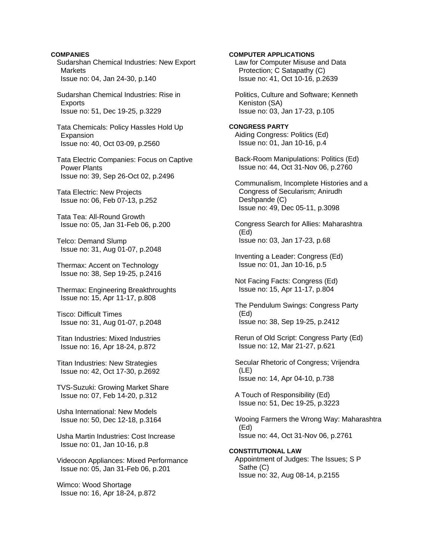Sudarshan Chemical Industries: New Export **Markets** Issue no: 04, Jan 24-30, p.140

 Sudarshan Chemical Industries: Rise in **Exports** Issue no: 51, Dec 19-25, p.3229

 Tata Chemicals: Policy Hassles Hold Up Expansion Issue no: 40, Oct 03-09, p.2560

 Tata Electric Companies: Focus on Captive Power Plants Issue no: 39, Sep 26-Oct 02, p.2496

 Tata Electric: New Projects Issue no: 06, Feb 07-13, p.252

 Tata Tea: All-Round Growth Issue no: 05, Jan 31-Feb 06, p.200

 Telco: Demand Slump Issue no: 31, Aug 01-07, p.2048

 Thermax: Accent on Technology Issue no: 38, Sep 19-25, p.2416

 Thermax: Engineering Breakthroughts Issue no: 15, Apr 11-17, p.808

 Tisco: Difficult Times Issue no: 31, Aug 01-07, p.2048

 Titan Industries: Mixed Industries Issue no: 16, Apr 18-24, p.872

 Titan Industries: New Strategies Issue no: 42, Oct 17-30, p.2692

 TVS-Suzuki: Growing Market Share Issue no: 07, Feb 14-20, p.312

 Usha International: New Models Issue no: 50, Dec 12-18, p.3164

 Usha Martin Industries: Cost Increase Issue no: 01, Jan 10-16, p.8

 Videocon Appliances: Mixed Performance Issue no: 05, Jan 31-Feb 06, p.201

 Wimco: Wood Shortage Issue no: 16, Apr 18-24, p.872

# **COMPUTER APPLICATIONS**  Law for Computer Misuse and Data Protection; C Satapathy (C) Issue no: 41, Oct 10-16, p.2639 Politics, Culture and Software; Kenneth Keniston (SA) Issue no: 03, Jan 17-23, p.105

**CONGRESS PARTY**  Aiding Congress: Politics (Ed) Issue no: 01, Jan 10-16, p.4

 Back-Room Manipulations: Politics (Ed) Issue no: 44, Oct 31-Nov 06, p.2760

 Communalism, Incomplete Histories and a Congress of Secularism; Anirudh Deshpande (C) Issue no: 49, Dec 05-11, p.3098

 Congress Search for Allies: Maharashtra (Ed) Issue no: 03, Jan 17-23, p.68

 Inventing a Leader: Congress (Ed) Issue no: 01, Jan 10-16, p.5

 Not Facing Facts: Congress (Ed) Issue no: 15, Apr 11-17, p.804

 The Pendulum Swings: Congress Party (Ed) Issue no: 38, Sep 19-25, p.2412

 Rerun of Old Script: Congress Party (Ed) Issue no: 12, Mar 21-27, p.621

 Secular Rhetoric of Congress; Vrijendra (LE) Issue no: 14, Apr 04-10, p.738

 A Touch of Responsibility (Ed) Issue no: 51, Dec 19-25, p.3223

 Wooing Farmers the Wrong Way: Maharashtra (Ed) Issue no: 44, Oct 31-Nov 06, p.2761

**CONSTITUTIONAL LAW**  Appointment of Judges: The Issues; S P Sathe (C) Issue no: 32, Aug 08-14, p.2155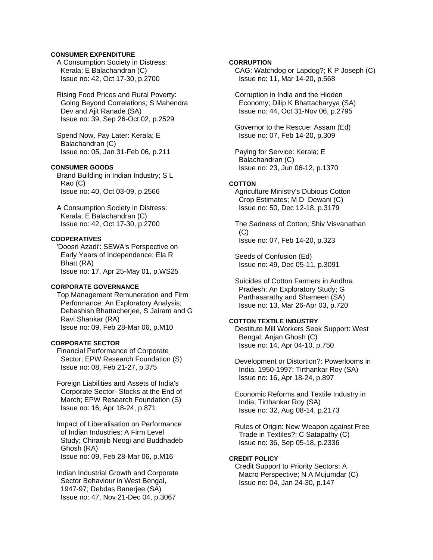## **CONSUMER EXPENDITURE**

 A Consumption Society in Distress: Kerala; E Balachandran (C) Issue no: 42, Oct 17-30, p.2700

#### Rising Food Prices and Rural Poverty:

 Going Beyond Correlations; S Mahendra Dev and Ajit Ranade (SA) Issue no: 39, Sep 26-Oct 02, p.2529

 Spend Now, Pay Later: Kerala; E Balachandran (C) Issue no: 05, Jan 31-Feb 06, p.211

## **CONSUMER GOODS**

 Brand Building in Indian Industry; S L Rao (C) Issue no: 40, Oct 03-09, p.2566

 A Consumption Society in Distress: Kerala; E Balachandran (C) Issue no: 42, Oct 17-30, p.2700

#### **COOPERATIVES**

 'Doosri Azadi': SEWA's Perspective on Early Years of Independence; Ela R Bhatt (RA) Issue no: 17, Apr 25-May 01, p.WS25

#### **CORPORATE GOVERNANCE**

 Top Management Remuneration and Firm Performance: An Exploratory Analysis; Debashish Bhattacherjee, S Jairam and G Ravi Shankar (RA) Issue no: 09, Feb 28-Mar 06, p.M10

# **CORPORATE SECTOR**

 Financial Performance of Corporate Sector; EPW Research Foundation (S) Issue no: 08, Feb 21-27, p.375

 Foreign Liabilities and Assets of India's Corporate Sector- Stocks at the End of March; EPW Research Foundation (S) Issue no: 16, Apr 18-24, p.871

 Impact of Liberalisation on Performance of Indian Industries: A Firm Level Study; Chiranjib Neogi and Buddhadeb Ghosh (RA) Issue no: 09, Feb 28-Mar 06, p.M16

 Indian Industrial Growth and Corporate Sector Behaviour in West Bengal, 1947-97; Debdas Banerjee (SA) Issue no: 47, Nov 21-Dec 04, p.3067

## **CORRUPTION**

 CAG: Watchdog or Lapdog?; K P Joseph (C) Issue no: 11, Mar 14-20, p.568

 Corruption in India and the Hidden Economy; Dilip K Bhattacharyya (SA) Issue no: 44, Oct 31-Nov 06, p.2795

 Governor to the Rescue: Assam (Ed) Issue no: 07, Feb 14-20, p.309

 Paying for Service: Kerala; E Balachandran (C) Issue no: 23, Jun 06-12, p.1370

#### **COTTON**

 Agriculture Ministry's Dubious Cotton Crop Estimates; M D Dewani (C) Issue no: 50, Dec 12-18, p.3179

 The Sadness of Cotton; Shiv Visvanathan (C) Issue no: 07, Feb 14-20, p.323

 Seeds of Confusion (Ed) Issue no: 49, Dec 05-11, p.3091

 Suicides of Cotton Farmers in Andhra Pradesh: An Exploratory Study; G Parthasarathy and Shameen (SA) Issue no: 13, Mar 26-Apr 03, p.720

#### **COTTON TEXTILE INDUSTRY**

 Destitute Mill Workers Seek Support: West Bengal; Anjan Ghosh (C) Issue no: 14, Apr 04-10, p.750

 Development or Distortion?: Powerlooms in India, 1950-1997; Tirthankar Roy (SA) Issue no: 16, Apr 18-24, p.897

 Economic Reforms and Textile Industry in India; Tirthankar Roy (SA) Issue no: 32, Aug 08-14, p.2173

 Rules of Origin: New Weapon against Free Trade in Textiles?; C Satapathy (C) Issue no: 36, Sep 05-18, p.2336

#### **CREDIT POLICY**

 Credit Support to Priority Sectors: A Macro Perspective; N A Mujumdar (C) Issue no: 04, Jan 24-30, p.147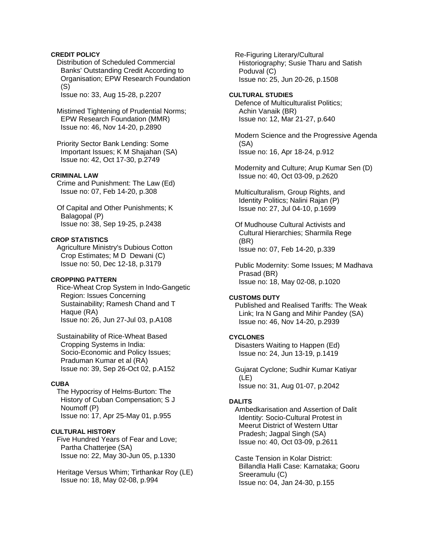# **CREDIT POLICY**

 Distribution of Scheduled Commercial Banks' Outstanding Credit According to Organisation; EPW Research Foundation (S)

Issue no: 33, Aug 15-28, p.2207

 Mistimed Tightening of Prudential Norms; EPW Research Foundation (MMR) Issue no: 46, Nov 14-20, p.2890

 Priority Sector Bank Lending: Some Important Issues; K M Shajahan (SA) Issue no: 42, Oct 17-30, p.2749

## **CRIMINAL LAW**

 Crime and Punishment: The Law (Ed) Issue no: 07, Feb 14-20, p.308

 Of Capital and Other Punishments; K Balagopal (P) Issue no: 38, Sep 19-25, p.2438

#### **CROP STATISTICS**

 Agriculture Ministry's Dubious Cotton Crop Estimates; M D Dewani (C) Issue no: 50, Dec 12-18, p.3179

#### **CROPPING PATTERN**

 Rice-Wheat Crop System in Indo-Gangetic Region: Issues Concerning Sustainability; Ramesh Chand and T Haque (RA) Issue no: 26, Jun 27-Jul 03, p.A108

 Sustainability of Rice-Wheat Based Cropping Systems in India: Socio-Economic and Policy Issues; Praduman Kumar et al (RA) Issue no: 39, Sep 26-Oct 02, p.A152

#### **CUBA**

 The Hypocrisy of Helms-Burton: The History of Cuban Compensation; S J Noumoff (P) Issue no: 17, Apr 25-May 01, p.955

## **CULTURAL HISTORY**

 Five Hundred Years of Fear and Love; Partha Chatterjee (SA) Issue no: 22, May 30-Jun 05, p.1330

 Heritage Versus Whim; Tirthankar Roy (LE) Issue no: 18, May 02-08, p.994

 Re-Figuring Literary/Cultural Historiography; Susie Tharu and Satish Poduval (C) Issue no: 25, Jun 20-26, p.1508

#### **CULTURAL STUDIES**

 Defence of Multiculturalist Politics; Achin Vanaik (BR) Issue no: 12, Mar 21-27, p.640

 Modern Science and the Progressive Agenda (SA) Issue no: 16, Apr 18-24, p.912

 Modernity and Culture; Arup Kumar Sen (D) Issue no: 40, Oct 03-09, p.2620

 Multiculturalism, Group Rights, and Identity Politics; Nalini Rajan (P) Issue no: 27, Jul 04-10, p.1699

 Of Mudhouse Cultural Activists and Cultural Hierarchies; Sharmila Rege (BR) Issue no: 07, Feb 14-20, p.339

 Public Modernity: Some Issues; M Madhava Prasad (BR) Issue no: 18, May 02-08, p.1020

#### **CUSTOMS DUTY**

 Published and Realised Tariffs: The Weak Link; Ira N Gang and Mihir Pandey (SA) Issue no: 46, Nov 14-20, p.2939

#### **CYCLONES**

 Disasters Waiting to Happen (Ed) Issue no: 24, Jun 13-19, p.1419

 Gujarat Cyclone; Sudhir Kumar Katiyar (LE) Issue no: 31, Aug 01-07, p.2042

# **DALITS**

 Ambedkarisation and Assertion of Dalit Identity: Socio-Cultural Protest in Meerut District of Western Uttar Pradesh; Jagpal Singh (SA) Issue no: 40, Oct 03-09, p.2611

 Caste Tension in Kolar District: Billandla Halli Case: Karnataka; Gooru Sreeramulu (C) Issue no: 04, Jan 24-30, p.155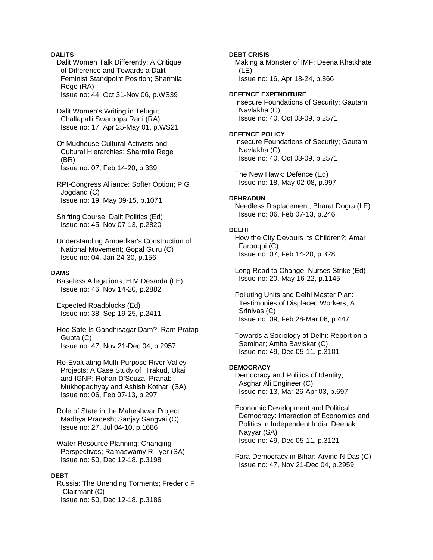## **DALITS**

 Dalit Women Talk Differently: A Critique of Difference and Towards a Dalit Feminist Standpoint Position; Sharmila Rege (RA) Issue no: 44, Oct 31-Nov 06, p.WS39

 Dalit Women's Writing in Telugu; Challapalli Swaroopa Rani (RA) Issue no: 17, Apr 25-May 01, p.WS21

 Of Mudhouse Cultural Activists and Cultural Hierarchies; Sharmila Rege (BR) Issue no: 07, Feb 14-20, p.339

 RPI-Congress Alliance: Softer Option; P G Jogdand (C) Issue no: 19, May 09-15, p.1071

 Shifting Course: Dalit Politics (Ed) Issue no: 45, Nov 07-13, p.2820

 Understanding Ambedkar's Construction of National Movement; Gopal Guru (C) Issue no: 04, Jan 24-30, p.156

## **DAMS**

 Baseless Allegations; H M Desarda (LE) Issue no: 46, Nov 14-20, p.2882

 Expected Roadblocks (Ed) Issue no: 38, Sep 19-25, p.2411

 Hoe Safe Is Gandhisagar Dam?; Ram Pratap Gupta (C) Issue no: 47, Nov 21-Dec 04, p.2957

 Re-Evaluating Multi-Purpose River Valley Projects: A Case Study of Hirakud, Ukai and IGNP; Rohan D'Souza, Pranab Mukhopadhyay and Ashish Kothari (SA) Issue no: 06, Feb 07-13, p.297

 Role of State in the Maheshwar Project: Madhya Pradesh; Sanjay Sangvai (C) Issue no: 27, Jul 04-10, p.1686

 Water Resource Planning: Changing Perspectives; Ramaswamy R Iyer (SA) Issue no: 50, Dec 12-18, p.3198

#### **DEBT**

 Russia: The Unending Torments; Frederic F Clairmant (C) Issue no: 50, Dec 12-18, p.3186

**DEBT CRISIS** 

 Making a Monster of IMF; Deena Khatkhate (LE) Issue no: 16, Apr 18-24, p.866

#### **DEFENCE EXPENDITURE**

 Insecure Foundations of Security; Gautam Navlakha (C) Issue no: 40, Oct 03-09, p.2571

#### **DEFENCE POLICY**

 Insecure Foundations of Security; Gautam Navlakha (C) Issue no: 40, Oct 03-09, p.2571

 The New Hawk: Defence (Ed) Issue no: 18, May 02-08, p.997

#### **DEHRADUN**

 Needless Displacement; Bharat Dogra (LE) Issue no: 06, Feb 07-13, p.246

## **DELHI**

 How the City Devours Its Children?; Amar Farooqui (C) Issue no: 07, Feb 14-20, p.328

 Long Road to Change: Nurses Strike (Ed) Issue no: 20, May 16-22, p.1145

 Polluting Units and Delhi Master Plan: Testimonies of Displaced Workers; A Srinivas (C) Issue no: 09, Feb 28-Mar 06, p.447

 Towards a Sociology of Delhi: Report on a Seminar; Amita Baviskar (C) Issue no: 49, Dec 05-11, p.3101

#### **DEMOCRACY**

 Democracy and Politics of Identity; Asghar Ali Engineer (C) Issue no: 13, Mar 26-Apr 03, p.697

 Economic Development and Political Democracy: Interaction of Economics and Politics in Independent India; Deepak Nayyar (SA) Issue no: 49, Dec 05-11, p.3121

 Para-Democracy in Bihar; Arvind N Das (C) Issue no: 47, Nov 21-Dec 04, p.2959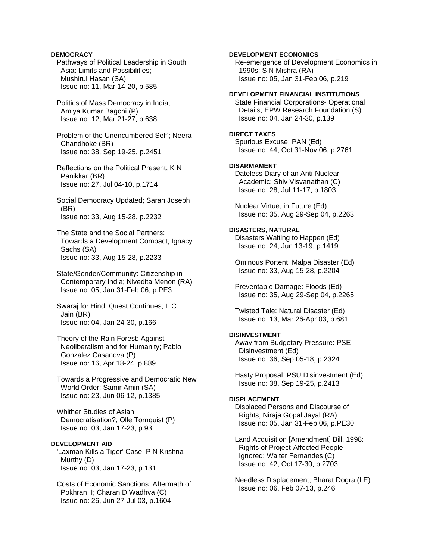## **DEMOCRACY**

 Pathways of Political Leadership in South Asia: Limits and Possibilities; Mushirul Hasan (SA) Issue no: 11, Mar 14-20, p.585

 Politics of Mass Democracy in India; Amiya Kumar Bagchi (P) Issue no: 12, Mar 21-27, p.638

 Problem of the Unencumbered Self'; Neera Chandhoke (BR) Issue no: 38, Sep 19-25, p.2451

 Reflections on the Political Present; K N Panikkar (BR) Issue no: 27, Jul 04-10, p.1714

 Social Democracy Updated; Sarah Joseph (BR) Issue no: 33, Aug 15-28, p.2232

 The State and the Social Partners: Towards a Development Compact; Ignacy Sachs (SA) Issue no: 33, Aug 15-28, p.2233

 State/Gender/Community: Citizenship in Contemporary India; Nivedita Menon (RA) Issue no: 05, Jan 31-Feb 06, p.PE3

 Swaraj for Hind: Quest Continues; L C Jain (BR) Issue no: 04, Jan 24-30, p.166

 Theory of the Rain Forest: Against Neoliberalism and for Humanity; Pablo Gonzalez Casanova (P) Issue no: 16, Apr 18-24, p.889

 Towards a Progressive and Democratic New World Order; Samir Amin (SA) Issue no: 23, Jun 06-12, p.1385

 Whither Studies of Asian Democratisation?; Olle Tornquist (P) Issue no: 03, Jan 17-23, p.93

#### **DEVELOPMENT AID**

 'Laxman Kills a Tiger' Case; P N Krishna Murthy (D) Issue no: 03, Jan 17-23, p.131

 Costs of Economic Sanctions: Aftermath of Pokhran II; Charan D Wadhva (C) Issue no: 26, Jun 27-Jul 03, p.1604

#### **DEVELOPMENT ECONOMICS**

 Re-emergence of Development Economics in 1990s; S N Mishra (RA) Issue no: 05, Jan 31-Feb 06, p.219

#### **DEVELOPMENT FINANCIAL INSTITUTIONS**

 State Financial Corporations- Operational Details; EPW Research Foundation (S) Issue no: 04, Jan 24-30, p.139

#### **DIRECT TAXES**

 Spurious Excuse: PAN (Ed) Issue no: 44, Oct 31-Nov 06, p.2761

#### **DISARMAMENT**

 Dateless Diary of an Anti-Nuclear Academic; Shiv Visvanathan (C) Issue no: 28, Jul 11-17, p.1803

 Nuclear Virtue, in Future (Ed) Issue no: 35, Aug 29-Sep 04, p.2263

# **DISASTERS, NATURAL**

 Disasters Waiting to Happen (Ed) Issue no: 24, Jun 13-19, p.1419

 Ominous Portent: Malpa Disaster (Ed) Issue no: 33, Aug 15-28, p.2204

 Preventable Damage: Floods (Ed) Issue no: 35, Aug 29-Sep 04, p.2265

 Twisted Tale: Natural Disaster (Ed) Issue no: 13, Mar 26-Apr 03, p.681

## **DISINVESTMENT**

 Away from Budgetary Pressure: PSE Disinvestment (Ed) Issue no: 36, Sep 05-18, p.2324

 Hasty Proposal: PSU Disinvestment (Ed) Issue no: 38, Sep 19-25, p.2413

# **DISPLACEMENT**

 Displaced Persons and Discourse of Rights; Niraja Gopal Jayal (RA) Issue no: 05, Jan 31-Feb 06, p.PE30

 Land Acquisition [Amendment] Bill, 1998: Rights of Project-Affected People Ignored; Walter Fernandes (C) Issue no: 42, Oct 17-30, p.2703

 Needless Displacement; Bharat Dogra (LE) Issue no: 06, Feb 07-13, p.246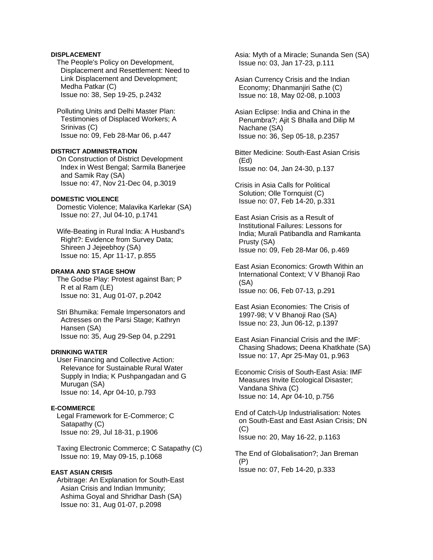## **DISPLACEMENT**

 The People's Policy on Development, Displacement and Resettlement: Need to Link Displacement and Development; Medha Patkar (C) Issue no: 38, Sep 19-25, p.2432

 Polluting Units and Delhi Master Plan: Testimonies of Displaced Workers; A Srinivas (C) Issue no: 09, Feb 28-Mar 06, p.447

#### **DISTRICT ADMINISTRATION**

 On Construction of District Development Index in West Bengal; Sarmila Banerjee and Samik Ray (SA) Issue no: 47, Nov 21-Dec 04, p.3019

#### **DOMESTIC VIOLENCE**

 Domestic Violence; Malavika Karlekar (SA) Issue no: 27, Jul 04-10, p.1741

 Wife-Beating in Rural India: A Husband's Right?: Evidence from Survey Data; Shireen J Jejeebhoy (SA) Issue no: 15, Apr 11-17, p.855

#### **DRAMA AND STAGE SHOW**

 The Godse Play: Protest against Ban; P R et al Ram (LE) Issue no: 31, Aug 01-07, p.2042

 Stri Bhumika: Female Impersonators and Actresses on the Parsi Stage; Kathryn Hansen (SA) Issue no: 35, Aug 29-Sep 04, p.2291

# **DRINKING WATER**

 User Financing and Collective Action: Relevance for Sustainable Rural Water Supply in India; K Pushpangadan and G Murugan (SA) Issue no: 14, Apr 04-10, p.793

## **E-COMMERCE**

 Legal Framework for E-Commerce; C Satapathy (C) Issue no: 29, Jul 18-31, p.1906

 Taxing Electronic Commerce; C Satapathy (C) Issue no: 19, May 09-15, p.1068

#### **EAST ASIAN CRISIS**

 Arbitrage: An Explanation for South-East Asian Crisis and Indian Immunity; Ashima Goyal and Shridhar Dash (SA) Issue no: 31, Aug 01-07, p.2098

 Asia: Myth of a Miracle; Sunanda Sen (SA) Issue no: 03, Jan 17-23, p.111

 Asian Currency Crisis and the Indian Economy; Dhanmanjiri Sathe (C) Issue no: 18, May 02-08, p.1003

 Asian Eclipse: India and China in the Penumbra?; Ajit S Bhalla and Dilip M Nachane (SA) Issue no: 36, Sep 05-18, p.2357

 Bitter Medicine: South-East Asian Crisis (Ed) Issue no: 04, Jan 24-30, p.137

 Crisis in Asia Calls for Political Solution; Olle Tornquist (C) Issue no: 07, Feb 14-20, p.331

 East Asian Crisis as a Result of Institutional Failures: Lessons for India; Murali Patibandla and Ramkanta Prusty (SA) Issue no: 09, Feb 28-Mar 06, p.469

 East Asian Economics: Growth Within an International Context; V V Bhanoji Rao (SA) Issue no: 06, Feb 07-13, p.291

 East Asian Economies: The Crisis of 1997-98; V V Bhanoji Rao (SA) Issue no: 23, Jun 06-12, p.1397

 East Asian Financial Crisis and the IMF: Chasing Shadows; Deena Khatkhate (SA) Issue no: 17, Apr 25-May 01, p.963

 Economic Crisis of South-East Asia: IMF Measures Invite Ecological Disaster; Vandana Shiva (C) Issue no: 14, Apr 04-10, p.756

 End of Catch-Up Industrialisation: Notes on South-East and East Asian Crisis; DN (C) Issue no: 20, May 16-22, p.1163

 The End of Globalisation?; Jan Breman (P) Issue no: 07, Feb 14-20, p.333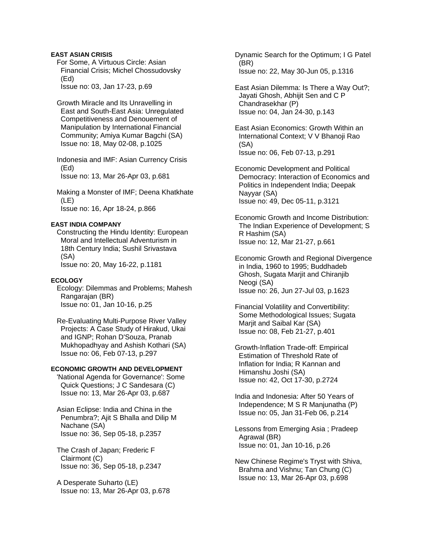# **EAST ASIAN CRISIS**

 For Some, A Virtuous Circle: Asian Financial Crisis; Michel Chossudovsky (Ed) Issue no: 03, Jan 17-23, p.69

 Growth Miracle and Its Unravelling in East and South-East Asia: Unregulated Competitiveness and Denouement of Manipulation by International Financial Community; Amiya Kumar Bagchi (SA) Issue no: 18, May 02-08, p.1025

 Indonesia and IMF: Asian Currency Crisis (Ed) Issue no: 13, Mar 26-Apr 03, p.681

 Making a Monster of IMF; Deena Khatkhate (LE) Issue no: 16, Apr 18-24, p.866

# **EAST INDIA COMPANY**

 Constructing the Hindu Identity: European Moral and Intellectual Adventurism in 18th Century India; Sushil Srivastava (SA) Issue no: 20, May 16-22, p.1181

# **ECOLOGY**

 Ecology: Dilemmas and Problems; Mahesh Rangarajan (BR) Issue no: 01, Jan 10-16, p.25

 Re-Evaluating Multi-Purpose River Valley Projects: A Case Study of Hirakud, Ukai and IGNP; Rohan D'Souza, Pranab Mukhopadhyay and Ashish Kothari (SA) Issue no: 06, Feb 07-13, p.297

# **ECONOMIC GROWTH AND DEVELOPMENT**

 'National Agenda for Governance': Some Quick Questions; J C Sandesara (C) Issue no: 13, Mar 26-Apr 03, p.687

 Asian Eclipse: India and China in the Penumbra?; Ajit S Bhalla and Dilip M Nachane (SA) Issue no: 36, Sep 05-18, p.2357

 The Crash of Japan; Frederic F Clairmont (C) Issue no: 36, Sep 05-18, p.2347

 A Desperate Suharto (LE) Issue no: 13, Mar 26-Apr 03, p.678  Dynamic Search for the Optimum; I G Patel (BR) Issue no: 22, May 30-Jun 05, p.1316

 East Asian Dilemma: Is There a Way Out?; Jayati Ghosh, Abhijit Sen and C P Chandrasekhar (P) Issue no: 04, Jan 24-30, p.143

 East Asian Economics: Growth Within an International Context; V V Bhanoji Rao (SA) Issue no: 06, Feb 07-13, p.291

 Economic Development and Political Democracy: Interaction of Economics and Politics in Independent India; Deepak Nayyar (SA) Issue no: 49, Dec 05-11, p.3121

 Economic Growth and Income Distribution: The Indian Experience of Development; S R Hashim (SA) Issue no: 12, Mar 21-27, p.661

 Economic Growth and Regional Divergence in India, 1960 to 1995; Buddhadeb Ghosh, Sugata Marjit and Chiranjib Neogi (SA) Issue no: 26, Jun 27-Jul 03, p.1623

 Financial Volatility and Convertibility: Some Methodological Issues; Sugata Marjit and Saibal Kar (SA) Issue no: 08, Feb 21-27, p.401

 Growth-Inflation Trade-off: Empirical Estimation of Threshold Rate of Inflation for India; R Kannan and Himanshu Joshi (SA) Issue no: 42, Oct 17-30, p.2724

 India and Indonesia: After 50 Years of Independence; M S R Manjunatha (P) Issue no: 05, Jan 31-Feb 06, p.214

 Lessons from Emerging Asia ; Pradeep Agrawal (BR) Issue no: 01, Jan 10-16, p.26

 New Chinese Regime's Tryst with Shiva, Brahma and Vishnu; Tan Chung (C) Issue no: 13, Mar 26-Apr 03, p.698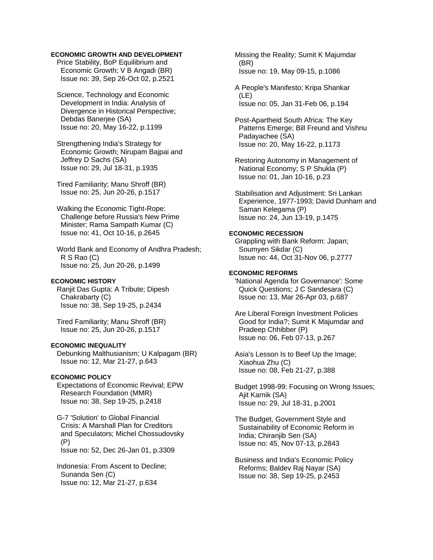## **ECONOMIC GROWTH AND DEVELOPMENT**

 Price Stability, BoP Equilibrium and Economic Growth; V B Angadi (BR) Issue no: 39, Sep 26-Oct 02, p.2521

 Science, Technology and Economic Development in India: Analysis of Divergence in Historical Perspective; Debdas Banerjee (SA) Issue no: 20, May 16-22, p.1199

 Strengthening India's Strategy for Economic Growth; Nirupam Bajpai and Jeffrey D Sachs (SA) Issue no: 29, Jul 18-31, p.1935

 Tired Familiarity; Manu Shroff (BR) Issue no: 25, Jun 20-26, p.1517

 Walking the Economic Tight-Rope: Challenge before Russia's New Prime Minister; Rama Sampath Kumar (C) Issue no: 41, Oct 10-16, p.2645

 World Bank and Economy of Andhra Pradesh; R S Rao (C) Issue no: 25, Jun 20-26, p.1499

#### **ECONOMIC HISTORY**

 Ranjit Das Gupta: A Tribute; Dipesh Chakrabarty (C) Issue no: 38, Sep 19-25, p.2434

 Tired Familiarity; Manu Shroff (BR) Issue no: 25, Jun 20-26, p.1517

## **ECONOMIC INEQUALITY**

 Debunking Malthusianism; U Kalpagam (BR) Issue no: 12, Mar 21-27, p.643

#### **ECONOMIC POLICY**

 Expectations of Economic Revival; EPW Research Foundation (MMR) Issue no: 38, Sep 19-25, p.2418

 G-7 'Solution' to Global Financial Crisis: A Marshall Plan for Creditors and Speculators; Michel Chossudovsky (P) Issue no: 52, Dec 26-Jan 01, p.3309

 Indonesia: From Ascent to Decline; Sunanda Sen (C) Issue no: 12, Mar 21-27, p.634

 Missing the Reality; Sumit K Majumdar (BR) Issue no: 19, May 09-15, p.1086

 A People's Manifesto; Kripa Shankar (LE) Issue no: 05, Jan 31-Feb 06, p.194

 Post-Apartheid South Africa: The Key Patterns Emerge; Bill Freund and Vishnu Padayachee (SA) Issue no: 20, May 16-22, p.1173

 Restoring Autonomy in Management of National Economy; S P Shukla (P) Issue no: 01, Jan 10-16, p.23

 Stabilisation and Adjustment: Sri Lankan Experience, 1977-1993; David Dunham and Saman Kelegama (P) Issue no: 24, Jun 13-19, p.1475

## **ECONOMIC RECESSION**

 Grappling with Bank Reform: Japan; Soumyen Sikdar (C) Issue no: 44, Oct 31-Nov 06, p.2777

# **ECONOMIC REFORMS**

 'National Agenda for Governance': Some Quick Questions; J C Sandesara (C) Issue no: 13, Mar 26-Apr 03, p.687

 Are Liberal Foreign Investment Policies Good for India?; Sumit K Majumdar and Pradeep Chhibber (P) Issue no: 06, Feb 07-13, p.267

 Asia's Lesson Is to Beef Up the Image; Xiaohua Zhu (C) Issue no: 08, Feb 21-27, p.388

 Budget 1998-99: Focusing on Wrong Issues; Ajit Karnik (SA) Issue no: 29, Jul 18-31, p.2001

 The Budget, Government Style and Sustainability of Economic Reform in India; Chiranjib Sen (SA) Issue no: 45, Nov 07-13, p.2843

 Business and India's Economic Policy Reforms; Baldev Raj Nayar (SA) Issue no: 38, Sep 19-25, p.2453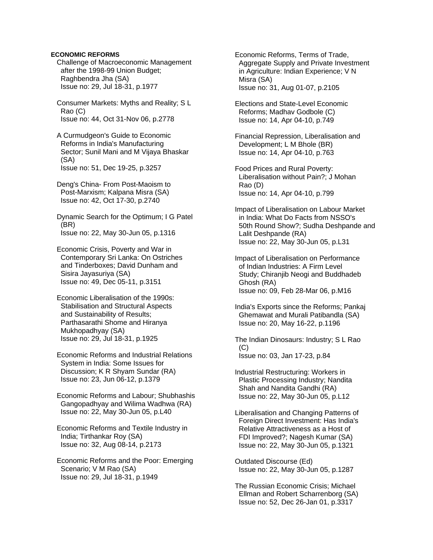#### **ECONOMIC REFORMS**

 Challenge of Macroeconomic Management after the 1998-99 Union Budget; Raghbendra Jha (SA) Issue no: 29, Jul 18-31, p.1977

 Consumer Markets: Myths and Reality; S L Rao (C) Issue no: 44, Oct 31-Nov 06, p.2778

 A Curmudgeon's Guide to Economic Reforms in India's Manufacturing Sector; Sunil Mani and M Vijaya Bhaskar (SA) Issue no: 51, Dec 19-25, p.3257

 Deng's China- From Post-Maoism to Post-Marxism; Kalpana Misra (SA) Issue no: 42, Oct 17-30, p.2740

 Dynamic Search for the Optimum; I G Patel (BR) Issue no: 22, May 30-Jun 05, p.1316

 Economic Crisis, Poverty and War in Contemporary Sri Lanka: On Ostriches and Tinderboxes; David Dunham and Sisira Jayasuriya (SA) Issue no: 49, Dec 05-11, p.3151

 Economic Liberalisation of the 1990s: Stabilisation and Structural Aspects and Sustainability of Results; Parthasarathi Shome and Hiranya Mukhopadhyay (SA) Issue no: 29, Jul 18-31, p.1925

 Economic Reforms and Industrial Relations System in India: Some Issues for Discussion; K R Shyam Sundar (RA) Issue no: 23, Jun 06-12, p.1379

 Economic Reforms and Labour; Shubhashis Gangopadhyay and Wilima Wadhwa (RA) Issue no: 22, May 30-Jun 05, p.L40

 Economic Reforms and Textile Industry in India; Tirthankar Roy (SA) Issue no: 32, Aug 08-14, p.2173

 Economic Reforms and the Poor: Emerging Scenario; V M Rao (SA) Issue no: 29, Jul 18-31, p.1949

 Economic Reforms, Terms of Trade, Aggregate Supply and Private Investment in Agriculture: Indian Experience; V N Misra (SA) Issue no: 31, Aug 01-07, p.2105

 Elections and State-Level Economic Reforms; Madhav Godbole (C) Issue no: 14, Apr 04-10, p.749

 Financial Repression, Liberalisation and Development; L M Bhole (BR) Issue no: 14, Apr 04-10, p.763

 Food Prices and Rural Poverty: Liberalisation without Pain?; J Mohan Rao (D) Issue no: 14, Apr 04-10, p.799

 Impact of Liberalisation on Labour Market in India: What Do Facts from NSSO's 50th Round Show?; Sudha Deshpande and Lalit Deshpande (RA) Issue no: 22, May 30-Jun 05, p.L31

 Impact of Liberalisation on Performance of Indian Industries: A Firm Level Study; Chiranjib Neogi and Buddhadeb Ghosh (RA) Issue no: 09, Feb 28-Mar 06, p.M16

 India's Exports since the Reforms; Pankaj Ghemawat and Murali Patibandla (SA) Issue no: 20, May 16-22, p.1196

 The Indian Dinosaurs: Industry; S L Rao  $(C)$ Issue no: 03, Jan 17-23, p.84

 Industrial Restructuring: Workers in Plastic Processing Industry; Nandita Shah and Nandita Gandhi (RA) Issue no: 22, May 30-Jun 05, p.L12

 Liberalisation and Changing Patterns of Foreign Direct Investment: Has India's Relative Attractiveness as a Host of FDI Improved?; Nagesh Kumar (SA) Issue no: 22, May 30-Jun 05, p.1321

 Outdated Discourse (Ed) Issue no: 22, May 30-Jun 05, p.1287

 The Russian Economic Crisis; Michael Ellman and Robert Scharrenborg (SA) Issue no: 52, Dec 26-Jan 01, p.3317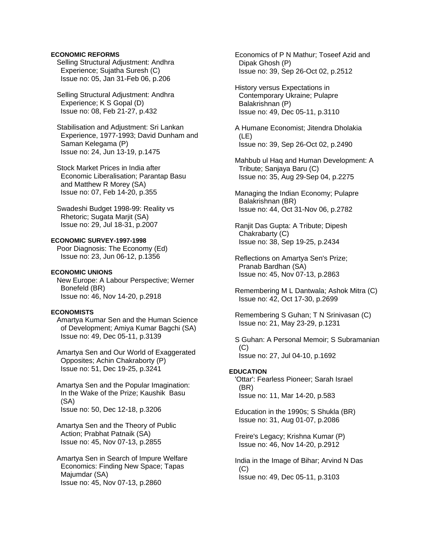## **ECONOMIC REFORMS**

 Selling Structural Adjustment: Andhra Experience; Sujatha Suresh (C) Issue no: 05, Jan 31-Feb 06, p.206

 Selling Structural Adjustment: Andhra Experience; K S Gopal (D) Issue no: 08, Feb 21-27, p.432

 Stabilisation and Adjustment: Sri Lankan Experience, 1977-1993; David Dunham and Saman Kelegama (P) Issue no: 24, Jun 13-19, p.1475

 Stock Market Prices in India after Economic Liberalisation; Parantap Basu and Matthew R Morey (SA) Issue no: 07, Feb 14-20, p.355

 Swadeshi Budget 1998-99: Reality vs Rhetoric; Sugata Marjit (SA) Issue no: 29, Jul 18-31, p.2007

## **ECONOMIC SURVEY-1997-1998**

 Poor Diagnosis: The Economy (Ed) Issue no: 23, Jun 06-12, p.1356

## **ECONOMIC UNIONS**

 New Europe: A Labour Perspective; Werner Bonefeld (BR) Issue no: 46, Nov 14-20, p.2918

## **ECONOMISTS**

 Amartya Kumar Sen and the Human Science of Development; Amiya Kumar Bagchi (SA) Issue no: 49, Dec 05-11, p.3139

 Amartya Sen and Our World of Exaggerated Opposites; Achin Chakraborty (P) Issue no: 51, Dec 19-25, p.3241

 Amartya Sen and the Popular Imagination: In the Wake of the Prize; Kaushik Basu (SA) Issue no: 50, Dec 12-18, p.3206

 Amartya Sen and the Theory of Public Action; Prabhat Patnaik (SA) Issue no: 45, Nov 07-13, p.2855

 Amartya Sen in Search of Impure Welfare Economics: Finding New Space; Tapas Majumdar (SA) Issue no: 45, Nov 07-13, p.2860

 Economics of P N Mathur; Toseef Azid and Dipak Ghosh (P) Issue no: 39, Sep 26-Oct 02, p.2512

 History versus Expectations in Contemporary Ukraine; Pulapre Balakrishnan (P) Issue no: 49, Dec 05-11, p.3110

 A Humane Economist; Jitendra Dholakia (LE) Issue no: 39, Sep 26-Oct 02, p.2490

 Mahbub ul Haq and Human Development: A Tribute; Sanjaya Baru (C) Issue no: 35, Aug 29-Sep 04, p.2275

 Managing the Indian Economy; Pulapre Balakrishnan (BR) Issue no: 44, Oct 31-Nov 06, p.2782

 Ranjit Das Gupta: A Tribute; Dipesh Chakrabarty (C) Issue no: 38, Sep 19-25, p.2434

 Reflections on Amartya Sen's Prize; Pranab Bardhan (SA) Issue no: 45, Nov 07-13, p.2863

 Remembering M L Dantwala; Ashok Mitra (C) Issue no: 42, Oct 17-30, p.2699

 Remembering S Guhan; T N Srinivasan (C) Issue no: 21, May 23-29, p.1231

 S Guhan: A Personal Memoir; S Subramanian  $(C)$ Issue no: 27, Jul 04-10, p.1692

#### **EDUCATION**

 'Ottar': Fearless Pioneer; Sarah Israel (BR) Issue no: 11, Mar 14-20, p.583

 Education in the 1990s; S Shukla (BR) Issue no: 31, Aug 01-07, p.2086

 Freire's Legacy; Krishna Kumar (P) Issue no: 46, Nov 14-20, p.2912

 India in the Image of Bihar; Arvind N Das  $(C)$ Issue no: 49, Dec 05-11, p.3103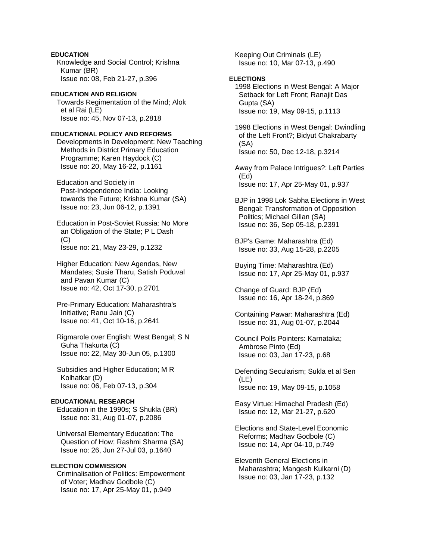**EDUCATION**  Knowledge and Social Control; Krishna Kumar (BR) Issue no: 08, Feb 21-27, p.396

**EDUCATION AND RELIGION**  Towards Regimentation of the Mind; Alok et al Rai (LE) Issue no: 45, Nov 07-13, p.2818

#### **EDUCATIONAL POLICY AND REFORMS**

 Developments in Development: New Teaching Methods in District Primary Education Programme; Karen Haydock (C) Issue no: 20, May 16-22, p.1161

 Education and Society in Post-Independence India: Looking towards the Future; Krishna Kumar (SA) Issue no: 23, Jun 06-12, p.1391

 Education in Post-Soviet Russia: No More an Obligation of the State; P L Dash  $(C)$ Issue no: 21, May 23-29, p.1232

 Higher Education: New Agendas, New Mandates; Susie Tharu, Satish Poduval and Pavan Kumar (C) Issue no: 42, Oct 17-30, p.2701

 Pre-Primary Education: Maharashtra's Initiative; Ranu Jain (C) Issue no: 41, Oct 10-16, p.2641

 Rigmarole over English: West Bengal; S N Guha Thakurta (C) Issue no: 22, May 30-Jun 05, p.1300

 Subsidies and Higher Education; M R Kolhatkar (D) Issue no: 06, Feb 07-13, p.304

#### **EDUCATIONAL RESEARCH**

 Education in the 1990s; S Shukla (BR) Issue no: 31, Aug 01-07, p.2086

 Universal Elementary Education: The Question of How; Rashmi Sharma (SA) Issue no: 26, Jun 27-Jul 03, p.1640

#### **ELECTION COMMISSION**

 Criminalisation of Politics: Empowerment of Voter; Madhav Godbole (C) Issue no: 17, Apr 25-May 01, p.949

 Keeping Out Criminals (LE) Issue no: 10, Mar 07-13, p.490

# **ELECTIONS**

 1998 Elections in West Bengal: A Major Setback for Left Front; Ranajit Das Gupta (SA) Issue no: 19, May 09-15, p.1113

 1998 Elections in West Bengal: Dwindling of the Left Front?; Bidyut Chakrabarty (SA) Issue no: 50, Dec 12-18, p.3214

 Away from Palace Intrigues?: Left Parties (Ed) Issue no: 17, Apr 25-May 01, p.937

 BJP in 1998 Lok Sabha Elections in West Bengal: Transformation of Opposition Politics; Michael Gillan (SA) Issue no: 36, Sep 05-18, p.2391

 BJP's Game: Maharashtra (Ed) Issue no: 33, Aug 15-28, p.2205

 Buying Time: Maharashtra (Ed) Issue no: 17, Apr 25-May 01, p.937

 Change of Guard: BJP (Ed) Issue no: 16, Apr 18-24, p.869

 Containing Pawar: Maharashtra (Ed) Issue no: 31, Aug 01-07, p.2044

 Council Polls Pointers: Karnataka; Ambrose Pinto (Ed) Issue no: 03, Jan 17-23, p.68

 Defending Secularism; Sukla et al Sen (LE) Issue no: 19, May 09-15, p.1058

 Easy Virtue: Himachal Pradesh (Ed) Issue no: 12, Mar 21-27, p.620

 Elections and State-Level Economic Reforms; Madhav Godbole (C) Issue no: 14, Apr 04-10, p.749

 Eleventh General Elections in Maharashtra; Mangesh Kulkarni (D) Issue no: 03, Jan 17-23, p.132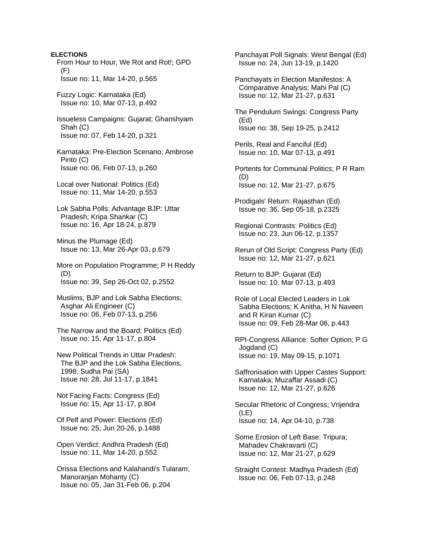**ELECTIONS**  From Hour to Hour, We Rot and Rot!; GPD (F) Issue no: 11, Mar 14-20, p.565 Fuzzy Logic: Karnataka (Ed) Issue no: 10, Mar 07-13, p.492 Issueless Campaigns: Gujarat; Ghanshyam Shah (C) Issue no: 07, Feb 14-20, p.321 Karnataka: Pre-Election Scenario; Ambrose Pinto (C) Issue no: 06, Feb 07-13, p.260 Local over National: Politics (Ed) Issue no: 11, Mar 14-20, p.553 Lok Sabha Polls: Advantage BJP: Uttar Pradesh; Kripa Shankar (C) Issue no: 16, Apr 18-24, p.879 Minus the Plumage (Ed) Issue no: 13, Mar 26-Apr 03, p.679 More on Population Programme; P H Reddy (D) Issue no: 39, Sep 26-Oct 02, p.2552 Muslims, BJP and Lok Sabha Elections; Asghar Ali Engineer (C) Issue no: 06, Feb 07-13, p.256 The Narrow and the Board: Politics (Ed) Issue no: 15, Apr 11-17, p.804 New Political Trends in Uttar Pradesh: The BJP and the Lok Sabha Elections, 1998; Sudha Pai (SA) Issue no: 28, Jul 11-17, p.1841 Not Facing Facts: Congress (Ed) Issue no: 15, Apr 11-17, p.804 Of Pelf and Power: Elections (Ed) Issue no: 25, Jun 20-26, p.1488 Open Verdict: Andhra Pradesh (Ed) Issue no: 11, Mar 14-20, p.552 Orissa Elections and Kalahandi's Tularam; Manoranjan Mohanty (C) Issue no: 05, Jan 31-Feb 06, p.204

 Panchayat Poll Signals: West Bengal (Ed) Issue no: 24, Jun 13-19, p.1420

 Panchayats in Election Manifestos: A Comparative Analysis; Mahi Pal (C) Issue no: 12, Mar 21-27, p.631

 The Pendulum Swings: Congress Party (Ed) Issue no: 38, Sep 19-25, p.2412

 Perils, Real and Fanciful (Ed) Issue no: 10, Mar 07-13, p.491

 Portents for Communal Politics; P R Ram (D) Issue no: 12, Mar 21-27, p.675

 Prodigals' Return: Rajasthan (Ed) Issue no: 36, Sep 05-18, p.2325

 Regional Contrasts: Politics (Ed) Issue no: 23, Jun 06-12, p.1357

 Rerun of Old Script: Congress Party (Ed) Issue no: 12, Mar 21-27, p.621

 Return to BJP: Gujarat (Ed) Issue no: 10, Mar 07-13, p.493

 Role of Local Elected Leaders in Lok Sabha Elections; K Anitha, H N Naveen and R Kiran Kumar (C) Issue no: 09, Feb 28-Mar 06, p.443

 RPI-Congress Alliance: Softer Option; P G Jogdand (C) Issue no: 19, May 09-15, p.1071

 Saffronisation with Upper Castes Support: Karnataka; Muzaffar Assadi (C) Issue no: 12, Mar 21-27, p.626

 Secular Rhetoric of Congress; Vrijendra (LE) Issue no: 14, Apr 04-10, p.738

 Some Erosion of Left Base: Tripura; Mahadev Chakravarti (C) Issue no: 12, Mar 21-27, p.629

 Straight Contest: Madhya Pradesh (Ed) Issue no: 06, Feb 07-13, p.248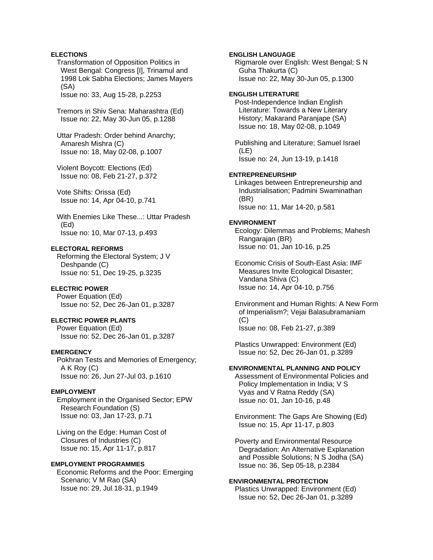# **ELECTIONS**

 Transformation of Opposition Politics in West Bengal: Congress [I], Trinamul and 1998 Lok Sabha Elections; James Mayers (SA)

Issue no: 33, Aug 15-28, p.2253

 Tremors in Shiv Sena: Maharashtra (Ed) Issue no: 22, May 30-Jun 05, p.1288

 Uttar Pradesh: Order behind Anarchy; Amaresh Mishra (C) Issue no: 18, May 02-08, p.1007

 Violent Boycott: Elections (Ed) Issue no: 08, Feb 21-27, p.372

 Vote Shifts: Orissa (Ed) Issue no: 14, Apr 04-10, p.741

 With Enemies Like These...: Uttar Pradesh (Ed) Issue no: 10, Mar 07-13, p.493

#### **ELECTORAL REFORMS**

 Reforming the Electoral System; J V Deshpande (C) Issue no: 51, Dec 19-25, p.3235

# **ELECTRIC POWER**

 Power Equation (Ed) Issue no: 52, Dec 26-Jan 01, p.3287

# **ELECTRIC POWER PLANTS**

 Power Equation (Ed) Issue no: 52, Dec 26-Jan 01, p.3287

## **EMERGENCY**

 Pokhran Tests and Memories of Emergency; A K Roy (C) Issue no: 26, Jun 27-Jul 03, p.1610

#### **EMPLOYMENT**

 Employment in the Organised Sector; EPW Research Foundation (S) Issue no: 03, Jan 17-23, p.71

 Living on the Edge: Human Cost of Closures of Industries (C) Issue no: 15, Apr 11-17, p.817

# **EMPLOYMENT PROGRAMMES**

 Economic Reforms and the Poor: Emerging Scenario; V M Rao (SA) Issue no: 29, Jul 18-31, p.1949

#### **ENGLISH LANGUAGE**

 Rigmarole over English: West Bengal; S N Guha Thakurta (C) Issue no: 22, May 30-Jun 05, p.1300

#### **ENGLISH LITERATURE**

 Post-Independence Indian English Literature: Towards a New Literary History; Makarand Paranjape (SA) Issue no: 18, May 02-08, p.1049

 Publishing and Literature; Samuel Israel (LE) Issue no: 24, Jun 13-19, p.1418

#### **ENTREPRENEURSHIP**

 Linkages between Entrepreneurship and Industrialisation; Padmini Swaminathan (BR) Issue no: 11, Mar 14-20, p.581

#### **ENVIRONMENT**

 Ecology: Dilemmas and Problems; Mahesh Rangarajan (BR) Issue no: 01, Jan 10-16, p.25

 Economic Crisis of South-East Asia: IMF Measures Invite Ecological Disaster; Vandana Shiva (C) Issue no: 14, Apr 04-10, p.756

 Environment and Human Rights: A New Form of Imperialism?; Vejai Balasubramaniam (C) Issue no: 08, Feb 21-27, p.389

 Plastics Unwrapped: Environment (Ed) Issue no: 52, Dec 26-Jan 01, p.3289

# **ENVIRONMENTAL PLANNING AND POLICY**

 Assessment of Environmental Policies and Policy Implementation in India; V S Vyas and V Ratna Reddy (SA) Issue no: 01, Jan 10-16, p.48

 Environment: The Gaps Are Showing (Ed) Issue no: 15, Apr 11-17, p.803

 Poverty and Environmental Resource Degradation: An Alternative Explanation and Possible Solutions; N S Jodha (SA) Issue no: 36, Sep 05-18, p.2384

#### **ENVIRONMENTAL PROTECTION**

 Plastics Unwrapped: Environment (Ed) Issue no: 52, Dec 26-Jan 01, p.3289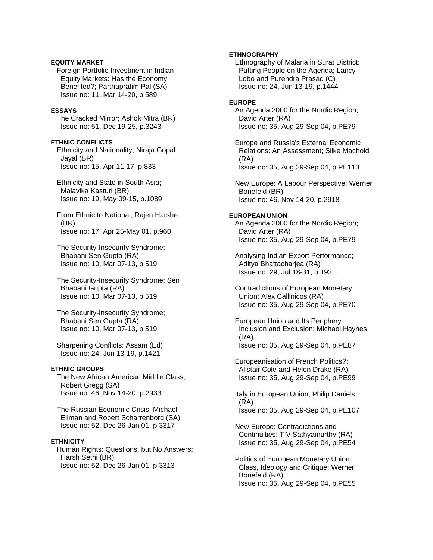## **EQUITY MARKET**

 Foreign Portfolio Investment in Indian Equity Markets: Has the Economy Benefited?; Parthapratim Pal (SA) Issue no: 11, Mar 14-20, p.589

# **ESSAYS**

 The Cracked Mirror; Ashok Mitra (BR) Issue no: 51, Dec 19-25, p.3243

## **ETHNIC CONFLICTS**

 Ethnicity and Nationality; Niraja Gopal Jayal (BR) Issue no: 15, Apr 11-17, p.833

 Ethnicity and State in South Asia; Malavika Kasturi (BR) Issue no: 19, May 09-15, p.1089

 From Ethnic to National; Rajen Harshe (BR) Issue no: 17, Apr 25-May 01, p.960

 The Security-Insecurity Syndrome; Bhabani Sen Gupta (RA) Issue no: 10, Mar 07-13, p.519

 The Security-Insecurity Syndrome; Sen Bhabani Gupta (RA) Issue no: 10, Mar 07-13, p.519

 The Security-Insecurity Syndrome; Bhabani Sen Gupta (RA) Issue no: 10, Mar 07-13, p.519

 Sharpening Conflicts: Assam (Ed) Issue no: 24, Jun 13-19, p.1421

#### **ETHNIC GROUPS**

 The New African American Middle Class; Robert Gregg (SA) Issue no: 46, Nov 14-20, p.2933

 The Russian Economic Crisis; Michael Ellman and Robert Scharrenborg (SA) Issue no: 52, Dec 26-Jan 01, p.3317

## **ETHNICITY**

 Human Rights: Questions, but No Answers; Harsh Sethi (BR) Issue no: 52, Dec 26-Jan 01, p.3313

# **ETHNOGRAPHY**

 Ethnography of Malaria in Surat District: Putting People on the Agenda; Lancy Lobo and Purendra Prasad (C) Issue no: 24, Jun 13-19, p.1444

#### **EUROPE**

 An Agenda 2000 for the Nordic Region; David Arter (RA) Issue no: 35, Aug 29-Sep 04, p.PE79

 Europe and Russia's External Economic Relations: An Assessment; Silke Machold (RA) Issue no: 35, Aug 29-Sep 04, p.PE113

 New Europe: A Labour Perspective; Werner Bonefeld (BR) Issue no: 46, Nov 14-20, p.2918

## **EUROPEAN UNION**

 An Agenda 2000 for the Nordic Region; David Arter (RA) Issue no: 35, Aug 29-Sep 04, p.PE79

 Analysing Indian Export Performance; Aditya Bhattacharjea (RA) Issue no: 29, Jul 18-31, p.1921

 Contradictions of European Monetary Union; Alex Callinicos (RA) Issue no: 35, Aug 29-Sep 04, p.PE70

 European Union and Its Periphery: Inclusion and Exclusion; Michael Haynes (RA) Issue no: 35, Aug 29-Sep 04, p.PE87

 Europeanisation of French Politics?; Alistair Cole and Helen Drake (RA) Issue no: 35, Aug 29-Sep 04, p.PE99

 Italy in European Union; Philip Daniels (RA) Issue no: 35, Aug 29-Sep 04, p.PE107

 New Europe: Contradictions and Continuities; T V Sathyamurthy (RA) Issue no: 35, Aug 29-Sep 04, p.PE54

 Politics of European Monetary Union: Class, Ideology and Critique; Werner Bonefeld (RA) Issue no: 35, Aug 29-Sep 04, p.PE55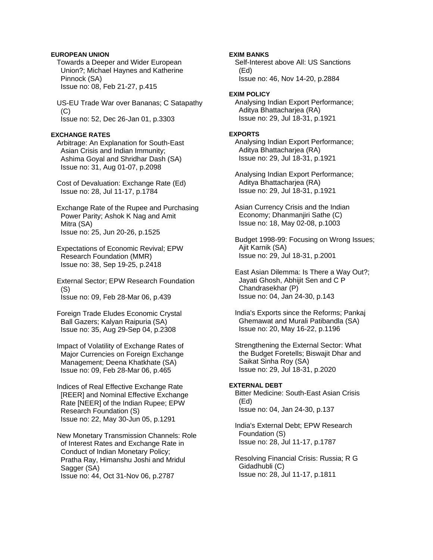### **EUROPEAN UNION**

 Towards a Deeper and Wider European Union?; Michael Haynes and Katherine Pinnock (SA) Issue no: 08, Feb 21-27, p.415

 US-EU Trade War over Bananas; C Satapathy (C) Issue no: 52, Dec 26-Jan 01, p.3303

## **EXCHANGE RATES**

 Arbitrage: An Explanation for South-East Asian Crisis and Indian Immunity; Ashima Goyal and Shridhar Dash (SA) Issue no: 31, Aug 01-07, p.2098

 Cost of Devaluation: Exchange Rate (Ed) Issue no: 28, Jul 11-17, p.1784

 Exchange Rate of the Rupee and Purchasing Power Parity; Ashok K Nag and Amit Mitra (SA) Issue no: 25, Jun 20-26, p.1525

 Expectations of Economic Revival; EPW Research Foundation (MMR) Issue no: 38, Sep 19-25, p.2418

 External Sector; EPW Research Foundation (S) Issue no: 09, Feb 28-Mar 06, p.439

 Foreign Trade Eludes Economic Crystal Ball Gazers; Kalyan Raipuria (SA) Issue no: 35, Aug 29-Sep 04, p.2308

 Impact of Volatility of Exchange Rates of Major Currencies on Foreign Exchange Management; Deena Khatkhate (SA) Issue no: 09, Feb 28-Mar 06, p.465

 Indices of Real Effective Exchange Rate [REER] and Nominal Effective Exchange Rate [NEER] of the Indian Rupee; EPW Research Foundation (S) Issue no: 22, May 30-Jun 05, p.1291

 New Monetary Transmission Channels: Role of Interest Rates and Exchange Rate in Conduct of Indian Monetary Policy; Pratha Ray, Himanshu Joshi and Mridul Sagger (SA) Issue no: 44, Oct 31-Nov 06, p.2787

### **EXIM BANKS**

 Self-Interest above All: US Sanctions (Ed) Issue no: 46, Nov 14-20, p.2884

# **EXIM POLICY**

 Analysing Indian Export Performance; Aditya Bhattacharjea (RA) Issue no: 29, Jul 18-31, p.1921

### **EXPORTS**

 Analysing Indian Export Performance; Aditya Bhattacharjea (RA) Issue no: 29, Jul 18-31, p.1921

 Analysing Indian Export Performance; Aditya Bhattacharjea (RA) Issue no: 29, Jul 18-31, p.1921

 Asian Currency Crisis and the Indian Economy; Dhanmanjiri Sathe (C) Issue no: 18, May 02-08, p.1003

 Budget 1998-99: Focusing on Wrong Issues; Ajit Karnik (SA) Issue no: 29, Jul 18-31, p.2001

 East Asian Dilemma: Is There a Way Out?; Jayati Ghosh, Abhijit Sen and C P Chandrasekhar (P) Issue no: 04, Jan 24-30, p.143

 India's Exports since the Reforms; Pankaj Ghemawat and Murali Patibandla (SA) Issue no: 20, May 16-22, p.1196

 Strengthening the External Sector: What the Budget Foretells; Biswajit Dhar and Saikat Sinha Roy (SA) Issue no: 29, Jul 18-31, p.2020

# **EXTERNAL DEBT**

 Bitter Medicine: South-East Asian Crisis (Ed) Issue no: 04, Jan 24-30, p.137

 India's External Debt; EPW Research Foundation (S) Issue no: 28, Jul 11-17, p.1787

 Resolving Financial Crisis: Russia; R G Gidadhubli (C) Issue no: 28, Jul 11-17, p.1811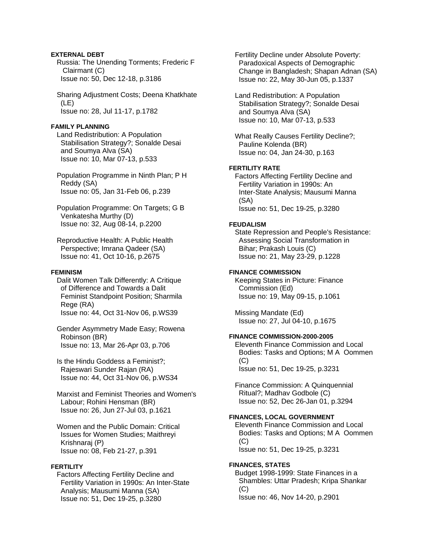# **EXTERNAL DEBT**

 Russia: The Unending Torments; Frederic F Clairmant (C) Issue no: 50, Dec 12-18, p.3186

 Sharing Adjustment Costs; Deena Khatkhate (LE) Issue no: 28, Jul 11-17, p.1782

## **FAMILY PLANNING**

 Land Redistribution: A Population Stabilisation Strategy?; Sonalde Desai and Soumya Alva (SA) Issue no: 10, Mar 07-13, p.533

 Population Programme in Ninth Plan; P H Reddy (SA) Issue no: 05, Jan 31-Feb 06, p.239

 Population Programme: On Targets; G B Venkatesha Murthy (D) Issue no: 32, Aug 08-14, p.2200

 Reproductive Health: A Public Health Perspective; Imrana Qadeer (SA) Issue no: 41, Oct 10-16, p.2675

### **FEMINISM**

 Dalit Women Talk Differently: A Critique of Difference and Towards a Dalit Feminist Standpoint Position; Sharmila Rege (RA) Issue no: 44, Oct 31-Nov 06, p.WS39

 Gender Asymmetry Made Easy; Rowena Robinson (BR) Issue no: 13, Mar 26-Apr 03, p.706

 Is the Hindu Goddess a Feminist?; Rajeswari Sunder Rajan (RA) Issue no: 44, Oct 31-Nov 06, p.WS34

 Marxist and Feminist Theories and Women's Labour; Rohini Hensman (BR) Issue no: 26, Jun 27-Jul 03, p.1621

 Women and the Public Domain: Critical Issues for Women Studies; Maithreyi Krishnaraj (P) Issue no: 08, Feb 21-27, p.391

# **FERTILITY**

 Factors Affecting Fertility Decline and Fertility Variation in 1990s: An Inter-State Analysis; Mausumi Manna (SA) Issue no: 51, Dec 19-25, p.3280

 Fertility Decline under Absolute Poverty: Paradoxical Aspects of Demographic Change in Bangladesh; Shapan Adnan (SA) Issue no: 22, May 30-Jun 05, p.1337

 Land Redistribution: A Population Stabilisation Strategy?; Sonalde Desai and Soumya Alva (SA) Issue no: 10, Mar 07-13, p.533

 What Really Causes Fertility Decline?; Pauline Kolenda (BR) Issue no: 04, Jan 24-30, p.163

## **FERTILITY RATE**

 Factors Affecting Fertility Decline and Fertility Variation in 1990s: An Inter-State Analysis; Mausumi Manna (SA) Issue no: 51, Dec 19-25, p.3280

#### **FEUDALISM**

 State Repression and People's Resistance: Assessing Social Transformation in Bihar; Prakash Louis (C) Issue no: 21, May 23-29, p.1228

# **FINANCE COMMISSION**

 Keeping States in Picture: Finance Commission (Ed) Issue no: 19, May 09-15, p.1061

 Missing Mandate (Ed) Issue no: 27, Jul 04-10, p.1675

### **FINANCE COMMISSION-2000-2005**

 Eleventh Finance Commission and Local Bodies: Tasks and Options; M A Oommen (C) Issue no: 51, Dec 19-25, p.3231

 Finance Commission: A Quinquennial Ritual?; Madhav Godbole (C) Issue no: 52, Dec 26-Jan 01, p.3294

### **FINANCES, LOCAL GOVERNMENT**

 Eleventh Finance Commission and Local Bodies: Tasks and Options; M A Oommen (C)

Issue no: 51, Dec 19-25, p.3231

# **FINANCES, STATES**

 Budget 1998-1999: State Finances in a Shambles: Uttar Pradesh; Kripa Shankar  $(C)$ Issue no: 46, Nov 14-20, p.2901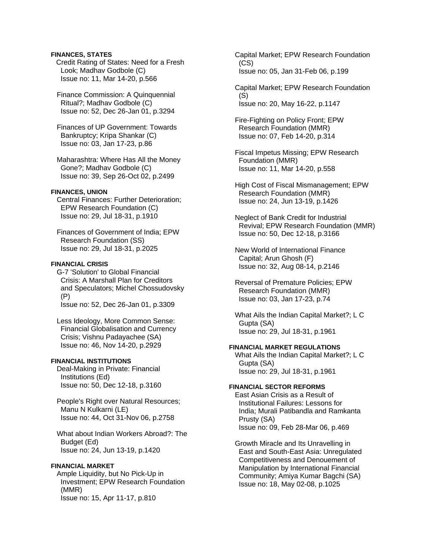#### **FINANCES, STATES**

Credit Rating of States: Need for a Fresh Look; Madhav Godbole (C) Issue no: 11, Mar 14-20, p.566

 Finance Commission: A Quinquennial Ritual?; Madhav Godbole (C) Issue no: 52, Dec 26-Jan 01, p.3294

 Finances of UP Government: Towards Bankruptcy; Kripa Shankar (C) Issue no: 03, Jan 17-23, p.86

 Maharashtra: Where Has All the Money Gone?; Madhav Godbole (C) Issue no: 39, Sep 26-Oct 02, p.2499

#### **FINANCES, UNION**

 Central Finances: Further Deterioration; EPW Research Foundation (C) Issue no: 29, Jul 18-31, p.1910

 Finances of Government of India; EPW Research Foundation (SS) Issue no: 29, Jul 18-31, p.2025

### **FINANCIAL CRISIS**

 G-7 'Solution' to Global Financial Crisis: A Marshall Plan for Creditors and Speculators; Michel Chossudovsky (P) Issue no: 52, Dec 26-Jan 01, p.3309

 Less Ideology, More Common Sense: Financial Globalisation and Currency Crisis; Vishnu Padayachee (SA) Issue no: 46, Nov 14-20, p.2929

#### **FINANCIAL INSTITUTIONS**

 Deal-Making in Private: Financial Institutions (Ed) Issue no: 50, Dec 12-18, p.3160

 People's Right over Natural Resources; Manu N Kulkarni (LE) Issue no: 44, Oct 31-Nov 06, p.2758

 What about Indian Workers Abroad?: The Budget (Ed) Issue no: 24, Jun 13-19, p.1420

### **FINANCIAL MARKET**

 Ample Liquidity, but No Pick-Up in Investment; EPW Research Foundation (MMR) Issue no: 15, Apr 11-17, p.810

 Capital Market; EPW Research Foundation (CS) Issue no: 05, Jan 31-Feb 06, p.199

 Capital Market; EPW Research Foundation (S) Issue no: 20, May 16-22, p.1147

 Fire-Fighting on Policy Front; EPW Research Foundation (MMR) Issue no: 07, Feb 14-20, p.314

 Fiscal Impetus Missing; EPW Research Foundation (MMR) Issue no: 11, Mar 14-20, p.558

 High Cost of Fiscal Mismanagement; EPW Research Foundation (MMR) Issue no: 24, Jun 13-19, p.1426

 Neglect of Bank Credit for Industrial Revival; EPW Research Foundation (MMR) Issue no: 50, Dec 12-18, p.3166

 New World of International Finance Capital; Arun Ghosh (F) Issue no: 32, Aug 08-14, p.2146

 Reversal of Premature Policies; EPW Research Foundation (MMR) Issue no: 03, Jan 17-23, p.74

 What Ails the Indian Capital Market?; L C Gupta (SA) Issue no: 29, Jul 18-31, p.1961

#### **FINANCIAL MARKET REGULATIONS**

 What Ails the Indian Capital Market?; L C Gupta (SA) Issue no: 29, Jul 18-31, p.1961

### **FINANCIAL SECTOR REFORMS**

 East Asian Crisis as a Result of Institutional Failures: Lessons for India; Murali Patibandla and Ramkanta Prusty (SA) Issue no: 09, Feb 28-Mar 06, p.469

 Growth Miracle and Its Unravelling in East and South-East Asia: Unregulated Competitiveness and Denouement of Manipulation by International Financial Community; Amiya Kumar Bagchi (SA) Issue no: 18, May 02-08, p.1025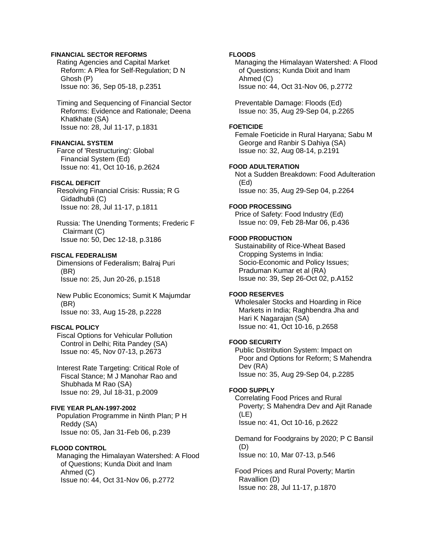### **FINANCIAL SECTOR REFORMS**

 Rating Agencies and Capital Market Reform: A Plea for Self-Regulation; D N Ghosh (P) Issue no: 36, Sep 05-18, p.2351

 Timing and Sequencing of Financial Sector Reforms: Evidence and Rationale; Deena Khatkhate (SA) Issue no: 28, Jul 11-17, p.1831

#### **FINANCIAL SYSTEM**

 Farce of 'Restructuring': Global Financial System (Ed) Issue no: 41, Oct 10-16, p.2624

## **FISCAL DEFICIT**

 Resolving Financial Crisis: Russia; R G Gidadhubli (C) Issue no: 28, Jul 11-17, p.1811

 Russia: The Unending Torments; Frederic F Clairmant (C) Issue no: 50, Dec 12-18, p.3186

#### **FISCAL FEDERALISM**

 Dimensions of Federalism; Balraj Puri (BR) Issue no: 25, Jun 20-26, p.1518

 New Public Economics; Sumit K Majumdar (BR) Issue no: 33, Aug 15-28, p.2228

# **FISCAL POLICY**

 Fiscal Options for Vehicular Pollution Control in Delhi; Rita Pandey (SA) Issue no: 45, Nov 07-13, p.2673

 Interest Rate Targeting: Critical Role of Fiscal Stance; M J Manohar Rao and Shubhada M Rao (SA) Issue no: 29, Jul 18-31, p.2009

# **FIVE YEAR PLAN-1997-2002**

 Population Programme in Ninth Plan; P H Reddy (SA) Issue no: 05, Jan 31-Feb 06, p.239

#### **FLOOD CONTROL**

 Managing the Himalayan Watershed: A Flood of Questions; Kunda Dixit and Inam Ahmed (C) Issue no: 44, Oct 31-Nov 06, p.2772

## **FLOODS**

 Managing the Himalayan Watershed: A Flood of Questions; Kunda Dixit and Inam Ahmed (C) Issue no: 44, Oct 31-Nov 06, p.2772

 Preventable Damage: Floods (Ed) Issue no: 35, Aug 29-Sep 04, p.2265

#### **FOETICIDE**

 Female Foeticide in Rural Haryana; Sabu M George and Ranbir S Dahiya (SA) Issue no: 32, Aug 08-14, p.2191

# **FOOD ADULTERATION**

 Not a Sudden Breakdown: Food Adulteration (Ed) Issue no: 35, Aug 29-Sep 04, p.2264

### **FOOD PROCESSING**

 Price of Safety: Food Industry (Ed) Issue no: 09, Feb 28-Mar 06, p.436

## **FOOD PRODUCTION**

 Sustainability of Rice-Wheat Based Cropping Systems in India: Socio-Economic and Policy Issues; Praduman Kumar et al (RA) Issue no: 39, Sep 26-Oct 02, p.A152

#### **FOOD RESERVES**

 Wholesaler Stocks and Hoarding in Rice Markets in India; Raghbendra Jha and Hari K Nagarajan (SA) Issue no: 41, Oct 10-16, p.2658

# **FOOD SECURITY**

 Public Distribution System: Impact on Poor and Options for Reform; S Mahendra Dev (RA) Issue no: 35, Aug 29-Sep 04, p.2285

#### **FOOD SUPPLY**

 Correlating Food Prices and Rural Poverty; S Mahendra Dev and Ajit Ranade (LE) Issue no: 41, Oct 10-16, p.2622

 Demand for Foodgrains by 2020; P C Bansil (D) Issue no: 10, Mar 07-13, p.546

 Food Prices and Rural Poverty; Martin Ravallion (D) Issue no: 28, Jul 11-17, p.1870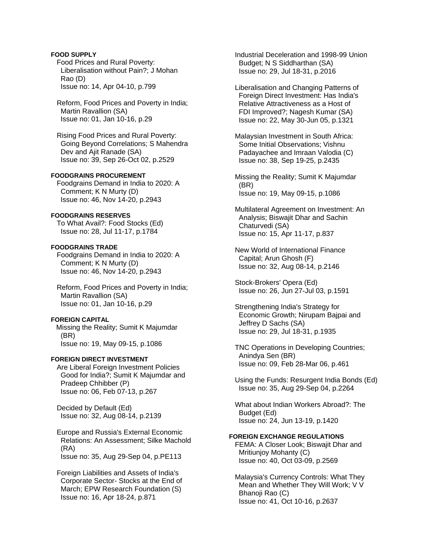### **FOOD SUPPLY**

 Food Prices and Rural Poverty: Liberalisation without Pain?; J Mohan Rao (D) Issue no: 14, Apr 04-10, p.799

 Reform, Food Prices and Poverty in India; Martin Ravallion (SA) Issue no: 01, Jan 10-16, p.29

 Rising Food Prices and Rural Poverty: Going Beyond Correlations; S Mahendra Dev and Ajit Ranade (SA) Issue no: 39, Sep 26-Oct 02, p.2529

### **FOODGRAINS PROCUREMENT**

 Foodgrains Demand in India to 2020: A Comment; K N Murty (D) Issue no: 46, Nov 14-20, p.2943

### **FOODGRAINS RESERVES**

 To What Avail?: Food Stocks (Ed) Issue no: 28, Jul 11-17, p.1784

### **FOODGRAINS TRADE**

 Foodgrains Demand in India to 2020: A Comment; K N Murty (D) Issue no: 46, Nov 14-20, p.2943

 Reform, Food Prices and Poverty in India; Martin Ravallion (SA) Issue no: 01, Jan 10-16, p.29

### **FOREIGN CAPITAL**

Missing the Reality; Sumit K Majumdar (BR) Issue no: 19, May 09-15, p.1086

# **FOREIGN DIRECT INVESTMENT**

 Are Liberal Foreign Investment Policies Good for India?; Sumit K Majumdar and Pradeep Chhibber (P) Issue no: 06, Feb 07-13, p.267

 Decided by Default (Ed) Issue no: 32, Aug 08-14, p.2139

 Europe and Russia's External Economic Relations: An Assessment; Silke Machold (RA) Issue no: 35, Aug 29-Sep 04, p.PE113

 Foreign Liabilities and Assets of India's Corporate Sector- Stocks at the End of March; EPW Research Foundation (S) Issue no: 16, Apr 18-24, p.871

 Industrial Deceleration and 1998-99 Union Budget; N S Siddharthan (SA) Issue no: 29, Jul 18-31, p.2016

 Liberalisation and Changing Patterns of Foreign Direct Investment: Has India's Relative Attractiveness as a Host of FDI Improved?; Nagesh Kumar (SA) Issue no: 22, May 30-Jun 05, p.1321

 Malaysian Investment in South Africa: Some Initial Observations; Vishnu Padayachee and Imraan Valodia (C) Issue no: 38, Sep 19-25, p.2435

 Missing the Reality; Sumit K Majumdar (BR) Issue no: 19, May 09-15, p.1086

 Multilateral Agreement on Investment: An Analysis; Biswajit Dhar and Sachin Chaturvedi (SA) Issue no: 15, Apr 11-17, p.837

 New World of International Finance Capital; Arun Ghosh (F) Issue no: 32, Aug 08-14, p.2146

 Stock-Brokers' Opera (Ed) Issue no: 26, Jun 27-Jul 03, p.1591

 Strengthening India's Strategy for Economic Growth; Nirupam Bajpai and Jeffrey D Sachs (SA) Issue no: 29, Jul 18-31, p.1935

 TNC Operations in Developing Countries; Anindya Sen (BR) Issue no: 09, Feb 28-Mar 06, p.461

 Using the Funds: Resurgent India Bonds (Ed) Issue no: 35, Aug 29-Sep 04, p.2264

 What about Indian Workers Abroad?: The Budget (Ed) Issue no: 24, Jun 13-19, p.1420

### **FOREIGN EXCHANGE REGULATIONS**

 FEMA: A Closer Look; Biswajit Dhar and Mritiunjoy Mohanty (C) Issue no: 40, Oct 03-09, p.2569

 Malaysia's Currency Controls: What They Mean and Whether They Will Work; V V Bhanoji Rao (C) Issue no: 41, Oct 10-16, p.2637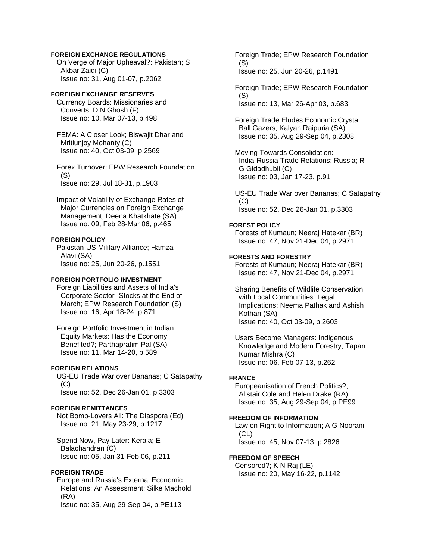## **FOREIGN EXCHANGE REGULATIONS**

 On Verge of Major Upheaval?: Pakistan; S Akbar Zaidi (C) Issue no: 31, Aug 01-07, p.2062

### **FOREIGN EXCHANGE RESERVES**

 Currency Boards: Missionaries and Converts; D N Ghosh (F) Issue no: 10, Mar 07-13, p.498

 FEMA: A Closer Look; Biswajit Dhar and Mritiunjoy Mohanty (C) Issue no: 40, Oct 03-09, p.2569

 Forex Turnover; EPW Research Foundation (S) Issue no: 29, Jul 18-31, p.1903

 Impact of Volatility of Exchange Rates of Major Currencies on Foreign Exchange Management; Deena Khatkhate (SA) Issue no: 09, Feb 28-Mar 06, p.465

#### **FOREIGN POLICY**

 Pakistan-US Military Alliance; Hamza Alavi (SA) Issue no: 25, Jun 20-26, p.1551

## **FOREIGN PORTFOLIO INVESTMENT**

 Foreign Liabilities and Assets of India's Corporate Sector- Stocks at the End of March; EPW Research Foundation (S) Issue no: 16, Apr 18-24, p.871

 Foreign Portfolio Investment in Indian Equity Markets: Has the Economy Benefited?; Parthapratim Pal (SA) Issue no: 11, Mar 14-20, p.589

#### **FOREIGN RELATIONS**

 US-EU Trade War over Bananas; C Satapathy  $(C)$ Issue no: 52, Dec 26-Jan 01, p.3303

# **FOREIGN REMITTANCES**

 Not Bomb-Lovers All: The Diaspora (Ed) Issue no: 21, May 23-29, p.1217

 Spend Now, Pay Later: Kerala; E Balachandran (C) Issue no: 05, Jan 31-Feb 06, p.211

#### **FOREIGN TRADE**

 Europe and Russia's External Economic Relations: An Assessment; Silke Machold (RA) Issue no: 35, Aug 29-Sep 04, p.PE113

 Foreign Trade; EPW Research Foundation (S) Issue no: 25, Jun 20-26, p.1491

 Foreign Trade; EPW Research Foundation (S) Issue no: 13, Mar 26-Apr 03, p.683

 Foreign Trade Eludes Economic Crystal Ball Gazers; Kalyan Raipuria (SA) Issue no: 35, Aug 29-Sep 04, p.2308

 Moving Towards Consolidation: India-Russia Trade Relations: Russia; R G Gidadhubli (C) Issue no: 03, Jan 17-23, p.91

 US-EU Trade War over Bananas; C Satapathy  $(C)$ Issue no: 52, Dec 26-Jan 01, p.3303

# **FOREST POLICY**

 Forests of Kumaun; Neeraj Hatekar (BR) Issue no: 47, Nov 21-Dec 04, p.2971

**FORESTS AND FORESTRY**  Forests of Kumaun; Neeraj Hatekar (BR) Issue no: 47, Nov 21-Dec 04, p.2971

 Sharing Benefits of Wildlife Conservation with Local Communities: Legal Implications; Neema Pathak and Ashish Kothari (SA) Issue no: 40, Oct 03-09, p.2603

 Users Become Managers: Indigenous Knowledge and Modern Forestry; Tapan Kumar Mishra (C) Issue no: 06, Feb 07-13, p.262

### **FRANCE**

 Europeanisation of French Politics?; Alistair Cole and Helen Drake (RA) Issue no: 35, Aug 29-Sep 04, p.PE99

# **FREEDOM OF INFORMATION**

 Law on Right to Information; A G Noorani (CL) Issue no: 45, Nov 07-13, p.2826

#### **FREEDOM OF SPEECH**

 Censored?; K N Raj (LE) Issue no: 20, May 16-22, p.1142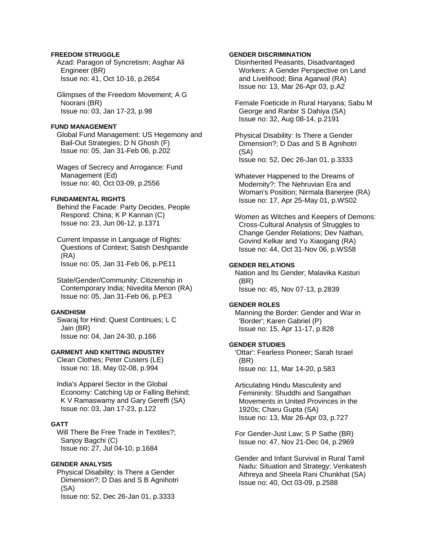## **FREEDOM STRUGGLE**

 Azad: Paragon of Syncretism; Asghar Ali Engineer (BR) Issue no: 41, Oct 10-16, p.2654

 Glimpses of the Freedom Movement; A G Noorani (BR) Issue no: 03, Jan 17-23, p.98

#### **FUND MANAGEMENT**

 Global Fund Management: US Hegemony and Bail-Out Strategies; D N Ghosh (F) Issue no: 05, Jan 31-Feb 06, p.202

 Wages of Secrecy and Arrogance: Fund Management (Ed) Issue no: 40, Oct 03-09, p.2556

### **FUNDAMENTAL RIGHTS**

 Behind the Facade: Party Decides, People Respond: China; K P Kannan (C) Issue no: 23, Jun 06-12, p.1371

 Current Impasse in Language of Rights: Questions of Context; Satish Deshpande (RA) Issue no: 05, Jan 31-Feb 06, p.PE11

 State/Gender/Community: Citizenship in Contemporary India; Nivedita Menon (RA) Issue no: 05, Jan 31-Feb 06, p.PE3

### **GANDHISM**

 Swaraj for Hind: Quest Continues; L C Jain (BR) Issue no: 04, Jan 24-30, p.166

# **GARMENT AND KNITTING INDUSTRY**

 Clean Clothes; Peter Custers (LE) Issue no: 18, May 02-08, p.994

 India's Apparel Sector in the Global Economy: Catching Up or Falling Behind; K V Ramaswamy and Gary Gereffi (SA) Issue no: 03, Jan 17-23, p.122

# **GATT**

 Will There Be Free Trade in Textiles?; Sanjoy Bagchi (C) Issue no: 27, Jul 04-10, p.1684

### **GENDER ANALYSIS**

 Physical Disability: Is There a Gender Dimension?; D Das and S B Agnihotri (SA) Issue no: 52, Dec 26-Jan 01, p.3333

### **GENDER DISCRIMINATION**

 Disinherited Peasants, Disadvantaged Workers: A Gender Perspective on Land and Livelihood; Bina Agarwal (RA) Issue no: 13, Mar 26-Apr 03, p.A2

 Female Foeticide in Rural Haryana; Sabu M George and Ranbir S Dahiya (SA) Issue no: 32, Aug 08-14, p.2191

 Physical Disability: Is There a Gender Dimension?; D Das and S B Agnihotri (SA) Issue no: 52, Dec 26-Jan 01, p.3333

 Whatever Happened to the Dreams of Modernity?: The Nehruvian Era and Woman's Position; Nirmala Banerjee (RA) Issue no: 17, Apr 25-May 01, p.WS02

 Women as Witches and Keepers of Demons: Cross-Cultural Analysis of Struggles to Change Gender Relations; Dev Nathan, Govind Kelkar and Yu Xiaogang (RA) Issue no: 44, Oct 31-Nov 06, p.WS58

### **GENDER RELATIONS**

 Nation and Its Gender; Malavika Kasturi (BR) Issue no: 45, Nov 07-13, p.2839

### **GENDER ROLES**

 Manning the Border: Gender and War in 'Border'; Karen Gabriel (P) Issue no: 15, Apr 11-17, p.828

### **GENDER STUDIES**

 'Ottar': Fearless Pioneer; Sarah Israel (BR) Issue no: 11, Mar 14-20, p.583

 Articulating Hindu Masculinity and Femininity: Shuddhi and Sangathan Movements in United Provinces in the 1920s; Charu Gupta (SA) Issue no: 13, Mar 26-Apr 03, p.727

 For Gender-Just Law; S P Sathe (BR) Issue no: 47, Nov 21-Dec 04, p.2969

 Gender and Infant Survival in Rural Tamil Nadu: Situation and Strategy; Venkatesh Athreya and Sheela Rani Chunkhat (SA) Issue no: 40, Oct 03-09, p.2588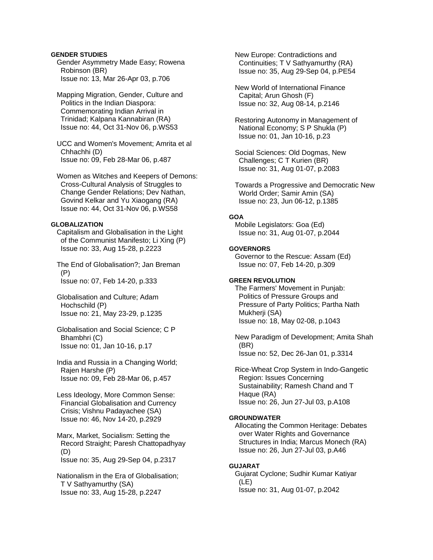## **GENDER STUDIES**

 Gender Asymmetry Made Easy; Rowena Robinson (BR) Issue no: 13, Mar 26-Apr 03, p.706

 Mapping Migration, Gender, Culture and Politics in the Indian Diaspora: Commemorating Indian Arrival in Trinidad; Kalpana Kannabiran (RA) Issue no: 44, Oct 31-Nov 06, p.WS53

 UCC and Women's Movement; Amrita et al Chhachhi (D) Issue no: 09, Feb 28-Mar 06, p.487

 Women as Witches and Keepers of Demons: Cross-Cultural Analysis of Struggles to Change Gender Relations; Dev Nathan, Govind Kelkar and Yu Xiaogang (RA) Issue no: 44, Oct 31-Nov 06, p.WS58

#### **GLOBALIZATION**

 Capitalism and Globalisation in the Light of the Communist Manifesto; Li Xing (P) Issue no: 33, Aug 15-28, p.2223

 The End of Globalisation?; Jan Breman (P) Issue no: 07, Feb 14-20, p.333

 Globalisation and Culture; Adam Hochschild (P) Issue no: 21, May 23-29, p.1235

- Globalisation and Social Science; C P Bhambhri (C) Issue no: 01, Jan 10-16, p.17
- India and Russia in a Changing World; Rajen Harshe (P) Issue no: 09, Feb 28-Mar 06, p.457

 Less Ideology, More Common Sense: Financial Globalisation and Currency Crisis; Vishnu Padayachee (SA) Issue no: 46, Nov 14-20, p.2929

 Marx, Market, Socialism: Setting the Record Straight; Paresh Chattopadhyay (D) Issue no: 35, Aug 29-Sep 04, p.2317

 Nationalism in the Era of Globalisation; T V Sathyamurthy (SA) Issue no: 33, Aug 15-28, p.2247

 New Europe: Contradictions and Continuities; T V Sathyamurthy (RA) Issue no: 35, Aug 29-Sep 04, p.PE54

 New World of International Finance Capital; Arun Ghosh (F) Issue no: 32, Aug 08-14, p.2146

 Restoring Autonomy in Management of National Economy; S P Shukla (P) Issue no: 01, Jan 10-16, p.23

 Social Sciences: Old Dogmas, New Challenges; C T Kurien (BR) Issue no: 31, Aug 01-07, p.2083

 Towards a Progressive and Democratic New World Order; Samir Amin (SA) Issue no: 23, Jun 06-12, p.1385

# **GOA**

 Mobile Legislators: Goa (Ed) Issue no: 31, Aug 01-07, p.2044

## **GOVERNORS**

 Governor to the Rescue: Assam (Ed) Issue no: 07, Feb 14-20, p.309

#### **GREEN REVOLUTION**

 The Farmers' Movement in Punjab: Politics of Pressure Groups and Pressure of Party Politics; Partha Nath Mukherji (SA) Issue no: 18, May 02-08, p.1043

 New Paradigm of Development; Amita Shah (BR) Issue no: 52, Dec 26-Jan 01, p.3314

 Rice-Wheat Crop System in Indo-Gangetic Region: Issues Concerning Sustainability; Ramesh Chand and T Haque (RA) Issue no: 26, Jun 27-Jul 03, p.A108

## **GROUNDWATER**

 Allocating the Common Heritage: Debates over Water Rights and Governance Structures in India; Marcus Monech (RA) Issue no: 26, Jun 27-Jul 03, p.A46

# **GUJARAT**

 Gujarat Cyclone; Sudhir Kumar Katiyar (LE) Issue no: 31, Aug 01-07, p.2042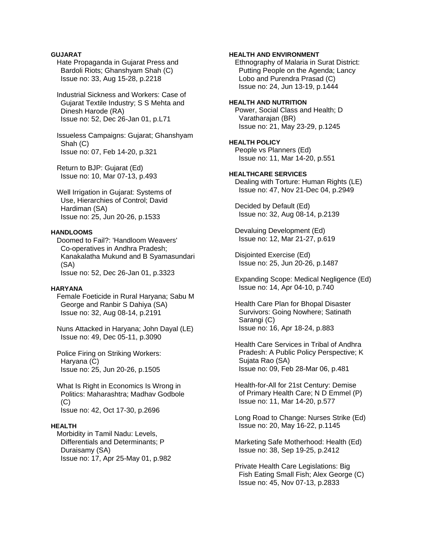**GUJARAT** 

 Hate Propaganda in Gujarat Press and Bardoli Riots; Ghanshyam Shah (C) Issue no: 33, Aug 15-28, p.2218

 Industrial Sickness and Workers: Case of Gujarat Textile Industry; S S Mehta and Dinesh Harode (RA) Issue no: 52, Dec 26-Jan 01, p.L71

 Issueless Campaigns: Gujarat; Ghanshyam Shah (C) Issue no: 07, Feb 14-20, p.321

 Return to BJP: Gujarat (Ed) Issue no: 10, Mar 07-13, p.493

 Well Irrigation in Gujarat: Systems of Use, Hierarchies of Control; David Hardiman (SA) Issue no: 25, Jun 20-26, p.1533

# **HANDLOOMS**

 Doomed to Fail?: 'Handloom Weavers' Co-operatives in Andhra Pradesh; Kanakalatha Mukund and B Syamasundari (SA) Issue no: 52, Dec 26-Jan 01, p.3323

#### **HARYANA**

 Female Foeticide in Rural Haryana; Sabu M George and Ranbir S Dahiya (SA) Issue no: 32, Aug 08-14, p.2191

 Nuns Attacked in Haryana; John Dayal (LE) Issue no: 49, Dec 05-11, p.3090

 Police Firing on Striking Workers: Haryana (C) Issue no: 25, Jun 20-26, p.1505

 What Is Right in Economics Is Wrong in Politics: Maharashtra; Madhav Godbole (C) Issue no: 42, Oct 17-30, p.2696

#### **HEALTH**

 Morbidity in Tamil Nadu: Levels, Differentials and Determinants; P Duraisamy (SA) Issue no: 17, Apr 25-May 01, p.982

### **HEALTH AND ENVIRONMENT**

 Ethnography of Malaria in Surat District: Putting People on the Agenda; Lancy Lobo and Purendra Prasad (C) Issue no: 24, Jun 13-19, p.1444

**HEALTH AND NUTRITION**  Power, Social Class and Health; D Varatharajan (BR) Issue no: 21, May 23-29, p.1245

**HEALTH POLICY**  People vs Planners (Ed) Issue no: 11, Mar 14-20, p.551

# **HEALTHCARE SERVICES**

 Dealing with Torture: Human Rights (LE) Issue no: 47, Nov 21-Dec 04, p.2949

 Decided by Default (Ed) Issue no: 32, Aug 08-14, p.2139

 Devaluing Development (Ed) Issue no: 12, Mar 21-27, p.619

 Disjointed Exercise (Ed) Issue no: 25, Jun 20-26, p.1487

 Expanding Scope: Medical Negligence (Ed) Issue no: 14, Apr 04-10, p.740

 Health Care Plan for Bhopal Disaster Survivors: Going Nowhere; Satinath Sarangi (C) Issue no: 16, Apr 18-24, p.883

 Health Care Services in Tribal of Andhra Pradesh: A Public Policy Perspective; K Sujata Rao (SA) Issue no: 09, Feb 28-Mar 06, p.481

 Health-for-All for 21st Century: Demise of Primary Health Care; N D Emmel (P) Issue no: 11, Mar 14-20, p.577

 Long Road to Change: Nurses Strike (Ed) Issue no: 20, May 16-22, p.1145

 Marketing Safe Motherhood: Health (Ed) Issue no: 38, Sep 19-25, p.2412

 Private Health Care Legislations: Big Fish Eating Small Fish; Alex George (C) Issue no: 45, Nov 07-13, p.2833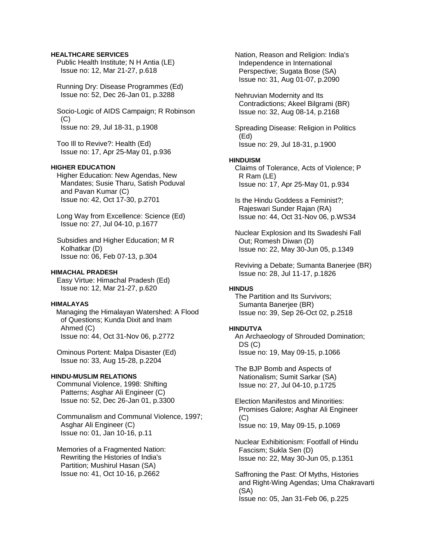### **HEALTHCARE SERVICES**

 Public Health Institute; N H Antia (LE) Issue no: 12, Mar 21-27, p.618

 Running Dry: Disease Programmes (Ed) Issue no: 52, Dec 26-Jan 01, p.3288

 Socio-Logic of AIDS Campaign; R Robinson (C) Issue no: 29, Jul 18-31, p.1908

 Too Ill to Revive?: Health (Ed) Issue no: 17, Apr 25-May 01, p.936

# **HIGHER EDUCATION**

 Higher Education: New Agendas, New Mandates; Susie Tharu, Satish Poduval and Pavan Kumar (C) Issue no: 42, Oct 17-30, p.2701

 Long Way from Excellence: Science (Ed) Issue no: 27, Jul 04-10, p.1677

 Subsidies and Higher Education; M R Kolhatkar (D) Issue no: 06, Feb 07-13, p.304

### **HIMACHAL PRADESH**

 Easy Virtue: Himachal Pradesh (Ed) Issue no: 12, Mar 21-27, p.620

#### **HIMALAYAS**

Managing the Himalayan Watershed: A Flood of Questions; Kunda Dixit and Inam Ahmed (C) Issue no: 44, Oct 31-Nov 06, p.2772

 Ominous Portent: Malpa Disaster (Ed) Issue no: 33, Aug 15-28, p.2204

#### **HINDU-MUSLIM RELATIONS**

 Communal Violence, 1998: Shifting Patterns; Asghar Ali Engineer (C) Issue no: 52, Dec 26-Jan 01, p.3300

 Communalism and Communal Violence, 1997; Asghar Ali Engineer (C) Issue no: 01, Jan 10-16, p.11

 Memories of a Fragmented Nation: Rewriting the Histories of India's Partition; Mushirul Hasan (SA) Issue no: 41, Oct 10-16, p.2662

 Nation, Reason and Religion: India's Independence in International Perspective; Sugata Bose (SA) Issue no: 31, Aug 01-07, p.2090

 Nehruvian Modernity and Its Contradictions; Akeel Bilgrami (BR) Issue no: 32, Aug 08-14, p.2168

 Spreading Disease: Religion in Politics (Ed) Issue no: 29, Jul 18-31, p.1900

#### **HINDUISM**

 Claims of Tolerance, Acts of Violence; P R Ram (LE) Issue no: 17, Apr 25-May 01, p.934

 Is the Hindu Goddess a Feminist?; Rajeswari Sunder Rajan (RA) Issue no: 44, Oct 31-Nov 06, p.WS34

 Nuclear Explosion and Its Swadeshi Fall Out; Romesh Diwan (D) Issue no: 22, May 30-Jun 05, p.1349

 Reviving a Debate; Sumanta Banerjee (BR) Issue no: 28, Jul 11-17, p.1826

## **HINDUS**

 The Partition and Its Survivors; Sumanta Baneriee (BR) Issue no: 39, Sep 26-Oct 02, p.2518

#### **HINDUTVA**

 An Archaeology of Shrouded Domination; DS (C) Issue no: 19, May 09-15, p.1066

 The BJP Bomb and Aspects of Nationalism; Sumit Sarkar (SA) Issue no: 27, Jul 04-10, p.1725

 Election Manifestos and Minorities: Promises Galore; Asghar Ali Engineer (C) Issue no: 19, May 09-15, p.1069

 Nuclear Exhibitionism: Footfall of Hindu Fascism; Sukla Sen (D) Issue no: 22, May 30-Jun 05, p.1351

 Saffroning the Past: Of Myths, Histories and Right-Wing Agendas; Uma Chakravarti (SA) Issue no: 05, Jan 31-Feb 06, p.225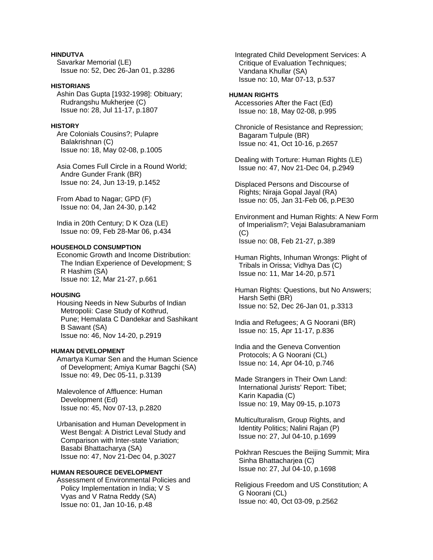# **HINDUTVA**

 Savarkar Memorial (LE) Issue no: 52, Dec 26-Jan 01, p.3286

# **HISTORIANS**

 Ashin Das Gupta [1932-1998]: Obituary; Rudrangshu Mukherjee (C) Issue no: 28, Jul 11-17, p.1807

# **HISTORY**

 Are Colonials Cousins?; Pulapre Balakrishnan (C) Issue no: 18, May 02-08, p.1005

 Asia Comes Full Circle in a Round World; Andre Gunder Frank (BR) Issue no: 24, Jun 13-19, p.1452

 From Abad to Nagar; GPD (F) Issue no: 04, Jan 24-30, p.142

 India in 20th Century; D K Oza (LE) Issue no: 09, Feb 28-Mar 06, p.434

## **HOUSEHOLD CONSUMPTION**

 Economic Growth and Income Distribution: The Indian Experience of Development; S R Hashim (SA) Issue no: 12, Mar 21-27, p.661

## **HOUSING**

 Housing Needs in New Suburbs of Indian Metropolii: Case Study of Kothrud, Pune; Hemalata C Dandekar and Sashikant B Sawant (SA) Issue no: 46, Nov 14-20, p.2919

### **HUMAN DEVELOPMENT**

 Amartya Kumar Sen and the Human Science of Development; Amiya Kumar Bagchi (SA) Issue no: 49, Dec 05-11, p.3139

 Malevolence of Affluence: Human Development (Ed) Issue no: 45, Nov 07-13, p.2820

 Urbanisation and Human Development in West Bengal: A District Leval Study and Comparison with Inter-state Variation; Basabi Bhattacharya (SA) Issue no: 47, Nov 21-Dec 04, p.3027

# **HUMAN RESOURCE DEVELOPMENT**

 Assessment of Environmental Policies and Policy Implementation in India; V S Vyas and V Ratna Reddy (SA) Issue no: 01, Jan 10-16, p.48

 Integrated Child Development Services: A Critique of Evaluation Techniques; Vandana Khullar (SA) Issue no: 10, Mar 07-13, p.537

#### **HUMAN RIGHTS**

 Accessories After the Fact (Ed) Issue no: 18, May 02-08, p.995

 Chronicle of Resistance and Repression; Bagaram Tulpule (BR) Issue no: 41, Oct 10-16, p.2657

 Dealing with Torture: Human Rights (LE) Issue no: 47, Nov 21-Dec 04, p.2949

 Displaced Persons and Discourse of Rights; Niraja Gopal Jayal (RA) Issue no: 05, Jan 31-Feb 06, p.PE30

 Environment and Human Rights: A New Form of Imperialism?; Vejai Balasubramaniam  $(C)$ Issue no: 08, Feb 21-27, p.389

 Human Rights, Inhuman Wrongs: Plight of Tribals in Orissa; Vidhya Das (C) Issue no: 11, Mar 14-20, p.571

 Human Rights: Questions, but No Answers; Harsh Sethi (BR) Issue no: 52, Dec 26-Jan 01, p.3313

 India and Refugees; A G Noorani (BR) Issue no: 15, Apr 11-17, p.836

 India and the Geneva Convention Protocols; A G Noorani (CL) Issue no: 14, Apr 04-10, p.746

 Made Strangers in Their Own Land: International Jurists' Report: Tibet; Karin Kapadia (C) Issue no: 19, May 09-15, p.1073

 Multiculturalism, Group Rights, and Identity Politics; Nalini Rajan (P) Issue no: 27, Jul 04-10, p.1699

 Pokhran Rescues the Beijing Summit; Mira Sinha Bhattacharjea (C) Issue no: 27, Jul 04-10, p.1698

 Religious Freedom and US Constitution; A G Noorani (CL) Issue no: 40, Oct 03-09, p.2562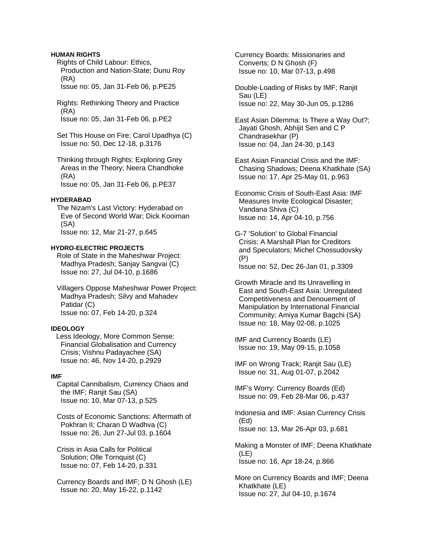## **HUMAN RIGHTS**

 Rights of Child Labour: Ethics, Production and Nation-State; Dunu Roy (RA) Issue no: 05, Jan 31-Feb 06, p.PE25

 Rights: Rethinking Theory and Practice (RA) Issue no: 05, Jan 31-Feb 06, p.PE2

 Set This House on Fire; Carol Upadhya (C) Issue no: 50, Dec 12-18, p.3176

 Thinking through Rights: Exploring Grey Areas in the Theory; Neera Chandhoke (RA) Issue no: 05, Jan 31-Feb 06, p.PE37

#### **HYDERABAD**

 The Nizam's Last Victory: Hyderabad on Eve of Second World War; Dick Kooiman (SA) Issue no: 12, Mar 21-27, p.645

**HYDRO-ELECTRIC PROJECTS** 

 Role of State in the Maheshwar Project: Madhya Pradesh; Sanjay Sangvai (C) Issue no: 27, Jul 04-10, p.1686

 Villagers Oppose Maheshwar Power Project: Madhya Pradesh; Silvy and Mahadev Patidar (C) Issue no: 07, Feb 14-20, p.324

### **IDEOLOGY**

Less Ideology, More Common Sense: Financial Globalisation and Currency Crisis; Vishnu Padayachee (SA) Issue no: 46, Nov 14-20, p.2929

#### **IMF**

 Capital Cannibalism, Currency Chaos and the IMF; Ranjit Sau (SA) Issue no: 10, Mar 07-13, p.525

 Costs of Economic Sanctions: Aftermath of Pokhran II; Charan D Wadhva (C) Issue no: 26, Jun 27-Jul 03, p.1604

 Crisis in Asia Calls for Political Solution; Olle Tornquist (C) Issue no: 07, Feb 14-20, p.331

 Currency Boards and IMF; D N Ghosh (LE) Issue no: 20, May 16-22, p.1142

 Currency Boards: Missionaries and Converts; D N Ghosh (F) Issue no: 10, Mar 07-13, p.498

 Double-Loading of Risks by IMF; Ranjit Sau (LE) Issue no: 22, May 30-Jun 05, p.1286

 East Asian Dilemma: Is There a Way Out?; Jayati Ghosh, Abhijit Sen and C P Chandrasekhar (P) Issue no: 04, Jan 24-30, p.143

 East Asian Financial Crisis and the IMF: Chasing Shadows; Deena Khatkhate (SA) Issue no: 17, Apr 25-May 01, p.963

 Economic Crisis of South-East Asia: IMF Measures Invite Ecological Disaster; Vandana Shiva (C) Issue no: 14, Apr 04-10, p.756

 G-7 'Solution' to Global Financial Crisis: A Marshall Plan for Creditors and Speculators; Michel Chossudovsky (P) Issue no: 52, Dec 26-Jan 01, p.3309

 Growth Miracle and Its Unravelling in East and South-East Asia: Unregulated Competitiveness and Denouement of Manipulation by International Financial Community; Amiya Kumar Bagchi (SA) Issue no: 18, May 02-08, p.1025

 IMF and Currency Boards (LE) Issue no: 19, May 09-15, p.1058

 IMF on Wrong Track; Ranjit Sau (LE) Issue no: 31, Aug 01-07, p.2042

 IMF's Worry: Currency Boards (Ed) Issue no: 09, Feb 28-Mar 06, p.437

 Indonesia and IMF: Asian Currency Crisis (Ed) Issue no: 13, Mar 26-Apr 03, p.681

 Making a Monster of IMF; Deena Khatkhate (LE) Issue no: 16, Apr 18-24, p.866

 More on Currency Boards and IMF; Deena Khatkhate (LE) Issue no: 27, Jul 04-10, p.1674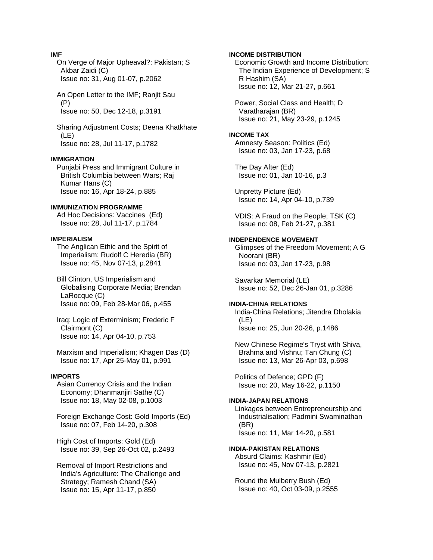## **IMF**

 On Verge of Major Upheaval?: Pakistan; S Akbar Zaidi (C) Issue no: 31, Aug 01-07, p.2062

 An Open Letter to the IMF; Ranjit Sau (P) Issue no: 50, Dec 12-18, p.3191

 Sharing Adjustment Costs; Deena Khatkhate (LE) Issue no: 28, Jul 11-17, p.1782

## **IMMIGRATION**

 Punjabi Press and Immigrant Culture in British Columbia between Wars; Raj Kumar Hans (C) Issue no: 16, Apr 18-24, p.885

### **IMMUNIZATION PROGRAMME**

 Ad Hoc Decisions: Vaccines (Ed) Issue no: 28, Jul 11-17, p.1784

#### **IMPERIALISM**

 The Anglican Ethic and the Spirit of Imperialism; Rudolf C Heredia (BR) Issue no: 45, Nov 07-13, p.2841

 Bill Clinton, US Imperialism and Globalising Corporate Media; Brendan LaRocque (C) Issue no: 09, Feb 28-Mar 06, p.455

 Iraq: Logic of Exterminism; Frederic F Clairmont (C) Issue no: 14, Apr 04-10, p.753

 Marxism and Imperialism; Khagen Das (D) Issue no: 17, Apr 25-May 01, p.991

#### **IMPORTS**

 Asian Currency Crisis and the Indian Economy; Dhanmanjiri Sathe (C) Issue no: 18, May 02-08, p.1003

 Foreign Exchange Cost: Gold Imports (Ed) Issue no: 07, Feb 14-20, p.308

 High Cost of Imports: Gold (Ed) Issue no: 39, Sep 26-Oct 02, p.2493

 Removal of Import Restrictions and India's Agriculture: The Challenge and Strategy; Ramesh Chand (SA) Issue no: 15, Apr 11-17, p.850

#### **INCOME DISTRIBUTION**

 Economic Growth and Income Distribution: The Indian Experience of Development; S R Hashim (SA) Issue no: 12, Mar 21-27, p.661

 Power, Social Class and Health; D Varatharajan (BR) Issue no: 21, May 23-29, p.1245

#### **INCOME TAX**

 Amnesty Season: Politics (Ed) Issue no: 03, Jan 17-23, p.68

 The Day After (Ed) Issue no: 01, Jan 10-16, p.3

 Unpretty Picture (Ed) Issue no: 14, Apr 04-10, p.739

 VDIS: A Fraud on the People; TSK (C) Issue no: 08, Feb 21-27, p.381

#### **INDEPENDENCE MOVEMENT**

 Glimpses of the Freedom Movement; A G Noorani (BR) Issue no: 03, Jan 17-23, p.98

 Savarkar Memorial (LE) Issue no: 52, Dec 26-Jan 01, p.3286

#### **INDIA-CHINA RELATIONS**

 India-China Relations; Jitendra Dholakia (LE) Issue no: 25, Jun 20-26, p.1486

 New Chinese Regime's Tryst with Shiva, Brahma and Vishnu; Tan Chung (C) Issue no: 13, Mar 26-Apr 03, p.698

 Politics of Defence; GPD (F) Issue no: 20, May 16-22, p.1150

#### **INDIA-JAPAN RELATIONS**

 Linkages between Entrepreneurship and Industrialisation; Padmini Swaminathan (BR) Issue no: 11, Mar 14-20, p.581

### **INDIA-PAKISTAN RELATIONS**

 Absurd Claims: Kashmir (Ed) Issue no: 45, Nov 07-13, p.2821

 Round the Mulberry Bush (Ed) Issue no: 40, Oct 03-09, p.2555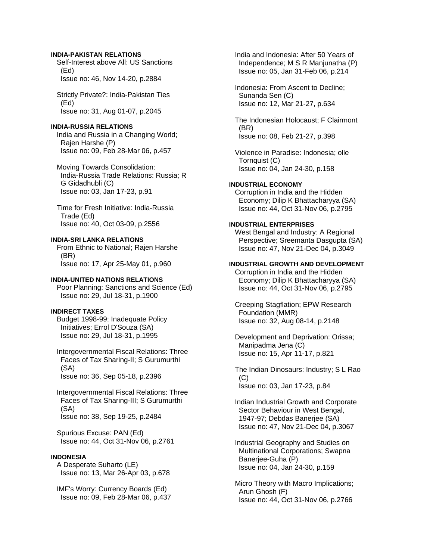### **INDIA-PAKISTAN RELATIONS**

 Self-Interest above All: US Sanctions (Ed) Issue no: 46, Nov 14-20, p.2884

 Strictly Private?: India-Pakistan Ties (Ed) Issue no: 31, Aug 01-07, p.2045

#### **INDIA-RUSSIA RELATIONS**

 India and Russia in a Changing World; Rajen Harshe (P) Issue no: 09, Feb 28-Mar 06, p.457

 Moving Towards Consolidation: India-Russia Trade Relations: Russia; R G Gidadhubli (C) Issue no: 03, Jan 17-23, p.91

 Time for Fresh Initiative: India-Russia Trade (Ed) Issue no: 40, Oct 03-09, p.2556

#### **INDIA-SRI LANKA RELATIONS**

 From Ethnic to National; Rajen Harshe (BR) Issue no: 17, Apr 25-May 01, p.960

#### **INDIA-UNITED NATIONS RELATIONS**

 Poor Planning: Sanctions and Science (Ed) Issue no: 29, Jul 18-31, p.1900

#### **INDIRECT TAXES**

 Budget 1998-99: Inadequate Policy Initiatives; Errol D'Souza (SA) Issue no: 29, Jul 18-31, p.1995

 Intergovernmental Fiscal Relations: Three Faces of Tax Sharing-II; S Gurumurthi (SA) Issue no: 36, Sep 05-18, p.2396

 Intergovernmental Fiscal Relations: Three Faces of Tax Sharing-III; S Gurumurthi (SA) Issue no: 38, Sep 19-25, p.2484

 Spurious Excuse: PAN (Ed) Issue no: 44, Oct 31-Nov 06, p.2761

#### **INDONESIA**

 A Desperate Suharto (LE) Issue no: 13, Mar 26-Apr 03, p.678

 IMF's Worry: Currency Boards (Ed) Issue no: 09, Feb 28-Mar 06, p.437  India and Indonesia: After 50 Years of Independence; M S R Manjunatha (P) Issue no: 05, Jan 31-Feb 06, p.214

 Indonesia: From Ascent to Decline; Sunanda Sen (C) Issue no: 12, Mar 21-27, p.634

 The Indonesian Holocaust; F Clairmont (BR) Issue no: 08, Feb 21-27, p.398

 Violence in Paradise: Indonesia; olle Tornquist (C) Issue no: 04, Jan 24-30, p.158

#### **INDUSTRIAL ECONOMY**

 Corruption in India and the Hidden Economy; Dilip K Bhattacharyya (SA) Issue no: 44, Oct 31-Nov 06, p.2795

#### **INDUSTRIAL ENTERPRISES**

 West Bengal and Industry: A Regional Perspective; Sreemanta Dasgupta (SA) Issue no: 47, Nov 21-Dec 04, p.3049

### **INDUSTRIAL GROWTH AND DEVELOPMENT**

 Corruption in India and the Hidden Economy; Dilip K Bhattacharyya (SA) Issue no: 44, Oct 31-Nov 06, p.2795

 Creeping Stagflation; EPW Research Foundation (MMR) Issue no: 32, Aug 08-14, p.2148

 Development and Deprivation: Orissa; Manipadma Jena (C) Issue no: 15, Apr 11-17, p.821

 The Indian Dinosaurs: Industry; S L Rao  $(C)$ Issue no: 03, Jan 17-23, p.84

 Indian Industrial Growth and Corporate Sector Behaviour in West Bengal, 1947-97; Debdas Banerjee (SA) Issue no: 47, Nov 21-Dec 04, p.3067

 Industrial Geography and Studies on Multinational Corporations; Swapna Banerjee-Guha (P) Issue no: 04, Jan 24-30, p.159

 Micro Theory with Macro Implications; Arun Ghosh (F) Issue no: 44, Oct 31-Nov 06, p.2766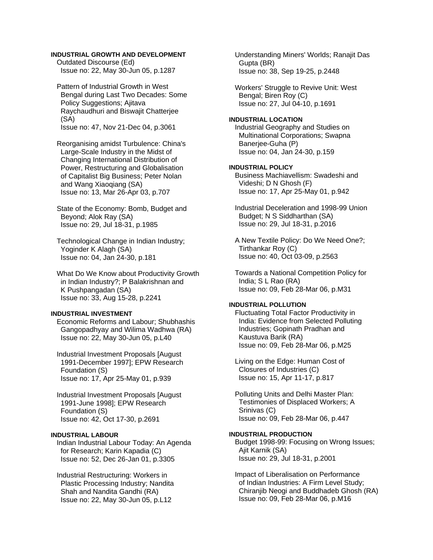# **INDUSTRIAL GROWTH AND DEVELOPMENT**

 Outdated Discourse (Ed) Issue no: 22, May 30-Jun 05, p.1287

 Pattern of Industrial Growth in West Bengal during Last Two Decades: Some Policy Suggestions; Ajitava Raychaudhuri and Biswajit Chatterjee (SA) Issue no: 47, Nov 21-Dec 04, p.3061

 Reorganising amidst Turbulence: China's Large-Scale Industry in the Midst of Changing International Distribution of Power, Restructuring and Globalisation of Capitalist Big Business; Peter Nolan and Wang Xiaoqiang (SA) Issue no: 13, Mar 26-Apr 03, p.707

 State of the Economy: Bomb, Budget and Beyond; Alok Ray (SA) Issue no: 29, Jul 18-31, p.1985

 Technological Change in Indian Industry; Yoginder K Alagh (SA) Issue no: 04, Jan 24-30, p.181

 What Do We Know about Productivity Growth in Indian Industry?; P Balakrishnan and K Pushpangadan (SA) Issue no: 33, Aug 15-28, p.2241

#### **INDUSTRIAL INVESTMENT**

 Economic Reforms and Labour; Shubhashis Gangopadhyay and Wilima Wadhwa (RA) Issue no: 22, May 30-Jun 05, p.L40

 Industrial Investment Proposals [August 1991-December 1997]; EPW Research Foundation (S) Issue no: 17, Apr 25-May 01, p.939

 Industrial Investment Proposals [August 1991-June 1998]; EPW Research Foundation (S) Issue no: 42, Oct 17-30, p.2691

## **INDUSTRIAL LABOUR**

 Indian Industrial Labour Today: An Agenda for Research; Karin Kapadia (C) Issue no: 52, Dec 26-Jan 01, p.3305

 Industrial Restructuring: Workers in Plastic Processing Industry; Nandita Shah and Nandita Gandhi (RA) Issue no: 22, May 30-Jun 05, p.L12

 Understanding Miners' Worlds; Ranajit Das Gupta (BR) Issue no: 38, Sep 19-25, p.2448

 Workers' Struggle to Revive Unit: West Bengal; Biren Roy (C) Issue no: 27, Jul 04-10, p.1691

#### **INDUSTRIAL LOCATION**

 Industrial Geography and Studies on Multinational Corporations; Swapna Banerjee-Guha (P) Issue no: 04, Jan 24-30, p.159

# **INDUSTRIAL POLICY**

 Business Machiavellism: Swadeshi and Videshi; D N Ghosh (F) Issue no: 17, Apr 25-May 01, p.942

 Industrial Deceleration and 1998-99 Union Budget; N S Siddharthan (SA) Issue no: 29, Jul 18-31, p.2016

 A New Textile Policy: Do We Need One?; Tirthankar Roy (C) Issue no: 40, Oct 03-09, p.2563

 Towards a National Competition Policy for India; S L Rao (RA) Issue no: 09, Feb 28-Mar 06, p.M31

### **INDUSTRIAL POLLUTION**

 Fluctuating Total Factor Productivity in India: Evidence from Selected Polluting Industries; Gopinath Pradhan and Kaustuva Barik (RA) Issue no: 09, Feb 28-Mar 06, p.M25

 Living on the Edge: Human Cost of Closures of Industries (C) Issue no: 15, Apr 11-17, p.817

 Polluting Units and Delhi Master Plan: Testimonies of Displaced Workers; A Srinivas (C) Issue no: 09, Feb 28-Mar 06, p.447

#### **INDUSTRIAL PRODUCTION**

 Budget 1998-99: Focusing on Wrong Issues; Ajit Karnik (SA) Issue no: 29, Jul 18-31, p.2001

 Impact of Liberalisation on Performance of Indian Industries: A Firm Level Study; Chiranjib Neogi and Buddhadeb Ghosh (RA) Issue no: 09, Feb 28-Mar 06, p.M16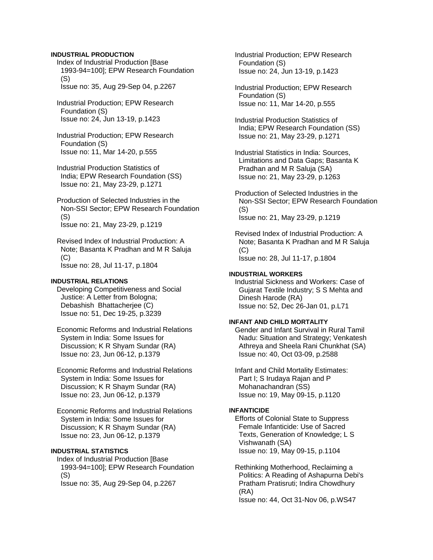### **INDUSTRIAL PRODUCTION**

 Index of Industrial Production [Base 1993-94=100]; EPW Research Foundation (S) Issue no: 35, Aug 29-Sep 04, p.2267

 Industrial Production; EPW Research Foundation (S) Issue no: 24, Jun 13-19, p.1423

 Industrial Production; EPW Research Foundation (S) Issue no: 11, Mar 14-20, p.555

 Industrial Production Statistics of India; EPW Research Foundation (SS) Issue no: 21, May 23-29, p.1271

 Production of Selected Industries in the Non-SSI Sector; EPW Research Foundation (S) Issue no: 21, May 23-29, p.1219

 Revised Index of Industrial Production: A Note; Basanta K Pradhan and M R Saluja  $(C)$ Issue no: 28, Jul 11-17, p.1804

#### **INDUSTRIAL RELATIONS**

 Developing Competitiveness and Social Justice: A Letter from Bologna; Debashish Bhattacherjee (C) Issue no: 51, Dec 19-25, p.3239

 Economic Reforms and Industrial Relations System in India: Some Issues for Discussion; K R Shyam Sundar (RA) Issue no: 23, Jun 06-12, p.1379

 Economic Reforms and Industrial Relations System in India: Some Issues for Discussion; K R Shaym Sundar (RA) Issue no: 23, Jun 06-12, p.1379

 Economic Reforms and Industrial Relations System in India: Some Issues for Discussion; K R Shaym Sundar (RA) Issue no: 23, Jun 06-12, p.1379

# **INDUSTRIAL STATISTICS**

 Index of Industrial Production [Base 1993-94=100]; EPW Research Foundation (S) Issue no: 35, Aug 29-Sep 04, p.2267

 Industrial Production; EPW Research Foundation (S) Issue no: 24, Jun 13-19, p.1423

 Industrial Production; EPW Research Foundation (S) Issue no: 11, Mar 14-20, p.555

 Industrial Production Statistics of India; EPW Research Foundation (SS) Issue no: 21, May 23-29, p.1271

 Industrial Statistics in India: Sources, Limitations and Data Gaps; Basanta K Pradhan and M R Saluja (SA) Issue no: 21, May 23-29, p.1263

 Production of Selected Industries in the Non-SSI Sector; EPW Research Foundation (S) Issue no: 21, May 23-29, p.1219

 Revised Index of Industrial Production: A Note; Basanta K Pradhan and M R Saluja  $(C)$ Issue no: 28, Jul 11-17, p.1804

### **INDUSTRIAL WORKERS**

 Industrial Sickness and Workers: Case of Gujarat Textile Industry; S S Mehta and Dinesh Harode (RA) Issue no: 52, Dec 26-Jan 01, p.L71

### **INFANT AND CHILD MORTALITY**

 Gender and Infant Survival in Rural Tamil Nadu: Situation and Strategy; Venkatesh Athreya and Sheela Rani Chunkhat (SA) Issue no: 40, Oct 03-09, p.2588

 Infant and Child Mortality Estimates: Part I; S Irudaya Rajan and P Mohanachandran (SS) Issue no: 19, May 09-15, p.1120

#### **INFANTICIDE**

 Efforts of Colonial State to Suppress Female Infanticide: Use of Sacred Texts, Generation of Knowledge; L S Vishwanath (SA) Issue no: 19, May 09-15, p.1104

 Rethinking Motherhood, Reclaiming a Politics: A Reading of Ashapurna Debi's Pratham Pratisruti; Indira Chowdhury (RA)

Issue no: 44, Oct 31-Nov 06, p.WS47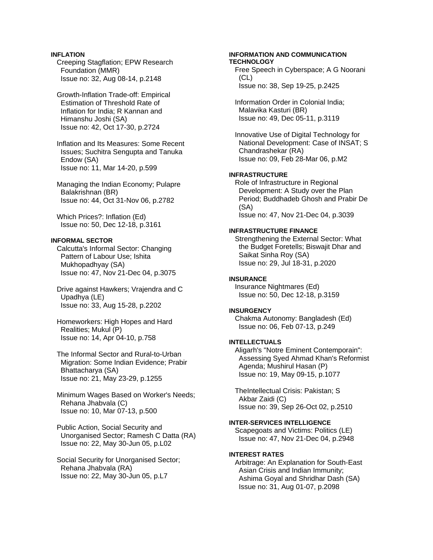### **INFLATION**  Creeping Stagflation; EPW Research Foundation (MMR) Issue no: 32, Aug 08-14, p.2148

 Growth-Inflation Trade-off: Empirical Estimation of Threshold Rate of Inflation for India; R Kannan and Himanshu Joshi (SA) Issue no: 42, Oct 17-30, p.2724

 Inflation and Its Measures: Some Recent Issues; Suchitra Sengupta and Tanuka Endow (SA) Issue no: 11, Mar 14-20, p.599

 Managing the Indian Economy; Pulapre Balakrishnan (BR) Issue no: 44, Oct 31-Nov 06, p.2782

 Which Prices?: Inflation (Ed) Issue no: 50, Dec 12-18, p.3161

### **INFORMAL SECTOR**

 Calcutta's Informal Sector: Changing Pattern of Labour Use; Ishita Mukhopadhyay (SA) Issue no: 47, Nov 21-Dec 04, p.3075

 Drive against Hawkers; Vrajendra and C Upadhya (LE) Issue no: 33, Aug 15-28, p.2202

 Homeworkers: High Hopes and Hard Realities; Mukul (P) Issue no: 14, Apr 04-10, p.758

 The Informal Sector and Rural-to-Urban Migration: Some Indian Evidence; Prabir Bhattacharya (SA) Issue no: 21, May 23-29, p.1255

 Minimum Wages Based on Worker's Needs; Rehana Jhabvala (C) Issue no: 10, Mar 07-13, p.500

 Public Action, Social Security and Unorganised Sector; Ramesh C Datta (RA) Issue no: 22, May 30-Jun 05, p.L02

 Social Security for Unorganised Sector; Rehana Jhabvala (RA) Issue no: 22, May 30-Jun 05, p.L7

#### **INFORMATION AND COMMUNICATION TECHNOLOGY**

 Free Speech in Cyberspace; A G Noorani (CL) Issue no: 38, Sep 19-25, p.2425

 Information Order in Colonial India; Malavika Kasturi (BR) Issue no: 49, Dec 05-11, p.3119

 Innovative Use of Digital Technology for National Development: Case of INSAT; S Chandrashekar (RA) Issue no: 09, Feb 28-Mar 06, p.M2

### **INFRASTRUCTURE**

 Role of Infrastructure in Regional Development: A Study over the Plan Period; Buddhadeb Ghosh and Prabir De (SA) Issue no: 47, Nov 21-Dec 04, p.3039

# **INFRASTRUCTURE FINANCE**

 Strengthening the External Sector: What the Budget Foretells; Biswajit Dhar and Saikat Sinha Roy (SA) Issue no: 29, Jul 18-31, p.2020

#### **INSURANCE**

 Insurance Nightmares (Ed) Issue no: 50, Dec 12-18, p.3159

#### **INSURGENCY**

 Chakma Autonomy: Bangladesh (Ed) Issue no: 06, Feb 07-13, p.249

# **INTELLECTUALS**

 Aligarh's "Notre Eminent Contemporain": Assessing Syed Ahmad Khan's Reformist Agenda; Mushirul Hasan (P) Issue no: 19, May 09-15, p.1077

 TheIntellectual Crisis: Pakistan; S Akbar Zaidi (C) Issue no: 39, Sep 26-Oct 02, p.2510

# **INTER-SERVICES INTELLIGENCE**

 Scapegoats and Victims: Politics (LE) Issue no: 47, Nov 21-Dec 04, p.2948

### **INTEREST RATES**

 Arbitrage: An Explanation for South-East Asian Crisis and Indian Immunity; Ashima Goyal and Shridhar Dash (SA) Issue no: 31, Aug 01-07, p.2098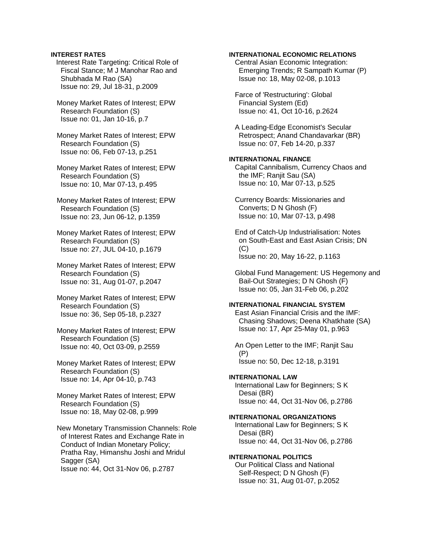### **INTEREST RATES**

Interest Rate Targeting: Critical Role of Fiscal Stance; M J Manohar Rao and Shubhada M Rao (SA) Issue no: 29, Jul 18-31, p.2009

 Money Market Rates of Interest; EPW Research Foundation (S) Issue no: 01, Jan 10-16, p.7

 Money Market Rates of Interest; EPW Research Foundation (S) Issue no: 06, Feb 07-13, p.251

 Money Market Rates of Interest; EPW Research Foundation (S) Issue no: 10, Mar 07-13, p.495

 Money Market Rates of Interest; EPW Research Foundation (S) Issue no: 23, Jun 06-12, p.1359

 Money Market Rates of Interest; EPW Research Foundation (S) Issue no: 27, JUL 04-10, p.1679

 Money Market Rates of Interest; EPW Research Foundation (S) Issue no: 31, Aug 01-07, p.2047

 Money Market Rates of Interest; EPW Research Foundation (S) Issue no: 36, Sep 05-18, p.2327

 Money Market Rates of Interest; EPW Research Foundation (S) Issue no: 40, Oct 03-09, p.2559

 Money Market Rates of Interest; EPW Research Foundation (S) Issue no: 14, Apr 04-10, p.743

 Money Market Rates of Interest; EPW Research Foundation (S) Issue no: 18, May 02-08, p.999

 New Monetary Transmission Channels: Role of Interest Rates and Exchange Rate in Conduct of Indian Monetary Policy; Pratha Ray, Himanshu Joshi and Mridul Sagger (SA) Issue no: 44, Oct 31-Nov 06, p.2787

# **INTERNATIONAL ECONOMIC RELATIONS**

 Central Asian Economic Integration: Emerging Trends; R Sampath Kumar (P) Issue no: 18, May 02-08, p.1013

 Farce of 'Restructuring': Global Financial System (Ed) Issue no: 41, Oct 10-16, p.2624

 A Leading-Edge Economist's Secular Retrospect; Anand Chandavarkar (BR) Issue no: 07, Feb 14-20, p.337

### **INTERNATIONAL FINANCE**

 Capital Cannibalism, Currency Chaos and the IMF; Ranjit Sau (SA) Issue no: 10, Mar 07-13, p.525

 Currency Boards: Missionaries and Converts; D N Ghosh (F) Issue no: 10, Mar 07-13, p.498

 End of Catch-Up Industrialisation: Notes on South-East and East Asian Crisis; DN  $(C)$ Issue no: 20, May 16-22, p.1163

 Global Fund Management: US Hegemony and Bail-Out Strategies; D N Ghosh (F) Issue no: 05, Jan 31-Feb 06, p.202

## **INTERNATIONAL FINANCIAL SYSTEM**

 East Asian Financial Crisis and the IMF: Chasing Shadows; Deena Khatkhate (SA) Issue no: 17, Apr 25-May 01, p.963

 An Open Letter to the IMF; Ranjit Sau (P) Issue no: 50, Dec 12-18, p.3191

#### **INTERNATIONAL LAW**

 International Law for Beginners; S K Desai (BR) Issue no: 44, Oct 31-Nov 06, p.2786

### **INTERNATIONAL ORGANIZATIONS**

 International Law for Beginners; S K Desai (BR) Issue no: 44, Oct 31-Nov 06, p.2786

#### **INTERNATIONAL POLITICS**

 Our Political Class and National Self-Respect; D N Ghosh (F) Issue no: 31, Aug 01-07, p.2052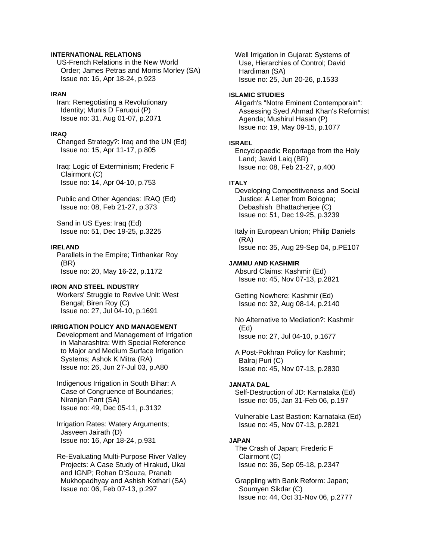## **INTERNATIONAL RELATIONS**

 US-French Relations in the New World Order; James Petras and Morris Morley (SA) Issue no: 16, Apr 18-24, p.923

#### **IRAN**

 Iran: Renegotiating a Revolutionary Identity; Munis D Faruqui (P) Issue no: 31, Aug 01-07, p.2071

#### **IRAQ**

 Changed Strategy?: Iraq and the UN (Ed) Issue no: 15, Apr 11-17, p.805

 Iraq: Logic of Exterminism; Frederic F Clairmont (C) Issue no: 14, Apr 04-10, p.753

 Public and Other Agendas: IRAQ (Ed) Issue no: 08, Feb 21-27, p.373

 Sand in US Eyes: Iraq (Ed) Issue no: 51, Dec 19-25, p.3225

#### **IRELAND**

 Parallels in the Empire; Tirthankar Roy (BR) Issue no: 20, May 16-22, p.1172

## **IRON AND STEEL INDUSTRY**

 Workers' Struggle to Revive Unit: West Bengal; Biren Roy (C) Issue no: 27, Jul 04-10, p.1691

# **IRRIGATION POLICY AND MANAGEMENT**

 Development and Management of Irrigation in Maharashtra: With Special Reference to Major and Medium Surface Irrigation Systems; Ashok K Mitra (RA) Issue no: 26, Jun 27-Jul 03, p.A80

 Indigenous Irrigation in South Bihar: A Case of Congruence of Boundaries; Niranjan Pant (SA) Issue no: 49, Dec 05-11, p.3132

 Irrigation Rates: Watery Arguments; Jasveen Jairath (D) Issue no: 16, Apr 18-24, p.931

 Re-Evaluating Multi-Purpose River Valley Projects: A Case Study of Hirakud, Ukai and IGNP; Rohan D'Souza, Pranab Mukhopadhyay and Ashish Kothari (SA) Issue no: 06, Feb 07-13, p.297

 Well Irrigation in Gujarat: Systems of Use, Hierarchies of Control; David Hardiman (SA) Issue no: 25, Jun 20-26, p.1533

#### **ISLAMIC STUDIES**

 Aligarh's "Notre Eminent Contemporain": Assessing Syed Ahmad Khan's Reformist Agenda; Mushirul Hasan (P) Issue no: 19, May 09-15, p.1077

# **ISRAEL**

 Encyclopaedic Reportage from the Holy Land; Jawid Laiq (BR) Issue no: 08, Feb 21-27, p.400

## **ITALY**

 Developing Competitiveness and Social Justice: A Letter from Bologna; Debashish Bhattacherjee (C) Issue no: 51, Dec 19-25, p.3239

 Italy in European Union; Philip Daniels (RA) Issue no: 35, Aug 29-Sep 04, p.PE107

#### **JAMMU AND KASHMIR**

 Absurd Claims: Kashmir (Ed) Issue no: 45, Nov 07-13, p.2821

 Getting Nowhere: Kashmir (Ed) Issue no: 32, Aug 08-14, p.2140

 No Alternative to Mediation?: Kashmir (Ed) Issue no: 27, Jul 04-10, p.1677

 A Post-Pokhran Policy for Kashmir; Balraj Puri (C) Issue no: 45, Nov 07-13, p.2830

### **JANATA DAL**

 Self-Destruction of JD: Karnataka (Ed) Issue no: 05, Jan 31-Feb 06, p.197

 Vulnerable Last Bastion: Karnataka (Ed) Issue no: 45, Nov 07-13, p.2821

#### **JAPAN**

 The Crash of Japan; Frederic F Clairmont (C) Issue no: 36, Sep 05-18, p.2347

 Grappling with Bank Reform: Japan; Soumyen Sikdar (C) Issue no: 44, Oct 31-Nov 06, p.2777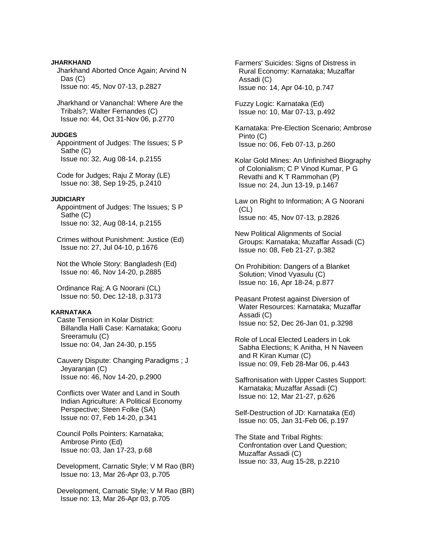**JHARKHAND**  Jharkhand Aborted Once Again; Arvind N Das (C) Issue no: 45, Nov 07-13, p.2827

 Jharkhand or Vananchal: Where Are the Tribals?; Walter Fernandes (C) Issue no: 44, Oct 31-Nov 06, p.2770

#### **JUDGES**

 Appointment of Judges: The Issues; S P Sathe (C) Issue no: 32, Aug 08-14, p.2155

 Code for Judges; Raju Z Moray (LE) Issue no: 38, Sep 19-25, p.2410

### **JUDICIARY**

 Appointment of Judges: The Issues; S P Sathe (C) Issue no: 32, Aug 08-14, p.2155

 Crimes without Punishment: Justice (Ed) Issue no: 27, Jul 04-10, p.1676

 Not the Whole Story: Bangladesh (Ed) Issue no: 46, Nov 14-20, p.2885

 Ordinance Raj; A G Noorani (CL) Issue no: 50, Dec 12-18, p.3173

# **KARNATAKA**

 Caste Tension in Kolar District: Billandla Halli Case: Karnataka; Gooru Sreeramulu (C) Issue no: 04, Jan 24-30, p.155

 Cauvery Dispute: Changing Paradigms ; J Jeyaranjan (C) Issue no: 46, Nov 14-20, p.2900

 Conflicts over Water and Land in South Indian Agriculture: A Political Economy Perspective; Steen Folke (SA) Issue no: 07, Feb 14-20, p.341

 Council Polls Pointers: Karnataka; Ambrose Pinto (Ed) Issue no: 03, Jan 17-23, p.68

 Development, Carnatic Style; V M Rao (BR) Issue no: 13, Mar 26-Apr 03, p.705

 Development, Carnatic Style; V M Rao (BR) Issue no: 13, Mar 26-Apr 03, p.705

 Farmers' Suicides: Signs of Distress in Rural Economy: Karnataka; Muzaffar Assadi (C) Issue no: 14, Apr 04-10, p.747

 Fuzzy Logic: Karnataka (Ed) Issue no: 10, Mar 07-13, p.492

 Karnataka: Pre-Election Scenario; Ambrose Pinto (C) Issue no: 06, Feb 07-13, p.260

 Kolar Gold Mines: An Unfinished Biography of Colonialism; C P Vinod Kumar, P G Revathi and K T Rammohan (P) Issue no: 24, Jun 13-19, p.1467

 Law on Right to Information; A G Noorani (CL) Issue no: 45, Nov 07-13, p.2826

 New Political Alignments of Social Groups: Karnataka; Muzaffar Assadi (C) Issue no: 08, Feb 21-27, p.382

 On Prohibition: Dangers of a Blanket Solution; Vinod Vyasulu (C) Issue no: 16, Apr 18-24, p.877

 Peasant Protest against Diversion of Water Resources: Karnataka; Muzaffar Assadi (C) Issue no: 52, Dec 26-Jan 01, p.3298

 Role of Local Elected Leaders in Lok Sabha Elections; K Anitha, H N Naveen and R Kiran Kumar (C) Issue no: 09, Feb 28-Mar 06, p.443

 Saffronisation with Upper Castes Support: Karnataka; Muzaffar Assadi (C) Issue no: 12, Mar 21-27, p.626

 Self-Destruction of JD: Karnataka (Ed) Issue no: 05, Jan 31-Feb 06, p.197

 The State and Tribal Rights: Confrontation over Land Question; Muzaffar Assadi (C) Issue no: 33, Aug 15-28, p.2210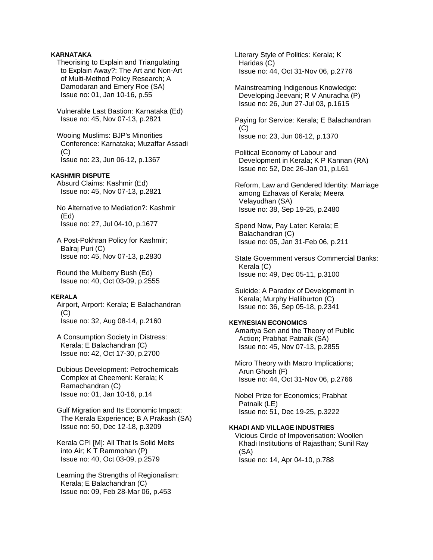## **KARNATAKA**

 Theorising to Explain and Triangulating to Explain Away?: The Art and Non-Art of Multi-Method Policy Research; A Damodaran and Emery Roe (SA) Issue no: 01, Jan 10-16, p.55

 Vulnerable Last Bastion: Karnataka (Ed) Issue no: 45, Nov 07-13, p.2821

 Wooing Muslims: BJP's Minorities Conference: Karnataka; Muzaffar Assadi  $(C)$ Issue no: 23, Jun 06-12, p.1367

### **KASHMIR DISPUTE**

 Absurd Claims: Kashmir (Ed) Issue no: 45, Nov 07-13, p.2821

 No Alternative to Mediation?: Kashmir (Ed) Issue no: 27, Jul 04-10, p.1677

 A Post-Pokhran Policy for Kashmir; Balraj Puri (C) Issue no: 45, Nov 07-13, p.2830

 Round the Mulberry Bush (Ed) Issue no: 40, Oct 03-09, p.2555

#### **KERALA**

 Airport, Airport: Kerala; E Balachandran  $(C)$ Issue no: 32, Aug 08-14, p.2160

 A Consumption Society in Distress: Kerala; E Balachandran (C) Issue no: 42, Oct 17-30, p.2700

 Dubious Development: Petrochemicals Complex at Cheemeni: Kerala; K Ramachandran (C) Issue no: 01, Jan 10-16, p.14

 Gulf Migration and Its Economic Impact: The Kerala Experience; B A Prakash (SA) Issue no: 50, Dec 12-18, p.3209

 Kerala CPI [M]: All That Is Solid Melts into Air; K T Rammohan (P) Issue no: 40, Oct 03-09, p.2579

 Learning the Strengths of Regionalism: Kerala; E Balachandran (C) Issue no: 09, Feb 28-Mar 06, p.453

 Literary Style of Politics: Kerala; K Haridas (C) Issue no: 44, Oct 31-Nov 06, p.2776

 Mainstreaming Indigenous Knowledge: Developing Jeevani; R V Anuradha (P) Issue no: 26, Jun 27-Jul 03, p.1615

 Paying for Service: Kerala; E Balachandran  $(C)$ Issue no: 23, Jun 06-12, p.1370

 Political Economy of Labour and Development in Kerala; K P Kannan (RA) Issue no: 52, Dec 26-Jan 01, p.L61

 Reform, Law and Gendered Identity: Marriage among Ezhavas of Kerala; Meera Velayudhan (SA) Issue no: 38, Sep 19-25, p.2480

 Spend Now, Pay Later: Kerala; E Balachandran (C) Issue no: 05, Jan 31-Feb 06, p.211

 State Government versus Commercial Banks: Kerala (C) Issue no: 49, Dec 05-11, p.3100

 Suicide: A Paradox of Development in Kerala; Murphy Halliburton (C) Issue no: 36, Sep 05-18, p.2341

## **KEYNESIAN ECONOMICS**

 Amartya Sen and the Theory of Public Action; Prabhat Patnaik (SA) Issue no: 45, Nov 07-13, p.2855

 Micro Theory with Macro Implications; Arun Ghosh (F) Issue no: 44, Oct 31-Nov 06, p.2766

 Nobel Prize for Economics; Prabhat Patnaik (LE) Issue no: 51, Dec 19-25, p.3222

## **KHADI AND VILLAGE INDUSTRIES**

 Vicious Circle of Impoverisation: Woollen Khadi Institutions of Rajasthan; Sunil Ray (SA) Issue no: 14, Apr 04-10, p.788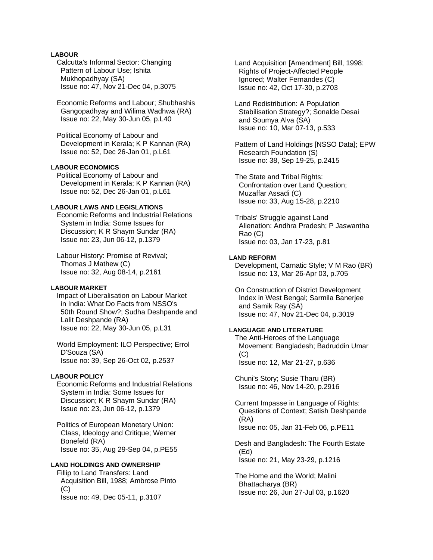## **LABOUR**

 Calcutta's Informal Sector: Changing Pattern of Labour Use; Ishita Mukhopadhyay (SA) Issue no: 47, Nov 21-Dec 04, p.3075

 Economic Reforms and Labour; Shubhashis Gangopadhyay and Wilima Wadhwa (RA) Issue no: 22, May 30-Jun 05, p.L40

 Political Economy of Labour and Development in Kerala; K P Kannan (RA) Issue no: 52, Dec 26-Jan 01, p.L61

# **LABOUR ECONOMICS**

 Political Economy of Labour and Development in Kerala; K P Kannan (RA) Issue no: 52, Dec 26-Jan 01, p.L61

### **LABOUR LAWS AND LEGISLATIONS**

 Economic Reforms and Industrial Relations System in India: Some Issues for Discussion; K R Shaym Sundar (RA) Issue no: 23, Jun 06-12, p.1379

 Labour History: Promise of Revival; Thomas J Mathew (C) Issue no: 32, Aug 08-14, p.2161

### **LABOUR MARKET**

 Impact of Liberalisation on Labour Market in India: What Do Facts from NSSO's 50th Round Show?; Sudha Deshpande and Lalit Deshpande (RA) Issue no: 22, May 30-Jun 05, p.L31

 World Employment: ILO Perspective; Errol D'Souza (SA) Issue no: 39, Sep 26-Oct 02, p.2537

### **LABOUR POLICY**

 Economic Reforms and Industrial Relations System in India: Some Issues for Discussion; K R Shaym Sundar (RA) Issue no: 23, Jun 06-12, p.1379

 Politics of European Monetary Union: Class, Ideology and Critique; Werner Bonefeld (RA) Issue no: 35, Aug 29-Sep 04, p.PE55

#### **LAND HOLDINGS AND OWNERSHIP**

 Fillip to Land Transfers: Land Acquisition Bill, 1988; Ambrose Pinto  $(C)$ Issue no: 49, Dec 05-11, p.3107

 Land Acquisition [Amendment] Bill, 1998: Rights of Project-Affected People Ignored; Walter Fernandes (C) Issue no: 42, Oct 17-30, p.2703

 Land Redistribution: A Population Stabilisation Strategy?; Sonalde Desai and Soumya Alva (SA) Issue no: 10, Mar 07-13, p.533

 Pattern of Land Holdings [NSSO Data]; EPW Research Foundation (S) Issue no: 38, Sep 19-25, p.2415

 The State and Tribal Rights: Confrontation over Land Question; Muzaffar Assadi (C) Issue no: 33, Aug 15-28, p.2210

 Tribals' Struggle against Land Alienation: Andhra Pradesh; P Jaswantha Rao (C) Issue no: 03, Jan 17-23, p.81

# **LAND REFORM**

 Development, Carnatic Style; V M Rao (BR) Issue no: 13, Mar 26-Apr 03, p.705

 On Construction of District Development Index in West Bengal; Sarmila Banerjee and Samik Ray (SA) Issue no: 47, Nov 21-Dec 04, p.3019

## **LANGUAGE AND LITERATURE**

 The Anti-Heroes of the Language Movement: Bangladesh; Badruddin Umar (C) Issue no: 12, Mar 21-27, p.636

 Chuni's Story; Susie Tharu (BR) Issue no: 46, Nov 14-20, p.2916

 Current Impasse in Language of Rights: Questions of Context; Satish Deshpande (RA) Issue no: 05, Jan 31-Feb 06, p.PE11

 Desh and Bangladesh: The Fourth Estate (Ed) Issue no: 21, May 23-29, p.1216

 The Home and the World; Malini Bhattacharya (BR) Issue no: 26, Jun 27-Jul 03, p.1620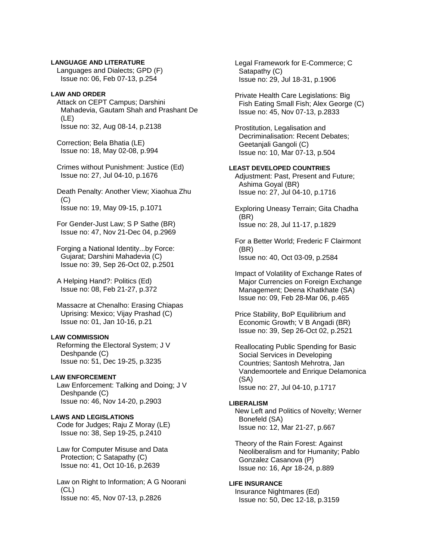# **LANGUAGE AND LITERATURE**

 Languages and Dialects; GPD (F) Issue no: 06, Feb 07-13, p.254

### **LAW AND ORDER**

 Attack on CEPT Campus; Darshini Mahadevia, Gautam Shah and Prashant De (LE) Issue no: 32, Aug 08-14, p.2138

 Correction; Bela Bhatia (LE) Issue no: 18, May 02-08, p.994

 Crimes without Punishment: Justice (Ed) Issue no: 27, Jul 04-10, p.1676

 Death Penalty: Another View; Xiaohua Zhu  $(C)$ Issue no: 19, May 09-15, p.1071

 For Gender-Just Law; S P Sathe (BR) Issue no: 47, Nov 21-Dec 04, p.2969

 Forging a National Identity...by Force: Gujarat; Darshini Mahadevia (C) Issue no: 39, Sep 26-Oct 02, p.2501

 A Helping Hand?: Politics (Ed) Issue no: 08, Feb 21-27, p.372

 Massacre at Chenalho: Erasing Chiapas Uprising: Mexico; Vijay Prashad (C) Issue no: 01, Jan 10-16, p.21

### **LAW COMMISSION**

 Reforming the Electoral System; J V Deshpande (C) Issue no: 51, Dec 19-25, p.3235

# **LAW ENFORCEMENT**

 Law Enforcement: Talking and Doing; J V Deshpande (C) Issue no: 46, Nov 14-20, p.2903

### **LAWS AND LEGISLATIONS**

 Code for Judges; Raju Z Moray (LE) Issue no: 38, Sep 19-25, p.2410

 Law for Computer Misuse and Data Protection; C Satapathy (C) Issue no: 41, Oct 10-16, p.2639

 Law on Right to Information; A G Noorani (CL) Issue no: 45, Nov 07-13, p.2826

 Legal Framework for E-Commerce; C Satapathy (C) Issue no: 29, Jul 18-31, p.1906

 Private Health Care Legislations: Big Fish Eating Small Fish; Alex George (C) Issue no: 45, Nov 07-13, p.2833

 Prostitution, Legalisation and Decriminalisation: Recent Debates; Geetanjali Gangoli (C) Issue no: 10, Mar 07-13, p.504

### **LEAST DEVELOPED COUNTRIES**

 Adjustment: Past, Present and Future; Ashima Goyal (BR) Issue no: 27, Jul 04-10, p.1716

 Exploring Uneasy Terrain; Gita Chadha (BR) Issue no: 28, Jul 11-17, p.1829

 For a Better World; Frederic F Clairmont (BR) Issue no: 40, Oct 03-09, p.2584

 Impact of Volatility of Exchange Rates of Major Currencies on Foreign Exchange Management; Deena Khatkhate (SA) Issue no: 09, Feb 28-Mar 06, p.465

 Price Stability, BoP Equilibrium and Economic Growth; V B Angadi (BR) Issue no: 39, Sep 26-Oct 02, p.2521

 Reallocating Public Spending for Basic Social Services in Developing Countries; Santosh Mehrotra, Jan Vandemoortele and Enrique Delamonica (SA) Issue no: 27, Jul 04-10, p.1717

#### **LIBERALISM**

 New Left and Politics of Novelty; Werner Bonefeld (SA) Issue no: 12, Mar 21-27, p.667

 Theory of the Rain Forest: Against Neoliberalism and for Humanity; Pablo Gonzalez Casanova (P) Issue no: 16, Apr 18-24, p.889

# **LIFE INSURANCE**

 Insurance Nightmares (Ed) Issue no: 50, Dec 12-18, p.3159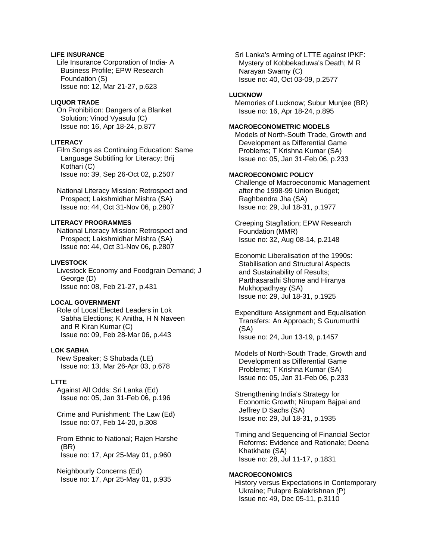## **LIFE INSURANCE**

 Life Insurance Corporation of India- A Business Profile; EPW Research Foundation (S) Issue no: 12, Mar 21-27, p.623

#### **LIQUOR TRADE**

 On Prohibition: Dangers of a Blanket Solution; Vinod Vyasulu (C) Issue no: 16, Apr 18-24, p.877

#### **LITERACY**

 Film Songs as Continuing Education: Same Language Subtitling for Literacy; Brij Kothari (C) Issue no: 39, Sep 26-Oct 02, p.2507

 National Literacy Mission: Retrospect and Prospect; Lakshmidhar Mishra (SA) Issue no: 44, Oct 31-Nov 06, p.2807

# **LITERACY PROGRAMMES**

 National Literacy Mission: Retrospect and Prospect; Lakshmidhar Mishra (SA) Issue no: 44, Oct 31-Nov 06, p.2807

#### **LIVESTOCK**

 Livestock Economy and Foodgrain Demand; J George (D) Issue no: 08, Feb 21-27, p.431

### **LOCAL GOVERNMENT**

 Role of Local Elected Leaders in Lok Sabha Elections; K Anitha, H N Naveen and R Kiran Kumar (C) Issue no: 09, Feb 28-Mar 06, p.443

### **LOK SABHA**

 New Speaker; S Shubada (LE) Issue no: 13, Mar 26-Apr 03, p.678

### **LTTE**

 Against All Odds: Sri Lanka (Ed) Issue no: 05, Jan 31-Feb 06, p.196

 Crime and Punishment: The Law (Ed) Issue no: 07, Feb 14-20, p.308

 From Ethnic to National; Rajen Harshe (BR) Issue no: 17, Apr 25-May 01, p.960

 Neighbourly Concerns (Ed) Issue no: 17, Apr 25-May 01, p.935  Sri Lanka's Arming of LTTE against IPKF: Mystery of Kobbekaduwa's Death; M R Narayan Swamy (C) Issue no: 40, Oct 03-09, p.2577

#### **LUCKNOW**

 Memories of Lucknow; Subur Munjee (BR) Issue no: 16, Apr 18-24, p.895

#### **MACROECONOMETRIC MODELS**

 Models of North-South Trade, Growth and Development as Differential Game Problems; T Krishna Kumar (SA) Issue no: 05, Jan 31-Feb 06, p.233

#### **MACROECONOMIC POLICY**

 Challenge of Macroeconomic Management after the 1998-99 Union Budget; Raghbendra Jha (SA) Issue no: 29, Jul 18-31, p.1977

 Creeping Stagflation; EPW Research Foundation (MMR) Issue no: 32, Aug 08-14, p.2148

 Economic Liberalisation of the 1990s: Stabilisation and Structural Aspects and Sustainability of Results; Parthasarathi Shome and Hiranya Mukhopadhyay (SA) Issue no: 29, Jul 18-31, p.1925

 Expenditure Assignment and Equalisation Transfers: An Approach; S Gurumurthi (SA) Issue no: 24, Jun 13-19, p.1457

 Models of North-South Trade, Growth and Development as Differential Game Problems; T Krishna Kumar (SA) Issue no: 05, Jan 31-Feb 06, p.233

 Strengthening India's Strategy for Economic Growth; Nirupam Bajpai and Jeffrey D Sachs (SA) Issue no: 29, Jul 18-31, p.1935

 Timing and Sequencing of Financial Sector Reforms: Evidence and Rationale; Deena Khatkhate (SA) Issue no: 28, Jul 11-17, p.1831

#### **MACROECONOMICS**

 History versus Expectations in Contemporary Ukraine; Pulapre Balakrishnan (P) Issue no: 49, Dec 05-11, p.3110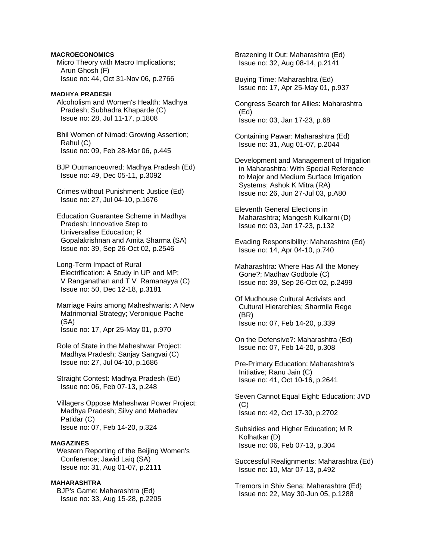### **MACROECONOMICS**

 Micro Theory with Macro Implications; Arun Ghosh (F) Issue no: 44, Oct 31-Nov 06, p.2766

### **MADHYA PRADESH**

 Alcoholism and Women's Health: Madhya Pradesh; Subhadra Khaparde (C) Issue no: 28, Jul 11-17, p.1808

 Bhil Women of Nimad: Growing Assertion; Rahul (C) Issue no: 09, Feb 28-Mar 06, p.445

 BJP Outmanoeuvred: Madhya Pradesh (Ed) Issue no: 49, Dec 05-11, p.3092

 Crimes without Punishment: Justice (Ed) Issue no: 27, Jul 04-10, p.1676

 Education Guarantee Scheme in Madhya Pradesh: Innovative Step to Universalise Education; R Gopalakrishnan and Amita Sharma (SA) Issue no: 39, Sep 26-Oct 02, p.2546

 Long-Term Impact of Rural Electrification: A Study in UP and MP; V Ranganathan and T V Ramanayya (C) Issue no: 50, Dec 12-18, p.3181

 Marriage Fairs among Maheshwaris: A New Matrimonial Strategy; Veronique Pache (SA) Issue no: 17, Apr 25-May 01, p.970

 Role of State in the Maheshwar Project: Madhya Pradesh; Sanjay Sangvai (C) Issue no: 27, Jul 04-10, p.1686

 Straight Contest: Madhya Pradesh (Ed) Issue no: 06, Feb 07-13, p.248

 Villagers Oppose Maheshwar Power Project: Madhya Pradesh; Silvy and Mahadev Patidar (C) Issue no: 07, Feb 14-20, p.324

### **MAGAZINES**

 Western Reporting of the Beijing Women's Conference; Jawid Laiq (SA) Issue no: 31, Aug 01-07, p.2111

# **MAHARASHTRA**

 BJP's Game: Maharashtra (Ed) Issue no: 33, Aug 15-28, p.2205  Brazening It Out: Maharashtra (Ed) Issue no: 32, Aug 08-14, p.2141

 Buying Time: Maharashtra (Ed) Issue no: 17, Apr 25-May 01, p.937

 Congress Search for Allies: Maharashtra (Ed) Issue no: 03, Jan 17-23, p.68

 Containing Pawar: Maharashtra (Ed) Issue no: 31, Aug 01-07, p.2044

 Development and Management of Irrigation in Maharashtra: With Special Reference to Major and Medium Surface Irrigation Systems; Ashok K Mitra (RA) Issue no: 26, Jun 27-Jul 03, p.A80

 Eleventh General Elections in Maharashtra; Mangesh Kulkarni (D) Issue no: 03, Jan 17-23, p.132

 Evading Responsibility: Maharashtra (Ed) Issue no: 14, Apr 04-10, p.740

 Maharashtra: Where Has All the Money Gone?; Madhav Godbole (C) Issue no: 39, Sep 26-Oct 02, p.2499

 Of Mudhouse Cultural Activists and Cultural Hierarchies; Sharmila Rege (BR) Issue no: 07, Feb 14-20, p.339

 On the Defensive?: Maharashtra (Ed) Issue no: 07, Feb 14-20, p.308

 Pre-Primary Education: Maharashtra's Initiative; Ranu Jain (C) Issue no: 41, Oct 10-16, p.2641

 Seven Cannot Equal Eight: Education; JVD (C) Issue no: 42, Oct 17-30, p.2702

 Subsidies and Higher Education; M R Kolhatkar (D) Issue no: 06, Feb 07-13, p.304

 Successful Realignments: Maharashtra (Ed) Issue no: 10, Mar 07-13, p.492

 Tremors in Shiv Sena: Maharashtra (Ed) Issue no: 22, May 30-Jun 05, p.1288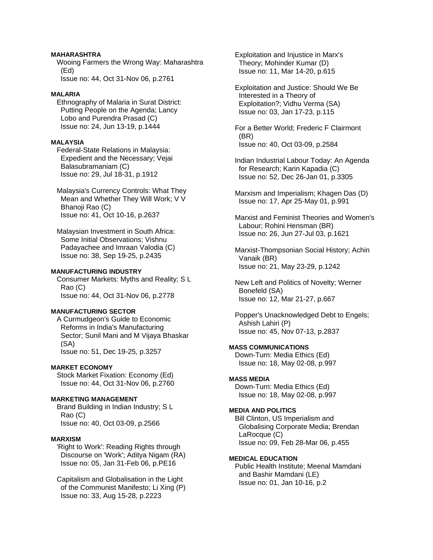### **MAHARASHTRA**

 Wooing Farmers the Wrong Way: Maharashtra (Ed) Issue no: 44, Oct 31-Nov 06, p.2761

#### **MALARIA**

 Ethnography of Malaria in Surat District: Putting People on the Agenda; Lancy Lobo and Purendra Prasad (C) Issue no: 24, Jun 13-19, p.1444

#### **MALAYSIA**

 Federal-State Relations in Malaysia: Expedient and the Necessary; Vejai Balasubramaniam (C) Issue no: 29, Jul 18-31, p.1912

 Malaysia's Currency Controls: What They Mean and Whether They Will Work; V V Bhanoji Rao (C) Issue no: 41, Oct 10-16, p.2637

 Malaysian Investment in South Africa: Some Initial Observations; Vishnu Padayachee and Imraan Valodia (C) Issue no: 38, Sep 19-25, p.2435

#### **MANUFACTURING INDUSTRY**

 Consumer Markets: Myths and Reality; S L Rao (C) Issue no: 44, Oct 31-Nov 06, p.2778

#### **MANUFACTURING SECTOR**

 A Curmudgeon's Guide to Economic Reforms in India's Manufacturing Sector; Sunil Mani and M Vijaya Bhaskar (SA) Issue no: 51, Dec 19-25, p.3257

#### **MARKET ECONOMY**

 Stock Market Fixation: Economy (Ed) Issue no: 44, Oct 31-Nov 06, p.2760

#### **MARKETING MANAGEMENT**

 Brand Building in Indian Industry; S L Rao (C) Issue no: 40, Oct 03-09, p.2566

#### **MARXISM**

 'Right to Work': Reading Rights through Discourse on 'Work'; Aditya Nigam (RA) Issue no: 05, Jan 31-Feb 06, p.PE16

 Capitalism and Globalisation in the Light of the Communist Manifesto; Li Xing (P) Issue no: 33, Aug 15-28, p.2223

 Exploitation and Injustice in Marx's Theory; Mohinder Kumar (D) Issue no: 11, Mar 14-20, p.615

 Exploitation and Justice: Should We Be Interested in a Theory of Exploitation?; Vidhu Verma (SA) Issue no: 03, Jan 17-23, p.115

 For a Better World; Frederic F Clairmont (BR) Issue no: 40, Oct 03-09, p.2584

 Indian Industrial Labour Today: An Agenda for Research; Karin Kapadia (C) Issue no: 52, Dec 26-Jan 01, p.3305

 Marxism and Imperialism; Khagen Das (D) Issue no: 17, Apr 25-May 01, p.991

 Marxist and Feminist Theories and Women's Labour; Rohini Hensman (BR) Issue no: 26, Jun 27-Jul 03, p.1621

 Marxist-Thompsonian Social History; Achin Vanaik (BR) Issue no: 21, May 23-29, p.1242

 New Left and Politics of Novelty; Werner Bonefeld (SA) Issue no: 12, Mar 21-27, p.667

 Popper's Unacknowledged Debt to Engels; Ashish Lahiri (P) Issue no: 45, Nov 07-13, p.2837

# **MASS COMMUNICATIONS**

 Down-Turn: Media Ethics (Ed) Issue no: 18, May 02-08, p.997

#### **MASS MEDIA**

 Down-Turn: Media Ethics (Ed) Issue no: 18, May 02-08, p.997

#### **MEDIA AND POLITICS**

 Bill Clinton, US Imperialism and Globalising Corporate Media; Brendan LaRocque (C) Issue no: 09, Feb 28-Mar 06, p.455

# **MEDICAL EDUCATION**

 Public Health Institute; Meenal Mamdani and Bashir Mamdani (LE) Issue no: 01, Jan 10-16, p.2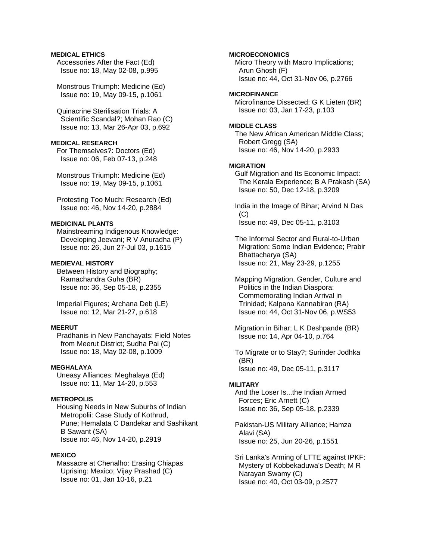### **MEDICAL ETHICS**

 Accessories After the Fact (Ed) Issue no: 18, May 02-08, p.995

 Monstrous Triumph: Medicine (Ed) Issue no: 19, May 09-15, p.1061

 Quinacrine Sterilisation Trials: A Scientific Scandal?; Mohan Rao (C) Issue no: 13, Mar 26-Apr 03, p.692

# **MEDICAL RESEARCH**

 For Themselves?: Doctors (Ed) Issue no: 06, Feb 07-13, p.248

 Monstrous Triumph: Medicine (Ed) Issue no: 19, May 09-15, p.1061

 Protesting Too Much: Research (Ed) Issue no: 46, Nov 14-20, p.2884

#### **MEDICINAL PLANTS**

 Mainstreaming Indigenous Knowledge: Developing Jeevani; R V Anuradha (P) Issue no: 26, Jun 27-Jul 03, p.1615

#### **MEDIEVAL HISTORY**

 Between History and Biography; Ramachandra Guha (BR) Issue no: 36, Sep 05-18, p.2355

 Imperial Figures; Archana Deb (LE) Issue no: 12, Mar 21-27, p.618

#### **MEERUT**

 Pradhanis in New Panchayats: Field Notes from Meerut District; Sudha Pai (C) Issue no: 18, May 02-08, p.1009

### **MEGHALAYA**

 Uneasy Alliances: Meghalaya (Ed) Issue no: 11, Mar 14-20, p.553

#### **METROPOLIS**

 Housing Needs in New Suburbs of Indian Metropolii: Case Study of Kothrud, Pune; Hemalata C Dandekar and Sashikant B Sawant (SA) Issue no: 46, Nov 14-20, p.2919

#### **MEXICO**

 Massacre at Chenalho: Erasing Chiapas Uprising: Mexico; Vijay Prashad (C) Issue no: 01, Jan 10-16, p.21

### **MICROECONOMICS**

 Micro Theory with Macro Implications; Arun Ghosh (F) Issue no: 44, Oct 31-Nov 06, p.2766

### **MICROFINANCE**

 Microfinance Dissected; G K Lieten (BR) Issue no: 03, Jan 17-23, p.103

### **MIDDLE CLASS**

 The New African American Middle Class; Robert Gregg (SA) Issue no: 46, Nov 14-20, p.2933

#### **MIGRATION**

 Gulf Migration and Its Economic Impact: The Kerala Experience; B A Prakash (SA) Issue no: 50, Dec 12-18, p.3209

 India in the Image of Bihar; Arvind N Das  $(C)$ Issue no: 49, Dec 05-11, p.3103

 The Informal Sector and Rural-to-Urban Migration: Some Indian Evidence; Prabir Bhattacharya (SA) Issue no: 21, May 23-29, p.1255

 Mapping Migration, Gender, Culture and Politics in the Indian Diaspora: Commemorating Indian Arrival in Trinidad; Kalpana Kannabiran (RA) Issue no: 44, Oct 31-Nov 06, p.WS53

 Migration in Bihar; L K Deshpande (BR) Issue no: 14, Apr 04-10, p.764

 To Migrate or to Stay?; Surinder Jodhka (BR) Issue no: 49, Dec 05-11, p.3117

#### **MILITARY**

 And the Loser Is...the Indian Armed Forces; Eric Arnett (C) Issue no: 36, Sep 05-18, p.2339

 Pakistan-US Military Alliance; Hamza Alavi (SA) Issue no: 25, Jun 20-26, p.1551

 Sri Lanka's Arming of LTTE against IPKF: Mystery of Kobbekaduwa's Death; M R Narayan Swamy (C) Issue no: 40, Oct 03-09, p.2577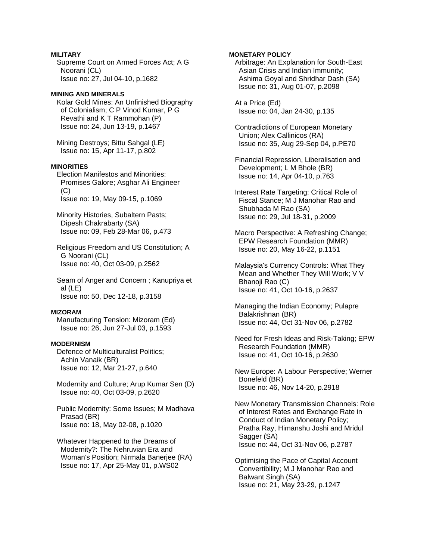# **MILITARY**

 Supreme Court on Armed Forces Act; A G Noorani (CL) Issue no: 27, Jul 04-10, p.1682

# **MINING AND MINERALS**

 Kolar Gold Mines: An Unfinished Biography of Colonialism; C P Vinod Kumar, P G Revathi and K T Rammohan (P) Issue no: 24, Jun 13-19, p.1467

 Mining Destroys; Bittu Sahgal (LE) Issue no: 15, Apr 11-17, p.802

# **MINORITIES**

 Election Manifestos and Minorities: Promises Galore; Asghar Ali Engineer  $(C)$ Issue no: 19, May 09-15, p.1069

 Minority Histories, Subaltern Pasts; Dipesh Chakrabarty (SA) Issue no: 09, Feb 28-Mar 06, p.473

 Religious Freedom and US Constitution; A G Noorani (CL) Issue no: 40, Oct 03-09, p.2562

 Seam of Anger and Concern ; Kanupriya et al (LE) Issue no: 50, Dec 12-18, p.3158

### **MIZORAM**

 Manufacturing Tension: Mizoram (Ed) Issue no: 26, Jun 27-Jul 03, p.1593

#### **MODERNISM**

 Defence of Multiculturalist Politics; Achin Vanaik (BR) Issue no: 12, Mar 21-27, p.640

 Modernity and Culture; Arup Kumar Sen (D) Issue no: 40, Oct 03-09, p.2620

 Public Modernity: Some Issues; M Madhava Prasad (BR) Issue no: 18, May 02-08, p.1020

 Whatever Happened to the Dreams of Modernity?: The Nehruvian Era and Woman's Position; Nirmala Banerjee (RA) Issue no: 17, Apr 25-May 01, p.WS02

## **MONETARY POLICY**

 Arbitrage: An Explanation for South-East Asian Crisis and Indian Immunity; Ashima Goyal and Shridhar Dash (SA) Issue no: 31, Aug 01-07, p.2098

 At a Price (Ed) Issue no: 04, Jan 24-30, p.135

 Contradictions of European Monetary Union; Alex Callinicos (RA) Issue no: 35, Aug 29-Sep 04, p.PE70

 Financial Repression, Liberalisation and Development; L M Bhole (BR) Issue no: 14, Apr 04-10, p.763

 Interest Rate Targeting: Critical Role of Fiscal Stance; M J Manohar Rao and Shubhada M Rao (SA) Issue no: 29, Jul 18-31, p.2009

 Macro Perspective: A Refreshing Change; EPW Research Foundation (MMR) Issue no: 20, May 16-22, p.1151

 Malaysia's Currency Controls: What They Mean and Whether They Will Work; V V Bhanoii Rao (C) Issue no: 41, Oct 10-16, p.2637

 Managing the Indian Economy; Pulapre Balakrishnan (BR) Issue no: 44, Oct 31-Nov 06, p.2782

 Need for Fresh Ideas and Risk-Taking; EPW Research Foundation (MMR) Issue no: 41, Oct 10-16, p.2630

 New Europe: A Labour Perspective; Werner Bonefeld (BR) Issue no: 46, Nov 14-20, p.2918

 New Monetary Transmission Channels: Role of Interest Rates and Exchange Rate in Conduct of Indian Monetary Policy; Pratha Ray, Himanshu Joshi and Mridul Sagger (SA) Issue no: 44, Oct 31-Nov 06, p.2787

 Optimising the Pace of Capital Account Convertibility; M J Manohar Rao and Balwant Singh (SA) Issue no: 21, May 23-29, p.1247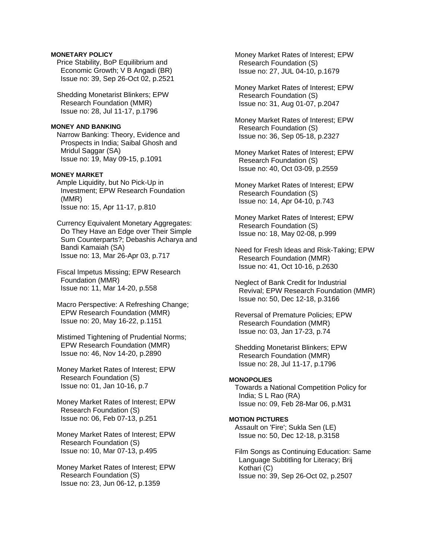## **MONETARY POLICY**

 Price Stability, BoP Equilibrium and Economic Growth; V B Angadi (BR) Issue no: 39, Sep 26-Oct 02, p.2521

 Shedding Monetarist Blinkers; EPW Research Foundation (MMR) Issue no: 28, Jul 11-17, p.1796

### **MONEY AND BANKING**

 Narrow Banking: Theory, Evidence and Prospects in India; Saibal Ghosh and Mridul Saggar (SA) Issue no: 19, May 09-15, p.1091

### **MONEY MARKET**

 Ample Liquidity, but No Pick-Up in Investment; EPW Research Foundation (MMR) Issue no: 15, Apr 11-17, p.810

 Currency Equivalent Monetary Aggregates: Do They Have an Edge over Their Simple Sum Counterparts?; Debashis Acharya and Bandi Kamaiah (SA) Issue no: 13, Mar 26-Apr 03, p.717

 Fiscal Impetus Missing; EPW Research Foundation (MMR) Issue no: 11, Mar 14-20, p.558

 Macro Perspective: A Refreshing Change; EPW Research Foundation (MMR) Issue no: 20, May 16-22, p.1151

 Mistimed Tightening of Prudential Norms; EPW Research Foundation (MMR) Issue no: 46, Nov 14-20, p.2890

 Money Market Rates of Interest; EPW Research Foundation (S) Issue no: 01, Jan 10-16, p.7

 Money Market Rates of Interest; EPW Research Foundation (S) Issue no: 06, Feb 07-13, p.251

 Money Market Rates of Interest; EPW Research Foundation (S) Issue no: 10, Mar 07-13, p.495

 Money Market Rates of Interest; EPW Research Foundation (S) Issue no: 23, Jun 06-12, p.1359

 Money Market Rates of Interest; EPW Research Foundation (S) Issue no: 27, JUL 04-10, p.1679

 Money Market Rates of Interest; EPW Research Foundation (S) Issue no: 31, Aug 01-07, p.2047

 Money Market Rates of Interest; EPW Research Foundation (S) Issue no: 36, Sep 05-18, p.2327

 Money Market Rates of Interest; EPW Research Foundation (S) Issue no: 40, Oct 03-09, p.2559

 Money Market Rates of Interest; EPW Research Foundation (S) Issue no: 14, Apr 04-10, p.743

 Money Market Rates of Interest; EPW Research Foundation (S) Issue no: 18, May 02-08, p.999

 Need for Fresh Ideas and Risk-Taking; EPW Research Foundation (MMR) Issue no: 41, Oct 10-16, p.2630

 Neglect of Bank Credit for Industrial Revival; EPW Research Foundation (MMR) Issue no: 50, Dec 12-18, p.3166

 Reversal of Premature Policies; EPW Research Foundation (MMR) Issue no: 03, Jan 17-23, p.74

 Shedding Monetarist Blinkers; EPW Research Foundation (MMR) Issue no: 28, Jul 11-17, p.1796

#### **MONOPOLIES**

 Towards a National Competition Policy for India; S L Rao (RA) Issue no: 09, Feb 28-Mar 06, p.M31

# **MOTION PICTURES**

 Assault on 'Fire'; Sukla Sen (LE) Issue no: 50, Dec 12-18, p.3158

 Film Songs as Continuing Education: Same Language Subtitling for Literacy; Brij Kothari (C) Issue no: 39, Sep 26-Oct 02, p.2507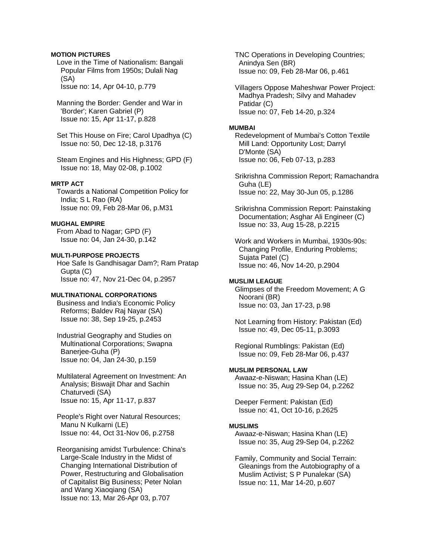#### **MOTION PICTURES**

- Love in the Time of Nationalism: Bangali Popular Films from 1950s; Dulali Nag (SA) Issue no: 14, Apr 04-10, p.779
- Manning the Border: Gender and War in 'Border'; Karen Gabriel (P) Issue no: 15, Apr 11-17, p.828
- Set This House on Fire; Carol Upadhya (C) Issue no: 50, Dec 12-18, p.3176
- Steam Engines and His Highness; GPD (F) Issue no: 18, May 02-08, p.1002

### **MRTP ACT**

 Towards a National Competition Policy for India; S L Rao (RA) Issue no: 09, Feb 28-Mar 06, p.M31

#### **MUGHAL EMPIRE**

 From Abad to Nagar; GPD (F) Issue no: 04, Jan 24-30, p.142

**MULTI-PURPOSE PROJECTS**  Hoe Safe Is Gandhisagar Dam?; Ram Pratap Gupta (C) Issue no: 47, Nov 21-Dec 04, p.2957

#### **MULTINATIONAL CORPORATIONS**

 Business and India's Economic Policy Reforms; Baldev Raj Nayar (SA) Issue no: 38, Sep 19-25, p.2453

 Industrial Geography and Studies on Multinational Corporations; Swapna Banerjee-Guha (P) Issue no: 04, Jan 24-30, p.159

 Multilateral Agreement on Investment: An Analysis; Biswajit Dhar and Sachin Chaturvedi (SA) Issue no: 15, Apr 11-17, p.837

 People's Right over Natural Resources; Manu N Kulkarni (LE) Issue no: 44, Oct 31-Nov 06, p.2758

 Reorganising amidst Turbulence: China's Large-Scale Industry in the Midst of Changing International Distribution of Power, Restructuring and Globalisation of Capitalist Big Business; Peter Nolan and Wang Xiaoqiang (SA) Issue no: 13, Mar 26-Apr 03, p.707

 TNC Operations in Developing Countries; Anindya Sen (BR) Issue no: 09, Feb 28-Mar 06, p.461

 Villagers Oppose Maheshwar Power Project: Madhya Pradesh; Silvy and Mahadev Patidar (C) Issue no: 07, Feb 14-20, p.324

## **MUMBAI**

 Redevelopment of Mumbai's Cotton Textile Mill Land: Opportunity Lost; Darryl D'Monte (SA) Issue no: 06, Feb 07-13, p.283

 Srikrishna Commission Report; Ramachandra Guha (LE) Issue no: 22, May 30-Jun 05, p.1286

 Srikrishna Commission Report: Painstaking Documentation; Asghar Ali Engineer (C) Issue no: 33, Aug 15-28, p.2215

 Work and Workers in Mumbai, 1930s-90s: Changing Profile, Enduring Problems; Sujata Patel (C) Issue no: 46, Nov 14-20, p.2904

#### **MUSLIM LEAGUE**

 Glimpses of the Freedom Movement; A G Noorani (BR) Issue no: 03, Jan 17-23, p.98

 Not Learning from History: Pakistan (Ed) Issue no: 49, Dec 05-11, p.3093

 Regional Rumblings: Pakistan (Ed) Issue no: 09, Feb 28-Mar 06, p.437

# **MUSLIM PERSONAL LAW**

 Awaaz-e-Niswan; Hasina Khan (LE) Issue no: 35, Aug 29-Sep 04, p.2262

 Deeper Ferment: Pakistan (Ed) Issue no: 41, Oct 10-16, p.2625

#### **MUSLIMS**

 Awaaz-e-Niswan; Hasina Khan (LE) Issue no: 35, Aug 29-Sep 04, p.2262

 Family, Community and Social Terrain: Gleanings from the Autobiography of a Muslim Activist; S P Punalekar (SA) Issue no: 11, Mar 14-20, p.607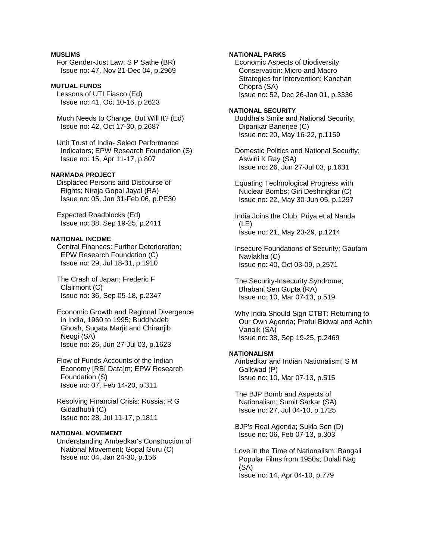### **MUSLIMS**

 For Gender-Just Law; S P Sathe (BR) Issue no: 47, Nov 21-Dec 04, p.2969

**MUTUAL FUNDS** Lessons of UTI Fiasco (Ed) Issue no: 41, Oct 10-16, p.2623

 Much Needs to Change, But Will It? (Ed) Issue no: 42, Oct 17-30, p.2687

 Unit Trust of India- Select Performance Indicators; EPW Research Foundation (S) Issue no: 15, Apr 11-17, p.807

### **NARMADA PROJECT**

 Displaced Persons and Discourse of Rights; Niraja Gopal Jayal (RA) Issue no: 05, Jan 31-Feb 06, p.PE30

 Expected Roadblocks (Ed) Issue no: 38, Sep 19-25, p.2411

#### **NATIONAL INCOME**

 Central Finances: Further Deterioration; EPW Research Foundation (C) Issue no: 29, Jul 18-31, p.1910

 The Crash of Japan; Frederic F Clairmont (C) Issue no: 36, Sep 05-18, p.2347

 Economic Growth and Regional Divergence in India, 1960 to 1995; Buddhadeb Ghosh, Sugata Marjit and Chiranjib Neogi (SA) Issue no: 26, Jun 27-Jul 03, p.1623

 Flow of Funds Accounts of the Indian Economy [RBI Data]m; EPW Research Foundation (S) Issue no: 07, Feb 14-20, p.311

 Resolving Financial Crisis: Russia; R G Gidadhubli (C) Issue no: 28, Jul 11-17, p.1811

# **NATIONAL MOVEMENT**

 Understanding Ambedkar's Construction of National Movement; Gopal Guru (C) Issue no: 04, Jan 24-30, p.156

# **NATIONAL PARKS**

 Economic Aspects of Biodiversity Conservation: Micro and Macro Strategies for Intervention; Kanchan Chopra (SA) Issue no: 52, Dec 26-Jan 01, p.3336

#### **NATIONAL SECURITY**

 Buddha's Smile and National Security; Dipankar Banerjee (C) Issue no: 20, May 16-22, p.1159

 Domestic Politics and National Security; Aswini K Ray (SA) Issue no: 26, Jun 27-Jul 03, p.1631

 Equating Technological Progress with Nuclear Bombs; Giri Deshingkar (C) Issue no: 22, May 30-Jun 05, p.1297

 India Joins the Club; Priya et al Nanda (LE) Issue no: 21, May 23-29, p.1214

 Insecure Foundations of Security; Gautam Navlakha (C) Issue no: 40, Oct 03-09, p.2571

 The Security-Insecurity Syndrome; Bhabani Sen Gupta (RA) Issue no: 10, Mar 07-13, p.519

 Why India Should Sign CTBT: Returning to Our Own Agenda; Praful Bidwai and Achin Vanaik (SA) Issue no: 38, Sep 19-25, p.2469

### **NATIONALISM**

 Ambedkar and Indian Nationalism; S M Gaikwad (P) Issue no: 10, Mar 07-13, p.515

 The BJP Bomb and Aspects of Nationalism; Sumit Sarkar (SA) Issue no: 27, Jul 04-10, p.1725

 BJP's Real Agenda; Sukla Sen (D) Issue no: 06, Feb 07-13, p.303

 Love in the Time of Nationalism: Bangali Popular Films from 1950s; Dulali Nag (SA) Issue no: 14, Apr 04-10, p.779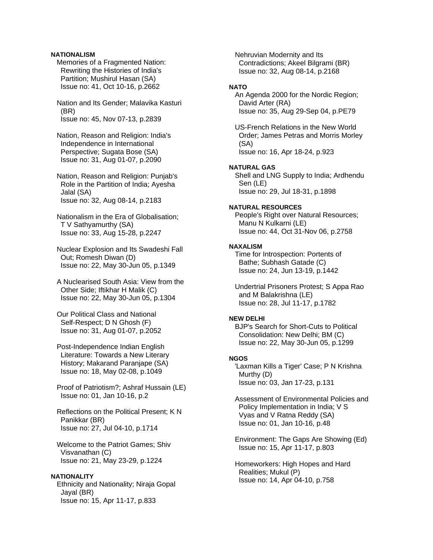### **NATIONALISM**

 Memories of a Fragmented Nation: Rewriting the Histories of India's Partition; Mushirul Hasan (SA) Issue no: 41, Oct 10-16, p.2662

 Nation and Its Gender; Malavika Kasturi (BR) Issue no: 45, Nov 07-13, p.2839

 Nation, Reason and Religion: India's Independence in International Perspective; Sugata Bose (SA) Issue no: 31, Aug 01-07, p.2090

 Nation, Reason and Religion: Punjab's Role in the Partition of India; Ayesha Jalal (SA) Issue no: 32, Aug 08-14, p.2183

 Nationalism in the Era of Globalisation; T V Sathyamurthy (SA) Issue no: 33, Aug 15-28, p.2247

 Nuclear Explosion and Its Swadeshi Fall Out; Romesh Diwan (D) Issue no: 22, May 30-Jun 05, p.1349

 A Nuclearised South Asia: View from the Other Side; Iftikhar H Malik (C) Issue no: 22, May 30-Jun 05, p.1304

 Our Political Class and National Self-Respect; D N Ghosh (F) Issue no: 31, Aug 01-07, p.2052

 Post-Independence Indian English Literature: Towards a New Literary History; Makarand Paranjape (SA) Issue no: 18, May 02-08, p.1049

 Proof of Patriotism?; Ashraf Hussain (LE) Issue no: 01, Jan 10-16, p.2

 Reflections on the Political Present; K N Panikkar (BR) Issue no: 27, Jul 04-10, p.1714

 Welcome to the Patriot Games; Shiv Visvanathan (C) Issue no: 21, May 23-29, p.1224

**NATIONALITY**  Ethnicity and Nationality; Niraja Gopal Jayal (BR) Issue no: 15, Apr 11-17, p.833

 Nehruvian Modernity and Its Contradictions; Akeel Bilgrami (BR) Issue no: 32, Aug 08-14, p.2168

#### **NATO**

 An Agenda 2000 for the Nordic Region; David Arter (RA) Issue no: 35, Aug 29-Sep 04, p.PE79

 US-French Relations in the New World Order; James Petras and Morris Morley (SA) Issue no: 16, Apr 18-24, p.923

# **NATURAL GAS**

 Shell and LNG Supply to India; Ardhendu Sen (LE) Issue no: 29, Jul 18-31, p.1898

#### **NATURAL RESOURCES**

 People's Right over Natural Resources; Manu N Kulkarni (LE) Issue no: 44, Oct 31-Nov 06, p.2758

#### **NAXALISM**

 Time for Introspection: Portents of Bathe; Subhash Gatade (C) Issue no: 24, Jun 13-19, p.1442

 Undertrial Prisoners Protest; S Appa Rao and M Balakrishna (LE) Issue no: 28, Jul 11-17, p.1782

### **NEW DELHI**

 BJP's Search for Short-Cuts to Political Consolidation: New Delhi; BM (C) Issue no: 22, May 30-Jun 05, p.1299

#### **NGOS**

 'Laxman Kills a Tiger' Case; P N Krishna Murthy (D) Issue no: 03, Jan 17-23, p.131

 Assessment of Environmental Policies and Policy Implementation in India; V S Vyas and V Ratna Reddy (SA) Issue no: 01, Jan 10-16, p.48

 Environment: The Gaps Are Showing (Ed) Issue no: 15, Apr 11-17, p.803

 Homeworkers: High Hopes and Hard Realities; Mukul (P) Issue no: 14, Apr 04-10, p.758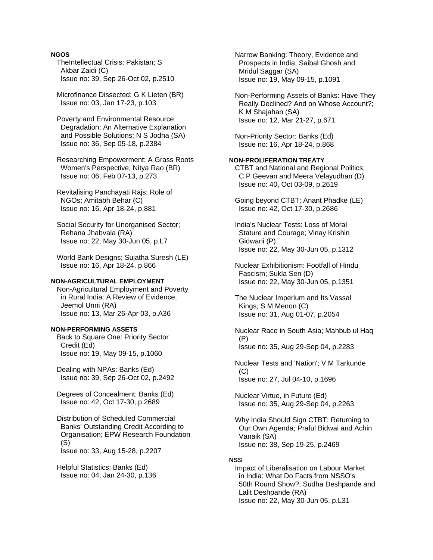## **NGOS**

 TheIntellectual Crisis: Pakistan; S Akbar Zaidi (C) Issue no: 39, Sep 26-Oct 02, p.2510

 Microfinance Dissected; G K Lieten (BR) Issue no: 03, Jan 17-23, p.103

 Poverty and Environmental Resource Degradation: An Alternative Explanation and Possible Solutions; N S Jodha (SA) Issue no: 36, Sep 05-18, p.2384

 Researching Empowerment: A Grass Roots Women's Perspective; Nitya Rao (BR) Issue no: 06, Feb 07-13, p.273

 Revitalising Panchayati Rajs: Role of NGOs; Amitabh Behar (C) Issue no: 16, Apr 18-24, p.881

 Social Security for Unorganised Sector; Rehana Jhabvala (RA) Issue no: 22, May 30-Jun 05, p.L7

 World Bank Designs; Sujatha Suresh (LE) Issue no: 16, Apr 18-24, p.866

#### **NON-AGRICULTURAL EMPLOYMENT**

 Non-Agricultural Employment and Poverty in Rural India: A Review of Evidence; Jeemol Unni (RA) Issue no: 13, Mar 26-Apr 03, p.A36

#### **NON-PERFORMING ASSETS**

 Back to Square One: Priority Sector Credit (Ed) Issue no: 19, May 09-15, p.1060

 Dealing with NPAs: Banks (Ed) Issue no: 39, Sep 26-Oct 02, p.2492

 Degrees of Concealment: Banks (Ed) Issue no: 42, Oct 17-30, p.2689

 Distribution of Scheduled Commercial Banks' Outstanding Credit According to Organisation; EPW Research Foundation (S) Issue no: 33, Aug 15-28, p.2207

 Helpful Statistics: Banks (Ed) Issue no: 04, Jan 24-30, p.136  Narrow Banking: Theory, Evidence and Prospects in India; Saibal Ghosh and Mridul Saggar (SA) Issue no: 19, May 09-15, p.1091

 Non-Performing Assets of Banks: Have They Really Declined? And on Whose Account?; K M Shajahan (SA) Issue no: 12, Mar 21-27, p.671

 Non-Priority Sector: Banks (Ed) Issue no: 16, Apr 18-24, p.868

# **NON-PROLIFERATION TREATY**

 CTBT and National and Regional Politics; C P Geevan and Meera Velayudhan (D) Issue no: 40, Oct 03-09, p.2619

 Going beyond CTBT; Anant Phadke (LE) Issue no: 42, Oct 17-30, p.2686

 India's Nuclear Tests: Loss of Moral Stature and Courage; Vinay Krishin Gidwani (P) Issue no: 22, May 30-Jun 05, p.1312

 Nuclear Exhibitionism: Footfall of Hindu Fascism; Sukla Sen (D) Issue no: 22, May 30-Jun 05, p.1351

 The Nuclear Imperium and Its Vassal Kings; S M Menon (C) Issue no: 31, Aug 01-07, p.2054

 Nuclear Race in South Asia; Mahbub ul Haq (P) Issue no: 35, Aug 29-Sep 04, p.2283

 Nuclear Tests and 'Nation'; V M Tarkunde (C) Issue no: 27, Jul 04-10, p.1696

 Nuclear Virtue, in Future (Ed) Issue no: 35, Aug 29-Sep 04, p.2263

 Why India Should Sign CTBT: Returning to Our Own Agenda; Praful Bidwai and Achin Vanaik (SA) Issue no: 38, Sep 19-25, p.2469

#### **NSS**

 Impact of Liberalisation on Labour Market in India: What Do Facts from NSSO's 50th Round Show?; Sudha Deshpande and Lalit Deshpande (RA) Issue no: 22, May 30-Jun 05, p.L31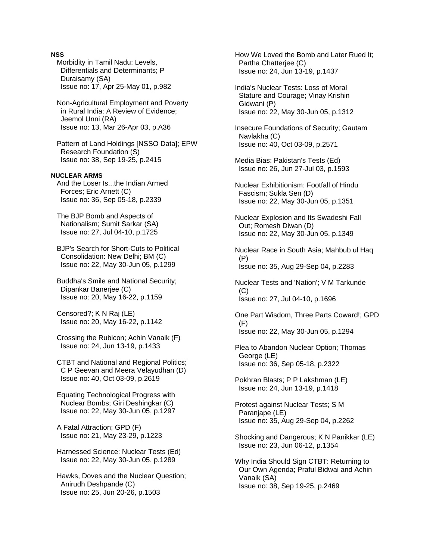**NSS**  Morbidity in Tamil Nadu: Levels, Differentials and Determinants; P Duraisamy (SA) Issue no: 17, Apr 25-May 01, p.982 Non-Agricultural Employment and Poverty in Rural India: A Review of Evidence; Jeemol Unni (RA) Issue no: 13, Mar 26-Apr 03, p.A36 Pattern of Land Holdings [NSSO Data]; EPW Research Foundation (S) Issue no: 38, Sep 19-25, p.2415 **NUCLEAR ARMS**  And the Loser Is...the Indian Armed Forces; Eric Arnett (C) Issue no: 36, Sep 05-18, p.2339 The BJP Bomb and Aspects of Nationalism; Sumit Sarkar (SA) Issue no: 27, Jul 04-10, p.1725 BJP's Search for Short-Cuts to Political Consolidation: New Delhi; BM (C) Issue no: 22, May 30-Jun 05, p.1299 Buddha's Smile and National Security; Dipankar Banerjee (C) Issue no: 20, May 16-22, p.1159 Censored?; K N Raj (LE) Issue no: 20, May 16-22, p.1142 Crossing the Rubicon; Achin Vanaik (F) Issue no: 24, Jun 13-19, p.1433 CTBT and National and Regional Politics; C P Geevan and Meera Velayudhan (D) Issue no: 40, Oct 03-09, p.2619 Equating Technological Progress with Nuclear Bombs; Giri Deshingkar (C) Issue no: 22, May 30-Jun 05, p.1297 A Fatal Attraction; GPD (F) Issue no: 21, May 23-29, p.1223 Harnessed Science: Nuclear Tests (Ed) Issue no: 22, May 30-Jun 05, p.1289 Hawks, Doves and the Nuclear Question; Anirudh Deshpande (C) Issue no: 25, Jun 20-26, p.1503

 How We Loved the Bomb and Later Rued It; Partha Chatterjee (C) Issue no: 24, Jun 13-19, p.1437 India's Nuclear Tests: Loss of Moral Stature and Courage; Vinay Krishin Gidwani (P) Issue no: 22, May 30-Jun 05, p.1312 Insecure Foundations of Security; Gautam Navlakha (C) Issue no: 40, Oct 03-09, p.2571 Media Bias: Pakistan's Tests (Ed) Issue no: 26, Jun 27-Jul 03, p.1593 Nuclear Exhibitionism: Footfall of Hindu Fascism; Sukla Sen (D) Issue no: 22, May 30-Jun 05, p.1351

 Nuclear Explosion and Its Swadeshi Fall Out; Romesh Diwan (D) Issue no: 22, May 30-Jun 05, p.1349

 Nuclear Race in South Asia; Mahbub ul Haq (P) Issue no: 35, Aug 29-Sep 04, p.2283

 Nuclear Tests and 'Nation'; V M Tarkunde  $(C)$ Issue no: 27, Jul 04-10, p.1696

 One Part Wisdom, Three Parts Coward!; GPD (F) Issue no: 22, May 30-Jun 05, p.1294

 Plea to Abandon Nuclear Option; Thomas George (LE) Issue no: 36, Sep 05-18, p.2322

 Pokhran Blasts; P P Lakshman (LE) Issue no: 24, Jun 13-19, p.1418

 Protest against Nuclear Tests; S M Paranjape (LE) Issue no: 35, Aug 29-Sep 04, p.2262

 Shocking and Dangerous; K N Panikkar (LE) Issue no: 23, Jun 06-12, p.1354

 Why India Should Sign CTBT: Returning to Our Own Agenda; Praful Bidwai and Achin Vanaik (SA) Issue no: 38, Sep 19-25, p.2469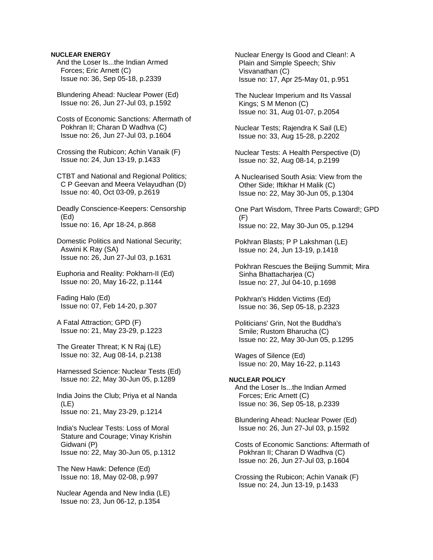### **NUCLEAR ENERGY**

 And the Loser Is...the Indian Armed Forces; Eric Arnett (C) Issue no: 36, Sep 05-18, p.2339

 Blundering Ahead: Nuclear Power (Ed) Issue no: 26, Jun 27-Jul 03, p.1592

 Costs of Economic Sanctions: Aftermath of Pokhran II; Charan D Wadhva (C) Issue no: 26, Jun 27-Jul 03, p.1604

 Crossing the Rubicon; Achin Vanaik (F) Issue no: 24, Jun 13-19, p.1433

 CTBT and National and Regional Politics; C P Geevan and Meera Velayudhan (D) Issue no: 40, Oct 03-09, p.2619

 Deadly Conscience-Keepers: Censorship (Ed) Issue no: 16, Apr 18-24, p.868

 Domestic Politics and National Security; Aswini K Ray (SA) Issue no: 26, Jun 27-Jul 03, p.1631

 Euphoria and Reality: Pokharn-II (Ed) Issue no: 20, May 16-22, p.1144

 Fading Halo (Ed) Issue no: 07, Feb 14-20, p.307

 A Fatal Attraction; GPD (F) Issue no: 21, May 23-29, p.1223

 The Greater Threat; K N Raj (LE) Issue no: 32, Aug 08-14, p.2138

 Harnessed Science: Nuclear Tests (Ed) Issue no: 22, May 30-Jun 05, p.1289

 India Joins the Club; Priya et al Nanda (LE) Issue no: 21, May 23-29, p.1214

 India's Nuclear Tests: Loss of Moral Stature and Courage; Vinay Krishin Gidwani (P) Issue no: 22, May 30-Jun 05, p.1312

 The New Hawk: Defence (Ed) Issue no: 18, May 02-08, p.997

 Nuclear Agenda and New India (LE) Issue no: 23, Jun 06-12, p.1354

 Nuclear Energy Is Good and Clean!: A Plain and Simple Speech; Shiv Visvanathan (C) Issue no: 17, Apr 25-May 01, p.951

 The Nuclear Imperium and Its Vassal Kings; S M Menon (C) Issue no: 31, Aug 01-07, p.2054

 Nuclear Tests; Rajendra K Sail (LE) Issue no: 33, Aug 15-28, p.2202

 Nuclear Tests: A Health Perspective (D) Issue no: 32, Aug 08-14, p.2199

 A Nuclearised South Asia: View from the Other Side; Iftikhar H Malik (C) Issue no: 22, May 30-Jun 05, p.1304

 One Part Wisdom, Three Parts Coward!; GPD (F) Issue no: 22, May 30-Jun 05, p.1294

 Pokhran Blasts; P P Lakshman (LE) Issue no: 24, Jun 13-19, p.1418

 Pokhran Rescues the Beijing Summit; Mira Sinha Bhattacharjea (C) Issue no: 27, Jul 04-10, p.1698

 Pokhran's Hidden Victims (Ed) Issue no: 36, Sep 05-18, p.2323

 Politicians' Grin, Not the Buddha's Smile; Rustom Bharucha (C) Issue no: 22, May 30-Jun 05, p.1295

 Wages of Silence (Ed) Issue no: 20, May 16-22, p.1143

**NUCLEAR POLICY**  And the Loser Is...the Indian Armed Forces; Eric Arnett (C) Issue no: 36, Sep 05-18, p.2339

 Blundering Ahead: Nuclear Power (Ed) Issue no: 26, Jun 27-Jul 03, p.1592

 Costs of Economic Sanctions: Aftermath of Pokhran II; Charan D Wadhva (C) Issue no: 26, Jun 27-Jul 03, p.1604

 Crossing the Rubicon; Achin Vanaik (F) Issue no: 24, Jun 13-19, p.1433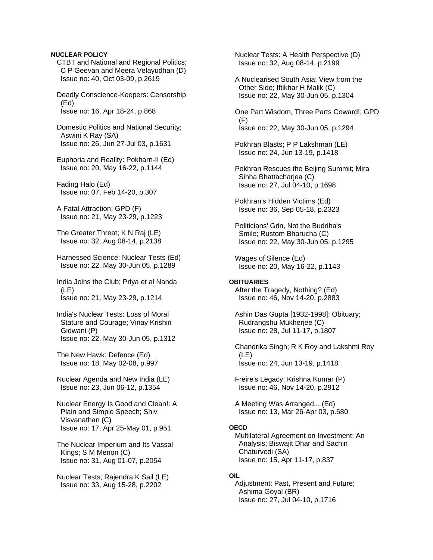#### **NUCLEAR POLICY**

 CTBT and National and Regional Politics; C P Geevan and Meera Velayudhan (D) Issue no: 40, Oct 03-09, p.2619

 Deadly Conscience-Keepers: Censorship (Ed) Issue no: 16, Apr 18-24, p.868

 Domestic Politics and National Security; Aswini K Ray (SA) Issue no: 26, Jun 27-Jul 03, p.1631

 Euphoria and Reality: Pokharn-II (Ed) Issue no: 20, May 16-22, p.1144

 Fading Halo (Ed) Issue no: 07, Feb 14-20, p.307

 A Fatal Attraction; GPD (F) Issue no: 21, May 23-29, p.1223

 The Greater Threat; K N Raj (LE) Issue no: 32, Aug 08-14, p.2138

 Harnessed Science: Nuclear Tests (Ed) Issue no: 22, May 30-Jun 05, p.1289

 India Joins the Club; Priya et al Nanda (LE) Issue no: 21, May 23-29, p.1214

 India's Nuclear Tests: Loss of Moral Stature and Courage; Vinay Krishin Gidwani (P) Issue no: 22, May 30-Jun 05, p.1312

 The New Hawk: Defence (Ed) Issue no: 18, May 02-08, p.997

 Nuclear Agenda and New India (LE) Issue no: 23, Jun 06-12, p.1354

 Nuclear Energy Is Good and Clean!: A Plain and Simple Speech; Shiv Visvanathan (C) Issue no: 17, Apr 25-May 01, p.951

 The Nuclear Imperium and Its Vassal Kings; S M Menon (C) Issue no: 31, Aug 01-07, p.2054

 Nuclear Tests; Rajendra K Sail (LE) Issue no: 33, Aug 15-28, p.2202

 Nuclear Tests: A Health Perspective (D) Issue no: 32, Aug 08-14, p.2199

 A Nuclearised South Asia: View from the Other Side; Iftikhar H Malik (C) Issue no: 22, May 30-Jun 05, p.1304

 One Part Wisdom, Three Parts Coward!; GPD (F) Issue no: 22, May 30-Jun 05, p.1294

 Pokhran Blasts; P P Lakshman (LE) Issue no: 24, Jun 13-19, p.1418

 Pokhran Rescues the Beijing Summit; Mira Sinha Bhattacharjea (C) Issue no: 27, Jul 04-10, p.1698

 Pokhran's Hidden Victims (Ed) Issue no: 36, Sep 05-18, p.2323

 Politicians' Grin, Not the Buddha's Smile; Rustom Bharucha (C) Issue no: 22, May 30-Jun 05, p.1295

 Wages of Silence (Ed) Issue no: 20, May 16-22, p.1143

### **OBITUARIES**

 After the Tragedy, Nothing? (Ed) Issue no: 46, Nov 14-20, p.2883

 Ashin Das Gupta [1932-1998]: Obituary; Rudrangshu Mukherjee (C) Issue no: 28, Jul 11-17, p.1807

 Chandrika Singh; R K Roy and Lakshmi Roy (LE) Issue no: 24, Jun 13-19, p.1418

 Freire's Legacy; Krishna Kumar (P) Issue no: 46, Nov 14-20, p.2912

 A Meeting Was Arranged... (Ed) Issue no: 13, Mar 26-Apr 03, p.680

### **OECD**

 Multilateral Agreement on Investment: An Analysis; Biswajit Dhar and Sachin Chaturvedi (SA) Issue no: 15, Apr 11-17, p.837

#### **OIL**

 Adjustment: Past, Present and Future; Ashima Goyal (BR) Issue no: 27, Jul 04-10, p.1716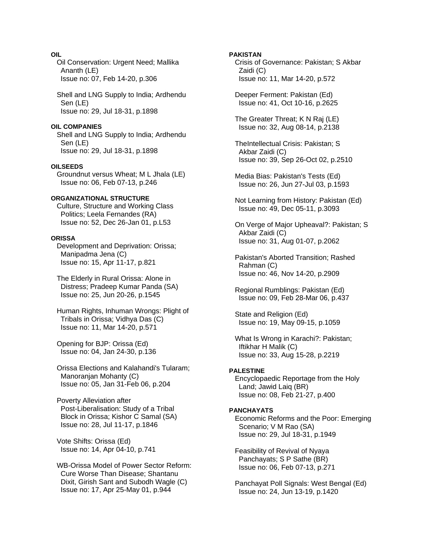# **OIL**

 Oil Conservation: Urgent Need; Mallika Ananth (LE) Issue no: 07, Feb 14-20, p.306

 Shell and LNG Supply to India; Ardhendu Sen (LE) Issue no: 29, Jul 18-31, p.1898

#### **OIL COMPANIES**

 Shell and LNG Supply to India; Ardhendu Sen (LE) Issue no: 29, Jul 18-31, p.1898

## **OILSEEDS**

 Groundnut versus Wheat; M L Jhala (LE) Issue no: 06, Feb 07-13, p.246

# **ORGANIZATIONAL STRUCTURE**

 Culture, Structure and Working Class Politics; Leela Fernandes (RA) Issue no: 52, Dec 26-Jan 01, p.L53

### **ORISSA**

 Development and Deprivation: Orissa; Manipadma Jena (C) Issue no: 15, Apr 11-17, p.821

 The Elderly in Rural Orissa: Alone in Distress; Pradeep Kumar Panda (SA) Issue no: 25, Jun 20-26, p.1545

 Human Rights, Inhuman Wrongs: Plight of Tribals in Orissa; Vidhya Das (C) Issue no: 11, Mar 14-20, p.571

 Opening for BJP: Orissa (Ed) Issue no: 04, Jan 24-30, p.136

 Orissa Elections and Kalahandi's Tularam; Manoranjan Mohanty (C) Issue no: 05, Jan 31-Feb 06, p.204

 Poverty Alleviation after Post-Liberalisation: Study of a Tribal Block in Orissa; Kishor C Samal (SA) Issue no: 28, Jul 11-17, p.1846

 Vote Shifts: Orissa (Ed) Issue no: 14, Apr 04-10, p.741

 WB-Orissa Model of Power Sector Reform: Cure Worse Than Disease; Shantanu Dixit, Girish Sant and Subodh Wagle (C) Issue no: 17, Apr 25-May 01, p.944

## **PAKISTAN**

 Crisis of Governance: Pakistan; S Akbar Zaidi (C) Issue no: 11, Mar 14-20, p.572

 Deeper Ferment: Pakistan (Ed) Issue no: 41, Oct 10-16, p.2625

 The Greater Threat; K N Raj (LE) Issue no: 32, Aug 08-14, p.2138

 TheIntellectual Crisis: Pakistan; S Akbar Zaidi (C) Issue no: 39, Sep 26-Oct 02, p.2510

 Media Bias: Pakistan's Tests (Ed) Issue no: 26, Jun 27-Jul 03, p.1593

 Not Learning from History: Pakistan (Ed) Issue no: 49, Dec 05-11, p.3093

 On Verge of Major Upheaval?: Pakistan; S Akbar Zaidi (C) Issue no: 31, Aug 01-07, p.2062

 Pakistan's Aborted Transition; Rashed Rahman (C) Issue no: 46, Nov 14-20, p.2909

 Regional Rumblings: Pakistan (Ed) Issue no: 09, Feb 28-Mar 06, p.437

 State and Religion (Ed) Issue no: 19, May 09-15, p.1059

 What Is Wrong in Karachi?: Pakistan; Iftikhar H Malik (C) Issue no: 33, Aug 15-28, p.2219

### **PALESTINE**

 Encyclopaedic Reportage from the Holy Land; Jawid Laiq (BR) Issue no: 08, Feb 21-27, p.400

## **PANCHAYATS**

 Economic Reforms and the Poor: Emerging Scenario; V M Rao (SA) Issue no: 29, Jul 18-31, p.1949

 Feasibility of Revival of Nyaya Panchayats; S P Sathe (BR) Issue no: 06, Feb 07-13, p.271

 Panchayat Poll Signals: West Bengal (Ed) Issue no: 24, Jun 13-19, p.1420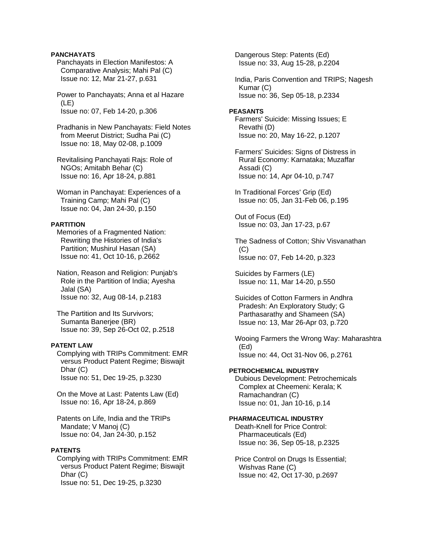## **PANCHAYATS**

 Panchayats in Election Manifestos: A Comparative Analysis; Mahi Pal (C) Issue no: 12, Mar 21-27, p.631

 Power to Panchayats; Anna et al Hazare (LE) Issue no: 07, Feb 14-20, p.306

 Pradhanis in New Panchayats: Field Notes from Meerut District; Sudha Pai (C) Issue no: 18, May 02-08, p.1009

 Revitalising Panchayati Rajs: Role of NGOs; Amitabh Behar (C) Issue no: 16, Apr 18-24, p.881

 Woman in Panchayat: Experiences of a Training Camp; Mahi Pal (C) Issue no: 04, Jan 24-30, p.150

### **PARTITION**

 Memories of a Fragmented Nation: Rewriting the Histories of India's Partition; Mushirul Hasan (SA) Issue no: 41, Oct 10-16, p.2662

 Nation, Reason and Religion: Punjab's Role in the Partition of India; Ayesha Jalal (SA) Issue no: 32, Aug 08-14, p.2183

 The Partition and Its Survivors; Sumanta Banerjee (BR) Issue no: 39, Sep 26-Oct 02, p.2518

# **PATENT LAW**

 Complying with TRIPs Commitment: EMR versus Product Patent Regime; Biswajit Dhar (C) Issue no: 51, Dec 19-25, p.3230

 On the Move at Last: Patents Law (Ed) Issue no: 16, Apr 18-24, p.869

 Patents on Life, India and the TRIPs Mandate; V Manoj (C) Issue no: 04, Jan 24-30, p.152

# **PATENTS**

 Complying with TRIPs Commitment: EMR versus Product Patent Regime; Biswajit Dhar (C) Issue no: 51, Dec 19-25, p.3230

 Dangerous Step: Patents (Ed) Issue no: 33, Aug 15-28, p.2204

 India, Paris Convention and TRIPS; Nagesh Kumar (C) Issue no: 36, Sep 05-18, p.2334

#### **PEASANTS**

 Farmers' Suicide: Missing Issues; E Revathi (D) Issue no: 20, May 16-22, p.1207

 Farmers' Suicides: Signs of Distress in Rural Economy: Karnataka; Muzaffar Assadi (C) Issue no: 14, Apr 04-10, p.747

 In Traditional Forces' Grip (Ed) Issue no: 05, Jan 31-Feb 06, p.195

 Out of Focus (Ed) Issue no: 03, Jan 17-23, p.67

 The Sadness of Cotton; Shiv Visvanathan (C) Issue no: 07, Feb 14-20, p.323

 Suicides by Farmers (LE) Issue no: 11, Mar 14-20, p.550

 Suicides of Cotton Farmers in Andhra Pradesh: An Exploratory Study; G Parthasarathy and Shameen (SA) Issue no: 13, Mar 26-Apr 03, p.720

 Wooing Farmers the Wrong Way: Maharashtra (Ed) Issue no: 44, Oct 31-Nov 06, p.2761

**PETROCHEMICAL INDUSTRY** 

 Dubious Development: Petrochemicals Complex at Cheemeni: Kerala; K Ramachandran (C) Issue no: 01, Jan 10-16, p.14

### **PHARMACEUTICAL INDUSTRY**

 Death-Knell for Price Control: Pharmaceuticals (Ed) Issue no: 36, Sep 05-18, p.2325

 Price Control on Drugs Is Essential; Wishvas Rane (C) Issue no: 42, Oct 17-30, p.2697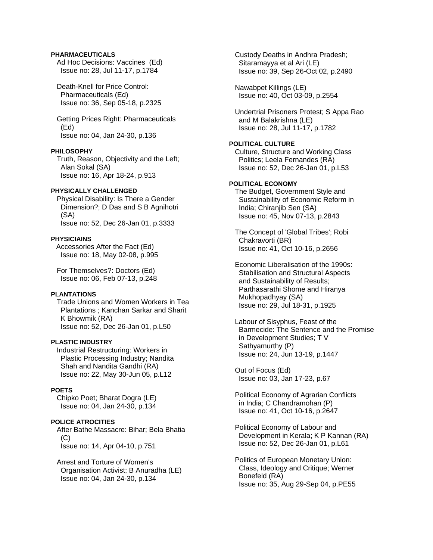## **PHARMACEUTICALS**

 Ad Hoc Decisions: Vaccines (Ed) Issue no: 28, Jul 11-17, p.1784

 Death-Knell for Price Control: Pharmaceuticals (Ed) Issue no: 36, Sep 05-18, p.2325

 Getting Prices Right: Pharmaceuticals (Ed) Issue no: 04, Jan 24-30, p.136

# **PHILOSOPHY**

 Truth, Reason, Objectivity and the Left; Alan Sokal (SA) Issue no: 16, Apr 18-24, p.913

# **PHYSICALLY CHALLENGED**

 Physical Disability: Is There a Gender Dimension?; D Das and S B Agnihotri (SA) Issue no: 52, Dec 26-Jan 01, p.3333

#### **PHYSICIAINS**

Accessories After the Fact (Ed) Issue no: 18, May 02-08, p.995

 For Themselves?: Doctors (Ed) Issue no: 06, Feb 07-13, p.248

# **PLANTATIONS**

 Trade Unions and Women Workers in Tea Plantations ; Kanchan Sarkar and Sharit K Bhowmik (RA) Issue no: 52, Dec 26-Jan 01, p.L50

## **PLASTIC INDUSTRY**

 Industrial Restructuring: Workers in Plastic Processing Industry; Nandita Shah and Nandita Gandhi (RA) Issue no: 22, May 30-Jun 05, p.L12

### **POETS**

 Chipko Poet; Bharat Dogra (LE) Issue no: 04, Jan 24-30, p.134

### **POLICE ATROCITIES**

 After Bathe Massacre: Bihar; Bela Bhatia  $(C)$ Issue no: 14, Apr 04-10, p.751

 Arrest and Torture of Women's Organisation Activist; B Anuradha (LE) Issue no: 04, Jan 24-30, p.134

 Custody Deaths in Andhra Pradesh; Sitaramayya et al Ari (LE) Issue no: 39, Sep 26-Oct 02, p.2490

 Nawabpet Killings (LE) Issue no: 40, Oct 03-09, p.2554

 Undertrial Prisoners Protest; S Appa Rao and M Balakrishna (LE) Issue no: 28, Jul 11-17, p.1782

# **POLITICAL CULTURE**

 Culture, Structure and Working Class Politics; Leela Fernandes (RA) Issue no: 52, Dec 26-Jan 01, p.L53

## **POLITICAL ECONOMY**

 The Budget, Government Style and Sustainability of Economic Reform in India; Chiranjib Sen (SA) Issue no: 45, Nov 07-13, p.2843

 The Concept of 'Global Tribes'; Robi Chakravorti (BR) Issue no: 41, Oct 10-16, p.2656

 Economic Liberalisation of the 1990s: Stabilisation and Structural Aspects and Sustainability of Results; Parthasarathi Shome and Hiranya Mukhopadhyay (SA) Issue no: 29, Jul 18-31, p.1925

 Labour of Sisyphus, Feast of the Barmecide: The Sentence and the Promise in Development Studies; T V Sathyamurthy (P) Issue no: 24, Jun 13-19, p.1447

 Out of Focus (Ed) Issue no: 03, Jan 17-23, p.67

 Political Economy of Agrarian Conflicts in India; C Chandramohan (P) Issue no: 41, Oct 10-16, p.2647

 Political Economy of Labour and Development in Kerala; K P Kannan (RA) Issue no: 52, Dec 26-Jan 01, p.L61

 Politics of European Monetary Union: Class, Ideology and Critique; Werner Bonefeld (RA) Issue no: 35, Aug 29-Sep 04, p.PE55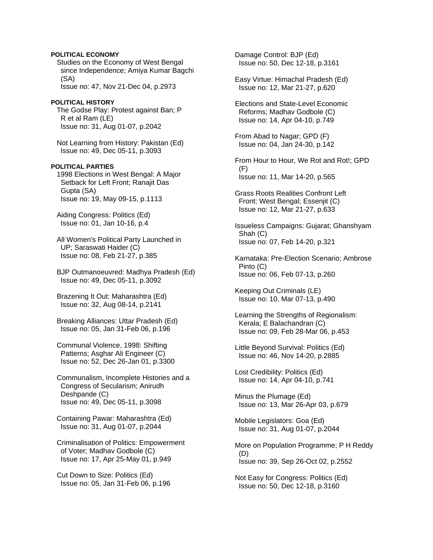## **POLITICAL ECONOMY**

 Studies on the Economy of West Bengal since Independence; Amiya Kumar Bagchi (SA) Issue no: 47, Nov 21-Dec 04, p.2973

**POLITICAL HISTORY** 

 The Godse Play: Protest against Ban; P R et al Ram (LE) Issue no: 31, Aug 01-07, p.2042

 Not Learning from History: Pakistan (Ed) Issue no: 49, Dec 05-11, p.3093

### **POLITICAL PARTIES**

 1998 Elections in West Bengal: A Major Setback for Left Front; Ranajit Das Gupta (SA) Issue no: 19, May 09-15, p.1113

 Aiding Congress: Politics (Ed) Issue no: 01, Jan 10-16, p.4

 All Women's Political Party Launched in UP; Saraswati Haider (C) Issue no: 08, Feb 21-27, p.385

 BJP Outmanoeuvred: Madhya Pradesh (Ed) Issue no: 49, Dec 05-11, p.3092

 Brazening It Out: Maharashtra (Ed) Issue no: 32, Aug 08-14, p.2141

 Breaking Alliances: Uttar Pradesh (Ed) Issue no: 05, Jan 31-Feb 06, p.196

 Communal Violence, 1998: Shifting Patterns; Asghar Ali Engineer (C) Issue no: 52, Dec 26-Jan 01, p.3300

 Communalism, Incomplete Histories and a Congress of Secularism; Anirudh Deshpande (C) Issue no: 49, Dec 05-11, p.3098

 Containing Pawar: Maharashtra (Ed) Issue no: 31, Aug 01-07, p.2044

 Criminalisation of Politics: Empowerment of Voter; Madhav Godbole (C) Issue no: 17, Apr 25-May 01, p.949

 Cut Down to Size: Politics (Ed) Issue no: 05, Jan 31-Feb 06, p.196  Damage Control: BJP (Ed) Issue no: 50, Dec 12-18, p.3161

 Easy Virtue: Himachal Pradesh (Ed) Issue no: 12, Mar 21-27, p.620

 Elections and State-Level Economic Reforms; Madhav Godbole (C) Issue no: 14, Apr 04-10, p.749

 From Abad to Nagar; GPD (F) Issue no: 04, Jan 24-30, p.142

 From Hour to Hour, We Rot and Rot!; GPD (F) Issue no: 11, Mar 14-20, p.565

 Grass Roots Realities Confront Left Front: West Bengal; Essenjit (C) Issue no: 12, Mar 21-27, p.633

 Issueless Campaigns: Gujarat; Ghanshyam Shah (C) Issue no: 07, Feb 14-20, p.321

 Karnataka: Pre-Election Scenario; Ambrose Pinto (C) Issue no: 06, Feb 07-13, p.260

 Keeping Out Criminals (LE) Issue no: 10, Mar 07-13, p.490

 Learning the Strengths of Regionalism: Kerala; E Balachandran (C) Issue no: 09, Feb 28-Mar 06, p.453

 Little Beyond Survival: Politics (Ed) Issue no: 46, Nov 14-20, p.2885

 Lost Credibility: Politics (Ed) Issue no: 14, Apr 04-10, p.741

 Minus the Plumage (Ed) Issue no: 13, Mar 26-Apr 03, p.679

 Mobile Legislators: Goa (Ed) Issue no: 31, Aug 01-07, p.2044

 More on Population Programme; P H Reddy (D) Issue no: 39, Sep 26-Oct 02, p.2552

 Not Easy for Congress: Politics (Ed) Issue no: 50, Dec 12-18, p.3160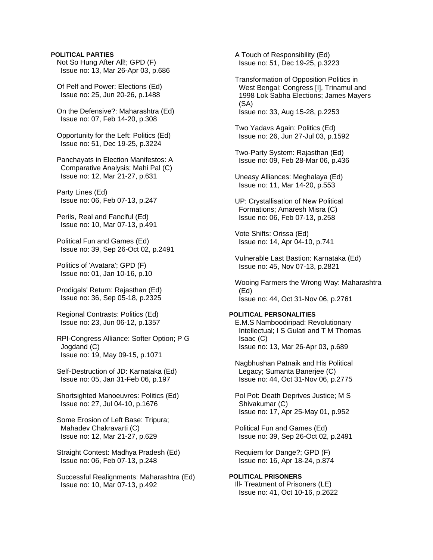### **POLITICAL PARTIES**

 Not So Hung After All!; GPD (F) Issue no: 13, Mar 26-Apr 03, p.686

 Of Pelf and Power: Elections (Ed) Issue no: 25, Jun 20-26, p.1488

 On the Defensive?: Maharashtra (Ed) Issue no: 07, Feb 14-20, p.308

 Opportunity for the Left: Politics (Ed) Issue no: 51, Dec 19-25, p.3224

 Panchayats in Election Manifestos: A Comparative Analysis; Mahi Pal (C) Issue no: 12, Mar 21-27, p.631

 Party Lines (Ed) Issue no: 06, Feb 07-13, p.247

 Perils, Real and Fanciful (Ed) Issue no: 10, Mar 07-13, p.491

 Political Fun and Games (Ed) Issue no: 39, Sep 26-Oct 02, p.2491

 Politics of 'Avatara'; GPD (F) Issue no: 01, Jan 10-16, p.10

 Prodigals' Return: Rajasthan (Ed) Issue no: 36, Sep 05-18, p.2325

 Regional Contrasts: Politics (Ed) Issue no: 23, Jun 06-12, p.1357

 RPI-Congress Alliance: Softer Option; P G Jogdand (C) Issue no: 19, May 09-15, p.1071

 Self-Destruction of JD: Karnataka (Ed) Issue no: 05, Jan 31-Feb 06, p.197

 Shortsighted Manoeuvres: Politics (Ed) Issue no: 27, Jul 04-10, p.1676

 Some Erosion of Left Base: Tripura; Mahadev Chakravarti (C) Issue no: 12, Mar 21-27, p.629

 Straight Contest: Madhya Pradesh (Ed) Issue no: 06, Feb 07-13, p.248

 Successful Realignments: Maharashtra (Ed) Issue no: 10, Mar 07-13, p.492

 A Touch of Responsibility (Ed) Issue no: 51, Dec 19-25, p.3223

 Transformation of Opposition Politics in West Bengal: Congress [I], Trinamul and 1998 Lok Sabha Elections; James Mayers (SA) Issue no: 33, Aug 15-28, p.2253

 Two Yadavs Again: Politics (Ed) Issue no: 26, Jun 27-Jul 03, p.1592

 Two-Party System: Rajasthan (Ed) Issue no: 09, Feb 28-Mar 06, p.436

 Uneasy Alliances: Meghalaya (Ed) Issue no: 11, Mar 14-20, p.553

 UP: Crystallisation of New Political Formations; Amaresh Misra (C) Issue no: 06, Feb 07-13, p.258

 Vote Shifts: Orissa (Ed) Issue no: 14, Apr 04-10, p.741

 Vulnerable Last Bastion: Karnataka (Ed) Issue no: 45, Nov 07-13, p.2821

 Wooing Farmers the Wrong Way: Maharashtra (Ed) Issue no: 44, Oct 31-Nov 06, p.2761

## **POLITICAL PERSONALITIES**

 E.M.S Namboodiripad: Revolutionary Intellectual; I S Gulati and T M Thomas Isaac (C) Issue no: 13, Mar 26-Apr 03, p.689

 Nagbhushan Patnaik and His Political Legacy; Sumanta Banerjee (C) Issue no: 44, Oct 31-Nov 06, p.2775

 Pol Pot: Death Deprives Justice; M S Shivakumar (C) Issue no: 17, Apr 25-May 01, p.952

 Political Fun and Games (Ed) Issue no: 39, Sep 26-Oct 02, p.2491

 Requiem for Dange?; GPD (F) Issue no: 16, Apr 18-24, p.874

**POLITICAL PRISONERS**  Ill- Treatment of Prisoners (LE) Issue no: 41, Oct 10-16, p.2622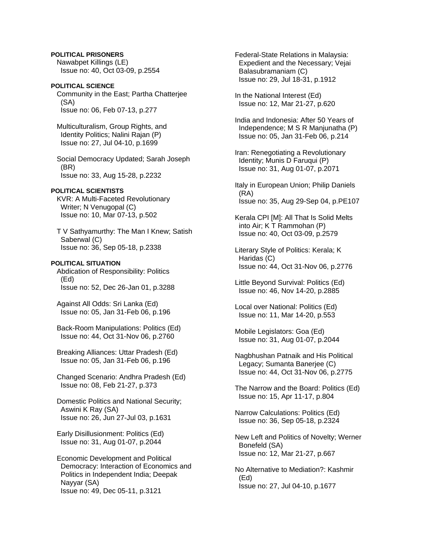## **POLITICAL PRISONERS**

 Nawabpet Killings (LE) Issue no: 40, Oct 03-09, p.2554

# **POLITICAL SCIENCE**  Community in the East; Partha Chatterjee (SA) Issue no: 06, Feb 07-13, p.277

 Multiculturalism, Group Rights, and Identity Politics; Nalini Rajan (P) Issue no: 27, Jul 04-10, p.1699

 Social Democracy Updated; Sarah Joseph (BR) Issue no: 33, Aug 15-28, p.2232

## **POLITICAL SCIENTISTS**

 KVR: A Multi-Faceted Revolutionary Writer; N Venugopal (C) Issue no: 10, Mar 07-13, p.502

 T V Sathyamurthy: The Man I Knew; Satish Saberwal (C) Issue no: 36, Sep 05-18, p.2338

### **POLITICAL SITUATION**

 Abdication of Responsibility: Politics (Ed) Issue no: 52, Dec 26-Jan 01, p.3288

 Against All Odds: Sri Lanka (Ed) Issue no: 05, Jan 31-Feb 06, p.196

 Back-Room Manipulations: Politics (Ed) Issue no: 44, Oct 31-Nov 06, p.2760

 Breaking Alliances: Uttar Pradesh (Ed) Issue no: 05, Jan 31-Feb 06, p.196

 Changed Scenario: Andhra Pradesh (Ed) Issue no: 08, Feb 21-27, p.373

 Domestic Politics and National Security; Aswini K Ray (SA) Issue no: 26, Jun 27-Jul 03, p.1631

 Early Disillusionment: Politics (Ed) Issue no: 31, Aug 01-07, p.2044

 Economic Development and Political Democracy: Interaction of Economics and Politics in Independent India; Deepak Nayyar (SA) Issue no: 49, Dec 05-11, p.3121

 Federal-State Relations in Malaysia: Expedient and the Necessary; Vejai Balasubramaniam (C) Issue no: 29, Jul 18-31, p.1912

 In the National Interest (Ed) Issue no: 12, Mar 21-27, p.620

 India and Indonesia: After 50 Years of Independence; M S R Manjunatha (P) Issue no: 05, Jan 31-Feb 06, p.214

 Iran: Renegotiating a Revolutionary Identity; Munis D Faruqui (P) Issue no: 31, Aug 01-07, p.2071

 Italy in European Union; Philip Daniels (RA) Issue no: 35, Aug 29-Sep 04, p.PE107

 Kerala CPI [M]: All That Is Solid Melts into Air; K T Rammohan (P) Issue no: 40, Oct 03-09, p.2579

 Literary Style of Politics: Kerala; K Haridas (C) Issue no: 44, Oct 31-Nov 06, p.2776

 Little Beyond Survival: Politics (Ed) Issue no: 46, Nov 14-20, p.2885

 Local over National: Politics (Ed) Issue no: 11, Mar 14-20, p.553

 Mobile Legislators: Goa (Ed) Issue no: 31, Aug 01-07, p.2044

 Nagbhushan Patnaik and His Political Legacy; Sumanta Banerjee (C) Issue no: 44, Oct 31-Nov 06, p.2775

 The Narrow and the Board: Politics (Ed) Issue no: 15, Apr 11-17, p.804

 Narrow Calculations: Politics (Ed) Issue no: 36, Sep 05-18, p.2324

 New Left and Politics of Novelty; Werner Bonefeld (SA) Issue no: 12, Mar 21-27, p.667

 No Alternative to Mediation?: Kashmir (Ed) Issue no: 27, Jul 04-10, p.1677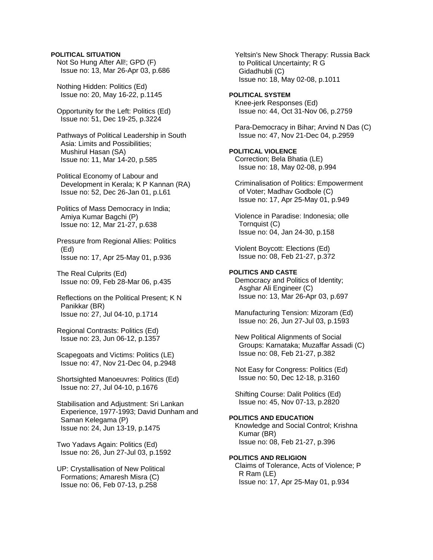## **POLITICAL SITUATION**

 Not So Hung After All!; GPD (F) Issue no: 13, Mar 26-Apr 03, p.686

 Nothing Hidden: Politics (Ed) Issue no: 20, May 16-22, p.1145

 Opportunity for the Left: Politics (Ed) Issue no: 51, Dec 19-25, p.3224

 Pathways of Political Leadership in South Asia: Limits and Possibilities; Mushirul Hasan (SA) Issue no: 11, Mar 14-20, p.585

 Political Economy of Labour and Development in Kerala; K P Kannan (RA) Issue no: 52, Dec 26-Jan 01, p.L61

 Politics of Mass Democracy in India; Amiya Kumar Bagchi (P) Issue no: 12, Mar 21-27, p.638

 Pressure from Regional Allies: Politics (Ed) Issue no: 17, Apr 25-May 01, p.936

 The Real Culprits (Ed) Issue no: 09, Feb 28-Mar 06, p.435

 Reflections on the Political Present; K N Panikkar (BR) Issue no: 27, Jul 04-10, p.1714

 Regional Contrasts: Politics (Ed) Issue no: 23, Jun 06-12, p.1357

 Scapegoats and Victims: Politics (LE) Issue no: 47, Nov 21-Dec 04, p.2948

 Shortsighted Manoeuvres: Politics (Ed) Issue no: 27, Jul 04-10, p.1676

 Stabilisation and Adjustment: Sri Lankan Experience, 1977-1993; David Dunham and Saman Kelegama (P) Issue no: 24, Jun 13-19, p.1475

 Two Yadavs Again: Politics (Ed) Issue no: 26, Jun 27-Jul 03, p.1592

 UP: Crystallisation of New Political Formations; Amaresh Misra (C) Issue no: 06, Feb 07-13, p.258

 Yeltsin's New Shock Therapy: Russia Back to Political Uncertainty; R G Gidadhubli (C) Issue no: 18, May 02-08, p.1011 **POLITICAL SYSTEM**  Knee-jerk Responses (Ed) Issue no: 44, Oct 31-Nov 06, p.2759 Para-Democracy in Bihar; Arvind N Das (C) Issue no: 47, Nov 21-Dec 04, p.2959 **POLITICAL VIOLENCE**  Correction; Bela Bhatia (LE) Issue no: 18, May 02-08, p.994 Criminalisation of Politics: Empowerment of Voter; Madhav Godbole (C) Issue no: 17, Apr 25-May 01, p.949 Violence in Paradise: Indonesia; olle Tornquist (C) Issue no: 04, Jan 24-30, p.158 Violent Boycott: Elections (Ed) Issue no: 08, Feb 21-27, p.372 **POLITICS AND CASTE**  Democracy and Politics of Identity; Asghar Ali Engineer (C) Issue no: 13, Mar 26-Apr 03, p.697 Manufacturing Tension: Mizoram (Ed) Issue no: 26, Jun 27-Jul 03, p.1593 New Political Alignments of Social Groups: Karnataka; Muzaffar Assadi (C) Issue no: 08, Feb 21-27, p.382 Not Easy for Congress: Politics (Ed) Issue no: 50, Dec 12-18, p.3160 Shifting Course: Dalit Politics (Ed) Issue no: 45, Nov 07-13, p.2820 **POLITICS AND EDUCATION** 

 Knowledge and Social Control; Krishna Kumar (BR) Issue no: 08, Feb 21-27, p.396

### **POLITICS AND RELIGION**

 Claims of Tolerance, Acts of Violence; P R Ram (LE) Issue no: 17, Apr 25-May 01, p.934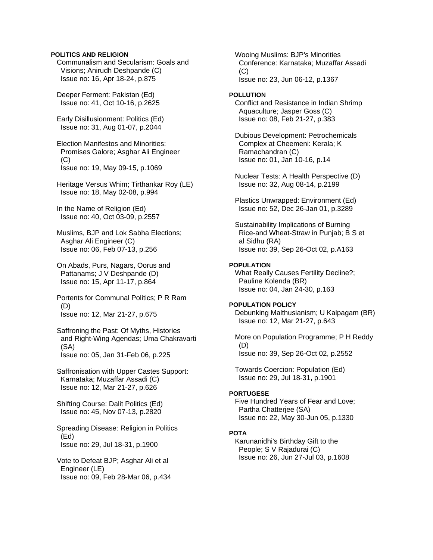## **POLITICS AND RELIGION**

 Communalism and Secularism: Goals and Visions; Anirudh Deshpande (C) Issue no: 16, Apr 18-24, p.875

 Deeper Ferment: Pakistan (Ed) Issue no: 41, Oct 10-16, p.2625

 Early Disillusionment: Politics (Ed) Issue no: 31, Aug 01-07, p.2044

 Election Manifestos and Minorities: Promises Galore; Asghar Ali Engineer  $(C)$ Issue no: 19, May 09-15, p.1069

 Heritage Versus Whim; Tirthankar Roy (LE) Issue no: 18, May 02-08, p.994

 In the Name of Religion (Ed) Issue no: 40, Oct 03-09, p.2557

 Muslims, BJP and Lok Sabha Elections; Asghar Ali Engineer (C) Issue no: 06, Feb 07-13, p.256

 On Abads, Purs, Nagars, Oorus and Pattanams; J V Deshpande (D) Issue no: 15, Apr 11-17, p.864

 Portents for Communal Politics; P R Ram (D) Issue no: 12, Mar 21-27, p.675

 Saffroning the Past: Of Myths, Histories and Right-Wing Agendas; Uma Chakravarti (SA) Issue no: 05, Jan 31-Feb 06, p.225

 Saffronisation with Upper Castes Support: Karnataka; Muzaffar Assadi (C) Issue no: 12, Mar 21-27, p.626

 Shifting Course: Dalit Politics (Ed) Issue no: 45, Nov 07-13, p.2820

 Spreading Disease: Religion in Politics (Ed) Issue no: 29, Jul 18-31, p.1900

 Vote to Defeat BJP; Asghar Ali et al Engineer (LE) Issue no: 09, Feb 28-Mar 06, p.434  Wooing Muslims: BJP's Minorities Conference: Karnataka; Muzaffar Assadi (C) Issue no: 23, Jun 06-12, p.1367

### **POLLUTION**

 Conflict and Resistance in Indian Shrimp Aquaculture; Jasper Goss (C) Issue no: 08, Feb 21-27, p.383

 Dubious Development: Petrochemicals Complex at Cheemeni: Kerala; K Ramachandran (C) Issue no: 01, Jan 10-16, p.14

 Nuclear Tests: A Health Perspective (D) Issue no: 32, Aug 08-14, p.2199

 Plastics Unwrapped: Environment (Ed) Issue no: 52, Dec 26-Jan 01, p.3289

 Sustainability Implications of Burning Rice-and Wheat-Straw in Punjab; B S et al Sidhu (RA) Issue no: 39, Sep 26-Oct 02, p.A163

# **POPULATION**

 What Really Causes Fertility Decline?; Pauline Kolenda (BR) Issue no: 04, Jan 24-30, p.163

### **POPULATION POLICY**

 Debunking Malthusianism; U Kalpagam (BR) Issue no: 12, Mar 21-27, p.643

 More on Population Programme; P H Reddy (D) Issue no: 39, Sep 26-Oct 02, p.2552

 Towards Coercion: Population (Ed) Issue no: 29, Jul 18-31, p.1901

### **PORTUGESE**

 Five Hundred Years of Fear and Love; Partha Chatterjee (SA) Issue no: 22, May 30-Jun 05, p.1330

### **POTA**

 Karunanidhi's Birthday Gift to the People; S V Rajadurai (C) Issue no: 26, Jun 27-Jul 03, p.1608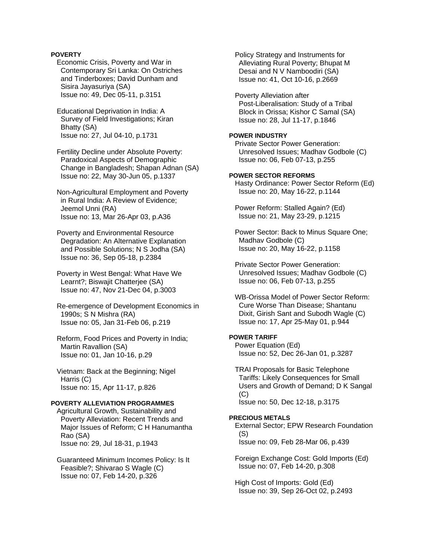# **POVERTY**

 Economic Crisis, Poverty and War in Contemporary Sri Lanka: On Ostriches and Tinderboxes; David Dunham and Sisira Jayasuriya (SA) Issue no: 49, Dec 05-11, p.3151

 Educational Deprivation in India: A Survey of Field Investigations; Kiran Bhatty (SA) Issue no: 27, Jul 04-10, p.1731

 Fertility Decline under Absolute Poverty: Paradoxical Aspects of Demographic Change in Bangladesh; Shapan Adnan (SA) Issue no: 22, May 30-Jun 05, p.1337

 Non-Agricultural Employment and Poverty in Rural India: A Review of Evidence; Jeemol Unni (RA) Issue no: 13, Mar 26-Apr 03, p.A36

 Poverty and Environmental Resource Degradation: An Alternative Explanation and Possible Solutions; N S Jodha (SA) Issue no: 36, Sep 05-18, p.2384

 Poverty in West Bengal: What Have We Learnt?; Biswajit Chatterjee (SA) Issue no: 47, Nov 21-Dec 04, p.3003

 Re-emergence of Development Economics in 1990s; S N Mishra (RA) Issue no: 05, Jan 31-Feb 06, p.219

 Reform, Food Prices and Poverty in India; Martin Ravallion (SA) Issue no: 01, Jan 10-16, p.29

 Vietnam: Back at the Beginning; Nigel Harris (C) Issue no: 15, Apr 11-17, p.826

#### **POVERTY ALLEVIATION PROGRAMMES**

 Agricultural Growth, Sustainability and Poverty Alleviation: Recent Trends and Major Issues of Reform; C H Hanumantha Rao (SA) Issue no: 29, Jul 18-31, p.1943

 Guaranteed Minimum Incomes Policy: Is It Feasible?; Shivarao S Wagle (C) Issue no: 07, Feb 14-20, p.326

 Policy Strategy and Instruments for Alleviating Rural Poverty; Bhupat M Desai and N V Namboodiri (SA) Issue no: 41, Oct 10-16, p.2669

 Poverty Alleviation after Post-Liberalisation: Study of a Tribal Block in Orissa; Kishor C Samal (SA) Issue no: 28, Jul 11-17, p.1846

## **POWER INDUSTRY**

 Private Sector Power Generation: Unresolved Issues; Madhav Godbole (C) Issue no: 06, Feb 07-13, p.255

## **POWER SECTOR REFORMS**

 Hasty Ordinance: Power Sector Reform (Ed) Issue no: 20, May 16-22, p.1144

 Power Reform: Stalled Again? (Ed) Issue no: 21, May 23-29, p.1215

 Power Sector: Back to Minus Square One; Madhav Godbole (C) Issue no: 20, May 16-22, p.1158

 Private Sector Power Generation: Unresolved Issues; Madhav Godbole (C) Issue no: 06, Feb 07-13, p.255

 WB-Orissa Model of Power Sector Reform: Cure Worse Than Disease; Shantanu Dixit, Girish Sant and Subodh Wagle (C) Issue no: 17, Apr 25-May 01, p.944

#### **POWER TARIFF**

 Power Equation (Ed) Issue no: 52, Dec 26-Jan 01, p.3287

 TRAI Proposals for Basic Telephone Tariffs: Likely Consequences for Small Users and Growth of Demand; D K Sangal (C) Issue no: 50, Dec 12-18, p.3175

# **PRECIOUS METALS**

 External Sector; EPW Research Foundation (S) Issue no: 09, Feb 28-Mar 06, p.439

 Foreign Exchange Cost: Gold Imports (Ed) Issue no: 07, Feb 14-20, p.308

 High Cost of Imports: Gold (Ed) Issue no: 39, Sep 26-Oct 02, p.2493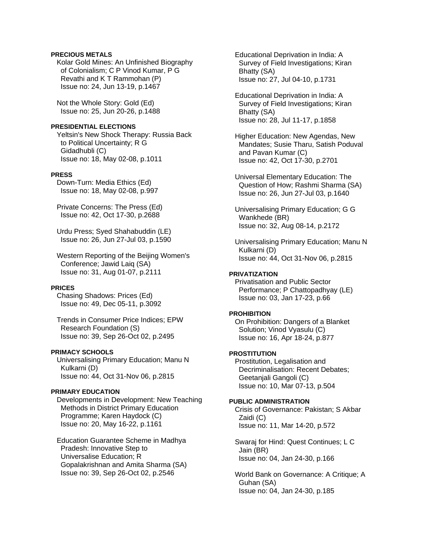## **PRECIOUS METALS**

 Kolar Gold Mines: An Unfinished Biography of Colonialism; C P Vinod Kumar, P G Revathi and K T Rammohan (P) Issue no: 24, Jun 13-19, p.1467

 Not the Whole Story: Gold (Ed) Issue no: 25, Jun 20-26, p.1488

#### **PRESIDENTIAL ELECTIONS**

 Yeltsin's New Shock Therapy: Russia Back to Political Uncertainty; R G Gidadhubli (C) Issue no: 18, May 02-08, p.1011

## **PRESS**

 Down-Turn: Media Ethics (Ed) Issue no: 18, May 02-08, p.997

 Private Concerns: The Press (Ed) Issue no: 42, Oct 17-30, p.2688

 Urdu Press; Syed Shahabuddin (LE) Issue no: 26, Jun 27-Jul 03, p.1590

 Western Reporting of the Beijing Women's Conference; Jawid Laiq (SA) Issue no: 31, Aug 01-07, p.2111

## **PRICES**

 Chasing Shadows: Prices (Ed) Issue no: 49, Dec 05-11, p.3092

 Trends in Consumer Price Indices; EPW Research Foundation (S) Issue no: 39, Sep 26-Oct 02, p.2495

# **PRIMACY SCHOOLS**

 Universalising Primary Education; Manu N Kulkarni (D) Issue no: 44, Oct 31-Nov 06, p.2815

#### **PRIMARY EDUCATION**

 Developments in Development: New Teaching Methods in District Primary Education Programme; Karen Haydock (C) Issue no: 20, May 16-22, p.1161

 Education Guarantee Scheme in Madhya Pradesh: Innovative Step to Universalise Education; R Gopalakrishnan and Amita Sharma (SA) Issue no: 39, Sep 26-Oct 02, p.2546

 Educational Deprivation in India: A Survey of Field Investigations; Kiran Bhatty (SA) Issue no: 27, Jul 04-10, p.1731

 Educational Deprivation in India: A Survey of Field Investigations; Kiran Bhatty (SA) Issue no: 28, Jul 11-17, p.1858

 Higher Education: New Agendas, New Mandates; Susie Tharu, Satish Poduval and Pavan Kumar (C) Issue no: 42, Oct 17-30, p.2701

 Universal Elementary Education: The Question of How; Rashmi Sharma (SA) Issue no: 26, Jun 27-Jul 03, p.1640

 Universalising Primary Education; G G Wankhede (BR) Issue no: 32, Aug 08-14, p.2172

 Universalising Primary Education; Manu N Kulkarni (D) Issue no: 44, Oct 31-Nov 06, p.2815

# **PRIVATIZATION**

 Privatisation and Public Sector Performance; P Chattopadhyay (LE) Issue no: 03, Jan 17-23, p.66

### **PROHIBITION**

 On Prohibition: Dangers of a Blanket Solution; Vinod Vyasulu (C) Issue no: 16, Apr 18-24, p.877

# **PROSTITUTION**

 Prostitution, Legalisation and Decriminalisation: Recent Debates; Geetanjali Gangoli (C) Issue no: 10, Mar 07-13, p.504

#### **PUBLIC ADMINISTRATION**

 Crisis of Governance: Pakistan; S Akbar Zaidi (C) Issue no: 11, Mar 14-20, p.572

 Swaraj for Hind: Quest Continues; L C Jain (BR) Issue no: 04, Jan 24-30, p.166

 World Bank on Governance: A Critique; A Guhan (SA) Issue no: 04, Jan 24-30, p.185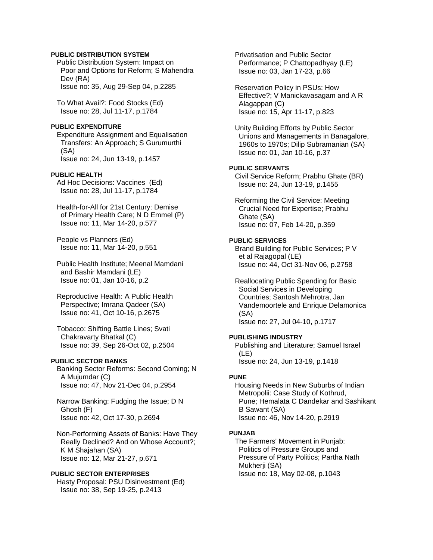## **PUBLIC DISTRIBUTION SYSTEM**

 Public Distribution System: Impact on Poor and Options for Reform; S Mahendra Dev (RA) Issue no: 35, Aug 29-Sep 04, p.2285

 To What Avail?: Food Stocks (Ed) Issue no: 28, Jul 11-17, p.1784

#### **PUBLIC EXPENDITURE**

 Expenditure Assignment and Equalisation Transfers: An Approach; S Gurumurthi (SA) Issue no: 24, Jun 13-19, p.1457

# **PUBLIC HEALTH**

 Ad Hoc Decisions: Vaccines (Ed) Issue no: 28, Jul 11-17, p.1784

 Health-for-All for 21st Century: Demise of Primary Health Care; N D Emmel (P) Issue no: 11, Mar 14-20, p.577

 People vs Planners (Ed) Issue no: 11, Mar 14-20, p.551

 Public Health Institute; Meenal Mamdani and Bashir Mamdani (LE) Issue no: 01, Jan 10-16, p.2

 Reproductive Health: A Public Health Perspective; Imrana Qadeer (SA) Issue no: 41, Oct 10-16, p.2675

 Tobacco: Shifting Battle Lines; Svati Chakravarty Bhatkal (C) Issue no: 39, Sep 26-Oct 02, p.2504

# **PUBLIC SECTOR BANKS**

 Banking Sector Reforms: Second Coming; N A Mujumdar (C) Issue no: 47, Nov 21-Dec 04, p.2954

 Narrow Banking: Fudging the Issue; D N Ghosh (F) Issue no: 42, Oct 17-30, p.2694

 Non-Performing Assets of Banks: Have They Really Declined? And on Whose Account?; K M Shajahan (SA) Issue no: 12, Mar 21-27, p.671

## **PUBLIC SECTOR ENTERPRISES**

 Hasty Proposal: PSU Disinvestment (Ed) Issue no: 38, Sep 19-25, p.2413

 Privatisation and Public Sector Performance; P Chattopadhyay (LE) Issue no: 03, Jan 17-23, p.66

 Reservation Policy in PSUs: How Effective?; V Manickavasagam and A R Alagappan (C) Issue no: 15, Apr 11-17, p.823

 Unity Building Efforts by Public Sector Unions and Managements in Banagalore, 1960s to 1970s; Dilip Subramanian (SA) Issue no: 01, Jan 10-16, p.37

## **PUBLIC SERVANTS**

 Civil Service Reform; Prabhu Ghate (BR) Issue no: 24, Jun 13-19, p.1455

 Reforming the Civil Service: Meeting Crucial Need for Expertise; Prabhu Ghate (SA) Issue no: 07, Feb 14-20, p.359

### **PUBLIC SERVICES**

 Brand Building for Public Services; P V et al Rajagopal (LE) Issue no: 44, Oct 31-Nov 06, p.2758

 Reallocating Public Spending for Basic Social Services in Developing Countries; Santosh Mehrotra, Jan Vandemoortele and Enrique Delamonica (SA) Issue no: 27, Jul 04-10, p.1717

### **PUBLISHING INDUSTRY**

 Publishing and Literature; Samuel Israel (LE) Issue no: 24, Jun 13-19, p.1418

#### **PUNE**

 Housing Needs in New Suburbs of Indian Metropolii: Case Study of Kothrud, Pune; Hemalata C Dandekar and Sashikant B Sawant (SA) Issue no: 46, Nov 14-20, p.2919

#### **PUNJAB**

 The Farmers' Movement in Punjab: Politics of Pressure Groups and Pressure of Party Politics; Partha Nath Mukherji (SA) Issue no: 18, May 02-08, p.1043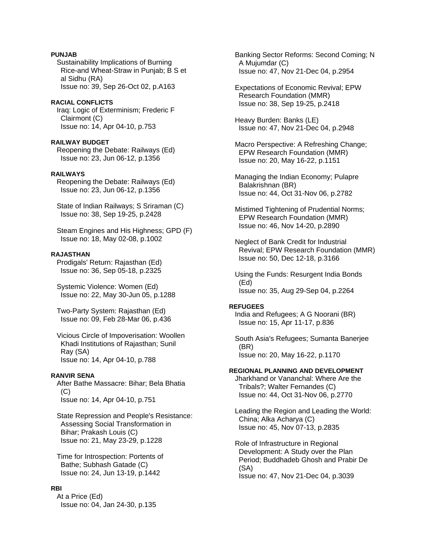# **PUNJAB**

 Sustainability Implications of Burning Rice-and Wheat-Straw in Punjab; B S et al Sidhu (RA) Issue no: 39, Sep 26-Oct 02, p.A163

### **RACIAL CONFLICTS**

 Iraq: Logic of Exterminism; Frederic F Clairmont (C) Issue no: 14, Apr 04-10, p.753

### **RAILWAY BUDGET**

 Reopening the Debate: Railways (Ed) Issue no: 23, Jun 06-12, p.1356

#### **RAILWAYS**

 Reopening the Debate: Railways (Ed) Issue no: 23, Jun 06-12, p.1356

 State of Indian Railways; S Sriraman (C) Issue no: 38, Sep 19-25, p.2428

 Steam Engines and His Highness; GPD (F) Issue no: 18, May 02-08, p.1002

### **RAJASTHAN**

 Prodigals' Return: Rajasthan (Ed) Issue no: 36, Sep 05-18, p.2325

 Systemic Violence: Women (Ed) Issue no: 22, May 30-Jun 05, p.1288

 Two-Party System: Rajasthan (Ed) Issue no: 09, Feb 28-Mar 06, p.436

 Vicious Circle of Impoverisation: Woollen Khadi Institutions of Rajasthan; Sunil Ray (SA) Issue no: 14, Apr 04-10, p.788

#### **RANVIR SENA**

 After Bathe Massacre: Bihar; Bela Bhatia (C) Issue no: 14, Apr 04-10, p.751

 State Repression and People's Resistance: Assessing Social Transformation in Bihar; Prakash Louis (C) Issue no: 21, May 23-29, p.1228

 Time for Introspection: Portents of Bathe; Subhash Gatade (C) Issue no: 24, Jun 13-19, p.1442

### **RBI**

 At a Price (Ed) Issue no: 04, Jan 24-30, p.135  Banking Sector Reforms: Second Coming; N A Mujumdar (C) Issue no: 47, Nov 21-Dec 04, p.2954

 Expectations of Economic Revival; EPW Research Foundation (MMR) Issue no: 38, Sep 19-25, p.2418

 Heavy Burden: Banks (LE) Issue no: 47, Nov 21-Dec 04, p.2948

 Macro Perspective: A Refreshing Change; EPW Research Foundation (MMR) Issue no: 20, May 16-22, p.1151

 Managing the Indian Economy; Pulapre Balakrishnan (BR) Issue no: 44, Oct 31-Nov 06, p.2782

 Mistimed Tightening of Prudential Norms; EPW Research Foundation (MMR) Issue no: 46, Nov 14-20, p.2890

 Neglect of Bank Credit for Industrial Revival; EPW Research Foundation (MMR) Issue no: 50, Dec 12-18, p.3166

 Using the Funds: Resurgent India Bonds (Ed) Issue no: 35, Aug 29-Sep 04, p.2264

#### **REFUGEES**

 India and Refugees; A G Noorani (BR) Issue no: 15, Apr 11-17, p.836

 South Asia's Refugees; Sumanta Banerjee (BR) Issue no: 20, May 16-22, p.1170

### **REGIONAL PLANNING AND DEVELOPMENT**

 Jharkhand or Vananchal: Where Are the Tribals?; Walter Fernandes (C) Issue no: 44, Oct 31-Nov 06, p.2770

 Leading the Region and Leading the World: China; Alka Acharya (C) Issue no: 45, Nov 07-13, p.2835

 Role of Infrastructure in Regional Development: A Study over the Plan Period; Buddhadeb Ghosh and Prabir De (SA) Issue no: 47, Nov 21-Dec 04, p.3039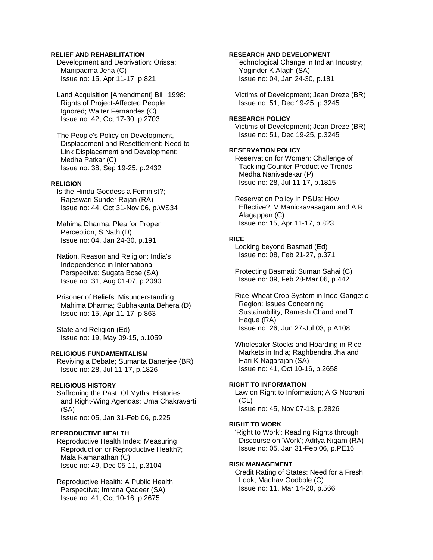## **RELIEF AND REHABILITATION**

 Development and Deprivation: Orissa; Manipadma Jena (C) Issue no: 15, Apr 11-17, p.821

 Land Acquisition [Amendment] Bill, 1998: Rights of Project-Affected People Ignored; Walter Fernandes (C) Issue no: 42, Oct 17-30, p.2703

 The People's Policy on Development, Displacement and Resettlement: Need to Link Displacement and Development; Medha Patkar (C) Issue no: 38, Sep 19-25, p.2432

# **RELIGION**

 Is the Hindu Goddess a Feminist?; Rajeswari Sunder Rajan (RA) Issue no: 44, Oct 31-Nov 06, p.WS34

 Mahima Dharma: Plea for Proper Perception; S Nath (D) Issue no: 04, Jan 24-30, p.191

 Nation, Reason and Religion: India's Independence in International Perspective; Sugata Bose (SA) Issue no: 31, Aug 01-07, p.2090

 Prisoner of Beliefs: Misunderstanding Mahima Dharma; Subhakanta Behera (D) Issue no: 15, Apr 11-17, p.863

 State and Religion (Ed) Issue no: 19, May 09-15, p.1059

## **RELIGIOUS FUNDAMENTALISM**

 Reviving a Debate; Sumanta Banerjee (BR) Issue no: 28, Jul 11-17, p.1826

#### **RELIGIOUS HISTORY**

 Saffroning the Past: Of Myths, Histories and Right-Wing Agendas; Uma Chakravarti (SA) Issue no: 05, Jan 31-Feb 06, p.225

#### **REPRODUCTIVE HEALTH**

 Reproductive Health Index: Measuring Reproduction or Reproductive Health?; Mala Ramanathan (C) Issue no: 49, Dec 05-11, p.3104

 Reproductive Health: A Public Health Perspective; Imrana Qadeer (SA) Issue no: 41, Oct 10-16, p.2675

#### **RESEARCH AND DEVELOPMENT**

 Technological Change in Indian Industry; Yoginder K Alagh (SA) Issue no: 04, Jan 24-30, p.181

 Victims of Development; Jean Dreze (BR) Issue no: 51, Dec 19-25, p.3245

### **RESEARCH POLICY**

 Victims of Development; Jean Dreze (BR) Issue no: 51, Dec 19-25, p.3245

#### **RESERVATION POLICY**

 Reservation for Women: Challenge of Tackling Counter-Productive Trends; Medha Nanivadekar (P) Issue no: 28, Jul 11-17, p.1815

 Reservation Policy in PSUs: How Effective?; V Manickavasagam and A R Alagappan (C) Issue no: 15, Apr 11-17, p.823

### **RICE**

 Looking beyond Basmati (Ed) Issue no: 08, Feb 21-27, p.371

 Protecting Basmati; Suman Sahai (C) Issue no: 09, Feb 28-Mar 06, p.442

 Rice-Wheat Crop System in Indo-Gangetic Region: Issues Concerning Sustainability; Ramesh Chand and T Haque (RA) Issue no: 26, Jun 27-Jul 03, p.A108

 Wholesaler Stocks and Hoarding in Rice Markets in India; Raghbendra Jha and Hari K Nagarajan (SA) Issue no: 41, Oct 10-16, p.2658

#### **RIGHT TO INFORMATION**

 Law on Right to Information; A G Noorani  $(CL)$ Issue no: 45, Nov 07-13, p.2826

# **RIGHT TO WORK**

 'Right to Work': Reading Rights through Discourse on 'Work'; Aditya Nigam (RA) Issue no: 05, Jan 31-Feb 06, p.PE16

#### **RISK MANAGEMENT**

 Credit Rating of States: Need for a Fresh Look; Madhav Godbole (C) Issue no: 11, Mar 14-20, p.566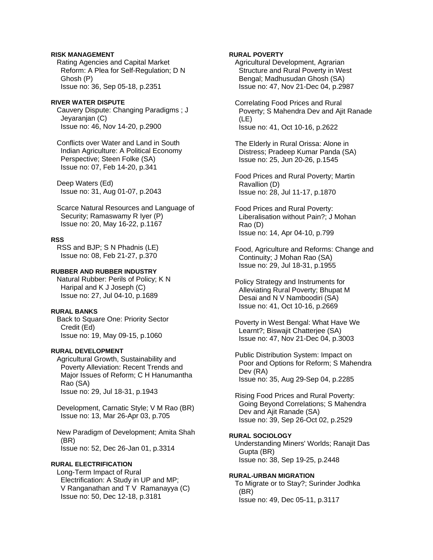## **RISK MANAGEMENT**

 Rating Agencies and Capital Market Reform: A Plea for Self-Regulation; D N Ghosh (P) Issue no: 36, Sep 05-18, p.2351

#### **RIVER WATER DISPUTE**

 Cauvery Dispute: Changing Paradigms ; J Jeyaranjan (C) Issue no: 46, Nov 14-20, p.2900

 Conflicts over Water and Land in South Indian Agriculture: A Political Economy Perspective; Steen Folke (SA) Issue no: 07, Feb 14-20, p.341

 Deep Waters (Ed) Issue no: 31, Aug 01-07, p.2043

 Scarce Natural Resources and Language of Security; Ramaswamy R Iyer (P) Issue no: 20, May 16-22, p.1167

#### **RSS**

 RSS and BJP; S N Phadnis (LE) Issue no: 08, Feb 21-27, p.370

## **RUBBER AND RUBBER INDUSTRY**

 Natural Rubber: Perils of Policy; K N Haripal and K J Joseph (C) Issue no: 27, Jul 04-10, p.1689

## **RURAL BANKS**

 Back to Square One: Priority Sector Credit (Ed) Issue no: 19, May 09-15, p.1060

## **RURAL DEVELOPMENT**

 Agricultural Growth, Sustainability and Poverty Alleviation: Recent Trends and Major Issues of Reform; C H Hanumantha Rao (SA) Issue no: 29, Jul 18-31, p.1943

 Development, Carnatic Style; V M Rao (BR) Issue no: 13, Mar 26-Apr 03, p.705

 New Paradigm of Development; Amita Shah (BR) Issue no: 52, Dec 26-Jan 01, p.3314

### **RURAL ELECTRIFICATION**

 Long-Term Impact of Rural Electrification: A Study in UP and MP; V Ranganathan and T V Ramanayya (C) Issue no: 50, Dec 12-18, p.3181

## **RURAL POVERTY**

 Agricultural Development, Agrarian Structure and Rural Poverty in West Bengal; Madhusudan Ghosh (SA) Issue no: 47, Nov 21-Dec 04, p.2987

 Correlating Food Prices and Rural Poverty; S Mahendra Dev and Ajit Ranade (LE) Issue no: 41, Oct 10-16, p.2622

 The Elderly in Rural Orissa: Alone in Distress; Pradeep Kumar Panda (SA) Issue no: 25, Jun 20-26, p.1545

 Food Prices and Rural Poverty; Martin Ravallion (D) Issue no: 28, Jul 11-17, p.1870

 Food Prices and Rural Poverty: Liberalisation without Pain?; J Mohan Rao (D) Issue no: 14, Apr 04-10, p.799

 Food, Agriculture and Reforms: Change and Continuity; J Mohan Rao (SA) Issue no: 29, Jul 18-31, p.1955

 Policy Strategy and Instruments for Alleviating Rural Poverty; Bhupat M Desai and N V Namboodiri (SA) Issue no: 41, Oct 10-16, p.2669

 Poverty in West Bengal: What Have We Learnt?; Biswajit Chatterjee (SA) Issue no: 47, Nov 21-Dec 04, p.3003

 Public Distribution System: Impact on Poor and Options for Reform; S Mahendra Dev (RA) Issue no: 35, Aug 29-Sep 04, p.2285

 Rising Food Prices and Rural Poverty: Going Beyond Correlations; S Mahendra Dev and Ajit Ranade (SA) Issue no: 39, Sep 26-Oct 02, p.2529

## **RURAL SOCIOLOGY**

 Understanding Miners' Worlds; Ranajit Das Gupta (BR) Issue no: 38, Sep 19-25, p.2448

#### **RURAL-URBAN MIGRATION**

 To Migrate or to Stay?; Surinder Jodhka (BR) Issue no: 49, Dec 05-11, p.3117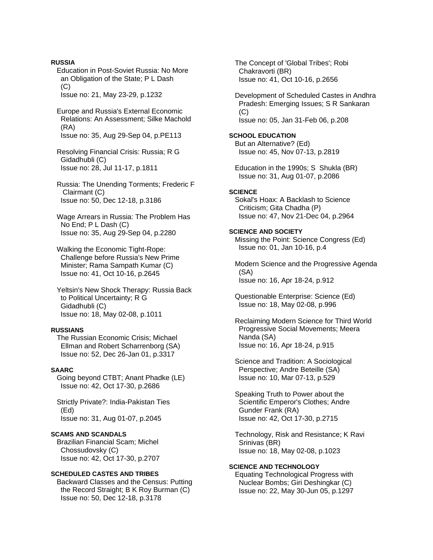Education in Post-Soviet Russia: No More an Obligation of the State; P L Dash (C) Issue no: 21, May 23-29, p.1232 Europe and Russia's External Economic Relations: An Assessment; Silke Machold (RA) Issue no: 35, Aug 29-Sep 04, p.PE113 Resolving Financial Crisis: Russia; R G Gidadhubli (C) Issue no: 28, Jul 11-17, p.1811 Russia: The Unending Torments; Frederic F Clairmant (C) Issue no: 50, Dec 12-18, p.3186 Wage Arrears in Russia: The Problem Has No End; P L Dash (C) Issue no: 35, Aug 29-Sep 04, p.2280 Walking the Economic Tight-Rope: Challenge before Russia's New Prime Minister; Rama Sampath Kumar (C) Issue no: 41, Oct 10-16, p.2645 Yeltsin's New Shock Therapy: Russia Back to Political Uncertainty; R G Gidadhubli (C) Issue no: 18, May 02-08, p.1011 **RUSSIANS**  The Russian Economic Crisis; Michael Ellman and Robert Scharrenborg (SA) Issue no: 52, Dec 26-Jan 01, p.3317 **SAARC**  Going beyond CTBT; Anant Phadke (LE) Issue no: 42, Oct 17-30, p.2686 Strictly Private?: India-Pakistan Ties (Ed) Issue no: 31, Aug 01-07, p.2045 **SCAMS AND SCANDALS**  Brazilian Financial Scam; Michel Chossudovsky (C) Issue no: 42, Oct 17-30, p.2707 **SCHEDULED CASTES AND TRIBES**  Backward Classes and the Census: Putting the Record Straight; B K Roy Burman (C) Issue no: 50, Dec 12-18, p.3178

**RUSSIA** 

 The Concept of 'Global Tribes'; Robi Chakravorti (BR) Issue no: 41, Oct 10-16, p.2656

 Development of Scheduled Castes in Andhra Pradesh: Emerging Issues; S R Sankaran (C) Issue no: 05, Jan 31-Feb 06, p.208

### **SCHOOL EDUCATION**

 But an Alternative? (Ed) Issue no: 45, Nov 07-13, p.2819

 Education in the 1990s; S Shukla (BR) Issue no: 31, Aug 01-07, p.2086

### **SCIENCE**

 Sokal's Hoax: A Backlash to Science Criticism; Gita Chadha (P) Issue no: 47, Nov 21-Dec 04, p.2964

#### **SCIENCE AND SOCIETY**

 Missing the Point: Science Congress (Ed) Issue no: 01, Jan 10-16, p.4

 Modern Science and the Progressive Agenda (SA) Issue no: 16, Apr 18-24, p.912

 Questionable Enterprise: Science (Ed) Issue no: 18, May 02-08, p.996

 Reclaiming Modern Science for Third World Progressive Social Movements; Meera Nanda (SA) Issue no: 16, Apr 18-24, p.915

 Science and Tradition: A Sociological Perspective; Andre Beteille (SA) Issue no: 10, Mar 07-13, p.529

 Speaking Truth to Power about the Scientific Emperor's Clothes; Andre Gunder Frank (RA) Issue no: 42, Oct 17-30, p.2715

 Technology, Risk and Resistance; K Ravi Srinivas (BR) Issue no: 18, May 02-08, p.1023

**SCIENCE AND TECHNOLOGY**  Equating Technological Progress with Nuclear Bombs; Giri Deshingkar (C) Issue no: 22, May 30-Jun 05, p.1297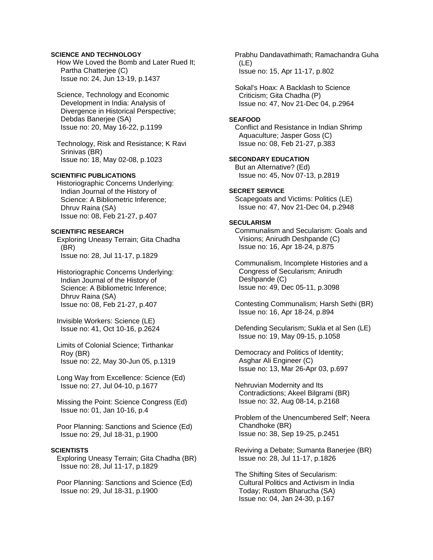## **SCIENCE AND TECHNOLOGY**

 How We Loved the Bomb and Later Rued It; Partha Chatterjee (C) Issue no: 24, Jun 13-19, p.1437

 Science, Technology and Economic Development in India: Analysis of Divergence in Historical Perspective; Debdas Banerjee (SA) Issue no: 20, May 16-22, p.1199

 Technology, Risk and Resistance; K Ravi Srinivas (BR) Issue no: 18, May 02-08, p.1023

## **SCIENTIFIC PUBLICATIONS**

 Historiographic Concerns Underlying: Indian Journal of the History of Science: A Bibliometric Inference; Dhruv Raina (SA) Issue no: 08, Feb 21-27, p.407

### **SCIENTIFIC RESEARCH**

 Exploring Uneasy Terrain; Gita Chadha (BR) Issue no: 28, Jul 11-17, p.1829

 Historiographic Concerns Underlying: Indian Journal of the History of Science: A Bibliometric Inference; Dhruv Raina (SA) Issue no: 08, Feb 21-27, p.407

 Invisible Workers: Science (LE) Issue no: 41, Oct 10-16, p.2624

- Limits of Colonial Science; Tirthankar Roy (BR) Issue no: 22, May 30-Jun 05, p.1319
- Long Way from Excellence: Science (Ed) Issue no: 27, Jul 04-10, p.1677

 Missing the Point: Science Congress (Ed) Issue no: 01, Jan 10-16, p.4

 Poor Planning: Sanctions and Science (Ed) Issue no: 29, Jul 18-31, p.1900

## **SCIENTISTS**

 Exploring Uneasy Terrain; Gita Chadha (BR) Issue no: 28, Jul 11-17, p.1829

 Poor Planning: Sanctions and Science (Ed) Issue no: 29, Jul 18-31, p.1900

 Prabhu Dandavathimath; Ramachandra Guha (LE) Issue no: 15, Apr 11-17, p.802

 Sokal's Hoax: A Backlash to Science Criticism; Gita Chadha (P) Issue no: 47, Nov 21-Dec 04, p.2964

#### **SEAFOOD**

 Conflict and Resistance in Indian Shrimp Aquaculture; Jasper Goss (C) Issue no: 08, Feb 21-27, p.383

# **SECONDARY EDUCATION**

 But an Alternative? (Ed) Issue no: 45, Nov 07-13, p.2819

#### **SECRET SERVICE**  Scapegoats and Victims: Politics (LE)

Issue no: 47, Nov 21-Dec 04, p.2948

# **SECULARISM**

 Communalism and Secularism: Goals and Visions; Anirudh Deshpande (C) Issue no: 16, Apr 18-24, p.875

 Communalism, Incomplete Histories and a Congress of Secularism; Anirudh Deshpande (C) Issue no: 49, Dec 05-11, p.3098

 Contesting Communalism; Harsh Sethi (BR) Issue no: 16, Apr 18-24, p.894

 Defending Secularism; Sukla et al Sen (LE) Issue no: 19, May 09-15, p.1058

 Democracy and Politics of Identity; Asghar Ali Engineer (C) Issue no: 13, Mar 26-Apr 03, p.697

 Nehruvian Modernity and Its Contradictions; Akeel Bilgrami (BR) Issue no: 32, Aug 08-14, p.2168

 Problem of the Unencumbered Self'; Neera Chandhoke (BR) Issue no: 38, Sep 19-25, p.2451

 Reviving a Debate; Sumanta Banerjee (BR) Issue no: 28, Jul 11-17, p.1826

 The Shifting Sites of Secularism: Cultural Politics and Activism in India Today; Rustom Bharucha (SA) Issue no: 04, Jan 24-30, p.167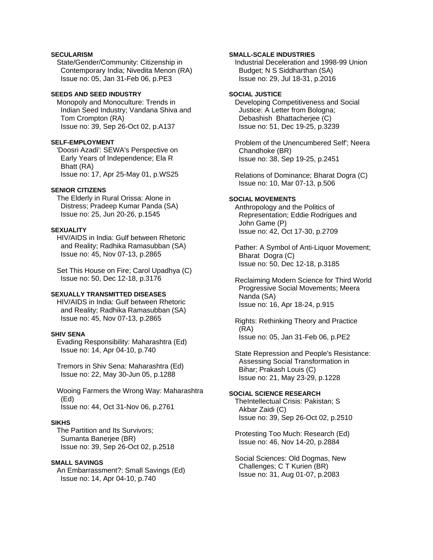# **SECULARISM**

 State/Gender/Community: Citizenship in Contemporary India; Nivedita Menon (RA) Issue no: 05, Jan 31-Feb 06, p.PE3

## **SEEDS AND SEED INDUSTRY**

 Monopoly and Monoculture: Trends in Indian Seed Industry; Vandana Shiva and Tom Crompton (RA) Issue no: 39, Sep 26-Oct 02, p.A137

#### **SELF-EMPLOYMENT**

 'Doosri Azadi': SEWA's Perspective on Early Years of Independence; Ela R Bhatt (RA) Issue no: 17, Apr 25-May 01, p.WS25

### **SENIOR CITIZENS**

 The Elderly in Rural Orissa: Alone in Distress; Pradeep Kumar Panda (SA) Issue no: 25, Jun 20-26, p.1545

# **SEXUALITY**

 HIV/AIDS in India: Gulf between Rhetoric and Reality; Radhika Ramasubban (SA) Issue no: 45, Nov 07-13, p.2865

 Set This House on Fire; Carol Upadhya (C) Issue no: 50, Dec 12-18, p.3176

## **SEXUALLY TRANSMITTED DISEASES**

 HIV/AIDS in India: Gulf between Rhetoric and Reality; Radhika Ramasubban (SA) Issue no: 45, Nov 07-13, p.2865

### **SHIV SENA**

 Evading Responsibility: Maharashtra (Ed) Issue no: 14, Apr 04-10, p.740

 Tremors in Shiv Sena: Maharashtra (Ed) Issue no: 22, May 30-Jun 05, p.1288

 Wooing Farmers the Wrong Way: Maharashtra (Ed) Issue no: 44, Oct 31-Nov 06, p.2761

### **SIKHS**

 The Partition and Its Survivors; Sumanta Banerjee (BR) Issue no: 39, Sep 26-Oct 02, p.2518

### **SMALL SAVINGS**

 An Embarrassment?: Small Savings (Ed) Issue no: 14, Apr 04-10, p.740

### **SMALL-SCALE INDUSTRIES**

 Industrial Deceleration and 1998-99 Union Budget; N S Siddharthan (SA) Issue no: 29, Jul 18-31, p.2016

# **SOCIAL JUSTICE**

 Developing Competitiveness and Social Justice: A Letter from Bologna; Debashish Bhattacherjee (C) Issue no: 51, Dec 19-25, p.3239

 Problem of the Unencumbered Self'; Neera Chandhoke (BR) Issue no: 38, Sep 19-25, p.2451

 Relations of Dominance; Bharat Dogra (C) Issue no: 10, Mar 07-13, p.506

# **SOCIAL MOVEMENTS**

 Anthropology and the Politics of Representation; Eddie Rodrigues and John Game (P) Issue no: 42, Oct 17-30, p.2709

 Pather: A Symbol of Anti-Liquor Movement; Bharat Dogra (C) Issue no: 50, Dec 12-18, p.3185

 Reclaiming Modern Science for Third World Progressive Social Movements; Meera Nanda (SA) Issue no: 16, Apr 18-24, p.915

 Rights: Rethinking Theory and Practice (RA) Issue no: 05, Jan 31-Feb 06, p.PE2

 State Repression and People's Resistance: Assessing Social Transformation in Bihar; Prakash Louis (C) Issue no: 21, May 23-29, p.1228

## **SOCIAL SCIENCE RESEARCH**

 TheIntellectual Crisis: Pakistan; S Akbar Zaidi (C) Issue no: 39, Sep 26-Oct 02, p.2510

 Protesting Too Much: Research (Ed) Issue no: 46, Nov 14-20, p.2884

 Social Sciences: Old Dogmas, New Challenges; C T Kurien (BR) Issue no: 31, Aug 01-07, p.2083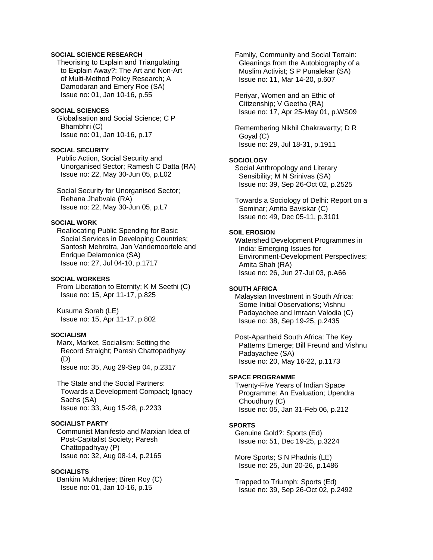# **SOCIAL SCIENCE RESEARCH**

 Theorising to Explain and Triangulating to Explain Away?: The Art and Non-Art of Multi-Method Policy Research; A Damodaran and Emery Roe (SA) Issue no: 01, Jan 10-16, p.55

### **SOCIAL SCIENCES**

 Globalisation and Social Science; C P Bhambhri (C) Issue no: 01, Jan 10-16, p.17

### **SOCIAL SECURITY**

 Public Action, Social Security and Unorganised Sector; Ramesh C Datta (RA) Issue no: 22, May 30-Jun 05, p.L02

 Social Security for Unorganised Sector; Rehana Jhabvala (RA) Issue no: 22, May 30-Jun 05, p.L7

### **SOCIAL WORK**

 Reallocating Public Spending for Basic Social Services in Developing Countries; Santosh Mehrotra, Jan Vandemoortele and Enrique Delamonica (SA) Issue no: 27, Jul 04-10, p.1717

#### **SOCIAL WORKERS**

 From Liberation to Eternity; K M Seethi (C) Issue no: 15, Apr 11-17, p.825

 Kusuma Sorab (LE) Issue no: 15, Apr 11-17, p.802

# **SOCIALISM**

 Marx, Market, Socialism: Setting the Record Straight; Paresh Chattopadhyay (D) Issue no: 35, Aug 29-Sep 04, p.2317

 The State and the Social Partners: Towards a Development Compact; Ignacy Sachs (SA) Issue no: 33, Aug 15-28, p.2233

# **SOCIALIST PARTY**

 Communist Manifesto and Marxian Idea of Post-Capitalist Society; Paresh Chattopadhyay (P) Issue no: 32, Aug 08-14, p.2165

## **SOCIALISTS**

 Bankim Mukherjee; Biren Roy (C) Issue no: 01, Jan 10-16, p.15

 Family, Community and Social Terrain: Gleanings from the Autobiography of a Muslim Activist; S P Punalekar (SA) Issue no: 11, Mar 14-20, p.607

 Periyar, Women and an Ethic of Citizenship; V Geetha (RA) Issue no: 17, Apr 25-May 01, p.WS09

 Remembering Nikhil Chakravartty; D R Goyal (C) Issue no: 29, Jul 18-31, p.1911

### **SOCIOLOGY**

 Social Anthropology and Literary Sensibility; M N Srinivas (SA) Issue no: 39, Sep 26-Oct 02, p.2525

 Towards a Sociology of Delhi: Report on a Seminar; Amita Baviskar (C) Issue no: 49, Dec 05-11, p.3101

# **SOIL EROSION**

 Watershed Development Programmes in India: Emerging Issues for Environment-Development Perspectives; Amita Shah (RA) Issue no: 26, Jun 27-Jul 03, p.A66

## **SOUTH AFRICA**

 Malaysian Investment in South Africa: Some Initial Observations; Vishnu Padayachee and Imraan Valodia (C) Issue no: 38, Sep 19-25, p.2435

 Post-Apartheid South Africa: The Key Patterns Emerge; Bill Freund and Vishnu Padayachee (SA) Issue no: 20, May 16-22, p.1173

## **SPACE PROGRAMME**

 Twenty-Five Years of Indian Space Programme: An Evaluation; Upendra Choudhury (C) Issue no: 05, Jan 31-Feb 06, p.212

### **SPORTS**

 Genuine Gold?: Sports (Ed) Issue no: 51, Dec 19-25, p.3224

 More Sports; S N Phadnis (LE) Issue no: 25, Jun 20-26, p.1486

 Trapped to Triumph: Sports (Ed) Issue no: 39, Sep 26-Oct 02, p.2492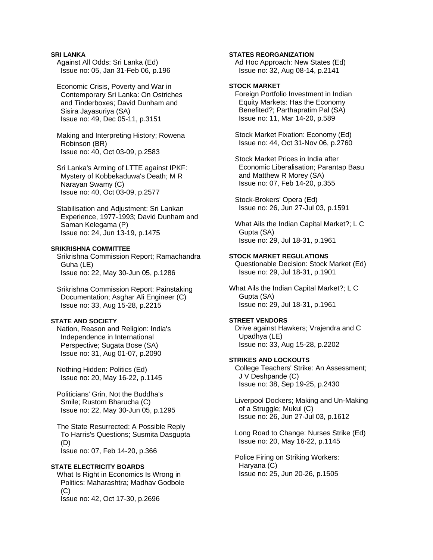**SRI LANKA**  Against All Odds: Sri Lanka (Ed) Issue no: 05, Jan 31-Feb 06, p.196

 Economic Crisis, Poverty and War in Contemporary Sri Lanka: On Ostriches and Tinderboxes; David Dunham and Sisira Jayasuriya (SA) Issue no: 49, Dec 05-11, p.3151

 Making and Interpreting History; Rowena Robinson (BR) Issue no: 40, Oct 03-09, p.2583

 Sri Lanka's Arming of LTTE against IPKF: Mystery of Kobbekaduwa's Death; M R Narayan Swamy (C) Issue no: 40, Oct 03-09, p.2577

 Stabilisation and Adjustment: Sri Lankan Experience, 1977-1993; David Dunham and Saman Kelegama (P) Issue no: 24, Jun 13-19, p.1475

# **SRIKRISHNA COMMITTEE**

 Srikrishna Commission Report; Ramachandra Guha (LE) Issue no: 22, May 30-Jun 05, p.1286

 Srikrishna Commission Report: Painstaking Documentation; Asghar Ali Engineer (C) Issue no: 33, Aug 15-28, p.2215

# **STATE AND SOCIETY**

 Nation, Reason and Religion: India's Independence in International Perspective; Sugata Bose (SA) Issue no: 31, Aug 01-07, p.2090

 Nothing Hidden: Politics (Ed) Issue no: 20, May 16-22, p.1145

 Politicians' Grin, Not the Buddha's Smile; Rustom Bharucha (C) Issue no: 22, May 30-Jun 05, p.1295

 The State Resurrected: A Possible Reply To Harris's Questions; Susmita Dasgupta (D)

Issue no: 07, Feb 14-20, p.366

# **STATE ELECTRICITY BOARDS**

 What Is Right in Economics Is Wrong in Politics: Maharashtra; Madhav Godbole (C) Issue no: 42, Oct 17-30, p.2696

## **STATES REORGANIZATION**

 Ad Hoc Approach: New States (Ed) Issue no: 32, Aug 08-14, p.2141

# **STOCK MARKET**

 Foreign Portfolio Investment in Indian Equity Markets: Has the Economy Benefited?; Parthapratim Pal (SA) Issue no: 11, Mar 14-20, p.589

 Stock Market Fixation: Economy (Ed) Issue no: 44, Oct 31-Nov 06, p.2760

 Stock Market Prices in India after Economic Liberalisation; Parantap Basu and Matthew R Morey (SA) Issue no: 07, Feb 14-20, p.355

 Stock-Brokers' Opera (Ed) Issue no: 26, Jun 27-Jul 03, p.1591

 What Ails the Indian Capital Market?; L C Gupta (SA) Issue no: 29, Jul 18-31, p.1961

## **STOCK MARKET REGULATIONS**

 Questionable Decision: Stock Market (Ed) Issue no: 29, Jul 18-31, p.1901

What Ails the Indian Capital Market?; L C Gupta (SA) Issue no: 29, Jul 18-31, p.1961

# **STREET VENDORS**

 Drive against Hawkers; Vrajendra and C Upadhya (LE) Issue no: 33, Aug 15-28, p.2202

### **STRIKES AND LOCKOUTS**

 College Teachers' Strike: An Assessment; J V Deshpande (C) Issue no: 38, Sep 19-25, p.2430

 Liverpool Dockers; Making and Un-Making of a Struggle; Mukul (C) Issue no: 26, Jun 27-Jul 03, p.1612

 Long Road to Change: Nurses Strike (Ed) Issue no: 20, May 16-22, p.1145

 Police Firing on Striking Workers: Haryana (C) Issue no: 25, Jun 20-26, p.1505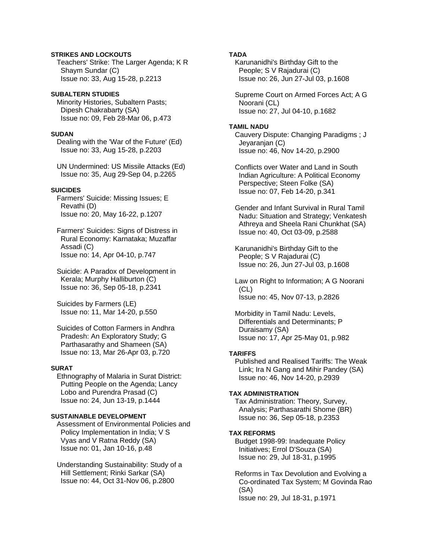## **STRIKES AND LOCKOUTS**

 Teachers' Strike: The Larger Agenda; K R Shaym Sundar (C) Issue no: 33, Aug 15-28, p.2213

## **SUBALTERN STUDIES**

 Minority Histories, Subaltern Pasts; Dipesh Chakrabarty (SA) Issue no: 09, Feb 28-Mar 06, p.473

#### **SUDAN**

 Dealing with the 'War of the Future' (Ed) Issue no: 33, Aug 15-28, p.2203

 UN Undermined: US Missile Attacks (Ed) Issue no: 35, Aug 29-Sep 04, p.2265

## **SUICIDES**

 Farmers' Suicide: Missing Issues; E Revathi (D) Issue no: 20, May 16-22, p.1207

 Farmers' Suicides: Signs of Distress in Rural Economy: Karnataka; Muzaffar Assadi (C) Issue no: 14, Apr 04-10, p.747

 Suicide: A Paradox of Development in Kerala; Murphy Halliburton (C) Issue no: 36, Sep 05-18, p.2341

 Suicides by Farmers (LE) Issue no: 11, Mar 14-20, p.550

 Suicides of Cotton Farmers in Andhra Pradesh: An Exploratory Study; G Parthasarathy and Shameen (SA) Issue no: 13, Mar 26-Apr 03, p.720

#### **SURAT**

 Ethnography of Malaria in Surat District: Putting People on the Agenda; Lancy Lobo and Purendra Prasad (C) Issue no: 24, Jun 13-19, p.1444

# **SUSTAINABLE DEVELOPMENT**

 Assessment of Environmental Policies and Policy Implementation in India; V S Vyas and V Ratna Reddy (SA) Issue no: 01, Jan 10-16, p.48

 Understanding Sustainability: Study of a Hill Settlement; Rinki Sarkar (SA) Issue no: 44, Oct 31-Nov 06, p.2800

# **TADA**

 Karunanidhi's Birthday Gift to the People; S V Rajadurai (C) Issue no: 26, Jun 27-Jul 03, p.1608

 Supreme Court on Armed Forces Act; A G Noorani (CL) Issue no: 27, Jul 04-10, p.1682

#### **TAMIL NADU**

 Cauvery Dispute: Changing Paradigms ; J Jeyaranjan (C) Issue no: 46, Nov 14-20, p.2900

 Conflicts over Water and Land in South Indian Agriculture: A Political Economy Perspective; Steen Folke (SA) Issue no: 07, Feb 14-20, p.341

 Gender and Infant Survival in Rural Tamil Nadu: Situation and Strategy; Venkatesh Athreya and Sheela Rani Chunkhat (SA) Issue no: 40, Oct 03-09, p.2588

 Karunanidhi's Birthday Gift to the People; S V Rajadurai (C) Issue no: 26, Jun 27-Jul 03, p.1608

 Law on Right to Information; A G Noorani  $(CL)$ Issue no: 45, Nov 07-13, p.2826

 Morbidity in Tamil Nadu: Levels, Differentials and Determinants; P Duraisamy (SA) Issue no: 17, Apr 25-May 01, p.982

## **TARIFFS**

 Published and Realised Tariffs: The Weak Link; Ira N Gang and Mihir Pandey (SA) Issue no: 46, Nov 14-20, p.2939

## **TAX ADMINISTRATION**

 Tax Administration: Theory, Survey, Analysis; Parthasarathi Shome (BR) Issue no: 36, Sep 05-18, p.2353

#### **TAX REFORMS**

 Budget 1998-99: Inadequate Policy Initiatives; Errol D'Souza (SA) Issue no: 29, Jul 18-31, p.1995

 Reforms in Tax Devolution and Evolving a Co-ordinated Tax System; M Govinda Rao (SA) Issue no: 29, Jul 18-31, p.1971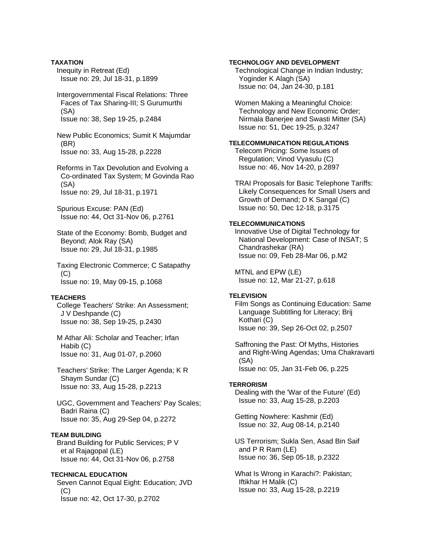## **TAXATION**  Inequity in Retreat (Ed) Issue no: 29, Jul 18-31, p.1899

## Intergovernmental Fiscal Relations: Three Faces of Tax Sharing-III; S Gurumurthi (SA) Issue no: 38, Sep 19-25, p.2484

 New Public Economics; Sumit K Majumdar (BR) Issue no: 33, Aug 15-28, p.2228

 Reforms in Tax Devolution and Evolving a Co-ordinated Tax System; M Govinda Rao (SA) Issue no: 29, Jul 18-31, p.1971

 Spurious Excuse: PAN (Ed) Issue no: 44, Oct 31-Nov 06, p.2761

 State of the Economy: Bomb, Budget and Beyond; Alok Ray (SA) Issue no: 29, Jul 18-31, p.1985

 Taxing Electronic Commerce; C Satapathy (C) Issue no: 19, May 09-15, p.1068

# **TEACHERS**

 College Teachers' Strike: An Assessment; J V Deshpande (C) Issue no: 38, Sep 19-25, p.2430

 M Athar Ali: Scholar and Teacher; Irfan Habib (C) Issue no: 31, Aug 01-07, p.2060

 Teachers' Strike: The Larger Agenda; K R Shaym Sundar (C) Issue no: 33, Aug 15-28, p.2213

 UGC, Government and Teachers' Pay Scales; Badri Raina (C) Issue no: 35, Aug 29-Sep 04, p.2272

# **TEAM BUILDING**

 Brand Building for Public Services; P V et al Rajagopal (LE) Issue no: 44, Oct 31-Nov 06, p.2758

# **TECHNICAL EDUCATION**

 Seven Cannot Equal Eight: Education; JVD  $(C)$ Issue no: 42, Oct 17-30, p.2702

## **TECHNOLOGY AND DEVELOPMENT**

 Technological Change in Indian Industry; Yoginder K Alagh (SA) Issue no: 04, Jan 24-30, p.181

 Women Making a Meaningful Choice: Technology and New Economic Order; Nirmala Banerjee and Swasti Mitter (SA) Issue no: 51, Dec 19-25, p.3247

## **TELECOMMUNICATION REGULATIONS**

 Telecom Pricing: Some Issues of Regulation; Vinod Vyasulu (C) Issue no: 46, Nov 14-20, p.2897

 TRAI Proposals for Basic Telephone Tariffs: Likely Consequences for Small Users and Growth of Demand; D K Sangal (C) Issue no: 50, Dec 12-18, p.3175

#### **TELECOMMUNICATIONS**

 Innovative Use of Digital Technology for National Development: Case of INSAT; S Chandrashekar (RA) Issue no: 09, Feb 28-Mar 06, p.M2

 MTNL and EPW (LE) Issue no: 12, Mar 21-27, p.618

## **TELEVISION**

 Film Songs as Continuing Education: Same Language Subtitling for Literacy; Brij Kothari (C) Issue no: 39, Sep 26-Oct 02, p.2507

 Saffroning the Past: Of Myths, Histories and Right-Wing Agendas; Uma Chakravarti (SA) Issue no: 05, Jan 31-Feb 06, p.225

#### **TERRORISM**

 Dealing with the 'War of the Future' (Ed) Issue no: 33, Aug 15-28, p.2203

 Getting Nowhere: Kashmir (Ed) Issue no: 32, Aug 08-14, p.2140

 US Terrorism; Sukla Sen, Asad Bin Saif and P R Ram (LE) Issue no: 36, Sep 05-18, p.2322

 What Is Wrong in Karachi?: Pakistan; Iftikhar H Malik (C) Issue no: 33, Aug 15-28, p.2219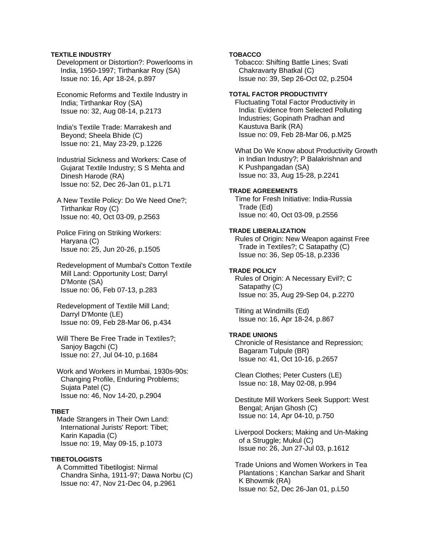## **TEXTILE INDUSTRY**

 Development or Distortion?: Powerlooms in India, 1950-1997; Tirthankar Roy (SA) Issue no: 16, Apr 18-24, p.897

 Economic Reforms and Textile Industry in India; Tirthankar Roy (SA) Issue no: 32, Aug 08-14, p.2173

 India's Textile Trade: Marrakesh and Beyond; Sheela Bhide (C) Issue no: 21, May 23-29, p.1226

 Industrial Sickness and Workers: Case of Gujarat Textile Industry; S S Mehta and Dinesh Harode (RA) Issue no: 52, Dec 26-Jan 01, p.L71

 A New Textile Policy: Do We Need One?; Tirthankar Roy (C) Issue no: 40, Oct 03-09, p.2563

 Police Firing on Striking Workers: Haryana (C) Issue no: 25, Jun 20-26, p.1505

 Redevelopment of Mumbai's Cotton Textile Mill Land: Opportunity Lost; Darryl D'Monte (SA) Issue no: 06, Feb 07-13, p.283

 Redevelopment of Textile Mill Land; Darryl D'Monte (LE) Issue no: 09, Feb 28-Mar 06, p.434

 Will There Be Free Trade in Textiles?; Sanjoy Bagchi (C) Issue no: 27, Jul 04-10, p.1684

 Work and Workers in Mumbai, 1930s-90s: Changing Profile, Enduring Problems; Sujata Patel (C) Issue no: 46, Nov 14-20, p.2904

### **TIBET**

 Made Strangers in Their Own Land: International Jurists' Report: Tibet; Karin Kapadia (C) Issue no: 19, May 09-15, p.1073

## **TIBETOLOGISTS**

 A Committed Tibetilogist: Nirmal Chandra Sinha, 1911-97; Dawa Norbu (C) Issue no: 47, Nov 21-Dec 04, p.2961

## **TOBACCO**

 Tobacco: Shifting Battle Lines; Svati Chakravarty Bhatkal (C) Issue no: 39, Sep 26-Oct 02, p.2504

### **TOTAL FACTOR PRODUCTIVITY**

 Fluctuating Total Factor Productivity in India: Evidence from Selected Polluting Industries; Gopinath Pradhan and Kaustuva Barik (RA) Issue no: 09, Feb 28-Mar 06, p.M25

 What Do We Know about Productivity Growth in Indian Industry?; P Balakrishnan and K Pushpangadan (SA) Issue no: 33, Aug 15-28, p.2241

## **TRADE AGREEMENTS**

 Time for Fresh Initiative: India-Russia Trade (Ed) Issue no: 40, Oct 03-09, p.2556

## **TRADE LIBERALIZATION**

 Rules of Origin: New Weapon against Free Trade in Textiles?; C Satapathy (C) Issue no: 36, Sep 05-18, p.2336

### **TRADE POLICY**

 Rules of Origin: A Necessary Evil?; C Satapathy (C) Issue no: 35, Aug 29-Sep 04, p.2270

 Tilting at Windmills (Ed) Issue no: 16, Apr 18-24, p.867

## **TRADE UNIONS**

 Chronicle of Resistance and Repression; Bagaram Tulpule (BR) Issue no: 41, Oct 10-16, p.2657

 Clean Clothes; Peter Custers (LE) Issue no: 18, May 02-08, p.994

 Destitute Mill Workers Seek Support: West Bengal; Anjan Ghosh (C) Issue no: 14, Apr 04-10, p.750

 Liverpool Dockers; Making and Un-Making of a Struggle; Mukul (C) Issue no: 26, Jun 27-Jul 03, p.1612

 Trade Unions and Women Workers in Tea Plantations ; Kanchan Sarkar and Sharit K Bhowmik (RA) Issue no: 52, Dec 26-Jan 01, p.L50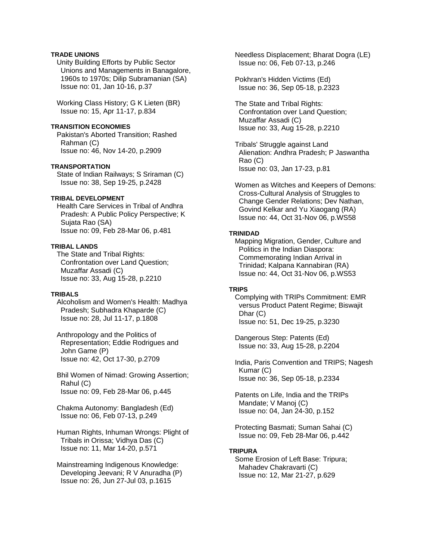## **TRADE UNIONS**

 Unity Building Efforts by Public Sector Unions and Managements in Banagalore, 1960s to 1970s; Dilip Subramanian (SA) Issue no: 01, Jan 10-16, p.37

 Working Class History; G K Lieten (BR) Issue no: 15, Apr 11-17, p.834

### **TRANSITION ECONOMIES**

 Pakistan's Aborted Transition; Rashed Rahman (C) Issue no: 46, Nov 14-20, p.2909

## **TRANSPORTATION**

 State of Indian Railways; S Sriraman (C) Issue no: 38, Sep 19-25, p.2428

## **TRIBAL DEVELOPMENT**

 Health Care Services in Tribal of Andhra Pradesh: A Public Policy Perspective; K Sujata Rao (SA) Issue no: 09, Feb 28-Mar 06, p.481

#### **TRIBAL LANDS**

 The State and Tribal Rights: Confrontation over Land Question; Muzaffar Assadi (C) Issue no: 33, Aug 15-28, p.2210

### **TRIBALS**

 Alcoholism and Women's Health: Madhya Pradesh; Subhadra Khaparde (C) Issue no: 28, Jul 11-17, p.1808

 Anthropology and the Politics of Representation; Eddie Rodrigues and John Game (P) Issue no: 42, Oct 17-30, p.2709

 Bhil Women of Nimad: Growing Assertion; Rahul (C) Issue no: 09, Feb 28-Mar 06, p.445

 Chakma Autonomy: Bangladesh (Ed) Issue no: 06, Feb 07-13, p.249

 Human Rights, Inhuman Wrongs: Plight of Tribals in Orissa; Vidhya Das (C) Issue no: 11, Mar 14-20, p.571

 Mainstreaming Indigenous Knowledge: Developing Jeevani; R V Anuradha (P) Issue no: 26, Jun 27-Jul 03, p.1615

 Needless Displacement; Bharat Dogra (LE) Issue no: 06, Feb 07-13, p.246

 Pokhran's Hidden Victims (Ed) Issue no: 36, Sep 05-18, p.2323

 The State and Tribal Rights: Confrontation over Land Question; Muzaffar Assadi (C) Issue no: 33, Aug 15-28, p.2210

 Tribals' Struggle against Land Alienation: Andhra Pradesh; P Jaswantha Rao (C) Issue no: 03, Jan 17-23, p.81

 Women as Witches and Keepers of Demons: Cross-Cultural Analysis of Struggles to Change Gender Relations; Dev Nathan, Govind Kelkar and Yu Xiaogang (RA) Issue no: 44, Oct 31-Nov 06, p.WS58

## **TRINIDAD**

 Mapping Migration, Gender, Culture and Politics in the Indian Diaspora: Commemorating Indian Arrival in Trinidad; Kalpana Kannabiran (RA) Issue no: 44, Oct 31-Nov 06, p.WS53

## **TRIPS**

 Complying with TRIPs Commitment: EMR versus Product Patent Regime; Biswajit Dhar (C) Issue no: 51, Dec 19-25, p.3230

 Dangerous Step: Patents (Ed) Issue no: 33, Aug 15-28, p.2204

 India, Paris Convention and TRIPS; Nagesh Kumar (C) Issue no: 36, Sep 05-18, p.2334

 Patents on Life, India and the TRIPs Mandate; V Manoj (C) Issue no: 04, Jan 24-30, p.152

 Protecting Basmati; Suman Sahai (C) Issue no: 09, Feb 28-Mar 06, p.442

### **TRIPURA**

 Some Erosion of Left Base: Tripura; Mahadev Chakravarti (C) Issue no: 12, Mar 21-27, p.629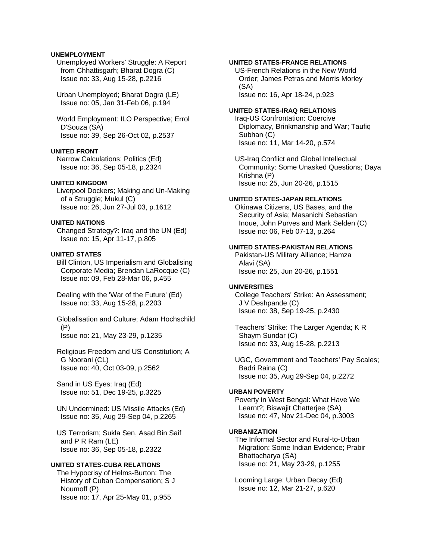## **UNEMPLOYMENT**

 Unemployed Workers' Struggle: A Report from Chhattisgarh; Bharat Dogra (C) Issue no: 33, Aug 15-28, p.2216

 Urban Unemployed; Bharat Dogra (LE) Issue no: 05, Jan 31-Feb 06, p.194

 World Employment: ILO Perspective; Errol D'Souza (SA) Issue no: 39, Sep 26-Oct 02, p.2537

## **UNITED FRONT**

 Narrow Calculations: Politics (Ed) Issue no: 36, Sep 05-18, p.2324

# **UNITED KINGDOM**

 Liverpool Dockers; Making and Un-Making of a Struggle; Mukul (C) Issue no: 26, Jun 27-Jul 03, p.1612

# **UNITED NATIONS**

 Changed Strategy?: Iraq and the UN (Ed) Issue no: 15, Apr 11-17, p.805

## **UNITED STATES**

 Bill Clinton, US Imperialism and Globalising Corporate Media; Brendan LaRocque (C) Issue no: 09, Feb 28-Mar 06, p.455

 Dealing with the 'War of the Future' (Ed) Issue no: 33, Aug 15-28, p.2203

 Globalisation and Culture; Adam Hochschild (P) Issue no: 21, May 23-29, p.1235

 Religious Freedom and US Constitution; A G Noorani (CL) Issue no: 40, Oct 03-09, p.2562

 Sand in US Eyes: Iraq (Ed) Issue no: 51, Dec 19-25, p.3225

 UN Undermined: US Missile Attacks (Ed) Issue no: 35, Aug 29-Sep 04, p.2265

 US Terrorism; Sukla Sen, Asad Bin Saif and P R Ram (LE) Issue no: 36, Sep 05-18, p.2322

### **UNITED STATES-CUBA RELATIONS**

 The Hypocrisy of Helms-Burton: The History of Cuban Compensation; S J Noumoff (P) Issue no: 17, Apr 25-May 01, p.955

## **UNITED STATES-FRANCE RELATIONS**

 US-French Relations in the New World Order; James Petras and Morris Morley (SA) Issue no: 16, Apr 18-24, p.923

## **UNITED STATES-IRAQ RELATIONS**

 Iraq-US Confrontation: Coercive Diplomacy, Brinkmanship and War; Taufiq Subhan (C) Issue no: 11, Mar 14-20, p.574

 US-Iraq Conflict and Global Intellectual Community: Some Unasked Questions; Daya Krishna (P) Issue no: 25, Jun 20-26, p.1515

## **UNITED STATES-JAPAN RELATIONS**

 Okinawa Citizens, US Bases, and the Security of Asia; Masanichi Sebastian Inoue, John Purves and Mark Selden (C) Issue no: 06, Feb 07-13, p.264

# **UNITED STATES-PAKISTAN RELATIONS**

 Pakistan-US Military Alliance; Hamza Alavi (SA) Issue no: 25, Jun 20-26, p.1551

### **UNIVERSITIES**

 College Teachers' Strike: An Assessment; J V Deshpande (C) Issue no: 38, Sep 19-25, p.2430

 Teachers' Strike: The Larger Agenda; K R Shaym Sundar (C) Issue no: 33, Aug 15-28, p.2213

 UGC, Government and Teachers' Pay Scales; Badri Raina (C) Issue no: 35, Aug 29-Sep 04, p.2272

#### **URBAN POVERTY**

 Poverty in West Bengal: What Have We Learnt?; Biswajit Chatterjee (SA) Issue no: 47, Nov 21-Dec 04, p.3003

### **URBANIZATION**

 The Informal Sector and Rural-to-Urban Migration: Some Indian Evidence; Prabir Bhattacharya (SA) Issue no: 21, May 23-29, p.1255

 Looming Large: Urban Decay (Ed) Issue no: 12, Mar 21-27, p.620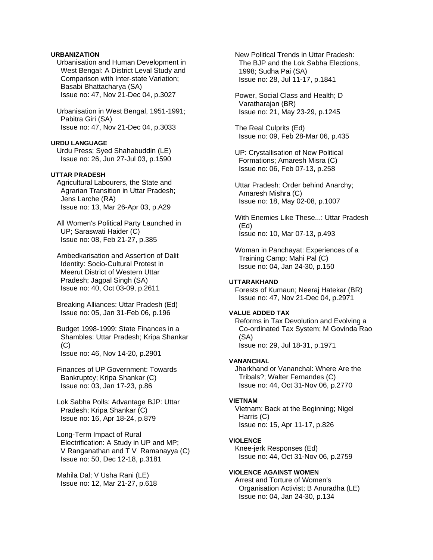## **URBANIZATION**

 Urbanisation and Human Development in West Bengal: A District Leval Study and Comparison with Inter-state Variation; Basabi Bhattacharya (SA) Issue no: 47, Nov 21-Dec 04, p.3027

 Urbanisation in West Bengal, 1951-1991; Pabitra Giri (SA) Issue no: 47, Nov 21-Dec 04, p.3033

### **URDU LANGUAGE**

 Urdu Press; Syed Shahabuddin (LE) Issue no: 26, Jun 27-Jul 03, p.1590

# **UTTAR PRADESH**

 Agricultural Labourers, the State and Agrarian Transition in Uttar Pradesh; Jens Larche (RA) Issue no: 13, Mar 26-Apr 03, p.A29

 All Women's Political Party Launched in UP; Saraswati Haider (C) Issue no: 08, Feb 21-27, p.385

 Ambedkarisation and Assertion of Dalit Identity: Socio-Cultural Protest in Meerut District of Western Uttar Pradesh; Jagpal Singh (SA) Issue no: 40, Oct 03-09, p.2611

 Breaking Alliances: Uttar Pradesh (Ed) Issue no: 05, Jan 31-Feb 06, p.196

 Budget 1998-1999: State Finances in a Shambles: Uttar Pradesh; Kripa Shankar (C) Issue no: 46, Nov 14-20, p.2901

 Finances of UP Government: Towards Bankruptcy; Kripa Shankar (C) Issue no: 03, Jan 17-23, p.86

 Lok Sabha Polls: Advantage BJP: Uttar Pradesh; Kripa Shankar (C) Issue no: 16, Apr 18-24, p.879

 Long-Term Impact of Rural Electrification: A Study in UP and MP; V Ranganathan and T V Ramanayya (C) Issue no: 50, Dec 12-18, p.3181

 Mahila Dal; V Usha Rani (LE) Issue no: 12, Mar 21-27, p.618  New Political Trends in Uttar Pradesh: The BJP and the Lok Sabha Elections, 1998; Sudha Pai (SA) Issue no: 28, Jul 11-17, p.1841

 Power, Social Class and Health; D Varatharajan (BR) Issue no: 21, May 23-29, p.1245

 The Real Culprits (Ed) Issue no: 09, Feb 28-Mar 06, p.435

 UP: Crystallisation of New Political Formations; Amaresh Misra (C) Issue no: 06, Feb 07-13, p.258

 Uttar Pradesh: Order behind Anarchy; Amaresh Mishra (C) Issue no: 18, May 02-08, p.1007

 With Enemies Like These...: Uttar Pradesh (Ed) Issue no: 10, Mar 07-13, p.493

 Woman in Panchayat: Experiences of a Training Camp; Mahi Pal (C) Issue no: 04, Jan 24-30, p.150

## **UTTARAKHAND**

 Forests of Kumaun; Neeraj Hatekar (BR) Issue no: 47, Nov 21-Dec 04, p.2971

#### **VALUE ADDED TAX**

 Reforms in Tax Devolution and Evolving a Co-ordinated Tax System; M Govinda Rao (SA) Issue no: 29, Jul 18-31, p.1971

#### **VANANCHAL**

 Jharkhand or Vananchal: Where Are the Tribals?; Walter Fernandes (C) Issue no: 44, Oct 31-Nov 06, p.2770

#### **VIETNAM**

 Vietnam: Back at the Beginning; Nigel Harris (C) Issue no: 15, Apr 11-17, p.826

#### **VIOLENCE**

 Knee-jerk Responses (Ed) Issue no: 44, Oct 31-Nov 06, p.2759

## **VIOLENCE AGAINST WOMEN**

 Arrest and Torture of Women's Organisation Activist; B Anuradha (LE) Issue no: 04, Jan 24-30, p.134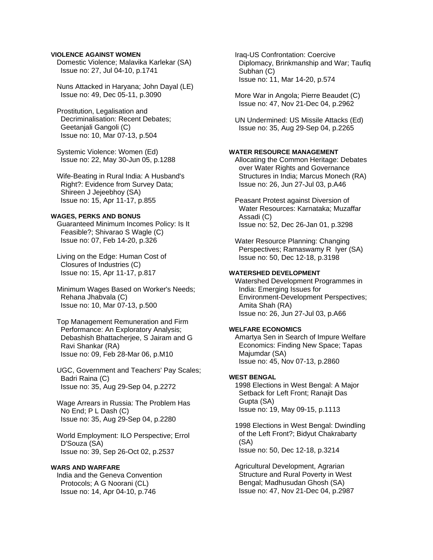### **VIOLENCE AGAINST WOMEN**

 Domestic Violence; Malavika Karlekar (SA) Issue no: 27, Jul 04-10, p.1741

 Nuns Attacked in Haryana; John Dayal (LE) Issue no: 49, Dec 05-11, p.3090

 Prostitution, Legalisation and Decriminalisation: Recent Debates; Geetanjali Gangoli (C) Issue no: 10, Mar 07-13, p.504

 Systemic Violence: Women (Ed) Issue no: 22, May 30-Jun 05, p.1288

 Wife-Beating in Rural India: A Husband's Right?: Evidence from Survey Data; Shireen J Jejeebhoy (SA) Issue no: 15, Apr 11-17, p.855

# **WAGES, PERKS AND BONUS**

 Guaranteed Minimum Incomes Policy: Is It Feasible?; Shivarao S Wagle (C) Issue no: 07, Feb 14-20, p.326

 Living on the Edge: Human Cost of Closures of Industries (C) Issue no: 15, Apr 11-17, p.817

 Minimum Wages Based on Worker's Needs; Rehana Jhabvala (C) Issue no: 10, Mar 07-13, p.500

 Top Management Remuneration and Firm Performance: An Exploratory Analysis; Debashish Bhattacherjee, S Jairam and G Ravi Shankar (RA) Issue no: 09, Feb 28-Mar 06, p.M10

 UGC, Government and Teachers' Pay Scales; Badri Raina (C) Issue no: 35, Aug 29-Sep 04, p.2272

 Wage Arrears in Russia: The Problem Has No End; P L Dash (C) Issue no: 35, Aug 29-Sep 04, p.2280

 World Employment: ILO Perspective; Errol D'Souza (SA) Issue no: 39, Sep 26-Oct 02, p.2537

## **WARS AND WARFARE**

 India and the Geneva Convention Protocols; A G Noorani (CL) Issue no: 14, Apr 04-10, p.746

 Iraq-US Confrontation: Coercive Diplomacy, Brinkmanship and War; Taufiq Subhan (C) Issue no: 11, Mar 14-20, p.574

 More War in Angola; Pierre Beaudet (C) Issue no: 47, Nov 21-Dec 04, p.2962

 UN Undermined: US Missile Attacks (Ed) Issue no: 35, Aug 29-Sep 04, p.2265

### **WATER RESOURCE MANAGEMENT**

 Allocating the Common Heritage: Debates over Water Rights and Governance Structures in India; Marcus Monech (RA) Issue no: 26, Jun 27-Jul 03, p.A46

 Peasant Protest against Diversion of Water Resources: Karnataka; Muzaffar Assadi (C) Issue no: 52, Dec 26-Jan 01, p.3298

 Water Resource Planning: Changing Perspectives; Ramaswamy R Iyer (SA) Issue no: 50, Dec 12-18, p.3198

## **WATERSHED DEVELOPMENT**

 Watershed Development Programmes in India: Emerging Issues for Environment-Development Perspectives; Amita Shah (RA) Issue no: 26, Jun 27-Jul 03, p.A66

### **WELFARE ECONOMICS**

 Amartya Sen in Search of Impure Welfare Economics: Finding New Space; Tapas Majumdar (SA) Issue no: 45, Nov 07-13, p.2860

## **WEST BENGAL**

 1998 Elections in West Bengal: A Major Setback for Left Front; Ranajit Das Gupta (SA) Issue no: 19, May 09-15, p.1113

 1998 Elections in West Bengal: Dwindling of the Left Front?; Bidyut Chakrabarty (SA) Issue no: 50, Dec 12-18, p.3214

 Agricultural Development, Agrarian Structure and Rural Poverty in West Bengal; Madhusudan Ghosh (SA) Issue no: 47, Nov 21-Dec 04, p.2987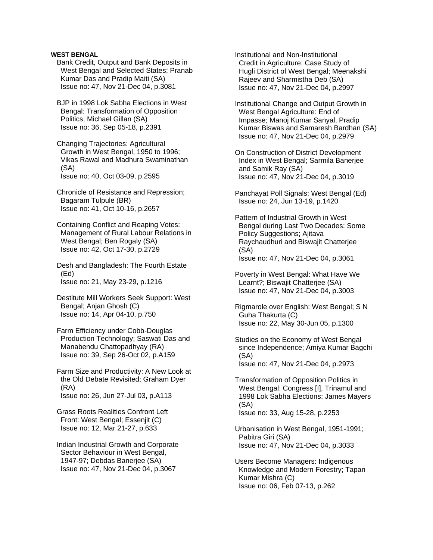## **WEST BENGAL**

 Bank Credit, Output and Bank Deposits in West Bengal and Selected States; Pranab Kumar Das and Pradip Maiti (SA) Issue no: 47, Nov 21-Dec 04, p.3081

 BJP in 1998 Lok Sabha Elections in West Bengal: Transformation of Opposition Politics; Michael Gillan (SA) Issue no: 36, Sep 05-18, p.2391

 Changing Trajectories: Agricultural Growth in West Bengal, 1950 to 1996; Vikas Rawal and Madhura Swaminathan (SA) Issue no: 40, Oct 03-09, p.2595

 Chronicle of Resistance and Repression; Bagaram Tulpule (BR) Issue no: 41, Oct 10-16, p.2657

 Containing Conflict and Reaping Votes: Management of Rural Labour Relations in West Bengal; Ben Rogaly (SA) Issue no: 42, Oct 17-30, p.2729

 Desh and Bangladesh: The Fourth Estate (Ed) Issue no: 21, May 23-29, p.1216

 Destitute Mill Workers Seek Support: West Bengal; Anjan Ghosh (C) Issue no: 14, Apr 04-10, p.750

 Farm Efficiency under Cobb-Douglas Production Technology; Saswati Das and Manabendu Chattopadhyay (RA) Issue no: 39, Sep 26-Oct 02, p.A159

 Farm Size and Productivity: A New Look at the Old Debate Revisited; Graham Dyer (RA) Issue no: 26, Jun 27-Jul 03, p.A113

 Grass Roots Realities Confront Left Front: West Bengal; Essenjit (C) Issue no: 12, Mar 21-27, p.633

 Indian Industrial Growth and Corporate Sector Behaviour in West Bengal, 1947-97; Debdas Banerjee (SA) Issue no: 47, Nov 21-Dec 04, p.3067

 Institutional and Non-Institutional Credit in Agriculture: Case Study of Hugli District of West Bengal; Meenakshi Rajeev and Sharmistha Deb (SA) Issue no: 47, Nov 21-Dec 04, p.2997

 Institutional Change and Output Growth in West Bengal Agriculture: End of Impasse; Manoj Kumar Sanyal, Pradip Kumar Biswas and Samaresh Bardhan (SA) Issue no: 47, Nov 21-Dec 04, p.2979

 On Construction of District Development Index in West Bengal; Sarmila Banerjee and Samik Ray (SA) Issue no: 47, Nov 21-Dec 04, p.3019

 Panchayat Poll Signals: West Bengal (Ed) Issue no: 24, Jun 13-19, p.1420

 Pattern of Industrial Growth in West Bengal during Last Two Decades: Some Policy Suggestions; Ajitava Raychaudhuri and Biswajit Chatterjee (SA) Issue no: 47, Nov 21-Dec 04, p.3061

 Poverty in West Bengal: What Have We Learnt?; Biswajit Chatterjee (SA) Issue no: 47, Nov 21-Dec 04, p.3003

 Rigmarole over English: West Bengal; S N Guha Thakurta (C) Issue no: 22, May 30-Jun 05, p.1300

 Studies on the Economy of West Bengal since Independence; Amiya Kumar Bagchi (SA) Issue no: 47, Nov 21-Dec 04, p.2973

 Transformation of Opposition Politics in West Bengal: Congress [I], Trinamul and 1998 Lok Sabha Elections; James Mayers (SA) Issue no: 33, Aug 15-28, p.2253

 Urbanisation in West Bengal, 1951-1991; Pabitra Giri (SA) Issue no: 47, Nov 21-Dec 04, p.3033

 Users Become Managers: Indigenous Knowledge and Modern Forestry; Tapan Kumar Mishra (C) Issue no: 06, Feb 07-13, p.262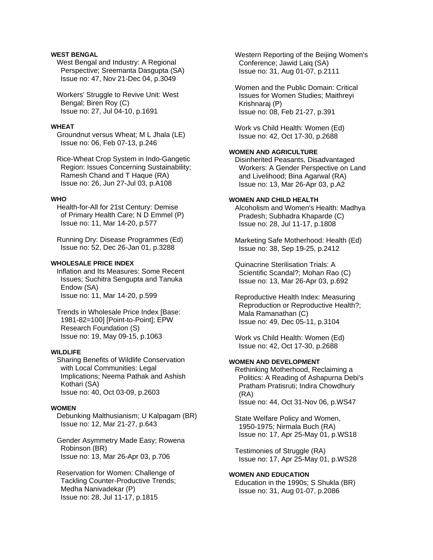# **WEST BENGAL**

 West Bengal and Industry: A Regional Perspective; Sreemanta Dasgupta (SA) Issue no: 47, Nov 21-Dec 04, p.3049

 Workers' Struggle to Revive Unit: West Bengal; Biren Roy (C) Issue no: 27, Jul 04-10, p.1691

#### **WHEAT**

 Groundnut versus Wheat; M L Jhala (LE) Issue no: 06, Feb 07-13, p.246

 Rice-Wheat Crop System in Indo-Gangetic Region: Issues Concerning Sustainability; Ramesh Chand and T Haque (RA) Issue no: 26, Jun 27-Jul 03, p.A108

#### **WHO**

 Health-for-All for 21st Century: Demise of Primary Health Care; N D Emmel (P) Issue no: 11, Mar 14-20, p.577

 Running Dry: Disease Programmes (Ed) Issue no: 52, Dec 26-Jan 01, p.3288

#### **WHOLESALE PRICE INDEX**

 Inflation and Its Measures: Some Recent Issues; Suchitra Sengupta and Tanuka Endow (SA) Issue no: 11, Mar 14-20, p.599

 Trends in Wholesale Price Index [Base: 1981-82=100] [Point-to-Point]; EPW Research Foundation (S) Issue no: 19, May 09-15, p.1063

## **WILDLIFE**

 Sharing Benefits of Wildlife Conservation with Local Communities: Legal Implications; Neema Pathak and Ashish Kothari (SA) Issue no: 40, Oct 03-09, p.2603

### **WOMEN**

 Debunking Malthusianism; U Kalpagam (BR) Issue no: 12, Mar 21-27, p.643

 Gender Asymmetry Made Easy; Rowena Robinson (BR) Issue no: 13, Mar 26-Apr 03, p.706

 Reservation for Women: Challenge of Tackling Counter-Productive Trends; Medha Nanivadekar (P) Issue no: 28, Jul 11-17, p.1815

 Western Reporting of the Beijing Women's Conference; Jawid Laiq (SA) Issue no: 31, Aug 01-07, p.2111

 Women and the Public Domain: Critical Issues for Women Studies; Maithreyi Krishnaraj (P) Issue no: 08, Feb 21-27, p.391

 Work vs Child Health: Women (Ed) Issue no: 42, Oct 17-30, p.2688

## **WOMEN AND AGRICULTURE**

 Disinherited Peasants, Disadvantaged Workers: A Gender Perspective on Land and Livelihood; Bina Agarwal (RA) Issue no: 13, Mar 26-Apr 03, p.A2

## **WOMEN AND CHILD HEALTH**

 Alcoholism and Women's Health: Madhya Pradesh; Subhadra Khaparde (C) Issue no: 28, Jul 11-17, p.1808

 Marketing Safe Motherhood: Health (Ed) Issue no: 38, Sep 19-25, p.2412

 Quinacrine Sterilisation Trials: A Scientific Scandal?; Mohan Rao (C) Issue no: 13, Mar 26-Apr 03, p.692

 Reproductive Health Index: Measuring Reproduction or Reproductive Health?; Mala Ramanathan (C) Issue no: 49, Dec 05-11, p.3104

 Work vs Child Health: Women (Ed) Issue no: 42, Oct 17-30, p.2688

## **WOMEN AND DEVELOPMENT**

 Rethinking Motherhood, Reclaiming a Politics: A Reading of Ashapurna Debi's Pratham Pratisruti; Indira Chowdhury (RA) Issue no: 44, Oct 31-Nov 06, p.WS47

 State Welfare Policy and Women, 1950-1975; Nirmala Buch (RA) Issue no: 17, Apr 25-May 01, p.WS18

 Testimonies of Struggle (RA) Issue no: 17, Apr 25-May 01, p.WS28

**WOMEN AND EDUCATION**  Education in the 1990s; S Shukla (BR) Issue no: 31, Aug 01-07, p.2086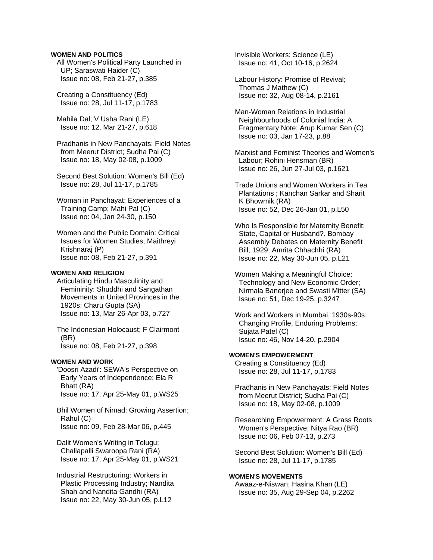### **WOMEN AND POLITICS**

 All Women's Political Party Launched in UP; Saraswati Haider (C) Issue no: 08, Feb 21-27, p.385

 Creating a Constituency (Ed) Issue no: 28, Jul 11-17, p.1783

 Mahila Dal; V Usha Rani (LE) Issue no: 12, Mar 21-27, p.618

 Pradhanis in New Panchayats: Field Notes from Meerut District; Sudha Pai (C) Issue no: 18, May 02-08, p.1009

 Second Best Solution: Women's Bill (Ed) Issue no: 28, Jul 11-17, p.1785

 Woman in Panchayat: Experiences of a Training Camp; Mahi Pal (C) Issue no: 04, Jan 24-30, p.150

 Women and the Public Domain: Critical Issues for Women Studies; Maithreyi Krishnaraj (P) Issue no: 08, Feb 21-27, p.391

## **WOMEN AND RELIGION**

 Articulating Hindu Masculinity and Femininity: Shuddhi and Sangathan Movements in United Provinces in the 1920s; Charu Gupta (SA) Issue no: 13, Mar 26-Apr 03, p.727

 The Indonesian Holocaust; F Clairmont (BR) Issue no: 08, Feb 21-27, p.398

## **WOMEN AND WORK**

 'Doosri Azadi': SEWA's Perspective on Early Years of Independence; Ela R Bhatt (RA) Issue no: 17, Apr 25-May 01, p.WS25

 Bhil Women of Nimad: Growing Assertion; Rahul (C) Issue no: 09, Feb 28-Mar 06, p.445

 Dalit Women's Writing in Telugu; Challapalli Swaroopa Rani (RA) Issue no: 17, Apr 25-May 01, p.WS21

 Industrial Restructuring: Workers in Plastic Processing Industry; Nandita Shah and Nandita Gandhi (RA) Issue no: 22, May 30-Jun 05, p.L12

 Invisible Workers: Science (LE) Issue no: 41, Oct 10-16, p.2624

 Labour History: Promise of Revival; Thomas J Mathew (C) Issue no: 32, Aug 08-14, p.2161

 Man-Woman Relations in Industrial Neighbourhoods of Colonial India: A Fragmentary Note; Arup Kumar Sen (C) Issue no: 03, Jan 17-23, p.88

 Marxist and Feminist Theories and Women's Labour; Rohini Hensman (BR) Issue no: 26, Jun 27-Jul 03, p.1621

 Trade Unions and Women Workers in Tea Plantations ; Kanchan Sarkar and Sharit K Bhowmik (RA) Issue no: 52, Dec 26-Jan 01, p.L50

 Who Is Responsible for Maternity Benefit: State, Capital or Husband?. Bombay Assembly Debates on Maternity Benefit Bill, 1929; Amrita Chhachhi (RA) Issue no: 22, May 30-Jun 05, p.L21

 Women Making a Meaningful Choice: Technology and New Economic Order; Nirmala Banerjee and Swasti Mitter (SA) Issue no: 51, Dec 19-25, p.3247

 Work and Workers in Mumbai, 1930s-90s: Changing Profile, Enduring Problems; Sujata Patel (C) Issue no: 46, Nov 14-20, p.2904

# **WOMEN'S EMPOWERMENT**

 Creating a Constituency (Ed) Issue no: 28, Jul 11-17, p.1783

 Pradhanis in New Panchayats: Field Notes from Meerut District; Sudha Pai (C) Issue no: 18, May 02-08, p.1009

 Researching Empowerment: A Grass Roots Women's Perspective; Nitya Rao (BR) Issue no: 06, Feb 07-13, p.273

 Second Best Solution: Women's Bill (Ed) Issue no: 28, Jul 11-17, p.1785

#### **WOMEN'S MOVEMENTS**

 Awaaz-e-Niswan; Hasina Khan (LE) Issue no: 35, Aug 29-Sep 04, p.2262